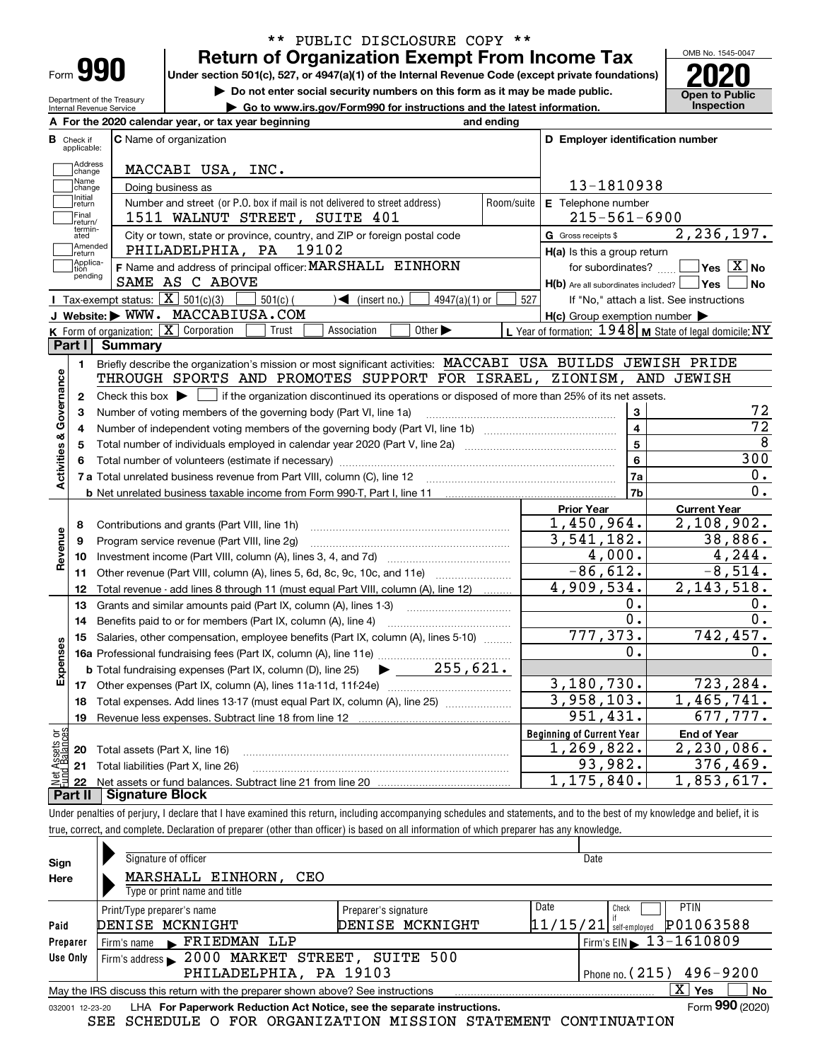| -orm |  |
|------|--|

Department of the Treasury Internal Revenue Service

## **Return of Organization Exempt From Income Tax** \*\* PUBLIC DISCLOSURE COPY \*\*

**Under section 501(c), 527, or 4947(a)(1) of the Internal Revenue Code (except private foundations) 2020**

**| Do not enter social security numbers on this form as it may be made public.**

**| Go to www.irs.gov/Form990 for instructions and the latest information. Inspection**



|                         |                               | A For the 2020 calendar year, or tax year beginning                                                                                                 | and ending |                                                                       |                                                           |
|-------------------------|-------------------------------|-----------------------------------------------------------------------------------------------------------------------------------------------------|------------|-----------------------------------------------------------------------|-----------------------------------------------------------|
|                         | <b>B</b> Check if applicable: | <b>C</b> Name of organization                                                                                                                       |            | D Employer identification number                                      |                                                           |
|                         | Address<br>change             | MACCABI USA, INC.                                                                                                                                   |            |                                                                       |                                                           |
|                         | Name<br>change                | Doing business as                                                                                                                                   |            | 13-1810938                                                            |                                                           |
|                         | Initial<br>return             | Number and street (or P.O. box if mail is not delivered to street address)                                                                          | Room/suite | E Telephone number                                                    |                                                           |
|                         | Final<br>return/              | 1511 WALNUT STREET, SUITE 401                                                                                                                       |            | $215 - 561 - 6900$                                                    |                                                           |
|                         | termin-<br>ated               | City or town, state or province, country, and ZIP or foreign postal code                                                                            |            | <b>G</b> Gross receipts \$                                            | 2,236,197.                                                |
|                         | Amended<br>return             | PHILADELPHIA, PA 19102                                                                                                                              |            | $H(a)$ is this a group return                                         |                                                           |
|                         | Applica-<br>tion<br>pending   | F Name and address of principal officer: MARSHALL EINHORN<br>SAME AS C ABOVE                                                                        |            | for subordinates?<br>$H(b)$ Are all subordinates included? $\Box$ Yes | $\sqrt{}$ Yes $\sqrt{X}$ No<br><b>No</b>                  |
|                         |                               | Tax-exempt status: $\boxed{\mathbf{X}}$ 501(c)(3)<br>$501(c)$ (<br>$\sqrt{\bullet}$ (insert no.)<br>$4947(a)(1)$ or                                 | 527        |                                                                       | If "No," attach a list. See instructions                  |
|                         |                               | J Website: WWW. MACCABIUSA.COM                                                                                                                      |            | $H(c)$ Group exemption number $\blacktriangleright$                   |                                                           |
|                         |                               | K Form of organization: X Corporation<br>Other $\blacktriangleright$<br>Trust<br>Association                                                        |            |                                                                       | L Year of formation: $1948$ M State of legal domicile: NY |
|                         | Part I I                      | <b>Summary</b>                                                                                                                                      |            |                                                                       |                                                           |
|                         | 1.                            | Briefly describe the organization's mission or most significant activities: MACCABI USA BUILDS JEWISH PRIDE                                         |            |                                                                       |                                                           |
|                         |                               | THROUGH SPORTS AND PROMOTES SUPPORT FOR ISRAEL, ZIONISM, AND JEWISH                                                                                 |            |                                                                       |                                                           |
| Activities & Governance | $\mathbf{2}$                  | Check this box $\blacktriangleright$ $\blacksquare$ if the organization discontinued its operations or disposed of more than 25% of its net assets. |            |                                                                       |                                                           |
|                         | 3                             | Number of voting members of the governing body (Part VI, line 1a)                                                                                   |            | 3                                                                     | 72                                                        |
|                         | 4                             |                                                                                                                                                     |            | $\overline{\mathbf{4}}$                                               | $\overline{72}$                                           |
|                         | 5                             |                                                                                                                                                     | 5          | 8                                                                     |                                                           |
|                         | 6                             |                                                                                                                                                     |            | 6                                                                     | 300                                                       |
|                         |                               |                                                                                                                                                     |            | 7a                                                                    | О.                                                        |
|                         |                               | <b>b</b> Net unrelated business taxable income from Form 990-T, Part I, line 11 <b>Marting the Control of the Control</b> of                        |            | 7 <sub>b</sub>                                                        | 0.                                                        |
|                         |                               |                                                                                                                                                     |            | <b>Prior Year</b>                                                     | <b>Current Year</b>                                       |
|                         | 8                             | Contributions and grants (Part VIII, line 1h)                                                                                                       |            | 1,450,964.                                                            | 2,108,902.                                                |
| Revenue                 | 9                             | Program service revenue (Part VIII, line 2g)                                                                                                        |            | 3,541,182.                                                            | 38,886.                                                   |
|                         | 10                            |                                                                                                                                                     |            | 4,000.                                                                | 4, 244.                                                   |
|                         |                               | 11 Other revenue (Part VIII, column (A), lines 5, 6d, 8c, 9c, 10c, and 11e)                                                                         |            | $\overline{-86,612}$ .                                                | $-8,514.$                                                 |
|                         | 12                            | Total revenue - add lines 8 through 11 (must equal Part VIII, column (A), line 12)                                                                  |            | 4,909,534.                                                            | 2, 143, 518.                                              |
|                         | 13                            | Grants and similar amounts paid (Part IX, column (A), lines 1-3)                                                                                    |            | Ο.                                                                    | О.                                                        |
|                         | 14                            |                                                                                                                                                     |            | $\overline{0}$ .                                                      | 0.                                                        |
|                         | 15                            | Salaries, other compensation, employee benefits (Part IX, column (A), lines 5-10)                                                                   |            | 777, 373.                                                             | 742, 457.                                                 |
| Expenses                |                               |                                                                                                                                                     |            | 0.                                                                    | 0.                                                        |
|                         |                               | $\blacktriangleright$ ____ 255,621.<br><b>b</b> Total fundraising expenses (Part IX, column (D), line 25)                                           |            |                                                                       |                                                           |
|                         |                               |                                                                                                                                                     |            | 3, 180, 730.                                                          | 723,284.                                                  |
|                         | 18                            | Total expenses. Add lines 13-17 (must equal Part IX, column (A), line 25)                                                                           |            | 3,958,103.                                                            | 1,465,741.                                                |
|                         | 19                            |                                                                                                                                                     |            | 951,431.                                                              | 677,777.                                                  |
| ងខ្លី                   |                               |                                                                                                                                                     |            | <b>Beginning of Current Year</b>                                      | <b>End of Year</b>                                        |
| Assets<br>Ralanc        |                               | <b>20</b> Total assets (Part X, line 16)                                                                                                            |            | 1, 269, 822.                                                          | 2,230,086.                                                |
|                         |                               | 21 Total liabilities (Part X, line 26)                                                                                                              |            | 93,982.                                                               | 376,469.                                                  |
|                         | 22<br>Part II                 | <b>Signature Block</b>                                                                                                                              |            | 1, 175, 840.                                                          | 1,853,617.                                                |

Under penalties of perjury, I declare that I have examined this return, including accompanying schedules and statements, and to the best of my knowledge and belief, it is true, correct, and complete. Declaration of preparer (other than officer) is based on all information of which preparer has any knowledge.

| Sign                                                 | Signature of officer                                                                                         |                      | Date                                   |  |  |  |  |  |  |  |  |
|------------------------------------------------------|--------------------------------------------------------------------------------------------------------------|----------------------|----------------------------------------|--|--|--|--|--|--|--|--|
| Here                                                 | MARSHALL EINHORN,<br>CEO                                                                                     |                      |                                        |  |  |  |  |  |  |  |  |
|                                                      | Type or print name and title                                                                                 |                      |                                        |  |  |  |  |  |  |  |  |
|                                                      | Print/Type preparer's name                                                                                   | Preparer's signature | Date<br><b>PTIN</b><br>Check           |  |  |  |  |  |  |  |  |
| Paid                                                 | DENISE MCKNIGHT                                                                                              | DENISE MCKNIGHT      | P01063588<br>$11/15/21$ self-employed  |  |  |  |  |  |  |  |  |
| Preparer                                             | Firm's name FRIEDMAN LLP                                                                                     |                      | Firm's EIN $\triangleright$ 13-1610809 |  |  |  |  |  |  |  |  |
| Use Only                                             | Firm's address > 2000 MARKET STREET, SUITE 500                                                               |                      |                                        |  |  |  |  |  |  |  |  |
| PHILADELPHIA, PA 19103<br>Phone no. $(215)$ 496-9200 |                                                                                                              |                      |                                        |  |  |  |  |  |  |  |  |
|                                                      | ΧI<br>No<br>Yes<br>May the IRS discuss this return with the preparer shown above? See instructions           |                      |                                        |  |  |  |  |  |  |  |  |
|                                                      | Form 990 (2020)<br>LHA For Paperwork Reduction Act Notice, see the separate instructions.<br>032001 12-23-20 |                      |                                        |  |  |  |  |  |  |  |  |

SEE SCHEDULE O FOR ORGANIZATION MISSION STATEMENT CONTINUATION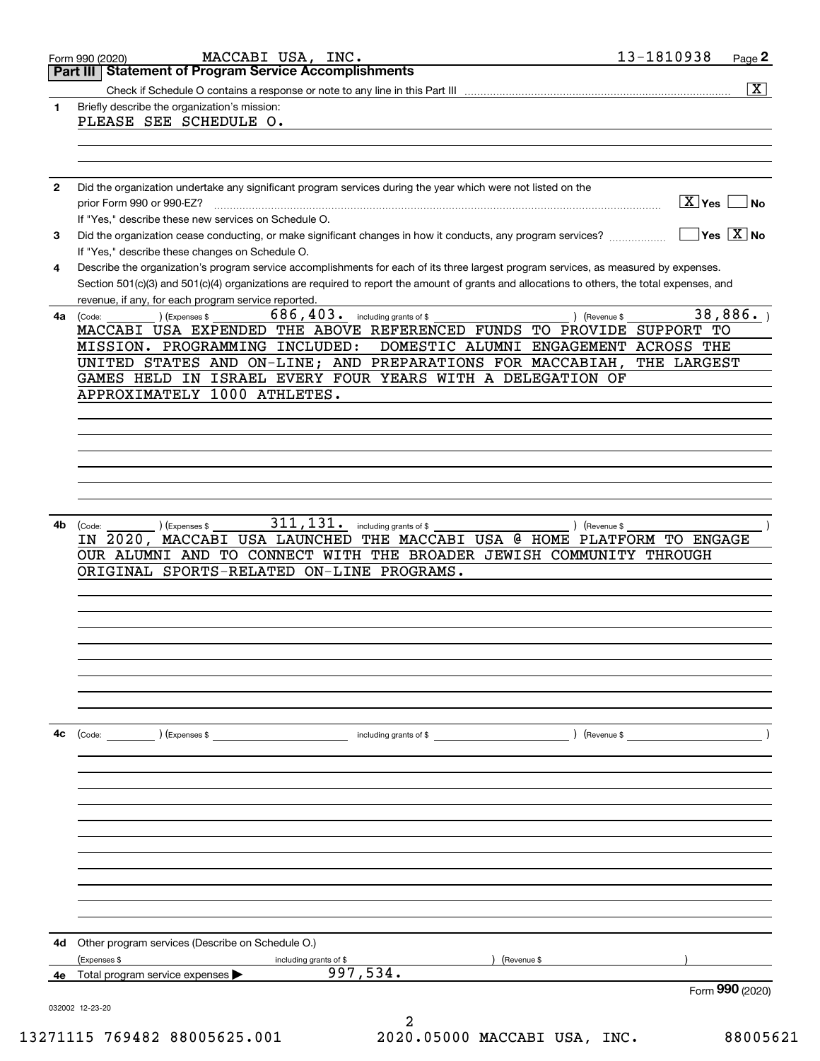|              | MACCABI USA, INC.<br>Form 990 (2020)                                                                                                         | 13-1810938<br>Page 2                 |
|--------------|----------------------------------------------------------------------------------------------------------------------------------------------|--------------------------------------|
|              | <b>Statement of Program Service Accomplishments</b><br>Part III                                                                              |                                      |
|              |                                                                                                                                              | $\overline{\mathbf{x}}$              |
| 1            | Briefly describe the organization's mission:                                                                                                 |                                      |
|              | PLEASE SEE SCHEDULE O.                                                                                                                       |                                      |
|              |                                                                                                                                              |                                      |
|              |                                                                                                                                              |                                      |
|              | Did the organization undertake any significant program services during the year which were not listed on the                                 |                                      |
| $\mathbf{2}$ | prior Form 990 or 990-EZ?                                                                                                                    | $\boxed{\text{X}}$ Yes<br>∣No        |
|              | If "Yes," describe these new services on Schedule O.                                                                                         |                                      |
| 3            | Did the organization cease conducting, or make significant changes in how it conducts, any program services?                                 | $\exists$ Yes $\sqrt{\mathrm{X}}$ No |
|              | If "Yes," describe these changes on Schedule O.                                                                                              |                                      |
| 4            | Describe the organization's program service accomplishments for each of its three largest program services, as measured by expenses.         |                                      |
|              | Section 501(c)(3) and 501(c)(4) organizations are required to report the amount of grants and allocations to others, the total expenses, and |                                      |
|              | revenue, if any, for each program service reported.                                                                                          |                                      |
|              | 686, 403. including grants of \$<br>) (Revenue \$<br>(Expenses \$<br>4a (Code:                                                               | 38,886.                              |
|              | MACCABI USA EXPENDED THE ABOVE REFERENCED FUNDS TO PROVIDE SUPPORT TO                                                                        |                                      |
|              | MISSION. PROGRAMMING INCLUDED:<br>DOMESTIC ALUMNI ENGAGEMENT ACROSS THE                                                                      |                                      |
|              | UNITED STATES AND ON-LINE; AND PREPARATIONS FOR MACCABIAH,                                                                                   | THE LARGEST                          |
|              | GAMES HELD IN ISRAEL EVERY FOUR YEARS WITH A DELEGATION OF                                                                                   |                                      |
|              | APPROXIMATELY 1000 ATHLETES.                                                                                                                 |                                      |
|              |                                                                                                                                              |                                      |
|              |                                                                                                                                              |                                      |
|              |                                                                                                                                              |                                      |
|              |                                                                                                                                              |                                      |
|              |                                                                                                                                              |                                      |
|              |                                                                                                                                              |                                      |
|              |                                                                                                                                              |                                      |
| 4b           | 311, 131.<br>including grants of \$<br>) (Revenue \$<br>(Expenses \$<br>(Code:                                                               |                                      |
|              | MACCABI USA LAUNCHED THE MACCABI USA @ HOME PLATFORM TO ENGAGE<br>IN 2020,                                                                   |                                      |
|              | OUR ALUMNI AND TO CONNECT WITH THE BROADER JEWISH COMMUNITY THROUGH                                                                          |                                      |
|              | ORIGINAL SPORTS-RELATED ON-LINE PROGRAMS.                                                                                                    |                                      |
|              |                                                                                                                                              |                                      |
|              |                                                                                                                                              |                                      |
|              |                                                                                                                                              |                                      |
|              |                                                                                                                                              |                                      |
|              |                                                                                                                                              |                                      |
|              |                                                                                                                                              |                                      |
|              |                                                                                                                                              |                                      |
|              |                                                                                                                                              |                                      |
|              |                                                                                                                                              |                                      |
| 4с           |                                                                                                                                              |                                      |
|              |                                                                                                                                              |                                      |
|              |                                                                                                                                              |                                      |
|              |                                                                                                                                              |                                      |
|              |                                                                                                                                              |                                      |
|              |                                                                                                                                              |                                      |
|              |                                                                                                                                              |                                      |
|              |                                                                                                                                              |                                      |
|              |                                                                                                                                              |                                      |
|              |                                                                                                                                              |                                      |
|              |                                                                                                                                              |                                      |
|              |                                                                                                                                              |                                      |
| 4d           | Other program services (Describe on Schedule O.)                                                                                             |                                      |
|              | (Expenses \$                                                                                                                                 |                                      |
| 4е           | Revenue \$<br>including grants of \$<br>997,534.<br>Total program service expenses                                                           |                                      |
|              |                                                                                                                                              | Form 990 (2020)                      |
|              | 032002 12-23-20                                                                                                                              |                                      |
|              |                                                                                                                                              |                                      |

13271115 769482 88005625.001 2020.05000 MACCABI USA, INC. 88005621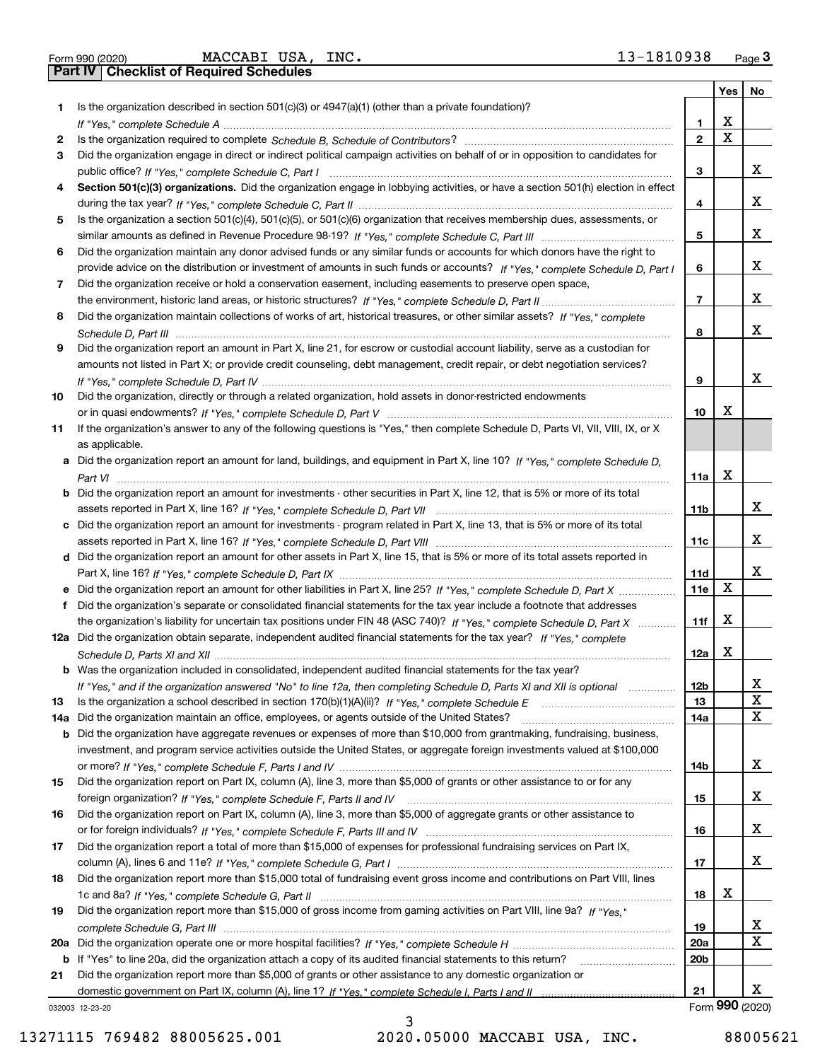|  | Form 990 (2020) |
|--|-----------------|

Form 990 (2020) Page **3Part IV Checklist of Required Schedules** MACCABI USA, INC. 13-1810938

|     |                                                                                                                                                                                                                                |                          | Yes         | No               |
|-----|--------------------------------------------------------------------------------------------------------------------------------------------------------------------------------------------------------------------------------|--------------------------|-------------|------------------|
| 1   | Is the organization described in section $501(c)(3)$ or $4947(a)(1)$ (other than a private foundation)?                                                                                                                        |                          |             |                  |
|     | If "Yes," complete Schedule A measure and a construction of the state of the state of the state of the state of the state of the state of the state of the state of the state of the state of the state of the state of the st | 1                        | x           |                  |
| 2   |                                                                                                                                                                                                                                | $\overline{2}$           | $\mathbf X$ |                  |
| З   | Did the organization engage in direct or indirect political campaign activities on behalf of or in opposition to candidates for                                                                                                |                          |             |                  |
|     |                                                                                                                                                                                                                                | 3                        |             | х                |
| 4   | Section 501(c)(3) organizations. Did the organization engage in lobbying activities, or have a section 501(h) election in effect                                                                                               |                          |             |                  |
|     |                                                                                                                                                                                                                                | 4                        |             | x                |
| 5   | Is the organization a section 501(c)(4), 501(c)(5), or 501(c)(6) organization that receives membership dues, assessments, or                                                                                                   |                          |             |                  |
|     |                                                                                                                                                                                                                                | 5                        |             | x                |
| 6   | Did the organization maintain any donor advised funds or any similar funds or accounts for which donors have the right to                                                                                                      |                          |             |                  |
|     | provide advice on the distribution or investment of amounts in such funds or accounts? If "Yes," complete Schedule D, Part I                                                                                                   | 6                        |             | x                |
| 7   | Did the organization receive or hold a conservation easement, including easements to preserve open space,                                                                                                                      |                          |             |                  |
|     |                                                                                                                                                                                                                                | $\overline{\phantom{a}}$ |             | х                |
| 8   | Did the organization maintain collections of works of art, historical treasures, or other similar assets? If "Yes," complete                                                                                                   |                          |             |                  |
|     |                                                                                                                                                                                                                                | 8                        |             | x                |
| 9   | Did the organization report an amount in Part X, line 21, for escrow or custodial account liability, serve as a custodian for                                                                                                  |                          |             |                  |
|     | amounts not listed in Part X; or provide credit counseling, debt management, credit repair, or debt negotiation services?                                                                                                      |                          |             |                  |
|     |                                                                                                                                                                                                                                | 9                        |             | x                |
| 10  | Did the organization, directly or through a related organization, hold assets in donor-restricted endowments                                                                                                                   |                          |             |                  |
|     |                                                                                                                                                                                                                                | 10                       | х           |                  |
| 11  | If the organization's answer to any of the following questions is "Yes," then complete Schedule D, Parts VI, VII, VIII, IX, or X                                                                                               |                          |             |                  |
|     | as applicable.                                                                                                                                                                                                                 |                          |             |                  |
|     | a Did the organization report an amount for land, buildings, and equipment in Part X, line 10? If "Yes," complete Schedule D,                                                                                                  |                          |             |                  |
|     |                                                                                                                                                                                                                                | 11a                      | X           |                  |
|     | <b>b</b> Did the organization report an amount for investments - other securities in Part X, line 12, that is 5% or more of its total                                                                                          |                          |             |                  |
|     |                                                                                                                                                                                                                                | 11b                      |             | х                |
|     | c Did the organization report an amount for investments - program related in Part X, line 13, that is 5% or more of its total                                                                                                  |                          |             |                  |
|     |                                                                                                                                                                                                                                | 11c                      |             | X.               |
|     | d Did the organization report an amount for other assets in Part X, line 15, that is 5% or more of its total assets reported in                                                                                                |                          |             |                  |
|     |                                                                                                                                                                                                                                | 11d                      |             | х                |
|     |                                                                                                                                                                                                                                | 11e                      | X           |                  |
|     | e Did the organization report an amount for other liabilities in Part X, line 25? If "Yes," complete Schedule D, Part X                                                                                                        |                          |             |                  |
| f.  | Did the organization's separate or consolidated financial statements for the tax year include a footnote that addresses                                                                                                        |                          | X           |                  |
|     | the organization's liability for uncertain tax positions under FIN 48 (ASC 740)? If "Yes," complete Schedule D, Part X                                                                                                         | 11f                      |             |                  |
|     | 12a Did the organization obtain separate, independent audited financial statements for the tax year? If "Yes," complete                                                                                                        |                          | X           |                  |
|     |                                                                                                                                                                                                                                | 12a                      |             |                  |
|     | <b>b</b> Was the organization included in consolidated, independent audited financial statements for the tax year?                                                                                                             |                          |             |                  |
|     | If "Yes," and if the organization answered "No" to line 12a, then completing Schedule D, Parts XI and XII is optional                                                                                                          | 12 <sub>b</sub>          |             | X<br>$\mathbf X$ |
| 13  | Is the organization a school described in section 170(b)(1)(A)(ii)? If "Yes," complete Schedule E                                                                                                                              | 13                       |             |                  |
| 14a | Did the organization maintain an office, employees, or agents outside of the United States?                                                                                                                                    | 14a                      |             | x                |
| b   | Did the organization have aggregate revenues or expenses of more than \$10,000 from grantmaking, fundraising, business,                                                                                                        |                          |             |                  |
|     | investment, and program service activities outside the United States, or aggregate foreign investments valued at \$100,000                                                                                                     |                          |             |                  |
|     |                                                                                                                                                                                                                                | 14b                      |             | X.               |
| 15  | Did the organization report on Part IX, column (A), line 3, more than \$5,000 of grants or other assistance to or for any                                                                                                      |                          |             |                  |
|     |                                                                                                                                                                                                                                | 15                       |             | X                |
| 16  | Did the organization report on Part IX, column (A), line 3, more than \$5,000 of aggregate grants or other assistance to                                                                                                       |                          |             |                  |
|     |                                                                                                                                                                                                                                | 16                       |             | x                |
| 17  | Did the organization report a total of more than \$15,000 of expenses for professional fundraising services on Part IX,                                                                                                        |                          |             |                  |
|     |                                                                                                                                                                                                                                | 17                       |             | x                |
| 18  | Did the organization report more than \$15,000 total of fundraising event gross income and contributions on Part VIII, lines                                                                                                   |                          |             |                  |
|     |                                                                                                                                                                                                                                | 18                       | x           |                  |
| 19  | Did the organization report more than \$15,000 of gross income from gaming activities on Part VIII, line 9a? If "Yes."                                                                                                         |                          |             |                  |
|     |                                                                                                                                                                                                                                | 19                       |             | x                |
|     |                                                                                                                                                                                                                                | 20a                      |             | X                |
| b   | If "Yes" to line 20a, did the organization attach a copy of its audited financial statements to this return?                                                                                                                   | 20 <sub>b</sub>          |             |                  |
| 21  | Did the organization report more than \$5,000 of grants or other assistance to any domestic organization or                                                                                                                    |                          |             |                  |
|     |                                                                                                                                                                                                                                | 21                       |             | X.               |
|     | 032003 12-23-20                                                                                                                                                                                                                |                          |             | Form 990 (2020)  |

13271115 769482 88005625.001 2020.05000 MACCABI USA, INC. 88005621

3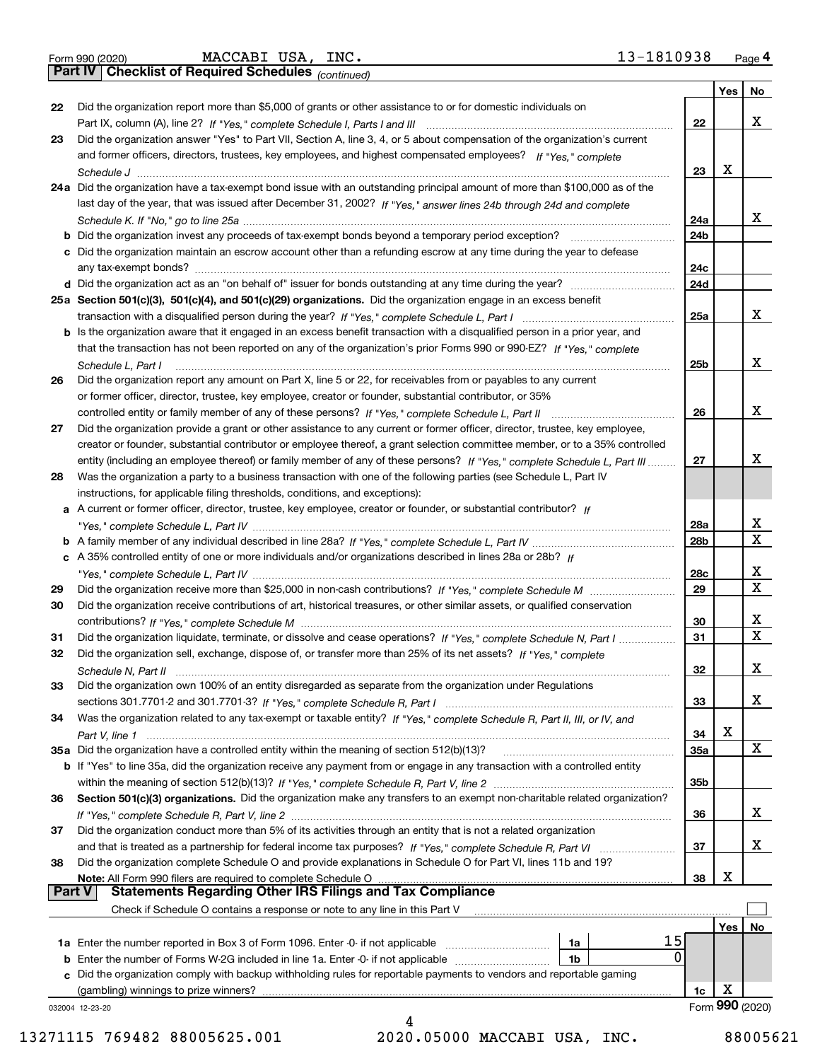|  | Form 990 (2020) |
|--|-----------------|
|  |                 |

*(continued)*

|               |                                                                                                                                    |                 | Yes | No              |
|---------------|------------------------------------------------------------------------------------------------------------------------------------|-----------------|-----|-----------------|
| 22            | Did the organization report more than \$5,000 of grants or other assistance to or for domestic individuals on                      |                 |     |                 |
|               |                                                                                                                                    | 22              |     | x               |
| 23            | Did the organization answer "Yes" to Part VII, Section A, line 3, 4, or 5 about compensation of the organization's current         |                 |     |                 |
|               | and former officers, directors, trustees, key employees, and highest compensated employees? If "Yes," complete                     |                 |     |                 |
|               |                                                                                                                                    | 23              | х   |                 |
|               | 24a Did the organization have a tax-exempt bond issue with an outstanding principal amount of more than \$100,000 as of the        |                 |     |                 |
|               | last day of the year, that was issued after December 31, 2002? If "Yes," answer lines 24b through 24d and complete                 |                 |     |                 |
|               |                                                                                                                                    | 24a             |     | X.              |
|               | <b>b</b> Did the organization invest any proceeds of tax-exempt bonds beyond a temporary period exception?                         | 24b             |     |                 |
|               | c Did the organization maintain an escrow account other than a refunding escrow at any time during the year to defease             |                 |     |                 |
|               |                                                                                                                                    | 24c             |     |                 |
|               | d Did the organization act as an "on behalf of" issuer for bonds outstanding at any time during the year?                          | 24d             |     |                 |
|               | 25a Section 501(c)(3), 501(c)(4), and 501(c)(29) organizations. Did the organization engage in an excess benefit                   |                 |     |                 |
|               |                                                                                                                                    | 25a             |     | x               |
|               | b Is the organization aware that it engaged in an excess benefit transaction with a disqualified person in a prior year, and       |                 |     |                 |
|               | that the transaction has not been reported on any of the organization's prior Forms 990 or 990-EZ? If "Yes," complete              |                 |     | x               |
|               | Schedule L, Part I                                                                                                                 | 25b             |     |                 |
| 26            | Did the organization report any amount on Part X, line 5 or 22, for receivables from or payables to any current                    |                 |     |                 |
|               | or former officer, director, trustee, key employee, creator or founder, substantial contributor, or 35%                            | 26              |     | x               |
| 27            | Did the organization provide a grant or other assistance to any current or former officer, director, trustee, key employee,        |                 |     |                 |
|               | creator or founder, substantial contributor or employee thereof, a grant selection committee member, or to a 35% controlled        |                 |     |                 |
|               | entity (including an employee thereof) or family member of any of these persons? If "Yes," complete Schedule L, Part III           | 27              |     | x               |
| 28            | Was the organization a party to a business transaction with one of the following parties (see Schedule L, Part IV                  |                 |     |                 |
|               | instructions, for applicable filing thresholds, conditions, and exceptions):                                                       |                 |     |                 |
|               | a A current or former officer, director, trustee, key employee, creator or founder, or substantial contributor? If                 |                 |     |                 |
|               |                                                                                                                                    | 28a             |     | x               |
|               |                                                                                                                                    | 28 <sub>b</sub> |     | X               |
|               | c A 35% controlled entity of one or more individuals and/or organizations described in lines 28a or 28b? If                        |                 |     |                 |
|               |                                                                                                                                    | 28c             |     | х               |
| 29            |                                                                                                                                    | 29              |     | X               |
| 30            | Did the organization receive contributions of art, historical treasures, or other similar assets, or qualified conservation        |                 |     |                 |
|               |                                                                                                                                    | 30              |     | x               |
| 31            | Did the organization liquidate, terminate, or dissolve and cease operations? If "Yes," complete Schedule N, Part I                 | 31              |     | X               |
| 32            | Did the organization sell, exchange, dispose of, or transfer more than 25% of its net assets? If "Yes," complete                   |                 |     |                 |
|               |                                                                                                                                    | 32              |     | x               |
| 33            | Did the organization own 100% of an entity disregarded as separate from the organization under Regulations                         |                 |     |                 |
|               |                                                                                                                                    | 33              |     | X               |
| 34            | Was the organization related to any tax-exempt or taxable entity? If "Yes," complete Schedule R, Part II, III, or IV, and          |                 |     |                 |
|               |                                                                                                                                    | 34              | х   |                 |
|               | 35a Did the organization have a controlled entity within the meaning of section 512(b)(13)?                                        | 35a             |     | X               |
|               | <b>b</b> If "Yes" to line 35a, did the organization receive any payment from or engage in any transaction with a controlled entity |                 |     |                 |
|               |                                                                                                                                    | 35b             |     |                 |
| 36            | Section 501(c)(3) organizations. Did the organization make any transfers to an exempt non-charitable related organization?         |                 |     |                 |
|               |                                                                                                                                    | 36              |     | x               |
| 37            | Did the organization conduct more than 5% of its activities through an entity that is not a related organization                   |                 |     |                 |
|               | and that is treated as a partnership for federal income tax purposes? If "Yes," complete Schedule R, Part VI                       | 37              |     | x               |
| 38            | Did the organization complete Schedule O and provide explanations in Schedule O for Part VI, lines 11b and 19?                     |                 | х   |                 |
| <b>Part V</b> | Note: All Form 990 filers are required to complete Schedule O<br><b>Statements Regarding Other IRS Filings and Tax Compliance</b>  | 38              |     |                 |
|               | Check if Schedule O contains a response or note to any line in this Part V                                                         |                 |     |                 |
|               |                                                                                                                                    |                 |     | No              |
|               | 15<br>1a                                                                                                                           |                 | Yes |                 |
|               | 0<br><b>b</b> Enter the number of Forms W-2G included in line 1a. Enter -0- if not applicable<br>1b                                |                 |     |                 |
| c             | Did the organization comply with backup withholding rules for reportable payments to vendors and reportable gaming                 |                 |     |                 |
|               | (gambling) winnings to prize winners?                                                                                              | 1c              | X   |                 |
|               | 032004 12-23-20                                                                                                                    |                 |     | Form 990 (2020) |
|               |                                                                                                                                    |                 |     |                 |

4 13271115 769482 88005625.001 2020.05000 MACCABI USA, INC. 88005621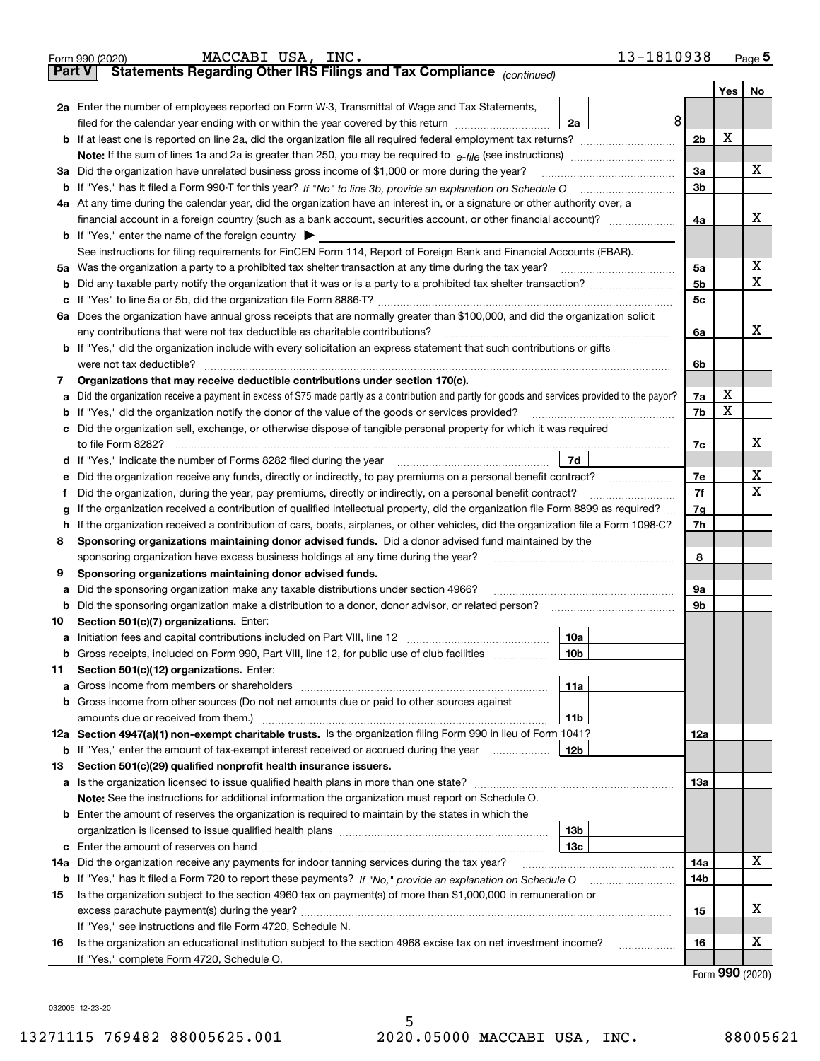|               | 13-1810938<br>MACCABI USA, INC.<br>Form 990 (2020)                                                                                                                                       |                |                    | Page $5$ |  |  |  |
|---------------|------------------------------------------------------------------------------------------------------------------------------------------------------------------------------------------|----------------|--------------------|----------|--|--|--|
| <b>Part V</b> | Statements Regarding Other IRS Filings and Tax Compliance <sub>(continued)</sub>                                                                                                         |                |                    |          |  |  |  |
|               |                                                                                                                                                                                          |                | Yes $ $            | No       |  |  |  |
|               | 2a Enter the number of employees reported on Form W-3, Transmittal of Wage and Tax Statements,                                                                                           |                |                    |          |  |  |  |
|               | 8<br>filed for the calendar year ending with or within the year covered by this return [11] [11] filed for the calendar year ending with or within the year covered by this return<br>2a |                |                    |          |  |  |  |
|               |                                                                                                                                                                                          | 2 <sub>b</sub> | X                  |          |  |  |  |
|               |                                                                                                                                                                                          |                |                    |          |  |  |  |
|               | 3a Did the organization have unrelated business gross income of \$1,000 or more during the year?                                                                                         | 3a             |                    | x        |  |  |  |
|               |                                                                                                                                                                                          | 3 <sub>b</sub> |                    |          |  |  |  |
|               | 4a At any time during the calendar year, did the organization have an interest in, or a signature or other authority over, a                                                             |                |                    |          |  |  |  |
|               |                                                                                                                                                                                          | 4a             |                    | х        |  |  |  |
|               | <b>b</b> If "Yes," enter the name of the foreign country $\blacktriangleright$                                                                                                           |                |                    |          |  |  |  |
|               | See instructions for filing requirements for FinCEN Form 114, Report of Foreign Bank and Financial Accounts (FBAR).                                                                      |                |                    |          |  |  |  |
|               | 5a Was the organization a party to a prohibited tax shelter transaction at any time during the tax year?                                                                                 | 5a             |                    | х        |  |  |  |
|               |                                                                                                                                                                                          | 5 <sub>b</sub> |                    | Х        |  |  |  |
|               |                                                                                                                                                                                          | 5c             |                    |          |  |  |  |
|               | 6a Does the organization have annual gross receipts that are normally greater than \$100,000, and did the organization solicit                                                           |                |                    |          |  |  |  |
|               | any contributions that were not tax deductible as charitable contributions?                                                                                                              | 6a             |                    | x        |  |  |  |
|               | b If "Yes," did the organization include with every solicitation an express statement that such contributions or gifts                                                                   |                |                    |          |  |  |  |
|               | were not tax deductible?                                                                                                                                                                 | 6b             |                    |          |  |  |  |
| 7             | Organizations that may receive deductible contributions under section 170(c).                                                                                                            |                |                    |          |  |  |  |
| а             | Did the organization receive a payment in excess of \$75 made partly as a contribution and partly for goods and services provided to the payor?                                          | 7a             | х                  |          |  |  |  |
| b             | If "Yes," did the organization notify the donor of the value of the goods or services provided?                                                                                          | 7b             | х                  |          |  |  |  |
|               | c Did the organization sell, exchange, or otherwise dispose of tangible personal property for which it was required                                                                      |                |                    |          |  |  |  |
|               | to file Form 8282?                                                                                                                                                                       | 7c             |                    | x        |  |  |  |
|               | 7d                                                                                                                                                                                       |                |                    |          |  |  |  |
| е             | Did the organization receive any funds, directly or indirectly, to pay premiums on a personal benefit contract?                                                                          | 7e             |                    | х        |  |  |  |
| f             | Did the organization, during the year, pay premiums, directly or indirectly, on a personal benefit contract?                                                                             | 7f             |                    | х        |  |  |  |
| g             | If the organization received a contribution of qualified intellectual property, did the organization file Form 8899 as required?                                                         |                |                    |          |  |  |  |
|               | If the organization received a contribution of cars, boats, airplanes, or other vehicles, did the organization file a Form 1098-C?<br>h.                                                 |                |                    |          |  |  |  |
| 8             | Sponsoring organizations maintaining donor advised funds. Did a donor advised fund maintained by the                                                                                     |                |                    |          |  |  |  |
|               | sponsoring organization have excess business holdings at any time during the year?                                                                                                       | 8              |                    |          |  |  |  |
| 9             | Sponsoring organizations maintaining donor advised funds.                                                                                                                                |                |                    |          |  |  |  |
| а             | Did the sponsoring organization make any taxable distributions under section 4966?                                                                                                       | 9а             |                    |          |  |  |  |
| b             | Did the sponsoring organization make a distribution to a donor, donor advisor, or related person?                                                                                        | 9b             |                    |          |  |  |  |
| 10            | Section 501(c)(7) organizations. Enter:                                                                                                                                                  |                |                    |          |  |  |  |
|               | 10a                                                                                                                                                                                      |                |                    |          |  |  |  |
|               | <b>b</b> Gross receipts, included on Form 990, Part VIII, line 12, for public use of club facilities <i>manument</i><br>10b                                                              |                |                    |          |  |  |  |
| 11            | Section 501(c)(12) organizations. Enter:                                                                                                                                                 |                |                    |          |  |  |  |
| a             | 11a                                                                                                                                                                                      |                |                    |          |  |  |  |
|               | <b>b</b> Gross income from other sources (Do not net amounts due or paid to other sources against                                                                                        |                |                    |          |  |  |  |
|               | amounts due or received from them.)<br>11b                                                                                                                                               |                |                    |          |  |  |  |
|               | 12a Section 4947(a)(1) non-exempt charitable trusts. Is the organization filing Form 990 in lieu of Form 1041?                                                                           | 12a            |                    |          |  |  |  |
|               | <b>b</b> If "Yes," enter the amount of tax-exempt interest received or accrued during the year<br>12b                                                                                    |                |                    |          |  |  |  |
| 13            | Section 501(c)(29) qualified nonprofit health insurance issuers.                                                                                                                         |                |                    |          |  |  |  |
|               | a Is the organization licensed to issue qualified health plans in more than one state?                                                                                                   | 13а            |                    |          |  |  |  |
|               | Note: See the instructions for additional information the organization must report on Schedule O.                                                                                        |                |                    |          |  |  |  |
|               | <b>b</b> Enter the amount of reserves the organization is required to maintain by the states in which the                                                                                |                |                    |          |  |  |  |
|               | 13 <sub>b</sub>                                                                                                                                                                          |                |                    |          |  |  |  |
| с             | 13с                                                                                                                                                                                      |                |                    |          |  |  |  |
| 14a           | Did the organization receive any payments for indoor tanning services during the tax year?                                                                                               | 14a            |                    | х        |  |  |  |
|               |                                                                                                                                                                                          | 14b            |                    |          |  |  |  |
| 15            | Is the organization subject to the section 4960 tax on payment(s) of more than \$1,000,000 in remuneration or                                                                            |                |                    |          |  |  |  |
|               |                                                                                                                                                                                          | 15             |                    | х        |  |  |  |
|               | If "Yes," see instructions and file Form 4720, Schedule N.                                                                                                                               |                |                    |          |  |  |  |
| 16            | Is the organization an educational institution subject to the section 4968 excise tax on net investment income?<br>.                                                                     | 16             |                    | х        |  |  |  |
|               | If "Yes," complete Form 4720, Schedule O.                                                                                                                                                |                |                    |          |  |  |  |
|               |                                                                                                                                                                                          |                | $000 \text{ days}$ |          |  |  |  |

Form (2020) **990**

032005 12-23-20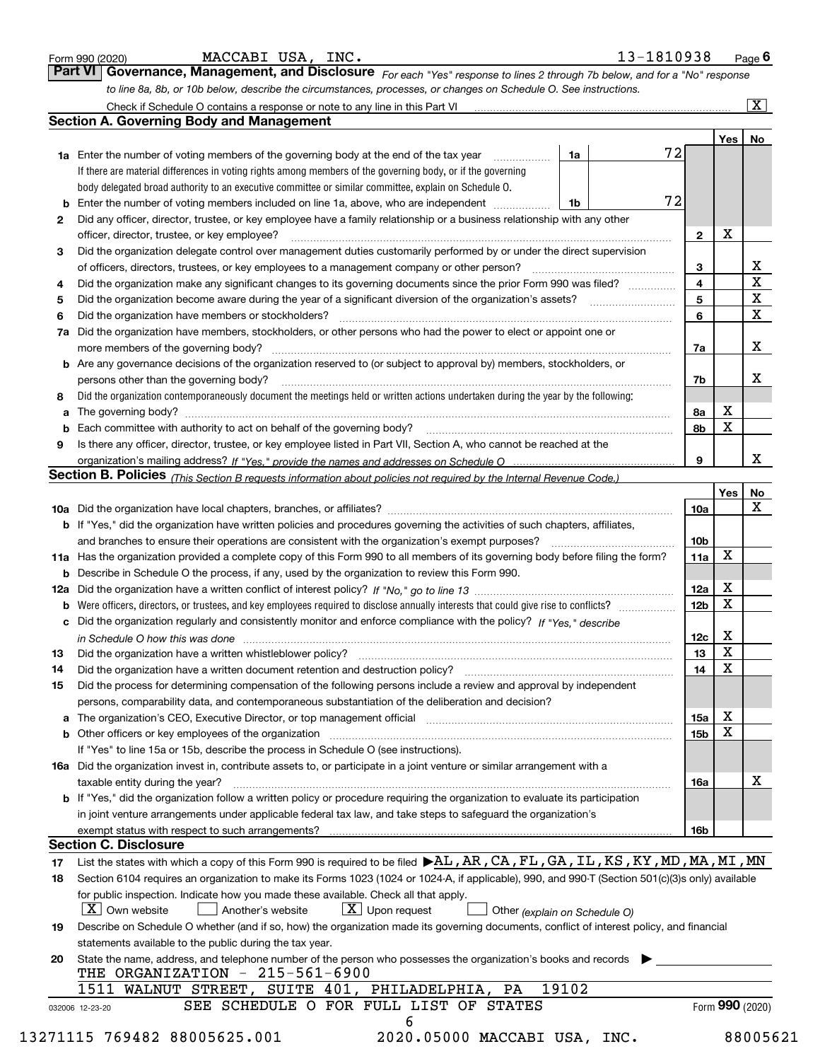|    |                                                                                                                                                                                                                                |                 |             | $\overline{\mathbf{x}}$ |
|----|--------------------------------------------------------------------------------------------------------------------------------------------------------------------------------------------------------------------------------|-----------------|-------------|-------------------------|
|    | <b>Section A. Governing Body and Management</b>                                                                                                                                                                                |                 | Yes         | No                      |
|    | 72<br>1a<br><b>1a</b> Enter the number of voting members of the governing body at the end of the tax year<br>.                                                                                                                 |                 |             |                         |
|    | If there are material differences in voting rights among members of the governing body, or if the governing                                                                                                                    |                 |             |                         |
|    | body delegated broad authority to an executive committee or similar committee, explain on Schedule O.                                                                                                                          |                 |             |                         |
|    | 72<br>Enter the number of voting members included on line 1a, above, who are independent<br>1b                                                                                                                                 |                 |             |                         |
| 2  | Did any officer, director, trustee, or key employee have a family relationship or a business relationship with any other                                                                                                       |                 |             |                         |
|    | officer, director, trustee, or key employee?                                                                                                                                                                                   | $\mathbf{2}$    | X           |                         |
| 3  | Did the organization delegate control over management duties customarily performed by or under the direct supervision                                                                                                          |                 |             |                         |
|    |                                                                                                                                                                                                                                | 3               |             | $\underline{x}$         |
| 4  | Did the organization make any significant changes to its governing documents since the prior Form 990 was filed?                                                                                                               | $\overline{4}$  |             | $\overline{\mathbf{x}}$ |
| 5  |                                                                                                                                                                                                                                | 5               |             | $\overline{\mathbf{x}}$ |
| 6  | Did the organization have members or stockholders?                                                                                                                                                                             | 6               |             | $\overline{\textbf{X}}$ |
| 7a | Did the organization have members, stockholders, or other persons who had the power to elect or appoint one or                                                                                                                 |                 |             |                         |
|    |                                                                                                                                                                                                                                | 7a              |             | X                       |
|    | <b>b</b> Are any governance decisions of the organization reserved to (or subject to approval by) members, stockholders, or                                                                                                    |                 |             |                         |
|    | persons other than the governing body?                                                                                                                                                                                         | 7b              |             | х                       |
| 8  | Did the organization contemporaneously document the meetings held or written actions undertaken during the year by the following:                                                                                              |                 |             |                         |
| a  |                                                                                                                                                                                                                                | 8а              | х           |                         |
| b  |                                                                                                                                                                                                                                | 8b              | $\mathbf X$ |                         |
| 9  | Is there any officer, director, trustee, or key employee listed in Part VII, Section A, who cannot be reached at the                                                                                                           |                 |             |                         |
|    |                                                                                                                                                                                                                                | 9               |             | x                       |
|    | Section B. Policies (This Section B requests information about policies not required by the Internal Revenue Code.)                                                                                                            |                 |             |                         |
|    |                                                                                                                                                                                                                                |                 | <b>Yes</b>  | <u>No</u>               |
|    |                                                                                                                                                                                                                                | 10a             |             | X                       |
|    | <b>b</b> If "Yes," did the organization have written policies and procedures governing the activities of such chapters, affiliates,                                                                                            |                 |             |                         |
|    |                                                                                                                                                                                                                                | 10 <sub>b</sub> |             |                         |
|    | 11a Has the organization provided a complete copy of this Form 990 to all members of its governing body before filing the form?                                                                                                | 11a             | X           |                         |
|    | <b>b</b> Describe in Schedule O the process, if any, used by the organization to review this Form 990.                                                                                                                         |                 |             |                         |
|    |                                                                                                                                                                                                                                | 12a             | X           |                         |
| b  | Were officers, directors, or trustees, and key employees required to disclose annually interests that could give rise to conflicts?                                                                                            | 12 <sub>b</sub> | X           |                         |
| с  | Did the organization regularly and consistently monitor and enforce compliance with the policy? If "Yes," describe                                                                                                             |                 |             |                         |
|    | in Schedule O how this was done measured and the control of the control of the state of the control of the control of the control of the control of the control of the control of the control of the control of the control of | 12c             | x           |                         |
|    |                                                                                                                                                                                                                                | 13              | X           |                         |
| 14 | Did the organization have a written document retention and destruction policy? [11] manufaction policy? [11] manufaction policy? [11] manufaction policy? [11] manufaction policy? [11] manufaction policy? [11] manufaction p | 14              | X           |                         |
| 15 | Did the process for determining compensation of the following persons include a review and approval by independent                                                                                                             |                 |             |                         |
|    | persons, comparability data, and contemporaneous substantiation of the deliberation and decision?                                                                                                                              |                 |             |                         |
|    | a The organization's CEO, Executive Director, or top management official [11] [12] The organization's CEO, Executive Director, or top management official [12] [12] [12] [12] The organization's CEO, Executive Director, or t | 15a             | X           |                         |
|    | <b>b</b> Other officers or key employees of the organization                                                                                                                                                                   | 15 <sub>b</sub> | X           |                         |
|    | If "Yes" to line 15a or 15b, describe the process in Schedule O (see instructions).                                                                                                                                            |                 |             |                         |
|    | 16a Did the organization invest in, contribute assets to, or participate in a joint venture or similar arrangement with a                                                                                                      |                 |             |                         |
|    | taxable entity during the year?                                                                                                                                                                                                | 16a             |             | х                       |
|    | b If "Yes," did the organization follow a written policy or procedure requiring the organization to evaluate its participation                                                                                                 |                 |             |                         |
|    | in joint venture arrangements under applicable federal tax law, and take steps to safequard the organization's                                                                                                                 |                 |             |                         |
|    |                                                                                                                                                                                                                                | 16b             |             |                         |
|    | <b>Section C. Disclosure</b>                                                                                                                                                                                                   |                 |             |                         |
| 17 | List the states with which a copy of this Form 990 is required to be filed $\blacktriangleright$ AL, AR, CA, FL, GA, IL, KS, KY, MD, MA, MI, MN                                                                                |                 |             |                         |
| 18 | Section 6104 requires an organization to make its Forms 1023 (1024 or 1024-A, if applicable), 990, and 990-T (Section 501(c)(3)s only) available                                                                               |                 |             |                         |
|    | for public inspection. Indicate how you made these available. Check all that apply.                                                                                                                                            |                 |             |                         |
|    | $\lfloor X \rfloor$ Own website<br>$\lfloor x \rfloor$ Upon request<br>Another's website<br>Other (explain on Schedule O)                                                                                                      |                 |             |                         |
|    | Describe on Schedule O whether (and if so, how) the organization made its governing documents, conflict of interest policy, and financial                                                                                      |                 |             |                         |
| 19 | statements available to the public during the tax year.                                                                                                                                                                        |                 |             |                         |
|    |                                                                                                                                                                                                                                |                 |             |                         |
| 20 | State the name, address, and telephone number of the person who possesses the organization's books and records                                                                                                                 |                 |             |                         |
|    | THE ORGANIZATION - 215-561-6900<br>19102<br>1511 WALNUT STREET, SUITE 401, PHILADELPHIA, PA                                                                                                                                    |                 |             |                         |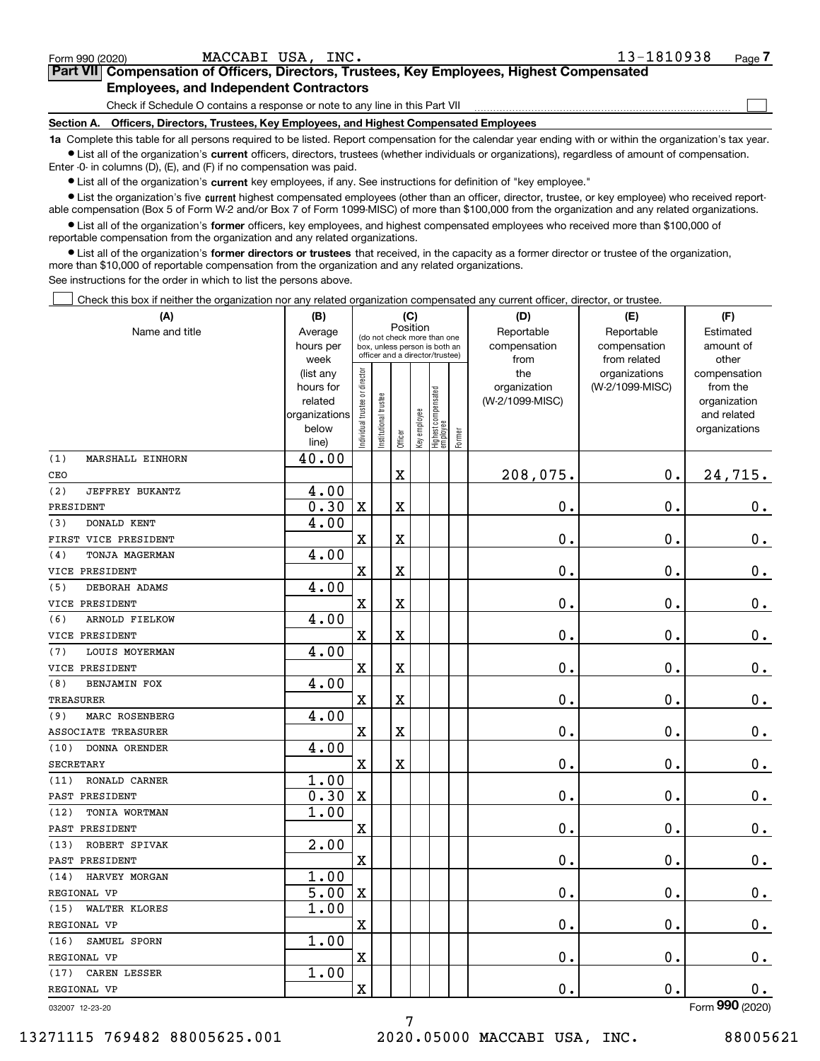| $\mathbf{r}$<br>DEBORAH ADAMS<br>ັ | . .<br>ັບ      |         |           |  |   |  |
|------------------------------------|----------------|---------|-----------|--|---|--|
| VICE PRESIDENT                     |                | 77<br>▵ | 77<br>-43 |  | w |  |
| 6<br>ARNOLD FIELKOW                | 00<br>÷.<br>ັບ |         |           |  |   |  |
| WICE DOFSIDENT                     |                | 77      | 77        |  |   |  |

#### **•** List the organization's five current highest compensated employees (other than an officer, director, trustee, or key employee) who received report-**•** List all of the organization's current officers, directors, trustees (whether individuals or organizations), regardless of amount of compensation.  $\bullet$  List all of the organization's  $\,$ current key employees, if any. See instructions for definition of "key employee." Enter -0- in columns (D), (E), and (F) if no compensation was paid. able compensation (Box 5 of Form W-2 and/or Box 7 of Form 1099-MISC) of more than \$100,000 from the organization and any related organizations.

**•** List all of the organization's former officers, key employees, and highest compensated employees who received more than \$100,000 of reportable compensation from the organization and any related organizations.

**1a**  Complete this table for all persons required to be listed. Report compensation for the calendar year ending with or within the organization's tax year.

**former directors or trustees**  ¥ List all of the organization's that received, in the capacity as a former director or trustee of the organization, more than \$10,000 of reportable compensation from the organization and any related organizations.

See instructions for the order in which to list the persons above.

Check this box if neither the organization nor any related organization compensated any current officer, director, or trustee.  $\mathcal{L}^{\text{max}}$ 

| (A)                                       | (B)<br>(C)     |                                         |                                 |         |              |                                 |        | (D)             | (E)             | (F)             |
|-------------------------------------------|----------------|-----------------------------------------|---------------------------------|---------|--------------|---------------------------------|--------|-----------------|-----------------|-----------------|
| Name and title                            | Average        | Position<br>(do not check more than one |                                 |         |              |                                 |        | Reportable      | Reportable      | Estimated       |
|                                           | hours per      |                                         | box, unless person is both an   |         |              |                                 |        | compensation    | compensation    | amount of       |
|                                           | week           |                                         | officer and a director/trustee) |         |              |                                 |        | from            | from related    | other           |
|                                           | (list any      |                                         |                                 |         |              |                                 |        | the             | organizations   | compensation    |
|                                           | hours for      |                                         |                                 |         |              |                                 |        | organization    | (W-2/1099-MISC) | from the        |
|                                           | related        |                                         |                                 |         |              |                                 |        | (W-2/1099-MISC) |                 | organization    |
|                                           | organizations  |                                         |                                 |         |              |                                 |        |                 |                 | and related     |
|                                           | below<br>line) | Individual trustee or director          | Institutional trustee           | Officer | Key employee | Highest compensated<br>employee | Former |                 |                 | organizations   |
| (1)<br>MARSHALL EINHORN                   | 40.00          |                                         |                                 |         |              |                                 |        |                 |                 |                 |
| CEO                                       |                |                                         |                                 | X       |              |                                 |        | 208,075.        | $0$ .           | 24,715.         |
| (2)<br>JEFFREY BUKANTZ                    | 4.00           |                                         |                                 |         |              |                                 |        |                 |                 |                 |
| PRESIDENT                                 | 0.30           | X                                       |                                 | X       |              |                                 |        | 0.              | 0.              | $0$ .           |
| <b>DONALD KENT</b><br>(3)                 | 4.00           |                                         |                                 |         |              |                                 |        |                 |                 |                 |
| FIRST VICE PRESIDENT                      |                | X                                       |                                 | X       |              |                                 |        | 0.              | 0.              | $\mathbf 0$ .   |
| (4)<br>TONJA MAGERMAN                     | 4.00           |                                         |                                 |         |              |                                 |        |                 |                 |                 |
| VICE PRESIDENT                            |                | X                                       |                                 | X       |              |                                 |        | 0.              | 0.              | $0$ .           |
| (5)<br>DEBORAH ADAMS                      | 4.00           |                                         |                                 |         |              |                                 |        |                 |                 |                 |
| VICE PRESIDENT                            |                | X                                       |                                 | X       |              |                                 |        | 0.              | 0.              | $\mathbf 0$ .   |
| (6)<br>ARNOLD FIELKOW                     | 4.00           |                                         |                                 |         |              |                                 |        |                 |                 |                 |
| VICE PRESIDENT                            |                | X                                       |                                 | X       |              |                                 |        | 0.              | 0.              | $0$ .           |
| <b>LOUIS MOYERMAN</b><br>(7)              | 4.00           |                                         |                                 |         |              |                                 |        |                 |                 |                 |
| VICE PRESIDENT                            |                | X                                       |                                 | X       |              |                                 |        | 0.              | 0.              | $0$ .           |
| (8)<br><b>BENJAMIN FOX</b>                | 4.00           |                                         |                                 |         |              |                                 |        |                 |                 |                 |
| <b>TREASURER</b>                          |                | X                                       |                                 | X       |              |                                 |        | 0.              | 0.              | $0$ .           |
| MARC ROSENBERG<br>(9)                     | 4.00           |                                         |                                 |         |              |                                 |        |                 |                 |                 |
| ASSOCIATE TREASURER                       |                | X                                       |                                 | X       |              |                                 |        | 0.              | 0.              | $0$ .           |
| (10)<br>DONNA ORENDER<br><b>SECRETARY</b> | 4.00           | $\mathbf X$                             |                                 | X       |              |                                 |        | 0.              | 0.              | $0$ .           |
| RONALD CARNER<br>(11)                     | 1.00           |                                         |                                 |         |              |                                 |        |                 |                 |                 |
| PAST PRESIDENT                            | 0.30           | X                                       |                                 |         |              |                                 |        | 0.              | 0.              | $0$ .           |
| (12)<br>TONIA WORTMAN                     | 1.00           |                                         |                                 |         |              |                                 |        |                 |                 |                 |
| PAST PRESIDENT                            |                | X                                       |                                 |         |              |                                 |        | 0.              | 0.              | $0$ .           |
| (13)<br>ROBERT SPIVAK                     | 2.00           |                                         |                                 |         |              |                                 |        |                 |                 |                 |
| PAST PRESIDENT                            |                | X                                       |                                 |         |              |                                 |        | 0.              | 0.              | $0$ .           |
| HARVEY MORGAN<br>(14)                     | 1.00           |                                         |                                 |         |              |                                 |        |                 |                 |                 |
| REGIONAL VP                               | 5.00           | $\mathbf X$                             |                                 |         |              |                                 |        | 0.              | 0.              | $0$ .           |
| (15) WALTER KLORES                        | 1.00           |                                         |                                 |         |              |                                 |        |                 |                 |                 |
| REGIONAL VP                               |                | X                                       |                                 |         |              |                                 |        | 0.              | 0.              | 0.              |
| (16) SAMUEL SPORN                         | 1.00           |                                         |                                 |         |              |                                 |        |                 |                 |                 |
| REGIONAL VP                               |                | X                                       |                                 |         |              |                                 |        | 0.              | $\mathbf 0$ .   | $0\cdot$        |
| (17) CAREN LESSER                         | 1.00           |                                         |                                 |         |              |                                 |        |                 |                 |                 |
| REGIONAL VP                               |                | X                                       |                                 |         |              |                                 |        | $\mathbf 0$ .   | $0$ .           | 0.              |
| 032007 12-23-20                           |                |                                         |                                 |         |              |                                 |        |                 |                 | Form 990 (2020) |

7

# 13271115 769482 88005625.001 2020.05000 MACCABI USA, INC. 88005621

 $\mathcal{L}^{\text{max}}$ 

Form 990 (2020) MACCABI USA, INC. 13-1810938 <sub>Page</sub> **7Part VII Compensation of Officers, Directors, Trustees, Key Employees, Highest Compensated**

## **Employees, and Independent Contractors**

**Section A. Officers, Directors, Trustees, Key Employees, and Highest Compensated Employees** Check if Schedule O contains a response or note to any line in this Part VII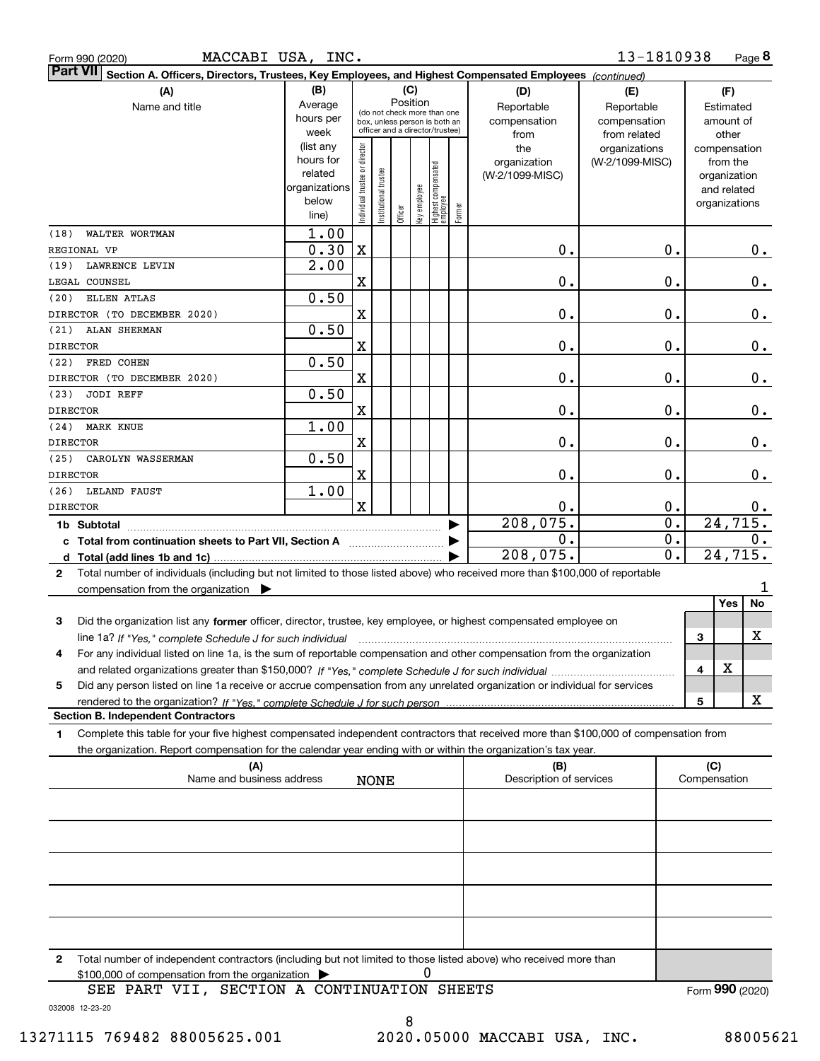| Form 990 (2020 |  |
|----------------|--|
|                |  |

Form 990 (2020) MACCABI USA, INC. 1 $3$ - $1810938$  Page

|                 | ∣Part VII ∣<br>Section A. Officers, Directors, Trustees, Key Employees, and Highest Compensated Employees (continued)                |                          |                                |                                                              |         |              |                                  |        |                         |                           |  |               |             |
|-----------------|--------------------------------------------------------------------------------------------------------------------------------------|--------------------------|--------------------------------|--------------------------------------------------------------|---------|--------------|----------------------------------|--------|-------------------------|---------------------------|--|---------------|-------------|
|                 | (A)                                                                                                                                  | (B)<br>(C)               |                                |                                                              |         |              |                                  |        | (D)                     | (E)                       |  | (F)           |             |
|                 | Name and title                                                                                                                       | Average                  |                                |                                                              |         | Position     |                                  |        | Reportable              | Reportable                |  | Estimated     |             |
|                 |                                                                                                                                      | hours per                |                                | (do not check more than one<br>box, unless person is both an |         |              |                                  |        | compensation            | compensation              |  | amount of     |             |
|                 |                                                                                                                                      | week                     |                                | officer and a director/trustee)                              |         |              |                                  |        | from                    | from related              |  | other         |             |
|                 |                                                                                                                                      | (list any                |                                |                                                              |         |              |                                  |        | the                     | organizations             |  | compensation  |             |
|                 |                                                                                                                                      | hours for                |                                |                                                              |         |              |                                  |        | organization            | (W-2/1099-MISC)           |  | from the      |             |
|                 |                                                                                                                                      | related<br>organizations |                                |                                                              |         |              |                                  |        | (W-2/1099-MISC)         |                           |  | organization  |             |
|                 |                                                                                                                                      | below                    |                                |                                                              |         |              |                                  |        |                         |                           |  | and related   |             |
|                 |                                                                                                                                      | line)                    | Individual trustee or director | Institutional trustee                                        | Officer | Key employee | Highest compensated<br> employee | Former |                         |                           |  | organizations |             |
| (18)            | WALTER WORTMAN                                                                                                                       | 1.00                     |                                |                                                              |         |              |                                  |        |                         |                           |  |               |             |
|                 | REGIONAL VP                                                                                                                          | 0.30                     | $\mathbf X$                    |                                                              |         |              |                                  |        | $\mathbf 0$ .           | 0.                        |  |               |             |
|                 |                                                                                                                                      | 2.00                     |                                |                                                              |         |              |                                  |        |                         |                           |  |               | 0.          |
| (19)            | LAWRENCE LEVIN                                                                                                                       |                          |                                |                                                              |         |              |                                  |        |                         |                           |  |               |             |
|                 | LEGAL COUNSEL                                                                                                                        |                          | X                              |                                                              |         |              |                                  |        | $\mathbf 0$ .           | 0.                        |  |               | 0.          |
| (20)            | ELLEN ATLAS                                                                                                                          | 0.50                     |                                |                                                              |         |              |                                  |        |                         |                           |  |               |             |
|                 | DIRECTOR (TO DECEMBER 2020)                                                                                                          |                          | X                              |                                                              |         |              |                                  |        | $\mathbf 0$ .           | 0.                        |  |               | 0.          |
| (21)            | ALAN SHERMAN                                                                                                                         | 0.50                     |                                |                                                              |         |              |                                  |        |                         |                           |  |               |             |
| <b>DIRECTOR</b> |                                                                                                                                      |                          | $\mathbf X$                    |                                                              |         |              |                                  |        | $\mathbf 0$ .           | 0.                        |  |               | 0.          |
| (22)            | FRED COHEN                                                                                                                           | 0.50                     |                                |                                                              |         |              |                                  |        |                         |                           |  |               |             |
|                 | DIRECTOR (TO DECEMBER 2020)                                                                                                          |                          | $\mathbf X$                    |                                                              |         |              |                                  |        | $\mathbf 0$ .           | 0.                        |  |               | 0.          |
| (23)            | JODI REFF                                                                                                                            | 0.50                     |                                |                                                              |         |              |                                  |        |                         |                           |  |               |             |
| <b>DIRECTOR</b> |                                                                                                                                      |                          | $\mathbf X$                    |                                                              |         |              |                                  |        | $\mathbf 0$ .           | 0.                        |  |               | 0.          |
| (24)            | <b>MARK KNUE</b>                                                                                                                     | 1.00                     |                                |                                                              |         |              |                                  |        |                         |                           |  |               |             |
| <b>DIRECTOR</b> |                                                                                                                                      |                          | $\mathbf X$                    |                                                              |         |              |                                  |        | $\mathbf 0$ .           | 0.                        |  |               | 0.          |
| (25)            | CAROLYN WASSERMAN                                                                                                                    | 0.50                     |                                |                                                              |         |              |                                  |        |                         |                           |  |               |             |
| <b>DIRECTOR</b> |                                                                                                                                      |                          | X                              |                                                              |         |              |                                  |        | $\mathbf 0$ .           | 0.                        |  |               | 0.          |
|                 | (26) LELAND FAUST                                                                                                                    | 1.00                     |                                |                                                              |         |              |                                  |        |                         |                           |  |               |             |
| <b>DIRECTOR</b> |                                                                                                                                      |                          | $\mathbf x$                    |                                                              |         |              |                                  |        | 0.                      | 0.                        |  |               | 0.          |
|                 |                                                                                                                                      |                          |                                |                                                              |         |              |                                  |        | 208,075.                | $\overline{\mathbf{0}}$ . |  | 24,715.       |             |
|                 | 1b Subtotal                                                                                                                          |                          |                                |                                                              |         |              |                                  |        | 0.                      | 0.                        |  |               | $0$ .       |
|                 |                                                                                                                                      |                          |                                |                                                              |         |              |                                  |        | 208,075.                | $\overline{0}$ .          |  | 24,715.       |             |
|                 |                                                                                                                                      |                          |                                |                                                              |         |              |                                  |        |                         |                           |  |               |             |
| 2               | Total number of individuals (including but not limited to those listed above) who received more than \$100,000 of reportable         |                          |                                |                                                              |         |              |                                  |        |                         |                           |  |               |             |
|                 | compensation from the organization $\blacktriangleright$                                                                             |                          |                                |                                                              |         |              |                                  |        |                         |                           |  |               |             |
|                 |                                                                                                                                      |                          |                                |                                                              |         |              |                                  |        |                         |                           |  | Yes           | No          |
| 3               | Did the organization list any former officer, director, trustee, key employee, or highest compensated employee on                    |                          |                                |                                                              |         |              |                                  |        |                         |                           |  |               |             |
|                 |                                                                                                                                      |                          |                                |                                                              |         |              |                                  |        |                         |                           |  | 3             | $\mathbf X$ |
| 4               | For any individual listed on line 1a, is the sum of reportable compensation and other compensation from the organization             |                          |                                |                                                              |         |              |                                  |        |                         |                           |  |               |             |
|                 |                                                                                                                                      |                          |                                |                                                              |         |              |                                  |        |                         |                           |  | X<br>4        |             |
| 5               | Did any person listed on line 1a receive or accrue compensation from any unrelated organization or individual for services           |                          |                                |                                                              |         |              |                                  |        |                         |                           |  |               |             |
|                 |                                                                                                                                      |                          |                                |                                                              |         |              |                                  |        |                         |                           |  | 5             | x           |
|                 | <b>Section B. Independent Contractors</b>                                                                                            |                          |                                |                                                              |         |              |                                  |        |                         |                           |  |               |             |
| 1               | Complete this table for your five highest compensated independent contractors that received more than \$100,000 of compensation from |                          |                                |                                                              |         |              |                                  |        |                         |                           |  |               |             |
|                 | the organization. Report compensation for the calendar year ending with or within the organization's tax year.                       |                          |                                |                                                              |         |              |                                  |        |                         |                           |  |               |             |
|                 | (A)                                                                                                                                  |                          |                                |                                                              |         |              |                                  |        | (B)                     |                           |  | (C)           |             |
|                 | Name and business address                                                                                                            |                          |                                | <b>NONE</b>                                                  |         |              |                                  |        | Description of services |                           |  | Compensation  |             |
|                 |                                                                                                                                      |                          |                                |                                                              |         |              |                                  |        |                         |                           |  |               |             |
|                 |                                                                                                                                      |                          |                                |                                                              |         |              |                                  |        |                         |                           |  |               |             |
|                 |                                                                                                                                      |                          |                                |                                                              |         |              |                                  |        |                         |                           |  |               |             |
|                 |                                                                                                                                      |                          |                                |                                                              |         |              |                                  |        |                         |                           |  |               |             |
|                 |                                                                                                                                      |                          |                                |                                                              |         |              |                                  |        |                         |                           |  |               |             |
|                 |                                                                                                                                      |                          |                                |                                                              |         |              |                                  |        |                         |                           |  |               |             |
|                 |                                                                                                                                      |                          |                                |                                                              |         |              |                                  |        |                         |                           |  |               |             |
|                 |                                                                                                                                      |                          |                                |                                                              |         |              |                                  |        |                         |                           |  |               |             |
|                 |                                                                                                                                      |                          |                                |                                                              |         |              |                                  |        |                         |                           |  |               |             |
|                 |                                                                                                                                      |                          |                                |                                                              |         |              |                                  |        |                         |                           |  |               |             |
|                 |                                                                                                                                      |                          |                                |                                                              |         |              |                                  |        |                         |                           |  |               |             |
| 2               | Total number of independent contractors (including but not limited to those listed above) who received more than                     |                          |                                |                                                              |         |              |                                  |        |                         |                           |  |               |             |
|                 | \$100,000 of compensation from the organization                                                                                      |                          |                                |                                                              |         |              | 0                                |        |                         |                           |  |               |             |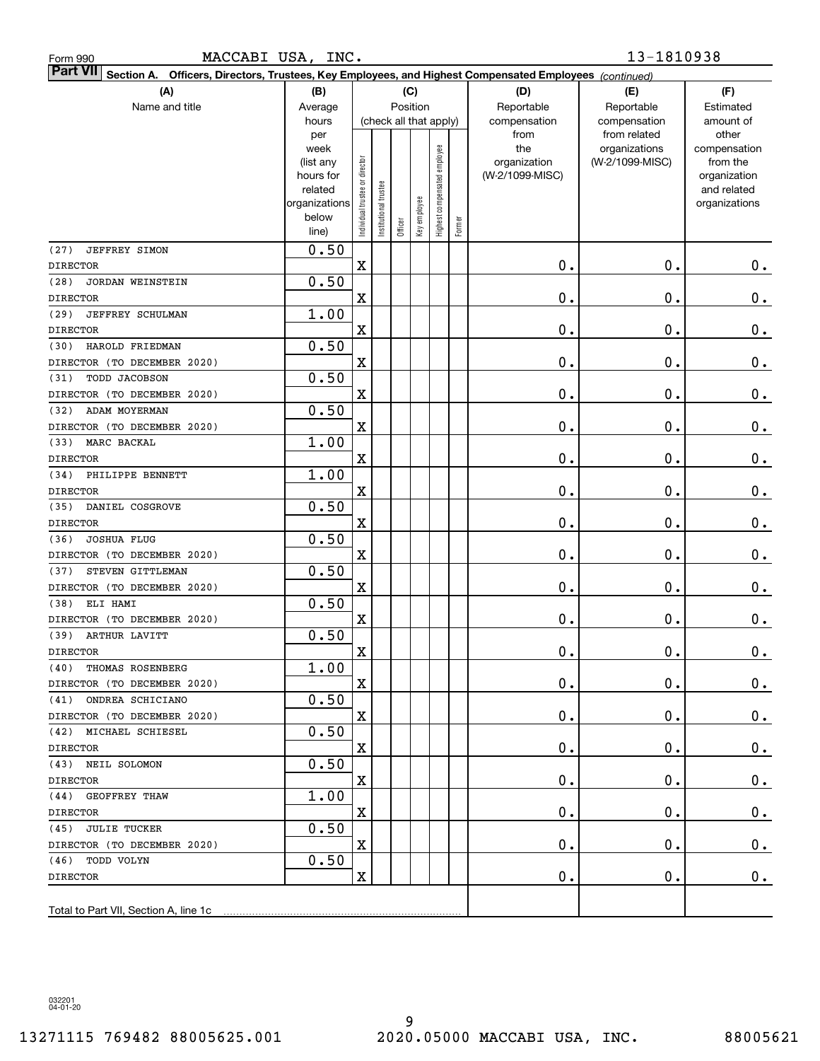| Form 990 |  |
|----------|--|
|          |  |

| <b>Part VII</b> Section A. Officers, Directors, Trustees, Key Employees, and Highest Compensated Employees (continued) |                        |                                |                        |         |              |                              |        |                                 |                 |                          |  |  |
|------------------------------------------------------------------------------------------------------------------------|------------------------|--------------------------------|------------------------|---------|--------------|------------------------------|--------|---------------------------------|-----------------|--------------------------|--|--|
| (A)                                                                                                                    | (B)                    |                                |                        | (C)     |              |                              |        | (D)                             | (E)             | (F)                      |  |  |
| Name and title                                                                                                         | Average                | Position                       |                        |         |              |                              |        | Reportable                      | Reportable      | Estimated                |  |  |
|                                                                                                                        | hours                  |                                | (check all that apply) |         |              |                              |        | compensation                    | compensation    | amount of                |  |  |
|                                                                                                                        | per                    |                                |                        |         |              |                              |        | from                            | from related    | other                    |  |  |
|                                                                                                                        | week                   |                                |                        |         |              | Highest compensated employee |        | the                             | organizations   | compensation             |  |  |
|                                                                                                                        | (list any<br>hours for |                                |                        |         |              |                              |        | organization<br>(W-2/1099-MISC) | (W-2/1099-MISC) | from the<br>organization |  |  |
|                                                                                                                        | related                |                                |                        |         |              |                              |        |                                 |                 | and related              |  |  |
|                                                                                                                        | organizations          |                                |                        |         |              |                              |        |                                 |                 | organizations            |  |  |
|                                                                                                                        | below                  | Individual trustee or director | nstitutional trustee   |         |              |                              |        |                                 |                 |                          |  |  |
|                                                                                                                        | line)                  |                                |                        | Officer | Key employee |                              | Former |                                 |                 |                          |  |  |
| (27)<br><b>JEFFREY SIMON</b>                                                                                           | 0.50                   |                                |                        |         |              |                              |        |                                 |                 |                          |  |  |
| <b>DIRECTOR</b>                                                                                                        |                        | X                              |                        |         |              |                              |        | 0.                              | 0.              | $0$ .                    |  |  |
| (28)<br>JORDAN WEINSTEIN                                                                                               | 0.50                   |                                |                        |         |              |                              |        |                                 |                 |                          |  |  |
| <b>DIRECTOR</b>                                                                                                        |                        | X                              |                        |         |              |                              |        | 0.                              | $\mathbf 0$ .   | $\mathbf 0$ .            |  |  |
| (29)<br>JEFFREY SCHULMAN                                                                                               | 1.00                   |                                |                        |         |              |                              |        |                                 |                 |                          |  |  |
| <b>DIRECTOR</b>                                                                                                        |                        | X                              |                        |         |              |                              |        | 0.                              | $\mathbf 0$ .   | $\mathbf 0$ .            |  |  |
| HAROLD FRIEDMAN<br>(30)                                                                                                | 0.50                   |                                |                        |         |              |                              |        |                                 |                 |                          |  |  |
| DIRECTOR (TO DECEMBER 2020)                                                                                            |                        | X                              |                        |         |              |                              |        | 0.                              | $\mathbf 0$ .   | $\mathbf 0$ .            |  |  |
| TODD JACOBSON<br>(31)                                                                                                  | 0.50                   |                                |                        |         |              |                              |        |                                 |                 |                          |  |  |
| DIRECTOR (TO DECEMBER 2020)                                                                                            |                        | X                              |                        |         |              |                              |        | 0.                              | $\mathbf 0$ .   | $\mathbf 0$ .            |  |  |
| (32)<br>ADAM MOYERMAN                                                                                                  | 0.50                   |                                |                        |         |              |                              |        |                                 |                 |                          |  |  |
| DIRECTOR (TO DECEMBER 2020)                                                                                            |                        | X                              |                        |         |              |                              |        | 0.                              | $\mathbf 0$ .   | $\mathbf 0$ .            |  |  |
| (33)<br>MARC BACKAL                                                                                                    | 1.00                   |                                |                        |         |              |                              |        |                                 |                 |                          |  |  |
| <b>DIRECTOR</b>                                                                                                        |                        | X                              |                        |         |              |                              |        | 0.                              | $\mathbf 0$ .   | $\mathbf 0$ .            |  |  |
| PHILIPPE BENNETT<br>(34)                                                                                               | 1.00                   |                                |                        |         |              |                              |        |                                 |                 |                          |  |  |
| <b>DIRECTOR</b>                                                                                                        |                        | X                              |                        |         |              |                              |        | 0.                              | $\mathbf 0$ .   | $\mathbf 0$ .            |  |  |
| (35)<br>DANIEL COSGROVE                                                                                                | 0.50                   |                                |                        |         |              |                              |        |                                 |                 |                          |  |  |
| <b>DIRECTOR</b>                                                                                                        |                        | X                              |                        |         |              |                              |        | 0.                              | $\mathbf 0$ .   | $0$ .                    |  |  |
| <b>JOSHUA FLUG</b><br>(36)                                                                                             | 0.50                   |                                |                        |         |              |                              |        |                                 |                 |                          |  |  |
| DIRECTOR (TO DECEMBER 2020)                                                                                            |                        | X                              |                        |         |              |                              |        | 0.                              | $\mathbf 0$ .   | $0$ .                    |  |  |
| STEVEN GITTLEMAN<br>(37)                                                                                               | 0.50                   |                                |                        |         |              |                              |        |                                 |                 |                          |  |  |
| DIRECTOR (TO DECEMBER 2020)                                                                                            |                        | X                              |                        |         |              |                              |        | 0.                              | $\mathbf 0$ .   | $0$ .                    |  |  |
| ELI HAMI<br>(38)                                                                                                       | 0.50                   |                                |                        |         |              |                              |        |                                 |                 |                          |  |  |
| DIRECTOR (TO DECEMBER 2020)                                                                                            |                        | X                              |                        |         |              |                              |        | 0.                              | $\mathbf 0$ .   | $0$ .                    |  |  |
| (39)<br>ARTHUR LAVITT                                                                                                  | 0.50                   |                                |                        |         |              |                              |        |                                 |                 |                          |  |  |
| <b>DIRECTOR</b>                                                                                                        |                        | $\mathbf X$                    |                        |         |              |                              |        | 0.                              | $\mathbf 0$ .   | $\mathbf 0$ .            |  |  |
| (40) THOMAS ROSENBERG                                                                                                  | 1.00                   |                                |                        |         |              |                              |        |                                 |                 |                          |  |  |
| DIRECTOR (TO DECEMBER 2020)                                                                                            |                        | X                              |                        |         |              |                              |        | $\mathbf 0$ .                   | $\mathbf 0$ .   | $0_{\cdot}$              |  |  |
| (41) ONDREA SCHICIANO                                                                                                  | 0.50                   |                                |                        |         |              |                              |        |                                 |                 |                          |  |  |
| DIRECTOR (TO DECEMBER 2020)                                                                                            |                        | X                              |                        |         |              |                              |        | $\mathbf 0$ .                   | 0.              | $\mathbf{0}$ .           |  |  |
| (42) MICHAEL SCHIESEL                                                                                                  | 0.50                   |                                |                        |         |              |                              |        |                                 |                 |                          |  |  |
| DIRECTOR                                                                                                               |                        | $\mathbf X$                    |                        |         |              |                              |        | $\mathbf 0$ .                   | О.              | 0.                       |  |  |
| (43) NEIL SOLOMON                                                                                                      | 0.50                   |                                |                        |         |              |                              |        |                                 |                 |                          |  |  |
| DIRECTOR                                                                                                               |                        | X                              |                        |         |              |                              |        | $\mathbf 0$ .                   | О.              | $0$ .                    |  |  |
| (44) GEOFFREY THAW                                                                                                     | 1.00                   |                                |                        |         |              |                              |        |                                 |                 |                          |  |  |
| DIRECTOR                                                                                                               |                        | X                              |                        |         |              |                              |        | $\mathbf 0$ .                   | О.              | $0$ .                    |  |  |
| (45) JULIE TUCKER                                                                                                      | 0.50                   |                                |                        |         |              |                              |        |                                 |                 |                          |  |  |
| DIRECTOR (TO DECEMBER 2020)                                                                                            |                        | X                              |                        |         |              |                              |        | $\mathbf 0$ .                   | О.              | 0.                       |  |  |
| (46) TODD VOLYN                                                                                                        | 0.50                   |                                |                        |         |              |                              |        |                                 |                 |                          |  |  |
| DIRECTOR                                                                                                               |                        | X                              |                        |         |              |                              |        | $\mathbf 0$ .                   | $\mathbf 0$ .   | 0.                       |  |  |
|                                                                                                                        |                        |                                |                        |         |              |                              |        |                                 |                 |                          |  |  |
| Total to Part VII, Section A, line 1c                                                                                  |                        |                                |                        |         |              |                              |        |                                 |                 |                          |  |  |

032201 04-01-20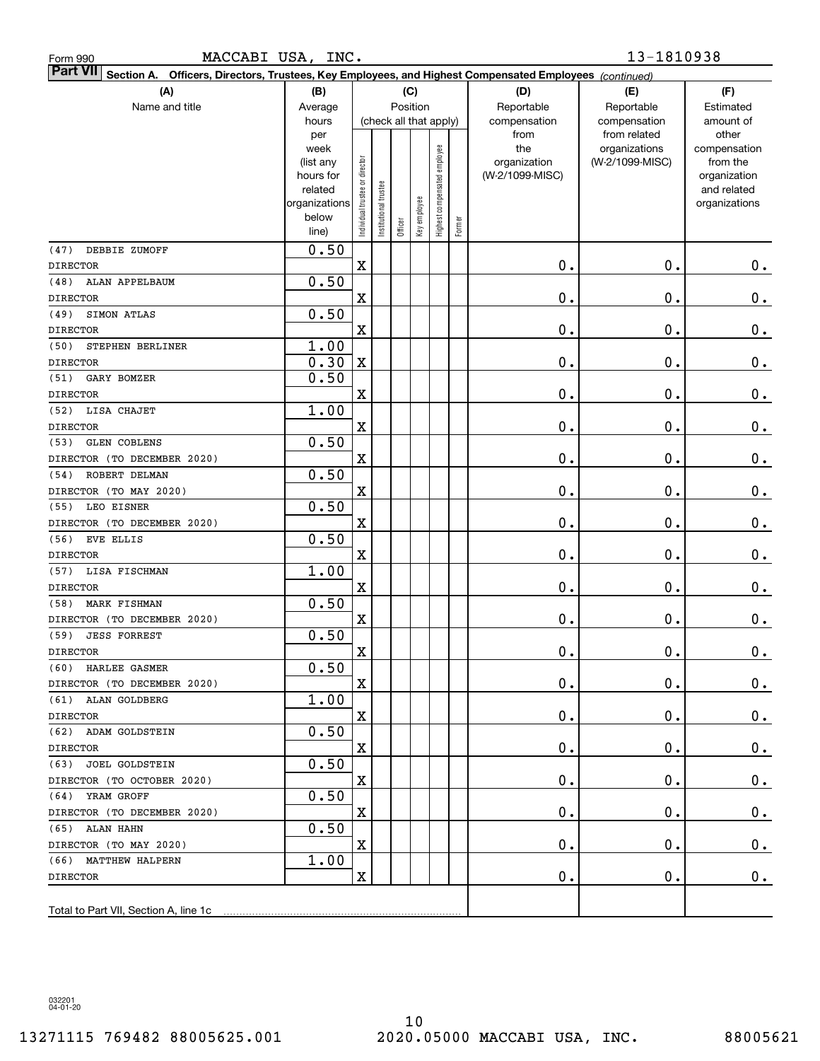| Form 990 |  |
|----------|--|
|          |  |

| <b>Part VII</b> Section A. Officers, Directors, Trustees, Key Employees, and Highest Compensated Employees (continued)<br>(B)<br>(C) |                   |                                |                        |         |              |                              |        |                     |                                  |                          |  |  |  |
|--------------------------------------------------------------------------------------------------------------------------------------|-------------------|--------------------------------|------------------------|---------|--------------|------------------------------|--------|---------------------|----------------------------------|--------------------------|--|--|--|
| (A)                                                                                                                                  | (D)               | (E)                            | (F)                    |         |              |                              |        |                     |                                  |                          |  |  |  |
| Name and title                                                                                                                       | Average           |                                |                        |         | Position     |                              |        | Reportable          | Reportable                       | Estimated                |  |  |  |
|                                                                                                                                      | hours             |                                | (check all that apply) |         |              |                              |        | compensation        | compensation                     | amount of                |  |  |  |
|                                                                                                                                      | per               |                                |                        |         |              |                              |        | from                | from related                     | other                    |  |  |  |
|                                                                                                                                      | week<br>(list any |                                |                        |         |              |                              |        | the<br>organization | organizations<br>(W-2/1099-MISC) | compensation<br>from the |  |  |  |
|                                                                                                                                      | hours for         |                                |                        |         |              |                              |        | (W-2/1099-MISC)     |                                  | organization             |  |  |  |
|                                                                                                                                      | related           |                                |                        |         |              |                              |        |                     |                                  | and related              |  |  |  |
|                                                                                                                                      | organizations     |                                |                        |         |              |                              |        |                     |                                  | organizations            |  |  |  |
|                                                                                                                                      | below             | Individual trustee or director | nstitutional trustee   | Officer | Key employee | Highest compensated employee | Former |                     |                                  |                          |  |  |  |
|                                                                                                                                      | line)             |                                |                        |         |              |                              |        |                     |                                  |                          |  |  |  |
| DEBBIE ZUMOFF<br>(47)                                                                                                                | 0.50              |                                |                        |         |              |                              |        |                     |                                  |                          |  |  |  |
| <b>DIRECTOR</b>                                                                                                                      |                   | X                              |                        |         |              |                              |        | 0.                  | $0$ .                            | 0.                       |  |  |  |
| (48)<br>ALAN APPELBAUM                                                                                                               | 0.50              |                                |                        |         |              |                              |        |                     |                                  |                          |  |  |  |
| <b>DIRECTOR</b>                                                                                                                      |                   | $\mathbf X$                    |                        |         |              |                              |        | 0.                  | $0$ .                            | $0_{.}$                  |  |  |  |
| (49)<br>SIMON ATLAS                                                                                                                  | 0.50              |                                |                        |         |              |                              |        |                     |                                  |                          |  |  |  |
| <b>DIRECTOR</b>                                                                                                                      |                   | $\mathbf X$                    |                        |         |              |                              |        | 0.                  | $0$ .                            | $0_{.}$                  |  |  |  |
| (50)<br>STEPHEN BERLINER                                                                                                             | 1.00              |                                |                        |         |              |                              |        |                     |                                  |                          |  |  |  |
| <b>DIRECTOR</b>                                                                                                                      | 0.30              | $\mathbf X$                    |                        |         |              |                              |        | 0.                  | $0$ .                            | $0_{.}$                  |  |  |  |
| (51)<br>GARY BOMZER                                                                                                                  | 0.50              |                                |                        |         |              |                              |        |                     |                                  |                          |  |  |  |
| <b>DIRECTOR</b>                                                                                                                      |                   | $\mathbf X$                    |                        |         |              |                              |        | 0.                  | $0$ .                            | $\mathbf 0$ .            |  |  |  |
| LISA CHAJET<br>(52)                                                                                                                  | 1.00              |                                |                        |         |              |                              |        |                     |                                  |                          |  |  |  |
| <b>DIRECTOR</b>                                                                                                                      |                   | $\mathbf X$                    |                        |         |              |                              |        | 0.                  | $0$ .                            | $0_{.}$                  |  |  |  |
| <b>GLEN COBLENS</b><br>(53)                                                                                                          | 0.50              |                                |                        |         |              |                              |        |                     |                                  |                          |  |  |  |
| DIRECTOR (TO DECEMBER 2020)                                                                                                          |                   | $\mathbf X$                    |                        |         |              |                              |        | 0.                  | $0$ .                            | $0$ .                    |  |  |  |
| ROBERT DELMAN<br>(54)                                                                                                                | 0.50              |                                |                        |         |              |                              |        |                     |                                  |                          |  |  |  |
| DIRECTOR (TO MAY 2020)                                                                                                               |                   | $\mathbf X$                    |                        |         |              |                              |        | 0.                  | $0$ .                            | $0$ .                    |  |  |  |
| LEO EISNER<br>(55)                                                                                                                   | 0.50              |                                |                        |         |              |                              |        |                     |                                  |                          |  |  |  |
| DIRECTOR (TO DECEMBER 2020)                                                                                                          |                   | $\mathbf X$                    |                        |         |              |                              |        | 0.                  | $0$ .                            | $0$ .                    |  |  |  |
| (56)<br>EVE ELLIS                                                                                                                    | 0.50              |                                |                        |         |              |                              |        |                     |                                  |                          |  |  |  |
| <b>DIRECTOR</b>                                                                                                                      |                   | $\mathbf X$                    |                        |         |              |                              |        | 0.                  | $0$ .                            | 0.                       |  |  |  |
| (57)<br>LISA FISCHMAN                                                                                                                | 1.00              |                                |                        |         |              |                              |        |                     |                                  |                          |  |  |  |
| <b>DIRECTOR</b>                                                                                                                      |                   | $\mathbf X$                    |                        |         |              |                              |        | 0.                  | $0$ .                            | $\mathbf 0$ .            |  |  |  |
| MARK FISHMAN<br>(58)                                                                                                                 | 0.50              |                                |                        |         |              |                              |        |                     |                                  |                          |  |  |  |
| DIRECTOR (TO DECEMBER 2020)                                                                                                          |                   | $\mathbf X$                    |                        |         |              |                              |        | 0.                  | $0$ .                            | $0$ .                    |  |  |  |
| (59)<br><b>JESS FORREST</b>                                                                                                          | 0.50              |                                |                        |         |              |                              |        |                     |                                  |                          |  |  |  |
| <b>DIRECTOR</b>                                                                                                                      |                   | $\mathbf X$                    |                        |         |              |                              |        | 0.                  | $0$ .                            | $0$ .                    |  |  |  |
| (60) HARLEE GASMER                                                                                                                   | 0.50              |                                |                        |         |              |                              |        |                     |                                  |                          |  |  |  |
| DIRECTOR (TO DECEMBER 2020)                                                                                                          |                   | X                              |                        |         |              |                              |        | $\mathbf 0$ .       | $\mathbf 0$ .                    | $0_{\cdot}$              |  |  |  |
| (61) ALAN GOLDBERG                                                                                                                   | 1.00              |                                |                        |         |              |                              |        |                     |                                  |                          |  |  |  |
| DIRECTOR                                                                                                                             |                   | $\mathbf X$                    |                        |         |              |                              |        | $\mathbf 0$ .       | 0.                               | $\mathbf{0}$ .           |  |  |  |
| (62) ADAM GOLDSTEIN                                                                                                                  | 0.50              |                                |                        |         |              |                              |        |                     |                                  |                          |  |  |  |
| <b>DIRECTOR</b>                                                                                                                      |                   | $\mathbf X$                    |                        |         |              |                              |        | $\mathbf 0$ .       | $\mathbf 0$ .                    | $\mathbf{0}$ .           |  |  |  |
| (63) JOEL GOLDSTEIN                                                                                                                  | 0.50              |                                |                        |         |              |                              |        |                     |                                  |                          |  |  |  |
| DIRECTOR (TO OCTOBER 2020)                                                                                                           |                   | X                              |                        |         |              |                              |        | $\mathbf 0$ .       | $\mathbf 0$ .                    | $\mathbf{0}$ .           |  |  |  |
| (64) YRAM GROFF                                                                                                                      | 0.50              |                                |                        |         |              |                              |        |                     |                                  |                          |  |  |  |
| DIRECTOR (TO DECEMBER 2020)                                                                                                          |                   | X                              |                        |         |              |                              |        | $\mathbf 0$ .       | $\mathbf 0$ .                    | $\mathbf{0}$ .           |  |  |  |
| (65) ALAN HAHN                                                                                                                       | 0.50              |                                |                        |         |              |                              |        |                     |                                  |                          |  |  |  |
| DIRECTOR (TO MAY 2020)                                                                                                               |                   | X                              |                        |         |              |                              |        | $\mathbf 0$ .       | $\mathbf 0$ .                    | 0.                       |  |  |  |
| (66) MATTHEW HALPERN                                                                                                                 | 1.00              |                                |                        |         |              |                              |        |                     |                                  |                          |  |  |  |
| <b>DIRECTOR</b>                                                                                                                      |                   | $\mathbf X$                    |                        |         |              |                              |        | $\mathbf 0$ .       | $\mathbf 0$ .                    | $0$ .                    |  |  |  |
|                                                                                                                                      |                   |                                |                        |         |              |                              |        |                     |                                  |                          |  |  |  |
|                                                                                                                                      |                   |                                |                        |         |              |                              |        |                     |                                  |                          |  |  |  |

032201 04-01-20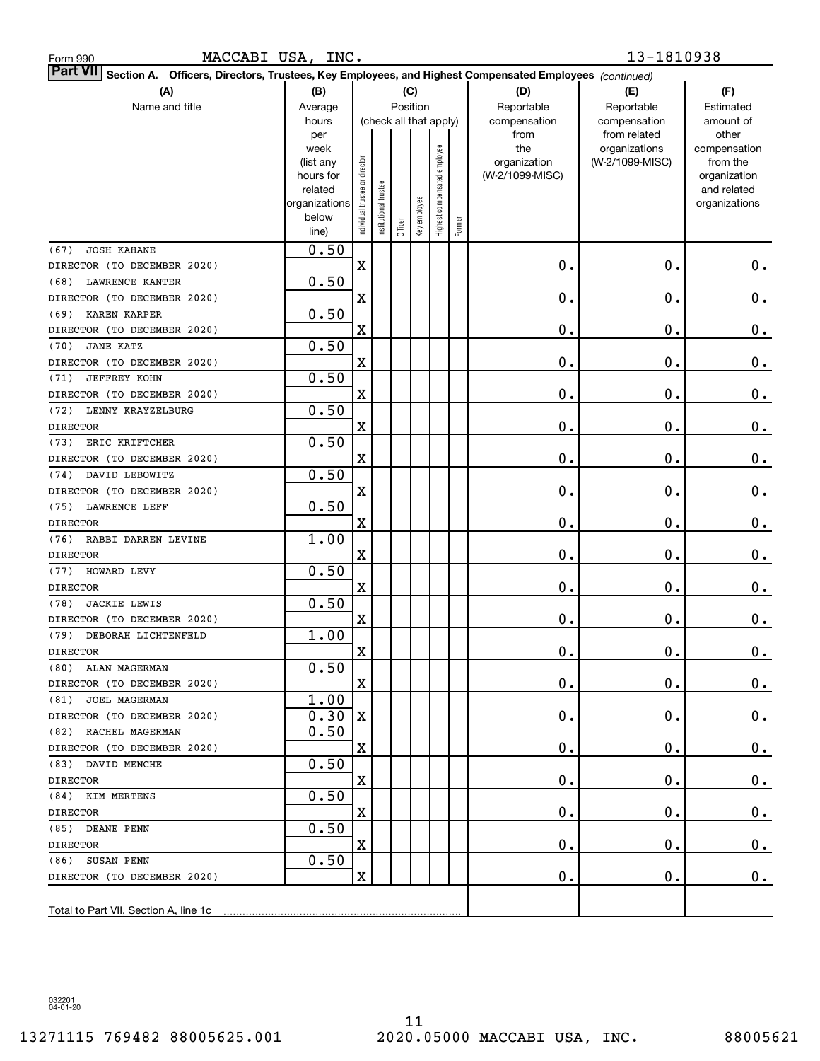| MACCABI USA, INC.<br>Form 990                                                                                             |                        |                                |                      |                        |              |                              |        |                                 | 13-1810938                   |                          |
|---------------------------------------------------------------------------------------------------------------------------|------------------------|--------------------------------|----------------------|------------------------|--------------|------------------------------|--------|---------------------------------|------------------------------|--------------------------|
| <b>Part VII</b><br>Section A. Officers, Directors, Trustees, Key Employees, and Highest Compensated Employees (continued) |                        |                                |                      |                        |              |                              |        |                                 |                              |                          |
| (A)                                                                                                                       | (B)                    |                                |                      |                        | (C)          |                              |        | (D)                             | (E)                          | (F)                      |
| Name and title                                                                                                            | Average                |                                |                      | Position               |              |                              |        | Reportable                      | Reportable                   | Estimated                |
|                                                                                                                           | hours<br>per           |                                |                      | (check all that apply) |              |                              |        | compensation<br>from            | compensation<br>from related | amount of<br>other       |
|                                                                                                                           | week                   |                                |                      |                        |              | Highest compensated employee |        | the                             | organizations                | compensation             |
|                                                                                                                           | (list any<br>hours for | Individual trustee or director |                      |                        |              |                              |        | organization<br>(W-2/1099-MISC) | (W-2/1099-MISC)              | from the<br>organization |
|                                                                                                                           | related                |                                |                      |                        |              |                              |        |                                 |                              | and related              |
|                                                                                                                           | organizations          |                                |                      |                        |              |                              |        |                                 |                              | organizations            |
|                                                                                                                           | below                  |                                | nstitutional trustee | Officer                | Key employee |                              | Former |                                 |                              |                          |
|                                                                                                                           | line)                  |                                |                      |                        |              |                              |        |                                 |                              |                          |
| <b>JOSH KAHANE</b><br>(67)                                                                                                | 0.50                   |                                |                      |                        |              |                              |        |                                 |                              |                          |
| DIRECTOR (TO DECEMBER 2020)<br><b>LAWRENCE KANTER</b>                                                                     | 0.50                   | $\mathbf X$                    |                      |                        |              |                              |        | $\mathbf 0$ .                   | 0.                           | 0.                       |
| (68)<br>DIRECTOR (TO DECEMBER 2020)                                                                                       |                        | $\mathbf X$                    |                      |                        |              |                              |        | $\mathbf 0$ .                   | 0.                           | 0.                       |
| KAREN KARPER<br>(69)                                                                                                      | 0.50                   |                                |                      |                        |              |                              |        |                                 |                              |                          |
| DIRECTOR (TO DECEMBER 2020)                                                                                               |                        | $\mathbf X$                    |                      |                        |              |                              |        | $\mathbf 0$ .                   | 0.                           | 0.                       |
| <b>JANE KATZ</b><br>(70)                                                                                                  | 0.50                   |                                |                      |                        |              |                              |        |                                 |                              |                          |
| DIRECTOR (TO DECEMBER 2020)                                                                                               |                        | $\mathbf X$                    |                      |                        |              |                              |        | $\mathbf 0$ .                   | 0.                           | 0.                       |
| <b>JEFFREY KOHN</b><br>(71)                                                                                               | 0.50                   |                                |                      |                        |              |                              |        |                                 |                              |                          |
| DIRECTOR (TO DECEMBER 2020)                                                                                               |                        | $\mathbf X$                    |                      |                        |              |                              |        | $\mathbf 0$ .                   | 0.                           | 0.                       |
| LENNY KRAYZELBURG<br>(72)                                                                                                 | 0.50                   |                                |                      |                        |              |                              |        |                                 |                              |                          |
| <b>DIRECTOR</b>                                                                                                           |                        | $\mathbf X$                    |                      |                        |              |                              |        | $\mathbf 0$ .                   | 0.                           | 0.                       |
| ERIC KRIFTCHER<br>(73)                                                                                                    | 0.50                   |                                |                      |                        |              |                              |        |                                 |                              |                          |
| DIRECTOR (TO DECEMBER 2020)                                                                                               |                        | $\mathbf X$                    |                      |                        |              |                              |        | $\mathbf 0$ .                   | 0.                           | 0.                       |
| DAVID LEBOWITZ<br>(74)                                                                                                    | 0.50                   |                                |                      |                        |              |                              |        |                                 |                              |                          |
| DIRECTOR (TO DECEMBER 2020)                                                                                               |                        | $\mathbf X$                    |                      |                        |              |                              |        | $\mathbf 0$ .                   | 0.                           | 0.                       |
| <b>LAWRENCE LEFF</b><br>(75)                                                                                              | 0.50                   |                                |                      |                        |              |                              |        |                                 |                              |                          |
| <b>DIRECTOR</b>                                                                                                           |                        | $\mathbf X$                    |                      |                        |              |                              |        | $\mathbf 0$ .                   | 0.                           | 0.                       |
| (76)<br>RABBI DARREN LEVINE                                                                                               | 1.00                   |                                |                      |                        |              |                              |        |                                 |                              |                          |
| <b>DIRECTOR</b>                                                                                                           |                        | $\mathbf X$                    |                      |                        |              |                              |        | $\mathbf 0$ .                   | $\mathbf 0$ .                | 0.                       |
| (77)<br>HOWARD LEVY                                                                                                       | 0.50                   |                                |                      |                        |              |                              |        |                                 |                              |                          |
| <b>DIRECTOR</b>                                                                                                           |                        | $\mathbf X$                    |                      |                        |              |                              |        | $\mathbf 0$ .                   | $\mathbf 0$ .                | 0.                       |
| <b>JACKIE LEWIS</b><br>(78)                                                                                               | 0.50                   |                                |                      |                        |              |                              |        | $\mathbf 0$ .                   | $\mathbf 0$ .                |                          |
| DIRECTOR (TO DECEMBER 2020)<br>(79) DEBORAH LICHTENFELD                                                                   | 1.00                   | $\mathbf X$                    |                      |                        |              |                              |        |                                 |                              | 0.                       |
| DIRECTOR                                                                                                                  |                        | $\mathbf X$                    |                      |                        |              |                              |        | $\mathbf 0$ .                   | $\mathbf 0$ .                | $0$ .                    |
| (80) ALAN MAGERMAN                                                                                                        | 0.50                   |                                |                      |                        |              |                              |        |                                 |                              |                          |
| DIRECTOR (TO DECEMBER 2020)                                                                                               |                        | X                              |                      |                        |              |                              |        | 0.                              | $\mathbf 0$ .                | 0.                       |
| (81) JOEL MAGERMAN                                                                                                        | 1.00                   |                                |                      |                        |              |                              |        |                                 |                              |                          |
| DIRECTOR (TO DECEMBER 2020)                                                                                               | 0.30                   | $\mathbf X$                    |                      |                        |              |                              |        | 0.                              | 0.                           | $0$ .                    |
| (82) RACHEL MAGERMAN                                                                                                      | 0.50                   |                                |                      |                        |              |                              |        |                                 |                              |                          |
| DIRECTOR (TO DECEMBER 2020)                                                                                               |                        | X                              |                      |                        |              |                              |        | 0.                              | 0.                           | $0$ .                    |
| (83) DAVID MENCHE                                                                                                         | 0.50                   |                                |                      |                        |              |                              |        |                                 |                              |                          |
| DIRECTOR                                                                                                                  |                        | X                              |                      |                        |              |                              |        | 0.                              | 0.                           | $0$ .                    |
| (84) KIM MERTENS                                                                                                          | 0.50                   |                                |                      |                        |              |                              |        |                                 |                              |                          |
| DIRECTOR                                                                                                                  |                        | X                              |                      |                        |              |                              |        | 0.                              | 0.                           | $0$ .                    |
| (85) DEANE PENN                                                                                                           | 0.50                   |                                |                      |                        |              |                              |        |                                 |                              |                          |
| DIRECTOR                                                                                                                  |                        | X                              |                      |                        |              |                              |        | 0.                              | 0.                           | $0$ .                    |
| (86) SUSAN PENN                                                                                                           | 0.50                   |                                |                      |                        |              |                              |        |                                 |                              |                          |
| DIRECTOR (TO DECEMBER 2020)                                                                                               |                        | $\mathbf X$                    |                      |                        |              |                              |        | $\mathbf 0$ .                   | 0.                           | 0.                       |
|                                                                                                                           |                        |                                |                      |                        |              |                              |        |                                 |                              |                          |
| Total to Part VII, Section A, line 1c                                                                                     |                        |                                |                      |                        |              |                              |        |                                 |                              |                          |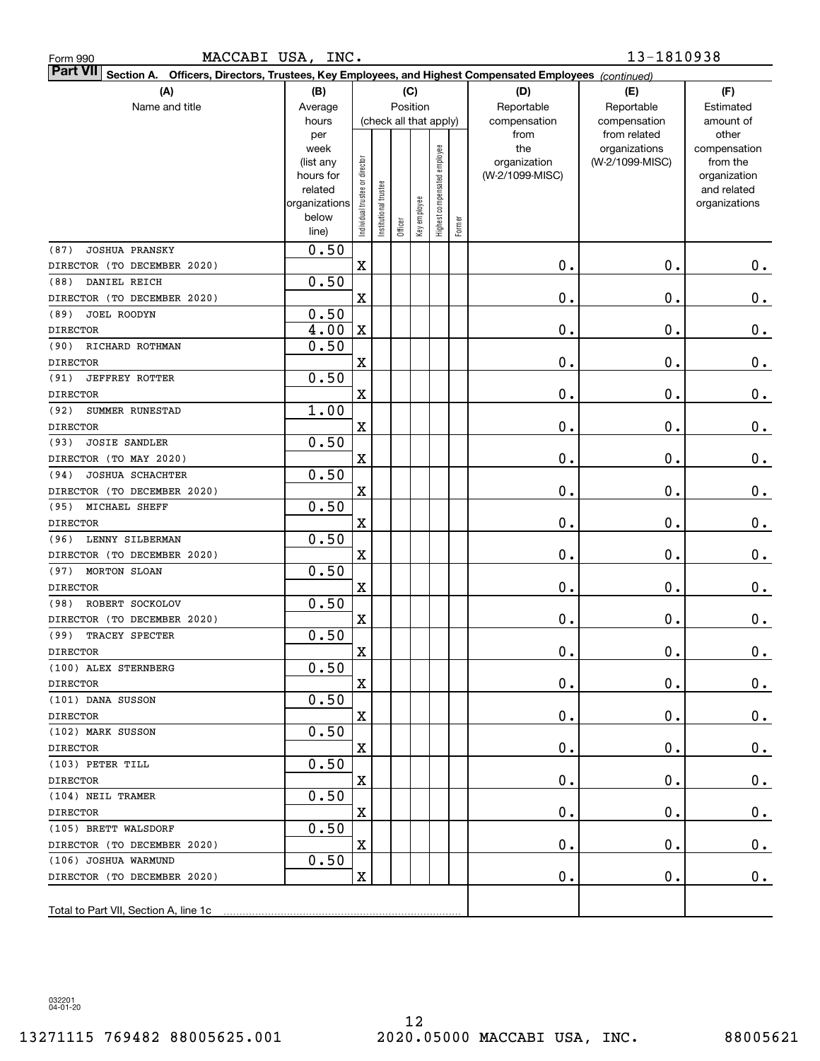| Form 990 |  |
|----------|--|
|          |  |

| <b>Part VII</b> Section A. Officers, Directors, Trustees, Key Employees, and Highest Compensated Employees (continued)<br>(C) |                        |                               |                        |          |              |                              |        |                                 |                 |                          |  |  |  |
|-------------------------------------------------------------------------------------------------------------------------------|------------------------|-------------------------------|------------------------|----------|--------------|------------------------------|--------|---------------------------------|-----------------|--------------------------|--|--|--|
| (A)                                                                                                                           | (B)                    |                               |                        |          |              |                              | (D)    | (E)                             | (F)             |                          |  |  |  |
| Name and title                                                                                                                | Average                |                               |                        | Position |              |                              |        | Reportable                      | Reportable      | Estimated                |  |  |  |
|                                                                                                                               | hours                  |                               | (check all that apply) |          |              |                              |        | compensation                    | compensation    | amount of                |  |  |  |
|                                                                                                                               | per                    |                               |                        |          |              |                              |        | from                            | from related    | other                    |  |  |  |
|                                                                                                                               | week                   |                               |                        |          |              |                              |        | the                             | organizations   | compensation             |  |  |  |
|                                                                                                                               | (list any<br>hours for |                               |                        |          |              |                              |        | organization<br>(W-2/1099-MISC) | (W-2/1099-MISC) | from the<br>organization |  |  |  |
|                                                                                                                               | related                |                               |                        |          |              |                              |        |                                 |                 | and related              |  |  |  |
|                                                                                                                               | organizations          |                               |                        |          |              |                              |        |                                 |                 | organizations            |  |  |  |
|                                                                                                                               | below                  | ndividual trustee or director | nstitutional trustee   |          | Key employee | Highest compensated employee |        |                                 |                 |                          |  |  |  |
|                                                                                                                               | line)                  |                               |                        | Officer  |              |                              | Former |                                 |                 |                          |  |  |  |
| <b>JOSHUA PRANSKY</b><br>(87)                                                                                                 | 0.50                   |                               |                        |          |              |                              |        |                                 |                 |                          |  |  |  |
| DIRECTOR (TO DECEMBER 2020)                                                                                                   |                        | $\mathbf X$                   |                        |          |              |                              |        | 0.                              | $0$ .           | 0.                       |  |  |  |
| DANIEL REICH<br>(88)                                                                                                          | 0.50                   |                               |                        |          |              |                              |        |                                 |                 |                          |  |  |  |
| DIRECTOR (TO DECEMBER 2020)                                                                                                   |                        | $\mathbf X$                   |                        |          |              |                              |        | 0.                              | $0$ .           | 0.                       |  |  |  |
| JOEL ROODYN<br>(89)                                                                                                           | 0.50                   |                               |                        |          |              |                              |        |                                 |                 |                          |  |  |  |
| <b>DIRECTOR</b>                                                                                                               | 4.00                   | $\mathbf X$                   |                        |          |              |                              |        | 0.                              | $0$ .           | $0$ .                    |  |  |  |
| (90)<br>RICHARD ROTHMAN                                                                                                       | 0.50                   |                               |                        |          |              |                              |        |                                 |                 |                          |  |  |  |
| <b>DIRECTOR</b>                                                                                                               |                        | X                             |                        |          |              |                              |        | 0.                              | $0$ .           | $\mathbf 0$ .            |  |  |  |
| (91)<br><b>JEFFREY ROTTER</b>                                                                                                 | 0.50                   |                               |                        |          |              |                              |        |                                 |                 |                          |  |  |  |
| <b>DIRECTOR</b>                                                                                                               |                        | $\mathbf X$                   |                        |          |              |                              |        | 0.                              | $0$ .           | 0.                       |  |  |  |
| (92)<br>SUMMER RUNESTAD                                                                                                       | 1.00                   |                               |                        |          |              |                              |        |                                 |                 |                          |  |  |  |
| <b>DIRECTOR</b>                                                                                                               |                        | X                             |                        |          |              |                              |        | 0.                              | $0$ .           | $0$ .                    |  |  |  |
| <b>JOSIE SANDLER</b><br>(93)                                                                                                  | 0.50                   |                               |                        |          |              |                              |        |                                 |                 |                          |  |  |  |
| DIRECTOR (TO MAY 2020)                                                                                                        |                        | X                             |                        |          |              |                              |        | 0.                              | $0$ .           | $0$ .                    |  |  |  |
| JOSHUA SCHACHTER<br>(94)                                                                                                      | 0.50                   |                               |                        |          |              |                              |        |                                 |                 |                          |  |  |  |
| DIRECTOR (TO DECEMBER 2020)                                                                                                   |                        | $\mathbf X$                   |                        |          |              |                              |        | 0.                              | $0$ .           | $\mathbf 0$ .            |  |  |  |
| (95)<br>MICHAEL SHEFF                                                                                                         | 0.50                   |                               |                        |          |              |                              |        |                                 |                 |                          |  |  |  |
| <b>DIRECTOR</b>                                                                                                               |                        | $\mathbf X$                   |                        |          |              |                              |        | 0.                              | $0$ .           | $\mathbf 0$ .            |  |  |  |
| LENNY SILBERMAN<br>(96)                                                                                                       | 0.50                   |                               |                        |          |              |                              |        |                                 |                 |                          |  |  |  |
| DIRECTOR (TO DECEMBER 2020)                                                                                                   |                        | $\mathbf X$                   |                        |          |              |                              |        | 0.                              | $0$ .           | $\mathbf 0$ .            |  |  |  |
| (97)<br>MORTON SLOAN                                                                                                          | 0.50                   |                               |                        |          |              |                              |        |                                 |                 |                          |  |  |  |
| <b>DIRECTOR</b>                                                                                                               |                        | $\mathbf X$                   |                        |          |              |                              |        | 0.                              | $0$ .           | $\mathbf 0$ .            |  |  |  |
| ROBERT SOCKOLOV<br>(98)                                                                                                       | 0.50                   |                               |                        |          |              |                              |        |                                 |                 |                          |  |  |  |
| DIRECTOR (TO DECEMBER 2020)                                                                                                   |                        | X                             |                        |          |              |                              |        | 0.                              | $0$ .           | 0.                       |  |  |  |
| (99)<br>TRACEY SPECTER                                                                                                        | 0.50                   |                               |                        |          |              |                              |        |                                 |                 |                          |  |  |  |
| <b>DIRECTOR</b>                                                                                                               |                        | X                             |                        |          |              |                              |        | 0.                              | $0$ .           | $\mathbf 0$ .            |  |  |  |
| (100) ALEX STERNBERG                                                                                                          | 0.50                   |                               |                        |          |              |                              |        |                                 |                 |                          |  |  |  |
| <b>DIRECTOR</b>                                                                                                               |                        | $\mathbf X$                   |                        |          |              |                              |        | $\mathbf 0$ .                   | $\mathbf 0$ .   | $0$ .                    |  |  |  |
| (101) DANA SUSSON                                                                                                             | 0.50                   |                               |                        |          |              |                              |        |                                 |                 |                          |  |  |  |
| <b>DIRECTOR</b>                                                                                                               |                        | $\mathbf X$                   |                        |          |              |                              |        | $\mathbf 0$ .                   | $\mathbf 0$ .   | $\mathbf{0}$ .           |  |  |  |
| (102) MARK SUSSON                                                                                                             | 0.50                   |                               |                        |          |              |                              |        |                                 |                 |                          |  |  |  |
| <b>DIRECTOR</b>                                                                                                               |                        | $\mathbf X$                   |                        |          |              |                              |        | $\mathbf 0$ .                   | $\mathbf 0$ .   | 0.                       |  |  |  |
| (103) PETER TILL                                                                                                              | 0.50                   |                               |                        |          |              |                              |        |                                 |                 |                          |  |  |  |
| <b>DIRECTOR</b>                                                                                                               |                        | $\mathbf X$                   |                        |          |              |                              |        | $\mathbf 0$ .                   | $\mathbf 0$ .   | 0.                       |  |  |  |
| (104) NEIL TRAMER                                                                                                             | 0.50                   |                               |                        |          |              |                              |        |                                 |                 |                          |  |  |  |
| <b>DIRECTOR</b>                                                                                                               |                        | X                             |                        |          |              |                              |        | $\mathbf 0$ .                   | $\mathbf 0$ .   | 0.                       |  |  |  |
| (105) BRETT WALSDORF                                                                                                          | 0.50                   |                               |                        |          |              |                              |        |                                 |                 |                          |  |  |  |
| DIRECTOR (TO DECEMBER 2020)                                                                                                   |                        | x                             |                        |          |              |                              |        | $\mathbf 0$ .                   | $\mathbf 0$ .   | 0.                       |  |  |  |
| (106) JOSHUA WARMUND                                                                                                          | 0.50                   |                               |                        |          |              |                              |        |                                 |                 |                          |  |  |  |
| DIRECTOR (TO DECEMBER 2020)                                                                                                   |                        | X                             |                        |          |              |                              |        | $\mathbf 0$ .                   | $\mathbf 0$ .   | 0.                       |  |  |  |
|                                                                                                                               |                        |                               |                        |          |              |                              |        |                                 |                 |                          |  |  |  |
| Total to Part VII, Section A, line 1c                                                                                         |                        |                               |                        |          |              |                              |        |                                 |                 |                          |  |  |  |

032201 04-01-20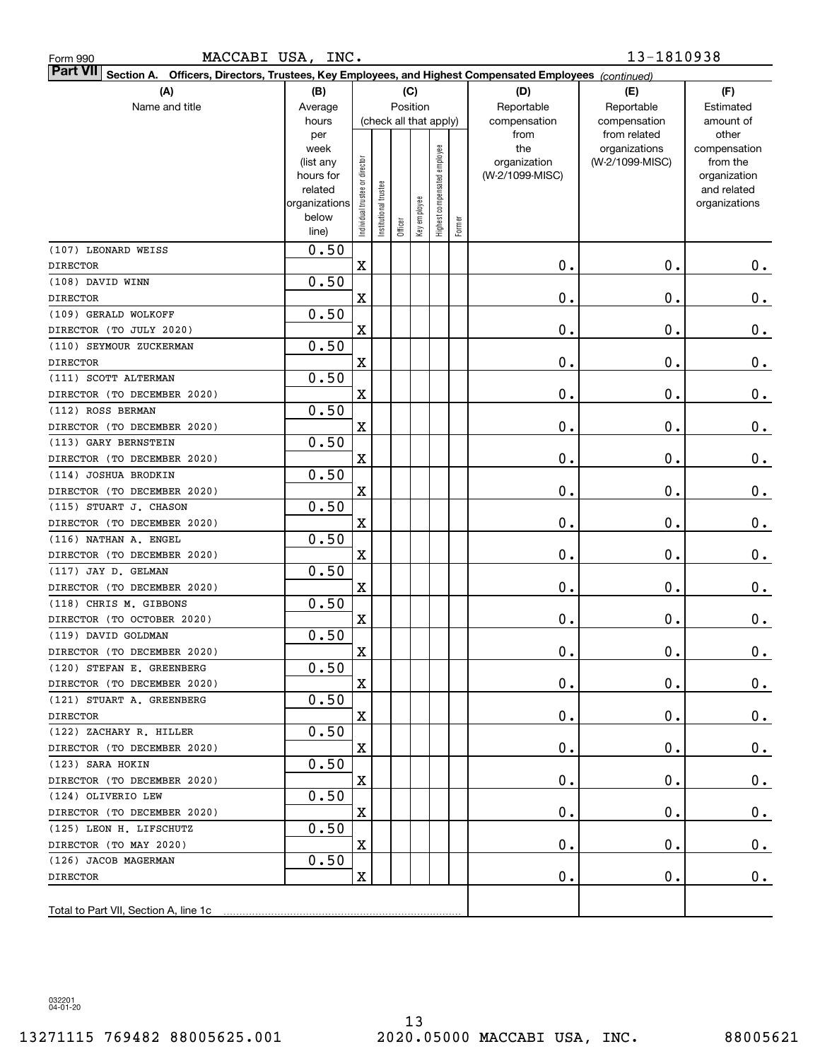| (A)                                   | (B)                                            |                                |                        | (C)      |              |                              |        | (D)                                         | (E)                                                              | (F)                                            |
|---------------------------------------|------------------------------------------------|--------------------------------|------------------------|----------|--------------|------------------------------|--------|---------------------------------------------|------------------------------------------------------------------|------------------------------------------------|
| Name and title                        | Average                                        |                                |                        | Position |              |                              |        | Reportable                                  | Reportable                                                       | Estimated                                      |
|                                       | hours<br>per<br>week<br>(list any              |                                | (check all that apply) |          |              |                              |        | compensation<br>from<br>the<br>organization | compensation<br>from related<br>organizations<br>(W-2/1099-MISC) | amount of<br>other<br>compensation<br>from the |
|                                       | hours for<br>related<br>organizations<br>below | Individual trustee or director | Institutional trustee  |          | Key employee | Highest compensated employee |        | (W-2/1099-MISC)                             |                                                                  | organization<br>and related<br>organizations   |
|                                       | line)                                          |                                |                        | Officer  |              |                              | Former |                                             |                                                                  |                                                |
| (107) LEONARD WEISS                   | 0.50                                           |                                |                        |          |              |                              |        |                                             |                                                                  |                                                |
| <b>DIRECTOR</b>                       |                                                | $\overline{\mathbf{X}}$        |                        |          |              |                              |        | 0.                                          | $\mathbf 0$ .                                                    | 0.                                             |
| (108) DAVID WINN                      | 0.50                                           |                                |                        |          |              |                              |        |                                             |                                                                  |                                                |
| <b>DIRECTOR</b>                       |                                                | $\overline{\mathbf{X}}$        |                        |          |              |                              |        | 0.                                          | $\mathbf 0$ .                                                    | $0_{.}$                                        |
| (109) GERALD WOLKOFF                  | 0.50                                           |                                |                        |          |              |                              |        |                                             |                                                                  |                                                |
| DIRECTOR (TO JULY 2020)               |                                                | $\overline{\mathbf{X}}$        |                        |          |              |                              |        | 0.                                          | $\mathbf 0$ .                                                    | 0.                                             |
| (110) SEYMOUR ZUCKERMAN               | 0.50                                           |                                |                        |          |              |                              |        |                                             |                                                                  |                                                |
| <b>DIRECTOR</b>                       |                                                | $\overline{\mathbf{X}}$        |                        |          |              |                              |        | 0.                                          | $\mathbf 0$ .                                                    | 0.                                             |
| (111) SCOTT ALTERMAN                  | 0.50                                           |                                |                        |          |              |                              |        |                                             |                                                                  |                                                |
| DIRECTOR (TO DECEMBER 2020)           |                                                | $\overline{\mathbf{X}}$        |                        |          |              |                              |        | 0.                                          | $\mathbf 0$ .                                                    | 0.                                             |
| (112) ROSS BERMAN                     | 0.50                                           |                                |                        |          |              |                              |        |                                             |                                                                  |                                                |
| DIRECTOR (TO DECEMBER 2020)           |                                                | $\overline{\mathbf{X}}$        |                        |          |              |                              |        | 0.                                          | $\mathbf 0$ .                                                    | 0.                                             |
| (113) GARY BERNSTEIN                  | 0.50                                           |                                |                        |          |              |                              |        |                                             |                                                                  |                                                |
| DIRECTOR (TO DECEMBER 2020)           |                                                | $\overline{\mathbf{X}}$        |                        |          |              |                              |        | 0.                                          | $\mathbf 0$ .                                                    | 0.                                             |
| (114) JOSHUA BRODKIN                  | 0.50                                           |                                |                        |          |              |                              |        |                                             |                                                                  |                                                |
| DIRECTOR (TO DECEMBER 2020)           |                                                | $\overline{\mathbf{X}}$        |                        |          |              |                              |        | 0.                                          | $\mathbf 0$ .                                                    | 0.                                             |
| (115) STUART J. CHASON                | 0.50                                           |                                |                        |          |              |                              |        |                                             |                                                                  |                                                |
| DIRECTOR (TO DECEMBER 2020)           |                                                | $\overline{\mathbf{X}}$        |                        |          |              |                              |        | 0.                                          | $\mathbf 0$ .                                                    | 0.                                             |
| (116) NATHAN A. ENGEL                 | 0.50                                           |                                |                        |          |              |                              |        |                                             |                                                                  |                                                |
| DIRECTOR (TO DECEMBER 2020)           |                                                | $\overline{\mathbf{X}}$        |                        |          |              |                              |        | 0.                                          | $\mathbf 0$ .                                                    | 0.                                             |
| (117) JAY D. GELMAN                   | 0.50                                           |                                |                        |          |              |                              |        |                                             |                                                                  |                                                |
| DIRECTOR (TO DECEMBER 2020)           |                                                | X                              |                        |          |              |                              |        | 0.                                          | $\mathbf 0$ .                                                    | $0_{.}$                                        |
| (118) CHRIS M. GIBBONS                | 0.50                                           |                                |                        |          |              |                              |        |                                             |                                                                  |                                                |
| DIRECTOR (TO OCTOBER 2020)            |                                                | $\overline{\mathbf{X}}$        |                        |          |              |                              |        | 0.                                          | $\mathbf 0$ .                                                    | 0.                                             |
| (119) DAVID GOLDMAN                   | 0.50                                           |                                |                        |          |              |                              |        |                                             |                                                                  |                                                |
| DIRECTOR (TO DECEMBER 2020)           |                                                | X                              |                        |          |              |                              |        | 0.                                          | $\mathbf 0$ .                                                    | 0.                                             |
| (120) STEFAN E. GREENBERG             | 0.50                                           |                                |                        |          |              |                              |        |                                             |                                                                  |                                                |
| DIRECTOR (TO DECEMBER 2020)           |                                                | X                              |                        |          |              |                              |        | 0.                                          | $\mathbf 0$ .                                                    | 0.                                             |
| (121) STUART A. GREENBERG             | 0.50                                           |                                |                        |          |              |                              |        |                                             |                                                                  |                                                |
| <b>DIRECTOR</b>                       |                                                | X                              |                        |          |              |                              |        | 0.                                          | $\mathbf 0$ .                                                    | 0.                                             |
| (122) ZACHARY R. HILLER               | 0.50                                           |                                |                        |          |              |                              |        |                                             |                                                                  |                                                |
| DIRECTOR (TO DECEMBER 2020)           |                                                | X                              |                        |          |              |                              |        | 0.                                          | О.                                                               | 0.                                             |
| (123) SARA HOKIN                      | 0.50                                           |                                |                        |          |              |                              |        |                                             |                                                                  |                                                |
| DIRECTOR (TO DECEMBER 2020)           |                                                | X                              |                        |          |              |                              |        | 0.                                          | О.                                                               | 0.                                             |
| (124) OLIVERIO LEW                    | 0.50                                           | X                              |                        |          |              |                              |        |                                             |                                                                  |                                                |
| DIRECTOR (TO DECEMBER 2020)           |                                                |                                |                        |          |              |                              |        | 0.                                          | О.                                                               | 0.                                             |
| (125) LEON H. LIFSCHUTZ               | 0.50                                           | X                              |                        |          |              |                              |        | 0.                                          | О.                                                               |                                                |
| DIRECTOR (TO MAY 2020)                | 0.50                                           |                                |                        |          |              |                              |        |                                             |                                                                  | 0.                                             |
| (126) JACOB MAGERMAN                  |                                                | $\mathbf X$                    |                        |          |              |                              |        | 0.                                          |                                                                  |                                                |
| DIRECTOR                              |                                                |                                |                        |          |              |                              |        |                                             | О.                                                               | $0$ .                                          |
| Total to Part VII, Section A, line 1c |                                                |                                |                        |          |              |                              |        |                                             |                                                                  |                                                |
|                                       |                                                |                                |                        |          |              |                              |        |                                             |                                                                  |                                                |

**Section A. Officers, Directors, Trustees, Key Employees, and Highest Compensated Employees** 

Part VII Section A. Officers, Directors, Trustees, Key Employees, and Highest Compensated Employees *(continued)* 

MACCABI USA, INC. 13-1810938

032201 04-01-20

Form 990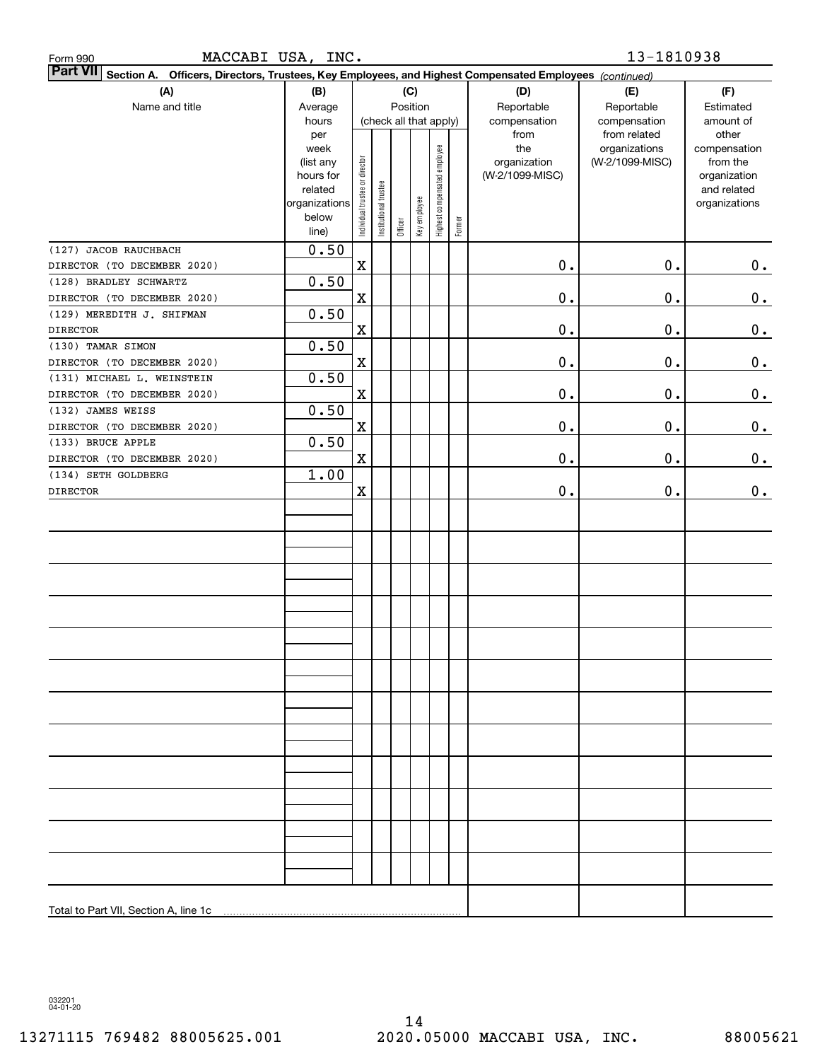| MACCABI USA, INC.<br>Form 990                                                                                             |                        |                                |                        |          |              |                              |        |                 | 13-1810938                    |                       |
|---------------------------------------------------------------------------------------------------------------------------|------------------------|--------------------------------|------------------------|----------|--------------|------------------------------|--------|-----------------|-------------------------------|-----------------------|
| <b>Part VII</b><br>Section A. Officers, Directors, Trustees, Key Employees, and Highest Compensated Employees (continued) |                        |                                |                        |          |              |                              |        |                 |                               |                       |
| (A)                                                                                                                       | (B)                    |                                |                        |          | (C)          |                              |        | (D)             | (E)                           | (F)                   |
| Name and title                                                                                                            | Average                |                                |                        | Position |              |                              |        | Reportable      | Reportable                    | Estimated             |
|                                                                                                                           | hours                  |                                | (check all that apply) |          |              |                              |        | compensation    | compensation                  | amount of             |
|                                                                                                                           | per<br>week            |                                |                        |          |              |                              |        | from<br>the     | from related<br>organizations | other<br>compensation |
|                                                                                                                           | (list any              |                                |                        |          |              |                              |        | organization    | (W-2/1099-MISC)               | from the              |
|                                                                                                                           | hours for              |                                |                        |          |              |                              |        | (W-2/1099-MISC) |                               | organization          |
|                                                                                                                           | related                |                                |                        |          |              |                              |        |                 |                               | and related           |
|                                                                                                                           | organizations<br>below |                                |                        |          |              |                              |        |                 |                               | organizations         |
|                                                                                                                           | line)                  | Individual trustee or director | Institutional trustee  | Officer  | Key employee | Highest compensated employee | Former |                 |                               |                       |
| (127) JACOB RAUCHBACH                                                                                                     | 0.50                   |                                |                        |          |              |                              |        |                 |                               |                       |
| DIRECTOR (TO DECEMBER 2020)                                                                                               |                        | $\mathbf X$                    |                        |          |              |                              |        | 0.              | $\mathbf 0$ .                 | 0.                    |
| (128) BRADLEY SCHWARTZ                                                                                                    | 0.50                   |                                |                        |          |              |                              |        |                 |                               |                       |
| DIRECTOR (TO DECEMBER 2020)                                                                                               |                        | $\mathbf X$                    |                        |          |              |                              |        | $0$ .           | 0.                            | 0.                    |
| (129) MEREDITH J. SHIFMAN                                                                                                 | 0.50                   |                                |                        |          |              |                              |        |                 |                               |                       |
| <b>DIRECTOR</b>                                                                                                           |                        | $\mathbf X$                    |                        |          |              |                              |        | $0$ .           | 0.                            | 0.                    |
| (130) TAMAR SIMON                                                                                                         | 0.50                   |                                |                        |          |              |                              |        |                 |                               |                       |
| DIRECTOR (TO DECEMBER 2020)                                                                                               |                        | $\mathbf X$                    |                        |          |              |                              |        | $0$ .           | 0.                            | 0.                    |
| (131) MICHAEL L. WEINSTEIN                                                                                                | 0.50                   |                                |                        |          |              |                              |        |                 |                               |                       |
| DIRECTOR (TO DECEMBER 2020)                                                                                               |                        | $\mathbf X$                    |                        |          |              |                              |        | $0$ .           | $\mathbf 0$ .                 | 0.                    |
| (132) JAMES WEISS                                                                                                         | 0.50                   |                                |                        |          |              |                              |        |                 |                               |                       |
| DIRECTOR (TO DECEMBER 2020)                                                                                               |                        | $\mathbf X$                    |                        |          |              |                              |        | $0$ .           | $\mathbf 0$ .                 | 0.                    |
| (133) BRUCE APPLE                                                                                                         | 0.50                   |                                |                        |          |              |                              |        |                 |                               |                       |
| DIRECTOR (TO DECEMBER 2020)                                                                                               |                        | $\mathbf X$                    |                        |          |              |                              |        | 0.              | 0.                            | 0.                    |
| (134) SETH GOLDBERG                                                                                                       | 1.00                   |                                |                        |          |              |                              |        |                 |                               |                       |
| <b>DIRECTOR</b>                                                                                                           |                        | $\mathbf X$                    |                        |          |              |                              |        | 0.              | 0.                            | 0.                    |
|                                                                                                                           |                        |                                |                        |          |              |                              |        |                 |                               |                       |
|                                                                                                                           |                        |                                |                        |          |              |                              |        |                 |                               |                       |
|                                                                                                                           |                        |                                |                        |          |              |                              |        |                 |                               |                       |
|                                                                                                                           |                        |                                |                        |          |              |                              |        |                 |                               |                       |
|                                                                                                                           |                        |                                |                        |          |              |                              |        |                 |                               |                       |
|                                                                                                                           |                        |                                |                        |          |              |                              |        |                 |                               |                       |
|                                                                                                                           |                        |                                |                        |          |              |                              |        |                 |                               |                       |
|                                                                                                                           |                        |                                |                        |          |              |                              |        |                 |                               |                       |
|                                                                                                                           |                        |                                |                        |          |              |                              |        |                 |                               |                       |
|                                                                                                                           |                        |                                |                        |          |              |                              |        |                 |                               |                       |
|                                                                                                                           |                        |                                |                        |          |              |                              |        |                 |                               |                       |
|                                                                                                                           |                        |                                |                        |          |              |                              |        |                 |                               |                       |
|                                                                                                                           |                        |                                |                        |          |              |                              |        |                 |                               |                       |
|                                                                                                                           |                        |                                |                        |          |              |                              |        |                 |                               |                       |
|                                                                                                                           |                        |                                |                        |          |              |                              |        |                 |                               |                       |
|                                                                                                                           |                        |                                |                        |          |              |                              |        |                 |                               |                       |
|                                                                                                                           |                        |                                |                        |          |              |                              |        |                 |                               |                       |
|                                                                                                                           |                        |                                |                        |          |              |                              |        |                 |                               |                       |
|                                                                                                                           |                        |                                |                        |          |              |                              |        |                 |                               |                       |
|                                                                                                                           |                        |                                |                        |          |              |                              |        |                 |                               |                       |
|                                                                                                                           |                        |                                |                        |          |              |                              |        |                 |                               |                       |
|                                                                                                                           |                        |                                |                        |          |              |                              |        |                 |                               |                       |
|                                                                                                                           |                        |                                |                        |          |              |                              |        |                 |                               |                       |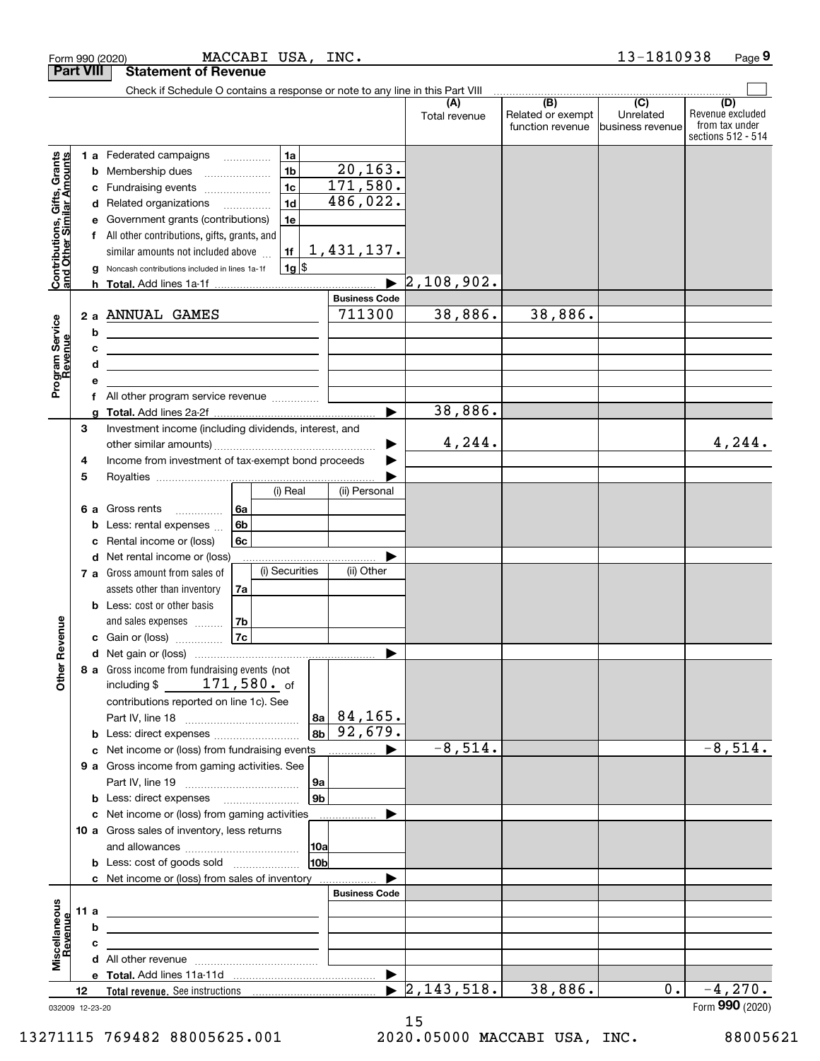|                                                                  | <b>Part VIII</b>       | <b>Statement of Revenue</b>                                                                                                                                                                                                                                                                                                                                                         |                                                |                                  |                                              |                                                 |                                                                 |
|------------------------------------------------------------------|------------------------|-------------------------------------------------------------------------------------------------------------------------------------------------------------------------------------------------------------------------------------------------------------------------------------------------------------------------------------------------------------------------------------|------------------------------------------------|----------------------------------|----------------------------------------------|-------------------------------------------------|-----------------------------------------------------------------|
|                                                                  |                        | Check if Schedule O contains a response or note to any line in this Part VIII                                                                                                                                                                                                                                                                                                       |                                                |                                  |                                              |                                                 |                                                                 |
|                                                                  |                        |                                                                                                                                                                                                                                                                                                                                                                                     |                                                | Total revenue                    | (B)<br>Related or exempt<br>function revenue | $\overline{C}$<br>Unrelated<br>business revenue | (D)<br>Revenue excluded<br>from tax under<br>sections 512 - 514 |
| <b>Contributions, Gifts, Grants</b><br>and Other Similar Amounts | b<br>c<br>d<br>g       | 1a<br>1 a Federated campaigns<br>1 <sub>b</sub><br>Membership dues<br>1 <sub>c</sub><br>Fundraising events<br>1 <sub>d</sub><br>Related organizations<br>$\overline{\phantom{a}}$<br>Government grants (contributions)<br>1e<br>All other contributions, gifts, grants, and<br>similar amounts not included above<br>1f<br>$1g$ \$<br>Noncash contributions included in lines 1a-1f | 20, 163.<br>171,580.<br>486,022.<br>1,431,137. | 2,108,902.                       |                                              |                                                 |                                                                 |
|                                                                  |                        |                                                                                                                                                                                                                                                                                                                                                                                     | <b>Business Code</b>                           |                                  |                                              |                                                 |                                                                 |
| Program Service<br>Revenue<br>evenue                             | b<br>c<br>d<br>е       | 2 a ANNUAL GAMES<br><u> 1980 - Johann Barn, mars ann an t-Amhain Aonaich an t-Aonaich an t-Aonaich ann an t-Aonaich ann an t-Aonaich</u><br><u>and the state of the state of the state of the state of the state of the state of the state of the state of the state of the state of the state of the state of the state of the state of the state of the state of the state</u>    | 711300                                         | 38,886.                          | 38,886.                                      |                                                 |                                                                 |
|                                                                  | f                      | All other program service revenue                                                                                                                                                                                                                                                                                                                                                   |                                                |                                  |                                              |                                                 |                                                                 |
|                                                                  | a                      |                                                                                                                                                                                                                                                                                                                                                                                     |                                                | 38,886.                          |                                              |                                                 |                                                                 |
|                                                                  | 3<br>4                 | Investment income (including dividends, interest, and<br>Income from investment of tax-exempt bond proceeds                                                                                                                                                                                                                                                                         |                                                | 4,244.                           |                                              |                                                 | 4,244.                                                          |
|                                                                  | 5<br>6а<br>b<br>c<br>d | (i) Real<br>Gross rents<br>l 6a<br>6b<br>Less: rental expenses<br>6c<br>Rental income or (loss)<br>Net rental income or (loss)<br>(i) Securities<br>7 a Gross amount from sales of                                                                                                                                                                                                  | (ii) Personal<br>(ii) Other                    |                                  |                                              |                                                 |                                                                 |
| Revenue                                                          |                        | assets other than inventory<br>7a<br><b>b</b> Less: cost or other basis<br>and sales expenses<br>  7b<br>7c<br><b>c</b> Gain or (loss) $\ldots$                                                                                                                                                                                                                                     |                                                |                                  |                                              |                                                 |                                                                 |
| <b>Other</b>                                                     |                        | 8 a Gross income from fundraising events (not<br>$171,580$ . of<br>including $$$<br>contributions reported on line 1c). See<br><b>b</b> Less: direct expenses                                                                                                                                                                                                                       | 84, 165.<br>8al<br>92,679.<br>8 <sub>b</sub>   |                                  |                                              |                                                 |                                                                 |
|                                                                  |                        | c Net income or (loss) from fundraising events                                                                                                                                                                                                                                                                                                                                      |                                                | $-8,514.$                        |                                              |                                                 | $-8,514.$                                                       |
|                                                                  |                        | 9 a Gross income from gaming activities. See<br><b>b</b> Less: direct expenses <b>manually</b>                                                                                                                                                                                                                                                                                      | 9а<br>9 <sub>b</sub>                           |                                  |                                              |                                                 |                                                                 |
|                                                                  |                        | c Net income or (loss) from gaming activities<br>10 a Gross sales of inventory, less returns                                                                                                                                                                                                                                                                                        | 10a                                            |                                  |                                              |                                                 |                                                                 |
|                                                                  |                        | <b>b</b> Less: cost of goods sold                                                                                                                                                                                                                                                                                                                                                   | 10bl                                           |                                  |                                              |                                                 |                                                                 |
|                                                                  | 11 a<br>b              | c Net income or (loss) from sales of inventory                                                                                                                                                                                                                                                                                                                                      | <b>Business Code</b>                           |                                  |                                              |                                                 |                                                                 |
| Miscellaneous<br>evenue                                          | c                      |                                                                                                                                                                                                                                                                                                                                                                                     |                                                |                                  |                                              |                                                 |                                                                 |
|                                                                  | 12                     |                                                                                                                                                                                                                                                                                                                                                                                     |                                                | $\blacktriangleright$ 2,143,518. | 38,886.                                      | 0.                                              | $-4,270.$                                                       |
|                                                                  |                        |                                                                                                                                                                                                                                                                                                                                                                                     |                                                |                                  |                                              |                                                 | QQQ                                                             |

032009 12-23-20

Form (2020) **990**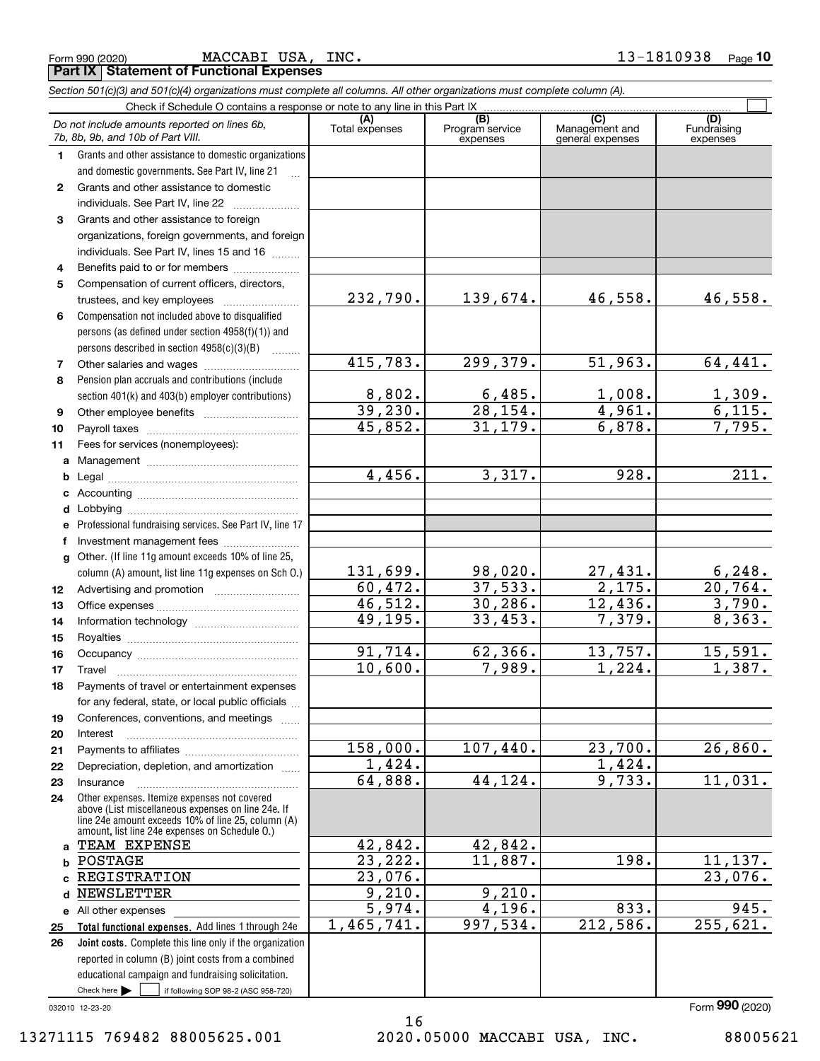|  | Form 990 (2020) |  |
|--|-----------------|--|
|  |                 |  |

MACCABI USA, INC.

**Part IX Statement of Functional Expenses**

|              | Section 501(c)(3) and 501(c)(4) organizations must complete all columns. All other organizations must complete column (A).                                                                                 |                          |                                    |                                                      |                                |
|--------------|------------------------------------------------------------------------------------------------------------------------------------------------------------------------------------------------------------|--------------------------|------------------------------------|------------------------------------------------------|--------------------------------|
|              | Check if Schedule O contains a response or note to any line in this Part IX                                                                                                                                |                          |                                    |                                                      |                                |
|              | Do not include amounts reported on lines 6b,<br>7b, 8b, 9b, and 10b of Part VIII.                                                                                                                          | (A)<br>Total expenses    | (B)<br>Program service<br>expenses | $\overline{C}$<br>Management and<br>general expenses | (D)<br>Fundraising<br>expenses |
| 1.           | Grants and other assistance to domestic organizations                                                                                                                                                      |                          |                                    |                                                      |                                |
|              | and domestic governments. See Part IV, line 21                                                                                                                                                             |                          |                                    |                                                      |                                |
| $\mathbf{2}$ | Grants and other assistance to domestic                                                                                                                                                                    |                          |                                    |                                                      |                                |
|              | individuals. See Part IV, line 22                                                                                                                                                                          |                          |                                    |                                                      |                                |
| 3            | Grants and other assistance to foreign                                                                                                                                                                     |                          |                                    |                                                      |                                |
|              | organizations, foreign governments, and foreign                                                                                                                                                            |                          |                                    |                                                      |                                |
|              | individuals. See Part IV, lines 15 and 16                                                                                                                                                                  |                          |                                    |                                                      |                                |
| 4            | Benefits paid to or for members                                                                                                                                                                            |                          |                                    |                                                      |                                |
| 5            | Compensation of current officers, directors,                                                                                                                                                               |                          |                                    |                                                      |                                |
|              |                                                                                                                                                                                                            | 232,790.                 | 139,674.                           | 46,558.                                              | 46,558.                        |
| 6            | Compensation not included above to disqualified                                                                                                                                                            |                          |                                    |                                                      |                                |
|              | persons (as defined under section 4958(f)(1)) and                                                                                                                                                          |                          |                                    |                                                      |                                |
|              | persons described in section 4958(c)(3)(B)                                                                                                                                                                 |                          |                                    |                                                      |                                |
| 7            |                                                                                                                                                                                                            | 415,783.                 | 299,379.                           | $\overline{51,963.}$                                 | 64,441.                        |
| 8            | Pension plan accruals and contributions (include                                                                                                                                                           |                          |                                    |                                                      |                                |
|              | section 401(k) and 403(b) employer contributions)                                                                                                                                                          | $\frac{8,802}{39,230}$ . | $\frac{6,485}{28,154}$             | 1,008.                                               | 1,309.                         |
| 9            |                                                                                                                                                                                                            |                          |                                    | 4,961.                                               | 6,115.                         |
| 10           |                                                                                                                                                                                                            | 45,852.                  | 31, 179.                           | 6,878.                                               | 7,795.                         |
| 11           | Fees for services (nonemployees):                                                                                                                                                                          |                          |                                    |                                                      |                                |
| a            |                                                                                                                                                                                                            |                          |                                    |                                                      |                                |
| b            |                                                                                                                                                                                                            | 4,456.                   | 3,317.                             | 928.                                                 | 211.                           |
| с            |                                                                                                                                                                                                            |                          |                                    |                                                      |                                |
| d            | Lobbying                                                                                                                                                                                                   |                          |                                    |                                                      |                                |
|              | Professional fundraising services. See Part IV, line 17                                                                                                                                                    |                          |                                    |                                                      |                                |
|              | Investment management fees                                                                                                                                                                                 |                          |                                    |                                                      |                                |
| g            | Other. (If line 11g amount exceeds 10% of line 25,                                                                                                                                                         | 131,699.                 | <u>98,020.</u>                     |                                                      | 6,248.                         |
|              | column (A) amount, list line 11g expenses on Sch O.)                                                                                                                                                       | 60,472.                  | 37,533.                            | $\frac{27,431}{2,175}$ .                             | 20,764.                        |
| 12<br>13     |                                                                                                                                                                                                            | 46,512.                  | 30, 286.                           | 12,436.                                              | 3,790.                         |
| 14           |                                                                                                                                                                                                            | 49, 195.                 | 33,453.                            | 7,379.                                               | 8,363.                         |
| 15           |                                                                                                                                                                                                            |                          |                                    |                                                      |                                |
| 16           |                                                                                                                                                                                                            | 91,714.                  | 62, 366.                           | 13,757.                                              | 15,591.                        |
| 17           |                                                                                                                                                                                                            | 10,600.                  | 7,989.                             | 1,224.                                               | 1,387.                         |
| 18           | Payments of travel or entertainment expenses                                                                                                                                                               |                          |                                    |                                                      |                                |
|              | for any federal, state, or local public officials                                                                                                                                                          |                          |                                    |                                                      |                                |
| 19           | Conferences, conventions, and meetings                                                                                                                                                                     |                          |                                    |                                                      |                                |
| 20           | Interest                                                                                                                                                                                                   |                          |                                    |                                                      |                                |
| 21           |                                                                                                                                                                                                            | 158,000.                 | 107,440.                           | 23,700.                                              | 26,860.                        |
| 22           | Depreciation, depletion, and amortization                                                                                                                                                                  | 1,424.                   |                                    | 1,424.                                               |                                |
| 23           | Insurance                                                                                                                                                                                                  | 64,888.                  | 44, 124.                           | 9,733.                                               | 11,031.                        |
| 24           | Other expenses. Itemize expenses not covered<br>above (List miscellaneous expenses on line 24e. If<br>line 24e amount exceeds 10% of line 25, column (A)<br>amount, list line 24e expenses on Schedule O.) |                          |                                    |                                                      |                                |
| a            | TEAM EXPENSE                                                                                                                                                                                               | 42,842.                  | 42,842.                            |                                                      |                                |
| b            | POSTAGE                                                                                                                                                                                                    | 23, 222.                 | 11,887.                            | 198.                                                 | 11,137.                        |
|              | <b>REGISTRATION</b>                                                                                                                                                                                        | 23,076.                  |                                    |                                                      | 23,076.                        |
| d            | NEWSLETTER                                                                                                                                                                                                 | 9,210.                   | 9,210.                             |                                                      |                                |
|              | e All other expenses                                                                                                                                                                                       | 5,974.                   | 4,196.                             | 833.                                                 | 945.                           |
| 25           | Total functional expenses. Add lines 1 through 24e                                                                                                                                                         | 1,465,741.               | 997,534.                           | 212,586.                                             | 255,621.                       |
| 26           | Joint costs. Complete this line only if the organization                                                                                                                                                   |                          |                                    |                                                      |                                |
|              | reported in column (B) joint costs from a combined                                                                                                                                                         |                          |                                    |                                                      |                                |
|              | educational campaign and fundraising solicitation.                                                                                                                                                         |                          |                                    |                                                      |                                |
|              | Check here $\blacktriangleright$<br>if following SOP 98-2 (ASC 958-720)                                                                                                                                    |                          |                                    |                                                      |                                |

032010 12-23-20

16 13271115 769482 88005625.001 2020.05000 MACCABI USA, INC. 88005621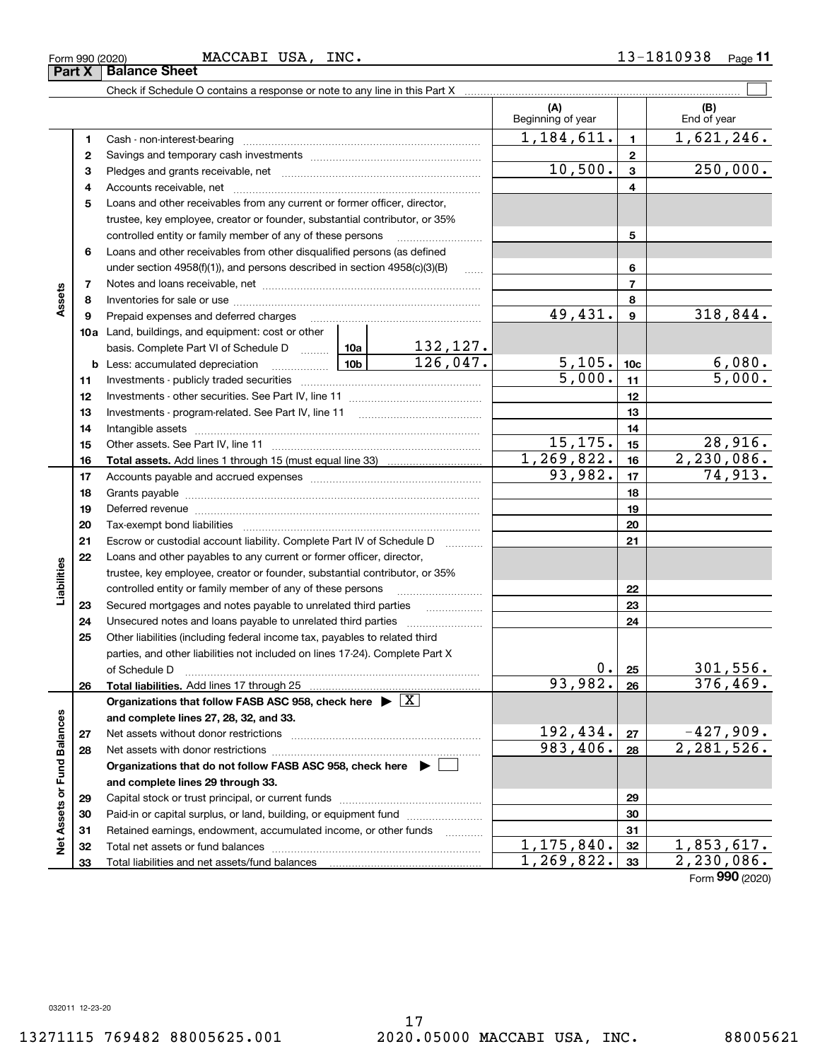**Net Assets or Fund Balances**

Net Assets or Fund Balances

**Assets**

**Liabilities**

Liabilities

 $1, 175, 840. |32 | 1, 853, 617.$  $1,269,822.$   $33$   $2,230,086.$ 

Form 990 (2020) **MACCABI** USA, INC. 1 3-1 8 1 0 9 3 8 <sub>Page</sub> 11 **Part X** | Balance Sheet MACCABI USA, INC.

Paid-in or capital surplus, or land, building, or equipment fund www.commun.com Retained earnings, endowment, accumulated income, or other funds we have all the Total net assets or fund balances ~~~~~~~~~~~~~~~~~~~~~~

Total liabilities and net assets/fund balances

| Beginning of year<br>End of year<br>1,184,611.<br>$\mathbf{1}$<br>1<br>Cash - non-interest-bearing<br>$\mathbf{2}$<br>2<br>10,500.<br>$\overline{\mathbf{3}}$<br>3<br>4<br>4<br>5<br>Loans and other receivables from any current or former officer, director,<br>trustee, key employee, creator or founder, substantial contributor, or 35% | 1,621,246.<br>250,000.   |
|----------------------------------------------------------------------------------------------------------------------------------------------------------------------------------------------------------------------------------------------------------------------------------------------------------------------------------------------|--------------------------|
|                                                                                                                                                                                                                                                                                                                                              |                          |
|                                                                                                                                                                                                                                                                                                                                              |                          |
|                                                                                                                                                                                                                                                                                                                                              |                          |
|                                                                                                                                                                                                                                                                                                                                              |                          |
|                                                                                                                                                                                                                                                                                                                                              |                          |
|                                                                                                                                                                                                                                                                                                                                              |                          |
| 5<br>controlled entity or family member of any of these persons                                                                                                                                                                                                                                                                              |                          |
| Loans and other receivables from other disqualified persons (as defined<br>6                                                                                                                                                                                                                                                                 |                          |
| under section 4958(f)(1)), and persons described in section 4958(c)(3)(B)<br>6<br>1.1.1.1                                                                                                                                                                                                                                                    |                          |
| $\overline{7}$<br>7                                                                                                                                                                                                                                                                                                                          |                          |
| 8<br>8                                                                                                                                                                                                                                                                                                                                       |                          |
| 49,431.<br>$\mathbf{9}$<br>9<br>Prepaid expenses and deferred charges                                                                                                                                                                                                                                                                        | 318,844.                 |
| 10a Land, buildings, and equipment: cost or other                                                                                                                                                                                                                                                                                            |                          |
| $\frac{132,127.}{126,047.}$<br>basis. Complete Part VI of Schedule D  10a                                                                                                                                                                                                                                                                    |                          |
| 5,105.<br>$\frac{10b}{2}$<br>10 <sub>c</sub><br>Less: accumulated depreciation<br>b                                                                                                                                                                                                                                                          | $\frac{6,080}{5,000}$ .  |
| $\frac{1}{5,000}$ .<br>11<br>11                                                                                                                                                                                                                                                                                                              |                          |
| 12<br>12                                                                                                                                                                                                                                                                                                                                     |                          |
| 13<br>13                                                                                                                                                                                                                                                                                                                                     |                          |
| 14<br>14                                                                                                                                                                                                                                                                                                                                     |                          |
| 15, 175.<br>15<br>15                                                                                                                                                                                                                                                                                                                         | 28,916.                  |
| 1, 269, 822.<br>16<br>16                                                                                                                                                                                                                                                                                                                     | 2,230,086.               |
| 93,982.<br>17<br>17                                                                                                                                                                                                                                                                                                                          | 74,913.                  |
| 18<br>18                                                                                                                                                                                                                                                                                                                                     |                          |
| 19<br>19<br>Deferred revenue manual contracts and contracts are contracted and contract and contract are contracted and contract are contracted and contract are contracted and contract are contracted and contract are contracted and co                                                                                                   |                          |
| 20<br>20                                                                                                                                                                                                                                                                                                                                     |                          |
| Escrow or custodial account liability. Complete Part IV of Schedule D<br>21<br>21<br>1.1.1.1.1.1.1.1.1.1                                                                                                                                                                                                                                     |                          |
| Loans and other payables to any current or former officer, director,<br>22                                                                                                                                                                                                                                                                   |                          |
| trustee, key employee, creator or founder, substantial contributor, or 35%                                                                                                                                                                                                                                                                   |                          |
| controlled entity or family member of any of these persons<br>22                                                                                                                                                                                                                                                                             |                          |
| 23<br>23<br>Secured mortgages and notes payable to unrelated third parties                                                                                                                                                                                                                                                                   |                          |
| 24<br>24<br>Unsecured notes and loans payable to unrelated third parties                                                                                                                                                                                                                                                                     |                          |
| 25<br>Other liabilities (including federal income tax, payables to related third                                                                                                                                                                                                                                                             |                          |
| parties, and other liabilities not included on lines 17-24). Complete Part X<br>$0$ .                                                                                                                                                                                                                                                        |                          |
| 25<br>of Schedule D<br>93,982.                                                                                                                                                                                                                                                                                                               | 301,556.<br>376, 469.    |
| 26<br>26<br>Organizations that follow FASB ASC 958, check here $\blacktriangleright \boxed{X}$                                                                                                                                                                                                                                               |                          |
| and complete lines 27, 28, 32, and 33.                                                                                                                                                                                                                                                                                                       |                          |
| 192,434.<br>27<br>27<br>Net assets without donor restrictions                                                                                                                                                                                                                                                                                | $-427,909.$              |
| 983,406.<br>28<br>28<br>Net assets with donor restrictions                                                                                                                                                                                                                                                                                   | $\overline{2,281,526}$ . |
| Organizations that do not follow FASB ASC 958, check here $\blacktriangleright$                                                                                                                                                                                                                                                              |                          |
| and complete lines 29 through 33.                                                                                                                                                                                                                                                                                                            |                          |
| 29<br>29<br>Capital stock or trust principal, or current funds                                                                                                                                                                                                                                                                               |                          |

Check if Schedule O contains a response or note to any line in this Part X  $\mathcal{L}^{\text{max}}$ 

Form (2020) **990**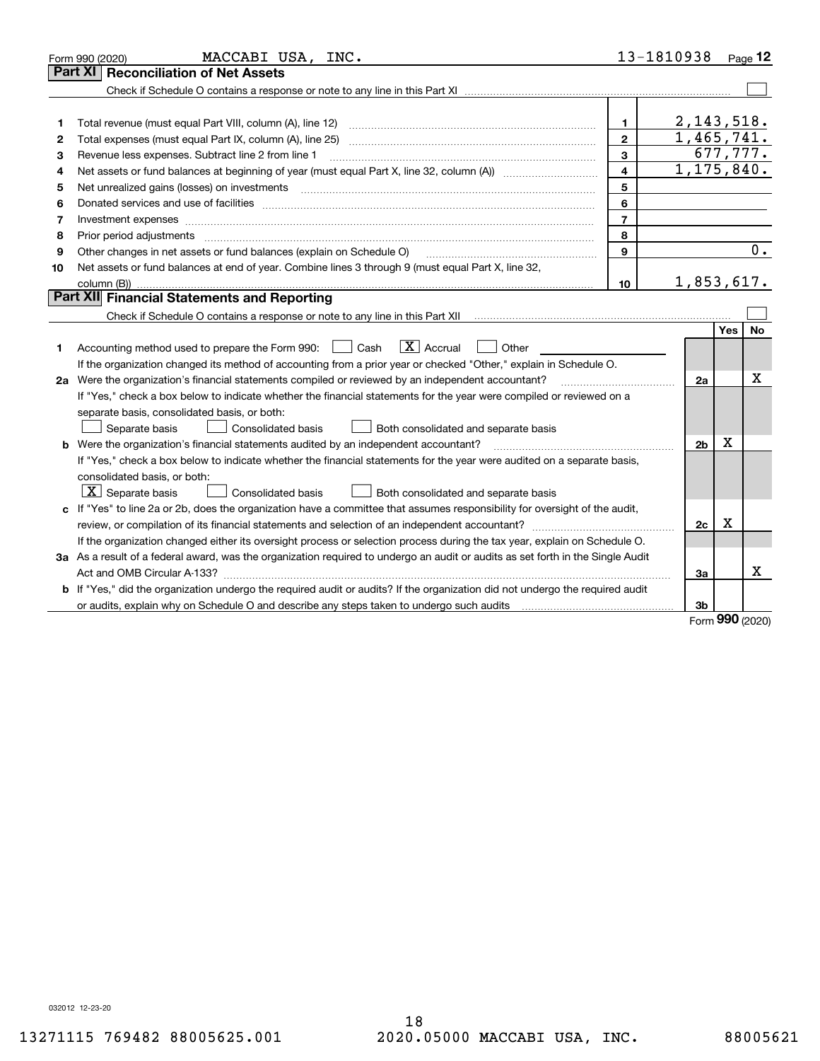|    | MACCABI USA, INC.<br>Form 990 (2020)                                                                                                                                                                                                                                                                                                                                                                                                                                       | 13-1810938               |                         |            | $_{\text{Page}}$ 12 |
|----|----------------------------------------------------------------------------------------------------------------------------------------------------------------------------------------------------------------------------------------------------------------------------------------------------------------------------------------------------------------------------------------------------------------------------------------------------------------------------|--------------------------|-------------------------|------------|---------------------|
|    | <b>Reconciliation of Net Assets</b><br>Part XI                                                                                                                                                                                                                                                                                                                                                                                                                             |                          |                         |            |                     |
|    |                                                                                                                                                                                                                                                                                                                                                                                                                                                                            |                          |                         |            |                     |
|    |                                                                                                                                                                                                                                                                                                                                                                                                                                                                            |                          |                         |            |                     |
| 1  | Total revenue (must equal Part VIII, column (A), line 12)                                                                                                                                                                                                                                                                                                                                                                                                                  | 1.                       | 2,143,518.              |            |                     |
| 2  |                                                                                                                                                                                                                                                                                                                                                                                                                                                                            | $\mathbf{2}$             | $\overline{1,465,741.}$ |            |                     |
| 3  | Revenue less expenses. Subtract line 2 from line 1                                                                                                                                                                                                                                                                                                                                                                                                                         | 3                        |                         |            | 677,777.            |
| 4  |                                                                                                                                                                                                                                                                                                                                                                                                                                                                            | $\overline{\mathbf{4}}$  | 1, 175, 840.            |            |                     |
| 5  | Net unrealized gains (losses) on investments<br>$\overline{a_1, \ldots, a_n, \ldots, a_n, \ldots, a_n, \ldots, a_n, \ldots, a_n, \ldots, a_n, \ldots, a_n, \ldots, a_n, \ldots, a_n, \ldots, a_n, \ldots, a_n, \ldots, a_n, \ldots, a_n, \ldots, a_n, \ldots, a_n, \ldots, a_n, \ldots, a_n, \ldots, a_n, \ldots, a_n, \ldots, a_n, \ldots, a_n, \ldots, a_n, \ldots, a_n, \ldots, a_n, \ldots, a_n, \ldots, a_n, \ldots, a_n, \ldots, a_n, \ldots, a_n, \ldots, a_n, \ld$ | 5                        |                         |            |                     |
| 6  |                                                                                                                                                                                                                                                                                                                                                                                                                                                                            | 6                        |                         |            |                     |
| 7  |                                                                                                                                                                                                                                                                                                                                                                                                                                                                            | $\overline{\phantom{a}}$ |                         |            |                     |
| 8  | Prior period adjustments                                                                                                                                                                                                                                                                                                                                                                                                                                                   | 8                        |                         |            |                     |
| 9  | Other changes in net assets or fund balances (explain on Schedule O)                                                                                                                                                                                                                                                                                                                                                                                                       | 9                        |                         |            | 0.                  |
| 10 | Net assets or fund balances at end of year. Combine lines 3 through 9 (must equal Part X, line 32,                                                                                                                                                                                                                                                                                                                                                                         |                          |                         |            |                     |
|    |                                                                                                                                                                                                                                                                                                                                                                                                                                                                            | 10                       | 1,853,617.              |            |                     |
|    | Part XII Financial Statements and Reporting                                                                                                                                                                                                                                                                                                                                                                                                                                |                          |                         |            |                     |
|    |                                                                                                                                                                                                                                                                                                                                                                                                                                                                            |                          |                         |            |                     |
|    |                                                                                                                                                                                                                                                                                                                                                                                                                                                                            |                          |                         | <b>Yes</b> | <b>No</b>           |
| 1  | $\boxed{\mathbf{X}}$ Accrual<br>Accounting method used to prepare the Form 990: <u>I</u> Cash<br>Other                                                                                                                                                                                                                                                                                                                                                                     |                          |                         |            |                     |
|    | If the organization changed its method of accounting from a prior year or checked "Other," explain in Schedule O.                                                                                                                                                                                                                                                                                                                                                          |                          |                         |            |                     |
|    | 2a Were the organization's financial statements compiled or reviewed by an independent accountant?                                                                                                                                                                                                                                                                                                                                                                         |                          | 2a                      |            | Χ                   |
|    | If "Yes," check a box below to indicate whether the financial statements for the year were compiled or reviewed on a                                                                                                                                                                                                                                                                                                                                                       |                          |                         |            |                     |
|    | separate basis, consolidated basis, or both:                                                                                                                                                                                                                                                                                                                                                                                                                               |                          |                         |            |                     |
|    | Separate basis<br>Both consolidated and separate basis<br><b>Consolidated basis</b>                                                                                                                                                                                                                                                                                                                                                                                        |                          |                         |            |                     |
|    | <b>b</b> Were the organization's financial statements audited by an independent accountant?                                                                                                                                                                                                                                                                                                                                                                                |                          | 2 <sub>b</sub>          | X          |                     |
|    | If "Yes," check a box below to indicate whether the financial statements for the year were audited on a separate basis,                                                                                                                                                                                                                                                                                                                                                    |                          |                         |            |                     |
|    | consolidated basis, or both:                                                                                                                                                                                                                                                                                                                                                                                                                                               |                          |                         |            |                     |
|    | $X$ Separate basis<br>Consolidated basis<br>Both consolidated and separate basis                                                                                                                                                                                                                                                                                                                                                                                           |                          |                         |            |                     |
|    | c If "Yes" to line 2a or 2b, does the organization have a committee that assumes responsibility for oversight of the audit,                                                                                                                                                                                                                                                                                                                                                |                          |                         |            |                     |
|    |                                                                                                                                                                                                                                                                                                                                                                                                                                                                            |                          | 2c                      | х          |                     |
|    | If the organization changed either its oversight process or selection process during the tax year, explain on Schedule O.                                                                                                                                                                                                                                                                                                                                                  |                          |                         |            |                     |
|    | 3a As a result of a federal award, was the organization required to undergo an audit or audits as set forth in the Single Audit                                                                                                                                                                                                                                                                                                                                            |                          |                         |            |                     |
|    |                                                                                                                                                                                                                                                                                                                                                                                                                                                                            |                          | За                      |            | х                   |
|    | b If "Yes," did the organization undergo the required audit or audits? If the organization did not undergo the required audit                                                                                                                                                                                                                                                                                                                                              |                          |                         |            |                     |
|    |                                                                                                                                                                                                                                                                                                                                                                                                                                                                            |                          | 3b                      | nnn        |                     |

Form (2020) **990**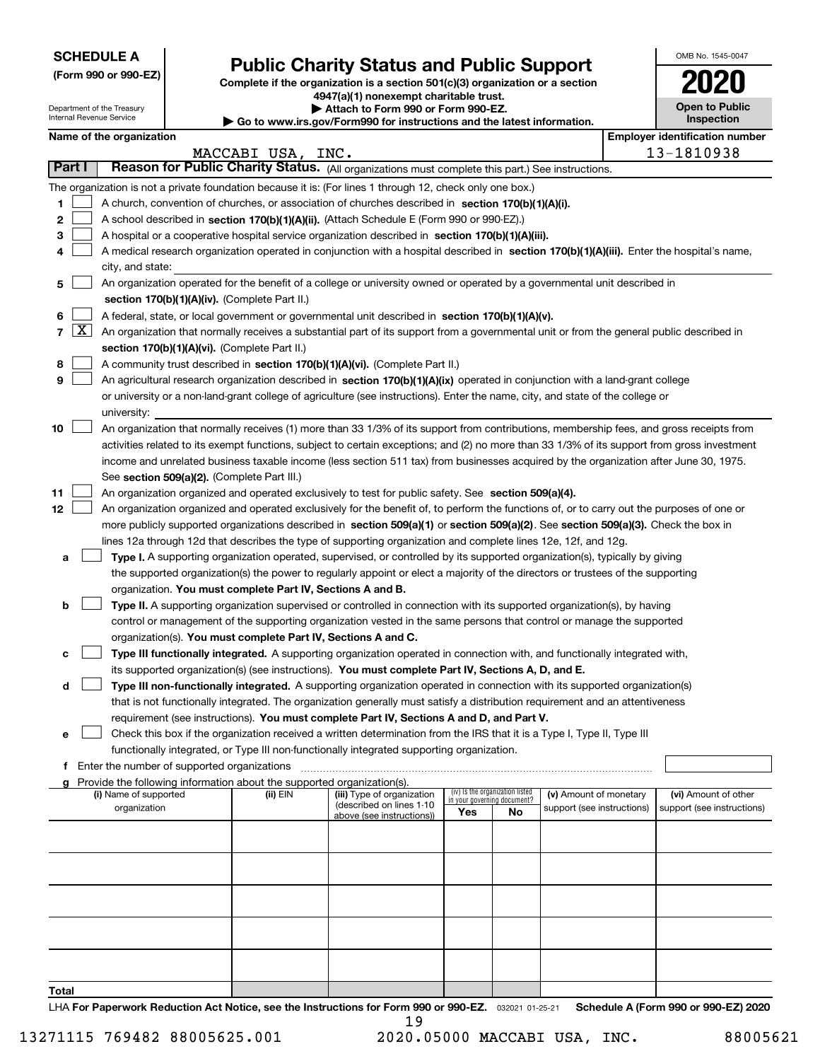| <b>SCHEDULE A</b> |
|-------------------|
|-------------------|

**(Form 990 or 990-EZ)**

# **Public Charity Status and Public Support**

**Complete if the organization is a section 501(c)(3) organization or a section 4947(a)(1) nonexempt charitable trust. | Attach to Form 990 or Form 990-EZ.** 

| OMB No 1545-0047                           |
|--------------------------------------------|
| 2020                                       |
| <b>Open to Public</b><br><b>Inspection</b> |

| Department of the Treasury<br>Internal Revenue Service |                     | Attach to Form 990 or Form 990-EZ.<br>$\blacktriangleright$ Go to www.irs.gov/Form990 for instructions and the latest information. | <b>Open to Public</b><br>Inspection                                                |                                                                                                                                              |     |                                   |                            |                                       |
|--------------------------------------------------------|---------------------|------------------------------------------------------------------------------------------------------------------------------------|------------------------------------------------------------------------------------|----------------------------------------------------------------------------------------------------------------------------------------------|-----|-----------------------------------|----------------------------|---------------------------------------|
|                                                        |                     | Name of the organization                                                                                                           |                                                                                    |                                                                                                                                              |     |                                   |                            | <b>Employer identification number</b> |
|                                                        |                     |                                                                                                                                    | MACCABI USA, INC.                                                                  |                                                                                                                                              |     |                                   |                            | 13-1810938                            |
|                                                        | Part I              |                                                                                                                                    |                                                                                    | Reason for Public Charity Status. (All organizations must complete this part.) See instructions.                                             |     |                                   |                            |                                       |
|                                                        |                     |                                                                                                                                    |                                                                                    | The organization is not a private foundation because it is: (For lines 1 through 12, check only one box.)                                    |     |                                   |                            |                                       |
| 1                                                      |                     |                                                                                                                                    |                                                                                    | A church, convention of churches, or association of churches described in section $170(b)(1)(A)(i)$ .                                        |     |                                   |                            |                                       |
| 2                                                      |                     |                                                                                                                                    |                                                                                    | A school described in section 170(b)(1)(A)(ii). (Attach Schedule E (Form 990 or 990-EZ).)                                                    |     |                                   |                            |                                       |
| 3                                                      |                     |                                                                                                                                    |                                                                                    | A hospital or a cooperative hospital service organization described in section 170(b)(1)(A)(iii).                                            |     |                                   |                            |                                       |
| 4                                                      |                     |                                                                                                                                    |                                                                                    | A medical research organization operated in conjunction with a hospital described in section 170(b)(1)(A)(iii). Enter the hospital's name,   |     |                                   |                            |                                       |
|                                                        |                     | city, and state:                                                                                                                   |                                                                                    |                                                                                                                                              |     |                                   |                            |                                       |
| 5                                                      |                     |                                                                                                                                    |                                                                                    | An organization operated for the benefit of a college or university owned or operated by a governmental unit described in                    |     |                                   |                            |                                       |
|                                                        |                     |                                                                                                                                    | section 170(b)(1)(A)(iv). (Complete Part II.)                                      |                                                                                                                                              |     |                                   |                            |                                       |
| 6                                                      |                     |                                                                                                                                    |                                                                                    | A federal, state, or local government or governmental unit described in section 170(b)(1)(A)(v).                                             |     |                                   |                            |                                       |
| $\overline{7}$                                         | $\lfloor x \rfloor$ |                                                                                                                                    |                                                                                    | An organization that normally receives a substantial part of its support from a governmental unit or from the general public described in    |     |                                   |                            |                                       |
|                                                        |                     |                                                                                                                                    | section 170(b)(1)(A)(vi). (Complete Part II.)                                      |                                                                                                                                              |     |                                   |                            |                                       |
| 8                                                      |                     |                                                                                                                                    |                                                                                    | A community trust described in section 170(b)(1)(A)(vi). (Complete Part II.)                                                                 |     |                                   |                            |                                       |
| 9                                                      |                     |                                                                                                                                    |                                                                                    | An agricultural research organization described in section 170(b)(1)(A)(ix) operated in conjunction with a land-grant college                |     |                                   |                            |                                       |
|                                                        |                     |                                                                                                                                    |                                                                                    | or university or a non-land-grant college of agriculture (see instructions). Enter the name, city, and state of the college or               |     |                                   |                            |                                       |
|                                                        |                     | university:                                                                                                                        |                                                                                    |                                                                                                                                              |     |                                   |                            |                                       |
| 10                                                     |                     |                                                                                                                                    |                                                                                    | An organization that normally receives (1) more than 33 1/3% of its support from contributions, membership fees, and gross receipts from     |     |                                   |                            |                                       |
|                                                        |                     |                                                                                                                                    |                                                                                    | activities related to its exempt functions, subject to certain exceptions; and (2) no more than 33 1/3% of its support from gross investment |     |                                   |                            |                                       |
|                                                        |                     |                                                                                                                                    |                                                                                    | income and unrelated business taxable income (less section 511 tax) from businesses acquired by the organization after June 30, 1975.        |     |                                   |                            |                                       |
|                                                        |                     |                                                                                                                                    | See section 509(a)(2). (Complete Part III.)                                        |                                                                                                                                              |     |                                   |                            |                                       |
| 11                                                     |                     |                                                                                                                                    |                                                                                    | An organization organized and operated exclusively to test for public safety. See section 509(a)(4).                                         |     |                                   |                            |                                       |
| 12                                                     |                     |                                                                                                                                    |                                                                                    | An organization organized and operated exclusively for the benefit of, to perform the functions of, or to carry out the purposes of one or   |     |                                   |                            |                                       |
|                                                        |                     |                                                                                                                                    |                                                                                    | more publicly supported organizations described in section 509(a)(1) or section 509(a)(2). See section 509(a)(3). Check the box in           |     |                                   |                            |                                       |
|                                                        |                     |                                                                                                                                    |                                                                                    | lines 12a through 12d that describes the type of supporting organization and complete lines 12e, 12f, and 12g.                               |     |                                   |                            |                                       |
| а                                                      |                     |                                                                                                                                    |                                                                                    | Type I. A supporting organization operated, supervised, or controlled by its supported organization(s), typically by giving                  |     |                                   |                            |                                       |
|                                                        |                     |                                                                                                                                    |                                                                                    | the supported organization(s) the power to regularly appoint or elect a majority of the directors or trustees of the supporting              |     |                                   |                            |                                       |
|                                                        |                     |                                                                                                                                    | organization. You must complete Part IV, Sections A and B.                         |                                                                                                                                              |     |                                   |                            |                                       |
| b                                                      |                     |                                                                                                                                    |                                                                                    | Type II. A supporting organization supervised or controlled in connection with its supported organization(s), by having                      |     |                                   |                            |                                       |
|                                                        |                     |                                                                                                                                    |                                                                                    | control or management of the supporting organization vested in the same persons that control or manage the supported                         |     |                                   |                            |                                       |
|                                                        |                     |                                                                                                                                    | organization(s). You must complete Part IV, Sections A and C.                      |                                                                                                                                              |     |                                   |                            |                                       |
| с                                                      |                     |                                                                                                                                    |                                                                                    | Type III functionally integrated. A supporting organization operated in connection with, and functionally integrated with,                   |     |                                   |                            |                                       |
|                                                        |                     |                                                                                                                                    |                                                                                    | its supported organization(s) (see instructions). You must complete Part IV, Sections A, D, and E.                                           |     |                                   |                            |                                       |
| d                                                      |                     |                                                                                                                                    |                                                                                    | Type III non-functionally integrated. A supporting organization operated in connection with its supported organization(s)                    |     |                                   |                            |                                       |
|                                                        |                     |                                                                                                                                    |                                                                                    | that is not functionally integrated. The organization generally must satisfy a distribution requirement and an attentiveness                 |     |                                   |                            |                                       |
|                                                        |                     |                                                                                                                                    |                                                                                    | requirement (see instructions). You must complete Part IV, Sections A and D, and Part V.                                                     |     |                                   |                            |                                       |
| е                                                      |                     |                                                                                                                                    |                                                                                    | Check this box if the organization received a written determination from the IRS that it is a Type I, Type II, Type III                      |     |                                   |                            |                                       |
|                                                        |                     |                                                                                                                                    |                                                                                    | functionally integrated, or Type III non-functionally integrated supporting organization.                                                    |     |                                   |                            |                                       |
| f                                                      |                     | Enter the number of supported organizations                                                                                        |                                                                                    |                                                                                                                                              |     |                                   |                            |                                       |
|                                                        |                     | (i) Name of supported                                                                                                              | Provide the following information about the supported organization(s).<br>(ii) EIN | (iii) Type of organization                                                                                                                   |     | (iv) Is the organization listed   | (v) Amount of monetary     | (vi) Amount of other                  |
|                                                        |                     | organization                                                                                                                       |                                                                                    | (described on lines 1-10                                                                                                                     | Yes | in your governing document?<br>No | support (see instructions) | support (see instructions)            |
|                                                        |                     |                                                                                                                                    |                                                                                    | above (see instructions))                                                                                                                    |     |                                   |                            |                                       |
|                                                        |                     |                                                                                                                                    |                                                                                    |                                                                                                                                              |     |                                   |                            |                                       |
|                                                        |                     |                                                                                                                                    |                                                                                    |                                                                                                                                              |     |                                   |                            |                                       |
|                                                        |                     |                                                                                                                                    |                                                                                    |                                                                                                                                              |     |                                   |                            |                                       |
|                                                        |                     |                                                                                                                                    |                                                                                    |                                                                                                                                              |     |                                   |                            |                                       |
|                                                        |                     |                                                                                                                                    |                                                                                    |                                                                                                                                              |     |                                   |                            |                                       |
|                                                        |                     |                                                                                                                                    |                                                                                    |                                                                                                                                              |     |                                   |                            |                                       |
|                                                        |                     |                                                                                                                                    |                                                                                    |                                                                                                                                              |     |                                   |                            |                                       |
|                                                        |                     |                                                                                                                                    |                                                                                    |                                                                                                                                              |     |                                   |                            |                                       |
|                                                        |                     |                                                                                                                                    |                                                                                    |                                                                                                                                              |     |                                   |                            |                                       |

**Total**

LHA For Paperwork Reduction Act Notice, see the Instructions for Form 990 or 990-EZ. <sub>032021</sub> o1-25-21 Schedule A (Form 990 or 990-EZ) 2020 19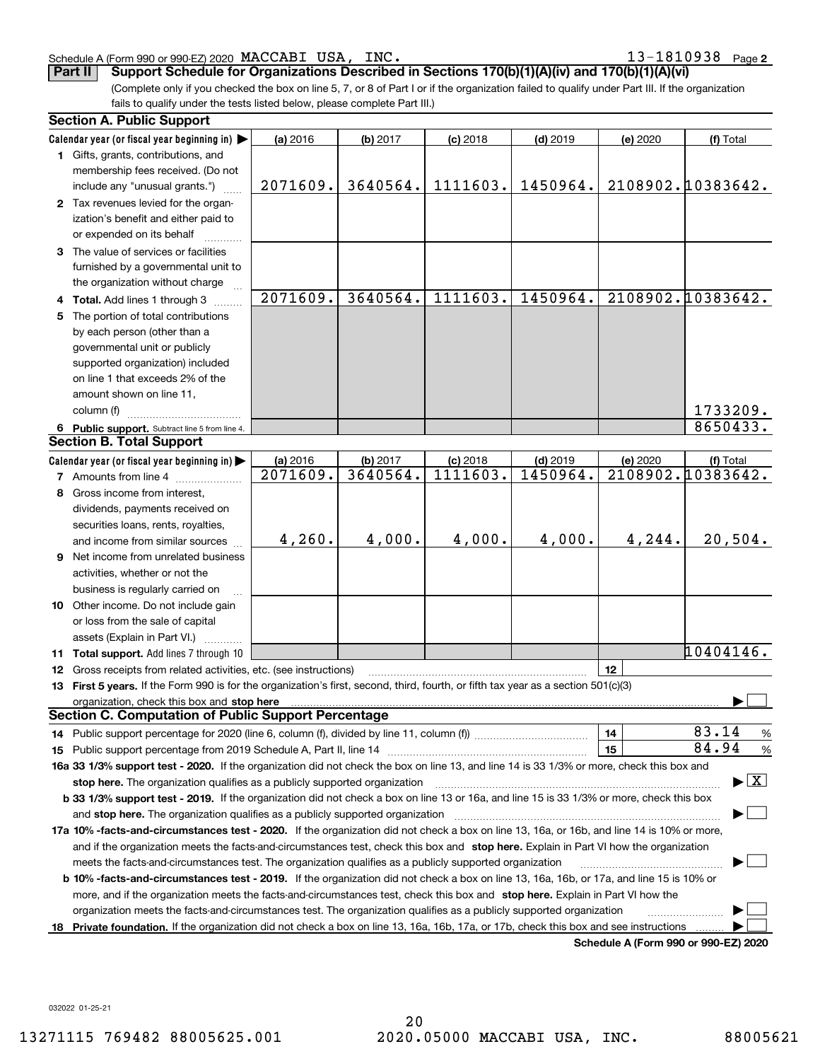### Schedule A (Form 990 or 990-EZ) 2020 Page MACCABI USA, INC. 13-1810938

**2**

**Part II Support Schedule for Organizations Described in Sections 170(b)(1)(A)(iv) and 170(b)(1)(A)(vi)**

(Complete only if you checked the box on line 5, 7, or 8 of Part I or if the organization failed to qualify under Part III. If the organization fails to qualify under the tests listed below, please complete Part III.)

|    | <b>Section A. Public Support</b>                                                                                                               |          |          |            |            |          |                                         |
|----|------------------------------------------------------------------------------------------------------------------------------------------------|----------|----------|------------|------------|----------|-----------------------------------------|
|    | Calendar year (or fiscal year beginning in)                                                                                                    | (a) 2016 | (b) 2017 | $(c)$ 2018 | $(d)$ 2019 | (e) 2020 | (f) Total                               |
|    | 1 Gifts, grants, contributions, and                                                                                                            |          |          |            |            |          |                                         |
|    | membership fees received. (Do not                                                                                                              |          |          |            |            |          |                                         |
|    | include any "unusual grants.")                                                                                                                 | 2071609. | 3640564. | 1111603.   | 1450964.   |          | 2108902.10383642.                       |
|    | 2 Tax revenues levied for the organ-                                                                                                           |          |          |            |            |          |                                         |
|    | ization's benefit and either paid to                                                                                                           |          |          |            |            |          |                                         |
|    | or expended on its behalf                                                                                                                      |          |          |            |            |          |                                         |
|    | 3 The value of services or facilities                                                                                                          |          |          |            |            |          |                                         |
|    | furnished by a governmental unit to                                                                                                            |          |          |            |            |          |                                         |
|    | the organization without charge                                                                                                                |          |          |            |            |          |                                         |
|    | 4 Total. Add lines 1 through 3                                                                                                                 | 2071609. | 3640564. | 1111603.   | 1450964.   |          | 2108902.10383642.                       |
| 5. | The portion of total contributions                                                                                                             |          |          |            |            |          |                                         |
|    | by each person (other than a                                                                                                                   |          |          |            |            |          |                                         |
|    | governmental unit or publicly                                                                                                                  |          |          |            |            |          |                                         |
|    | supported organization) included                                                                                                               |          |          |            |            |          |                                         |
|    | on line 1 that exceeds 2% of the                                                                                                               |          |          |            |            |          |                                         |
|    | amount shown on line 11,                                                                                                                       |          |          |            |            |          |                                         |
|    | column (f)                                                                                                                                     |          |          |            |            |          | 1733209.                                |
|    | 6 Public support. Subtract line 5 from line 4.                                                                                                 |          |          |            |            |          | 8650433.                                |
|    | <b>Section B. Total Support</b>                                                                                                                |          |          |            |            |          |                                         |
|    | Calendar year (or fiscal year beginning in)                                                                                                    | (a) 2016 | (b) 2017 | $(c)$ 2018 | $(d)$ 2019 | (e) 2020 | (f) Total                               |
|    | 7 Amounts from line 4                                                                                                                          | 2071609. | 3640564. | 1111603.   | 1450964.   |          | 2108902.10383642.                       |
|    | 8 Gross income from interest,                                                                                                                  |          |          |            |            |          |                                         |
|    | dividends, payments received on                                                                                                                |          |          |            |            |          |                                         |
|    | securities loans, rents, royalties,                                                                                                            |          |          |            |            |          |                                         |
|    | and income from similar sources                                                                                                                | 4,260.   | 4,000.   | 4,000.     | 4,000.     | 4,244.   | 20,504.                                 |
| 9  | Net income from unrelated business                                                                                                             |          |          |            |            |          |                                         |
|    | activities, whether or not the                                                                                                                 |          |          |            |            |          |                                         |
|    | business is regularly carried on                                                                                                               |          |          |            |            |          |                                         |
|    | 10 Other income. Do not include gain                                                                                                           |          |          |            |            |          |                                         |
|    | or loss from the sale of capital                                                                                                               |          |          |            |            |          |                                         |
|    | assets (Explain in Part VI.)                                                                                                                   |          |          |            |            |          |                                         |
|    | 11 Total support. Add lines 7 through 10                                                                                                       |          |          |            |            |          | 10404146.                               |
|    | 12 Gross receipts from related activities, etc. (see instructions)                                                                             |          |          |            |            | 12       |                                         |
|    | 13 First 5 years. If the Form 990 is for the organization's first, second, third, fourth, or fifth tax year as a section 501(c)(3)             |          |          |            |            |          |                                         |
|    |                                                                                                                                                |          |          |            |            |          |                                         |
|    | <b>Section C. Computation of Public Support Percentage</b>                                                                                     |          |          |            |            |          |                                         |
|    |                                                                                                                                                |          |          |            |            | 14       | 83.14<br>%                              |
|    |                                                                                                                                                |          |          |            |            | 15       | 84.94<br>%                              |
|    | 16a 33 1/3% support test - 2020. If the organization did not check the box on line 13, and line 14 is 33 1/3% or more, check this box and      |          |          |            |            |          |                                         |
|    | stop here. The organization qualifies as a publicly supported organization                                                                     |          |          |            |            |          | $\blacktriangleright$ $\vert$ X $\vert$ |
|    | b 33 1/3% support test - 2019. If the organization did not check a box on line 13 or 16a, and line 15 is 33 1/3% or more, check this box       |          |          |            |            |          |                                         |
|    | and stop here. The organization qualifies as a publicly supported organization                                                                 |          |          |            |            |          |                                         |
|    | 17a 10% -facts-and-circumstances test - 2020. If the organization did not check a box on line 13, 16a, or 16b, and line 14 is 10% or more,     |          |          |            |            |          |                                         |
|    | and if the organization meets the facts-and-circumstances test, check this box and stop here. Explain in Part VI how the organization          |          |          |            |            |          |                                         |
|    | meets the facts-and-circumstances test. The organization qualifies as a publicly supported organization                                        |          |          |            |            |          |                                         |
|    | <b>b 10% -facts-and-circumstances test - 2019.</b> If the organization did not check a box on line 13, 16a, 16b, or 17a, and line 15 is 10% or |          |          |            |            |          |                                         |
|    | more, and if the organization meets the facts-and-circumstances test, check this box and stop here. Explain in Part VI how the                 |          |          |            |            |          |                                         |
|    | organization meets the facts-and-circumstances test. The organization qualifies as a publicly supported organization                           |          |          |            |            |          |                                         |
|    | 18 Private foundation. If the organization did not check a box on line 13, 16a, 16b, 17a, or 17b, check this box and see instructions          |          |          |            |            |          |                                         |
|    |                                                                                                                                                |          |          |            |            |          | Schedule A (Form 990 or 990-F7) 2020    |

**Schedule A (Form 990 or 990-EZ) 2020**

032022 01-25-21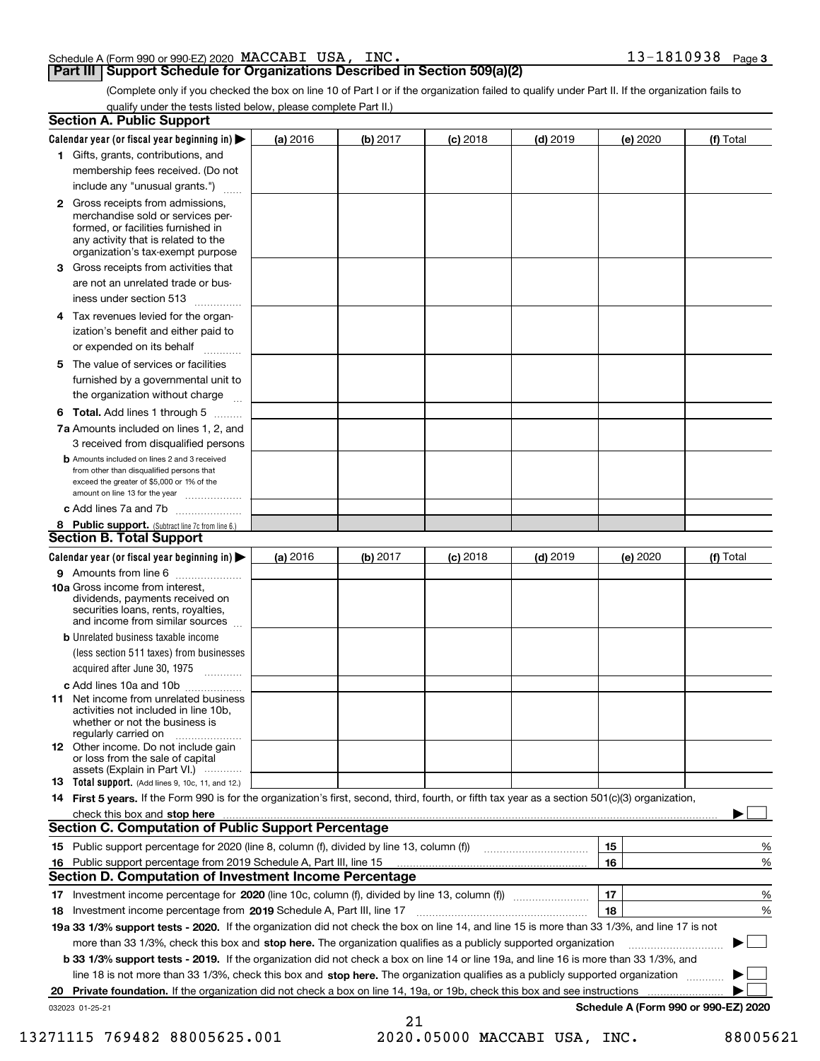|  |  | INC. | $13 - 1810938$ Page 3 |  |
|--|--|------|-----------------------|--|
|  |  |      |                       |  |

## **Part III Support Schedule for Organizations Described in Section 509(a)(2)**

(Complete only if you checked the box on line 10 of Part I or if the organization failed to qualify under Part II. If the organization fails to qualify under the tests listed below, please complete Part II.)

|     | <b>Section A. Public Support</b>                                                                                                                                                                                               |          |          |                 |            |          |                                      |
|-----|--------------------------------------------------------------------------------------------------------------------------------------------------------------------------------------------------------------------------------|----------|----------|-----------------|------------|----------|--------------------------------------|
|     | Calendar year (or fiscal year beginning in) $\blacktriangleright$                                                                                                                                                              | (a) 2016 | (b) 2017 | <b>(c)</b> 2018 | $(d)$ 2019 | (e) 2020 | (f) Total                            |
|     | 1 Gifts, grants, contributions, and                                                                                                                                                                                            |          |          |                 |            |          |                                      |
|     | membership fees received. (Do not                                                                                                                                                                                              |          |          |                 |            |          |                                      |
|     | include any "unusual grants.")                                                                                                                                                                                                 |          |          |                 |            |          |                                      |
|     | <b>2</b> Gross receipts from admissions,<br>merchandise sold or services per-<br>formed, or facilities furnished in<br>any activity that is related to the<br>organization's tax-exempt purpose                                |          |          |                 |            |          |                                      |
|     | 3 Gross receipts from activities that<br>are not an unrelated trade or bus-                                                                                                                                                    |          |          |                 |            |          |                                      |
|     | iness under section 513                                                                                                                                                                                                        |          |          |                 |            |          |                                      |
|     | 4 Tax revenues levied for the organ-<br>ization's benefit and either paid to<br>or expended on its behalf<br>.                                                                                                                 |          |          |                 |            |          |                                      |
|     | 5 The value of services or facilities                                                                                                                                                                                          |          |          |                 |            |          |                                      |
|     | furnished by a governmental unit to<br>the organization without charge                                                                                                                                                         |          |          |                 |            |          |                                      |
|     | <b>6 Total.</b> Add lines 1 through 5 $\dots$                                                                                                                                                                                  |          |          |                 |            |          |                                      |
|     | 7a Amounts included on lines 1, 2, and<br>3 received from disqualified persons                                                                                                                                                 |          |          |                 |            |          |                                      |
|     | <b>b</b> Amounts included on lines 2 and 3 received<br>from other than disqualified persons that<br>exceed the greater of \$5,000 or 1% of the<br>amount on line 13 for the year                                               |          |          |                 |            |          |                                      |
|     | c Add lines 7a and 7b                                                                                                                                                                                                          |          |          |                 |            |          |                                      |
|     | 8 Public support. (Subtract line 7c from line 6.)<br><b>Section B. Total Support</b>                                                                                                                                           |          |          |                 |            |          |                                      |
|     | Calendar year (or fiscal year beginning in)                                                                                                                                                                                    | (a) 2016 | (b) 2017 | <b>(c)</b> 2018 | $(d)$ 2019 | (e) 2020 | (f) Total                            |
|     | 9 Amounts from line 6                                                                                                                                                                                                          |          |          |                 |            |          |                                      |
|     | 10a Gross income from interest,<br>dividends, payments received on<br>securities loans, rents, royalties,<br>and income from similar sources                                                                                   |          |          |                 |            |          |                                      |
|     | <b>b</b> Unrelated business taxable income<br>(less section 511 taxes) from businesses<br>acquired after June 30, 1975 [10001]                                                                                                 |          |          |                 |            |          |                                      |
|     | c Add lines 10a and 10b                                                                                                                                                                                                        |          |          |                 |            |          |                                      |
|     | 11 Net income from unrelated business<br>activities not included in line 10b,<br>whether or not the business is<br>regularly carried on                                                                                        |          |          |                 |            |          |                                      |
|     | <b>12</b> Other income. Do not include gain<br>or loss from the sale of capital<br>assets (Explain in Part VI.)                                                                                                                |          |          |                 |            |          |                                      |
|     | 13 Total support. (Add lines 9, 10c, 11, and 12.)                                                                                                                                                                              |          |          |                 |            |          |                                      |
|     | 14 First 5 years. If the Form 990 is for the organization's first, second, third, fourth, or fifth tax year as a section 501(c)(3) organization,                                                                               |          |          |                 |            |          |                                      |
|     | check this box and stop here measurements and content to the state of the state of the state of the state of the state of the state of the state of the state of the state of the state of the state of the state of the state |          |          |                 |            |          |                                      |
|     | <b>Section C. Computation of Public Support Percentage</b>                                                                                                                                                                     |          |          |                 |            |          |                                      |
|     |                                                                                                                                                                                                                                |          |          |                 |            | 15       | %                                    |
| 16. | Public support percentage from 2019 Schedule A, Part III, line 15                                                                                                                                                              |          |          |                 |            | 16       | %                                    |
|     | <b>Section D. Computation of Investment Income Percentage</b>                                                                                                                                                                  |          |          |                 |            |          |                                      |
|     | 17 Investment income percentage for 2020 (line 10c, column (f), divided by line 13, column (f))                                                                                                                                |          |          |                 |            | 17       | %                                    |
|     | 18 Investment income percentage from 2019 Schedule A, Part III, line 17                                                                                                                                                        |          |          |                 |            | 18       | %                                    |
|     | 19a 33 1/3% support tests - 2020. If the organization did not check the box on line 14, and line 15 is more than 33 1/3%, and line 17 is not                                                                                   |          |          |                 |            |          |                                      |
|     | more than 33 1/3%, check this box and stop here. The organization qualifies as a publicly supported organization                                                                                                               |          |          |                 |            |          | $\sim$ 1                             |
|     | b 33 1/3% support tests - 2019. If the organization did not check a box on line 14 or line 19a, and line 16 is more than 33 1/3%, and                                                                                          |          |          |                 |            |          |                                      |
|     | line 18 is not more than 33 1/3%, check this box and stop here. The organization qualifies as a publicly supported organization                                                                                                |          |          |                 |            |          |                                      |
| 20  | Private foundation. If the organization did not check a box on line 14, 19a, or 19b, check this box and see instructions                                                                                                       |          |          |                 |            |          |                                      |
|     | 032023 01-25-21                                                                                                                                                                                                                |          | 21       |                 |            |          | Schedule A (Form 990 or 990-EZ) 2020 |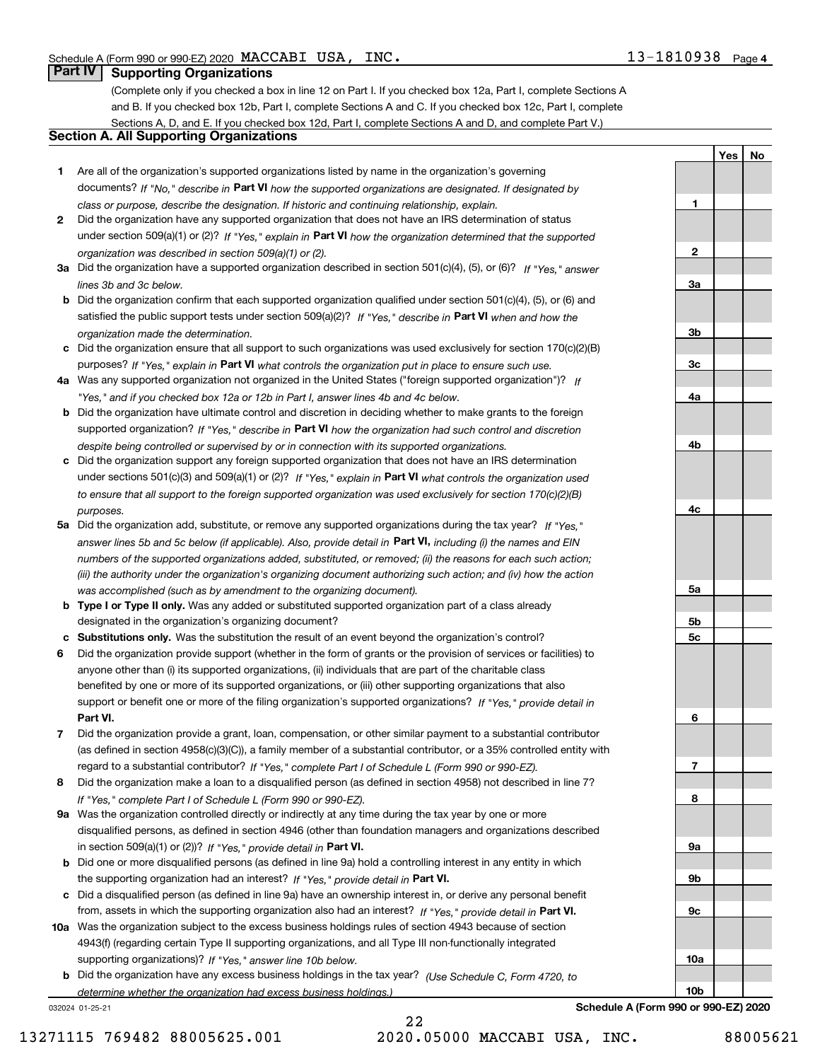**1**

**2**

**3a**

**3b**

**3c**

**4a**

**4b**

**4c**

**5a**

**5b5c**

**6**

**7**

**8**

**9a**

**9b**

**9c**

**10a**

**10b**

**YesNo**

## **Part IV Supporting Organizations**

(Complete only if you checked a box in line 12 on Part I. If you checked box 12a, Part I, complete Sections A and B. If you checked box 12b, Part I, complete Sections A and C. If you checked box 12c, Part I, complete Sections A, D, and E. If you checked box 12d, Part I, complete Sections A and D, and complete Part V.)

## **Section A. All Supporting Organizations**

- **1** Are all of the organization's supported organizations listed by name in the organization's governing documents? If "No," describe in **Part VI** how the supported organizations are designated. If designated by *class or purpose, describe the designation. If historic and continuing relationship, explain.*
- **2** Did the organization have any supported organization that does not have an IRS determination of status under section 509(a)(1) or (2)? If "Yes," explain in Part VI how the organization determined that the supported *organization was described in section 509(a)(1) or (2).*
- **3a** Did the organization have a supported organization described in section 501(c)(4), (5), or (6)? If "Yes," answer *lines 3b and 3c below.*
- **b** Did the organization confirm that each supported organization qualified under section 501(c)(4), (5), or (6) and satisfied the public support tests under section 509(a)(2)? If "Yes," describe in **Part VI** when and how the *organization made the determination.*
- **c**Did the organization ensure that all support to such organizations was used exclusively for section 170(c)(2)(B) purposes? If "Yes," explain in **Part VI** what controls the organization put in place to ensure such use.
- **4a***If* Was any supported organization not organized in the United States ("foreign supported organization")? *"Yes," and if you checked box 12a or 12b in Part I, answer lines 4b and 4c below.*
- **b** Did the organization have ultimate control and discretion in deciding whether to make grants to the foreign supported organization? If "Yes," describe in **Part VI** how the organization had such control and discretion *despite being controlled or supervised by or in connection with its supported organizations.*
- **c** Did the organization support any foreign supported organization that does not have an IRS determination under sections 501(c)(3) and 509(a)(1) or (2)? If "Yes," explain in **Part VI** what controls the organization used *to ensure that all support to the foreign supported organization was used exclusively for section 170(c)(2)(B) purposes.*
- **5a** Did the organization add, substitute, or remove any supported organizations during the tax year? If "Yes," answer lines 5b and 5c below (if applicable). Also, provide detail in **Part VI,** including (i) the names and EIN *numbers of the supported organizations added, substituted, or removed; (ii) the reasons for each such action; (iii) the authority under the organization's organizing document authorizing such action; and (iv) how the action was accomplished (such as by amendment to the organizing document).*
- **b** Type I or Type II only. Was any added or substituted supported organization part of a class already designated in the organization's organizing document?
- **cSubstitutions only.**  Was the substitution the result of an event beyond the organization's control?
- **6** Did the organization provide support (whether in the form of grants or the provision of services or facilities) to **Part VI.** *If "Yes," provide detail in* support or benefit one or more of the filing organization's supported organizations? anyone other than (i) its supported organizations, (ii) individuals that are part of the charitable class benefited by one or more of its supported organizations, or (iii) other supporting organizations that also
- **7**Did the organization provide a grant, loan, compensation, or other similar payment to a substantial contributor *If "Yes," complete Part I of Schedule L (Form 990 or 990-EZ).* regard to a substantial contributor? (as defined in section 4958(c)(3)(C)), a family member of a substantial contributor, or a 35% controlled entity with
- **8** Did the organization make a loan to a disqualified person (as defined in section 4958) not described in line 7? *If "Yes," complete Part I of Schedule L (Form 990 or 990-EZ).*
- **9a** Was the organization controlled directly or indirectly at any time during the tax year by one or more in section 509(a)(1) or (2))? If "Yes," *provide detail in* <code>Part VI.</code> disqualified persons, as defined in section 4946 (other than foundation managers and organizations described
- **b** Did one or more disqualified persons (as defined in line 9a) hold a controlling interest in any entity in which the supporting organization had an interest? If "Yes," provide detail in P**art VI**.
- **c**Did a disqualified person (as defined in line 9a) have an ownership interest in, or derive any personal benefit from, assets in which the supporting organization also had an interest? If "Yes," provide detail in P**art VI.**
- **10a** Was the organization subject to the excess business holdings rules of section 4943 because of section supporting organizations)? If "Yes," answer line 10b below. 4943(f) (regarding certain Type II supporting organizations, and all Type III non-functionally integrated
- **b** Did the organization have any excess business holdings in the tax year? (Use Schedule C, Form 4720, to *determine whether the organization had excess business holdings.)*

032024 01-25-21

**Schedule A (Form 990 or 990-EZ) 2020**

22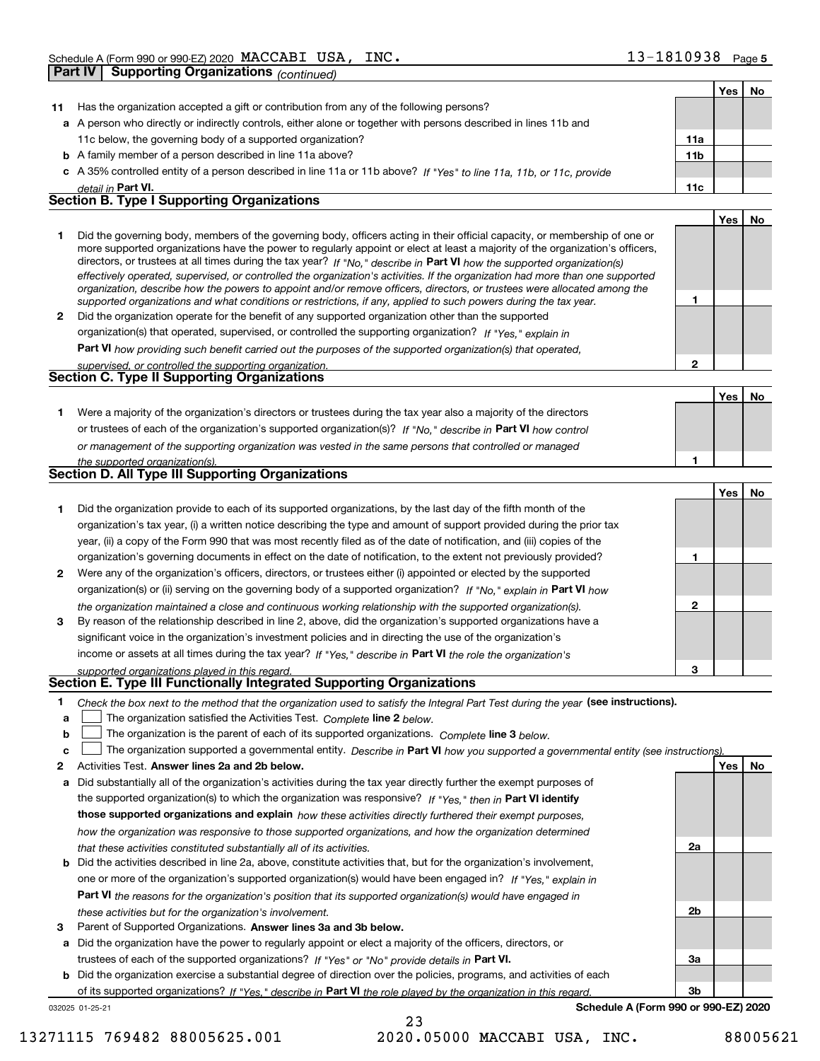|    | - - - - - ອ                                                                                                                                                                                                                                                 |                 |     |    |
|----|-------------------------------------------------------------------------------------------------------------------------------------------------------------------------------------------------------------------------------------------------------------|-----------------|-----|----|
|    |                                                                                                                                                                                                                                                             |                 | Yes | No |
| 11 | Has the organization accepted a gift or contribution from any of the following persons?                                                                                                                                                                     |                 |     |    |
|    | a A person who directly or indirectly controls, either alone or together with persons described in lines 11b and                                                                                                                                            |                 |     |    |
|    | 11c below, the governing body of a supported organization?                                                                                                                                                                                                  | 11a             |     |    |
|    | <b>b</b> A family member of a person described in line 11a above?                                                                                                                                                                                           | 11 <sub>b</sub> |     |    |
|    | c A 35% controlled entity of a person described in line 11a or 11b above? If "Yes" to line 11a, 11b, or 11c, provide                                                                                                                                        |                 |     |    |
|    | detail in Part VI.<br><b>Section B. Type I Supporting Organizations</b>                                                                                                                                                                                     | 11c             |     |    |
|    |                                                                                                                                                                                                                                                             |                 |     |    |
|    |                                                                                                                                                                                                                                                             |                 | Yes | No |
| 1  | Did the governing body, members of the governing body, officers acting in their official capacity, or membership of one or<br>more supported organizations have the power to regularly appoint or elect at least a majority of the organization's officers, |                 |     |    |
|    | directors, or trustees at all times during the tax year? If "No," describe in Part VI how the supported organization(s)                                                                                                                                     |                 |     |    |
|    | effectively operated, supervised, or controlled the organization's activities. If the organization had more than one supported                                                                                                                              |                 |     |    |
|    | organization, describe how the powers to appoint and/or remove officers, directors, or trustees were allocated among the                                                                                                                                    |                 |     |    |
|    | supported organizations and what conditions or restrictions, if any, applied to such powers during the tax year.                                                                                                                                            | 1               |     |    |
| 2  | Did the organization operate for the benefit of any supported organization other than the supported                                                                                                                                                         |                 |     |    |
|    | organization(s) that operated, supervised, or controlled the supporting organization? If "Yes," explain in                                                                                                                                                  |                 |     |    |
|    | <b>Part VI</b> how providing such benefit carried out the purposes of the supported organization(s) that operated,                                                                                                                                          |                 |     |    |
|    | supervised, or controlled the supporting organization.                                                                                                                                                                                                      | $\mathbf{2}$    |     |    |
|    | Section C. Type II Supporting Organizations                                                                                                                                                                                                                 |                 |     |    |
|    |                                                                                                                                                                                                                                                             |                 | Yes | No |
| 1. | Were a majority of the organization's directors or trustees during the tax year also a majority of the directors                                                                                                                                            |                 |     |    |
|    | or trustees of each of the organization's supported organization(s)? If "No," describe in Part VI how control                                                                                                                                               |                 |     |    |
|    | or management of the supporting organization was vested in the same persons that controlled or managed                                                                                                                                                      |                 |     |    |
|    | the supported organization(s).                                                                                                                                                                                                                              | 1               |     |    |
|    | <b>Section D. All Type III Supporting Organizations</b>                                                                                                                                                                                                     |                 |     |    |
|    |                                                                                                                                                                                                                                                             |                 | Yes | No |
| 1  | Did the organization provide to each of its supported organizations, by the last day of the fifth month of the                                                                                                                                              |                 |     |    |
|    | organization's tax year, (i) a written notice describing the type and amount of support provided during the prior tax                                                                                                                                       |                 |     |    |
|    | year, (ii) a copy of the Form 990 that was most recently filed as of the date of notification, and (iii) copies of the                                                                                                                                      |                 |     |    |
|    | organization's governing documents in effect on the date of notification, to the extent not previously provided?                                                                                                                                            | 1               |     |    |
| 2  | Were any of the organization's officers, directors, or trustees either (i) appointed or elected by the supported                                                                                                                                            |                 |     |    |
|    | organization(s) or (ii) serving on the governing body of a supported organization? If "No," explain in Part VI how                                                                                                                                          |                 |     |    |
|    | the organization maintained a close and continuous working relationship with the supported organization(s).                                                                                                                                                 | $\mathbf{2}$    |     |    |
| 3  | By reason of the relationship described in line 2, above, did the organization's supported organizations have a                                                                                                                                             |                 |     |    |
|    | significant voice in the organization's investment policies and in directing the use of the organization's                                                                                                                                                  |                 |     |    |
|    | income or assets at all times during the tax year? If "Yes," describe in Part VI the role the organization's                                                                                                                                                |                 |     |    |
|    | supported organizations played in this regard.                                                                                                                                                                                                              | з               |     |    |
|    | <b>Section E. Type III Functionally Integrated Supporting Organizations</b>                                                                                                                                                                                 |                 |     |    |
| 1  | Check the box next to the method that the organization used to satisfy the Integral Part Test during the year (see instructions).                                                                                                                           |                 |     |    |
| a  | The organization satisfied the Activities Test. Complete line 2 below.                                                                                                                                                                                      |                 |     |    |
| b  | The organization is the parent of each of its supported organizations. Complete line 3 below.                                                                                                                                                               |                 |     |    |
| c  | The organization supported a governmental entity. Describe in Part VI how you supported a governmental entity (see instructions)                                                                                                                            |                 |     |    |
| 2  | Activities Test. Answer lines 2a and 2b below.                                                                                                                                                                                                              |                 | Yes | No |
| а  | Did substantially all of the organization's activities during the tax year directly further the exempt purposes of                                                                                                                                          |                 |     |    |
|    | the supported organization(s) to which the organization was responsive? If "Yes," then in Part VI identify                                                                                                                                                  |                 |     |    |
|    | those supported organizations and explain how these activities directly furthered their exempt purposes,                                                                                                                                                    |                 |     |    |
|    | how the organization was responsive to those supported organizations, and how the organization determined                                                                                                                                                   |                 |     |    |
|    | that these activities constituted substantially all of its activities.                                                                                                                                                                                      | 2a              |     |    |
| b  | Did the activities described in line 2a, above, constitute activities that, but for the organization's involvement,                                                                                                                                         |                 |     |    |
|    | one or more of the organization's supported organization(s) would have been engaged in? If "Yes," explain in                                                                                                                                                |                 |     |    |
|    | Part VI the reasons for the organization's position that its supported organization(s) would have engaged in                                                                                                                                                |                 |     |    |
|    | these activities but for the organization's involvement.                                                                                                                                                                                                    | 2b              |     |    |
| з  | Parent of Supported Organizations. Answer lines 3a and 3b below.                                                                                                                                                                                            |                 |     |    |
| а  | Did the organization have the power to regularly appoint or elect a majority of the officers, directors, or                                                                                                                                                 |                 |     |    |

**b** Did the organization exercise a substantial degree of direction over the policies, programs, and activities of each trustees of each of the supported organizations? If "Yes" or "No" provide details in **Part VI.** of its supported organizations? If "Yes," describe in Part VI the role played by the organization in this regard.

032025 01-25-21

**Schedule A (Form 990 or 990-EZ) 2020**

**3a**

**3b**

23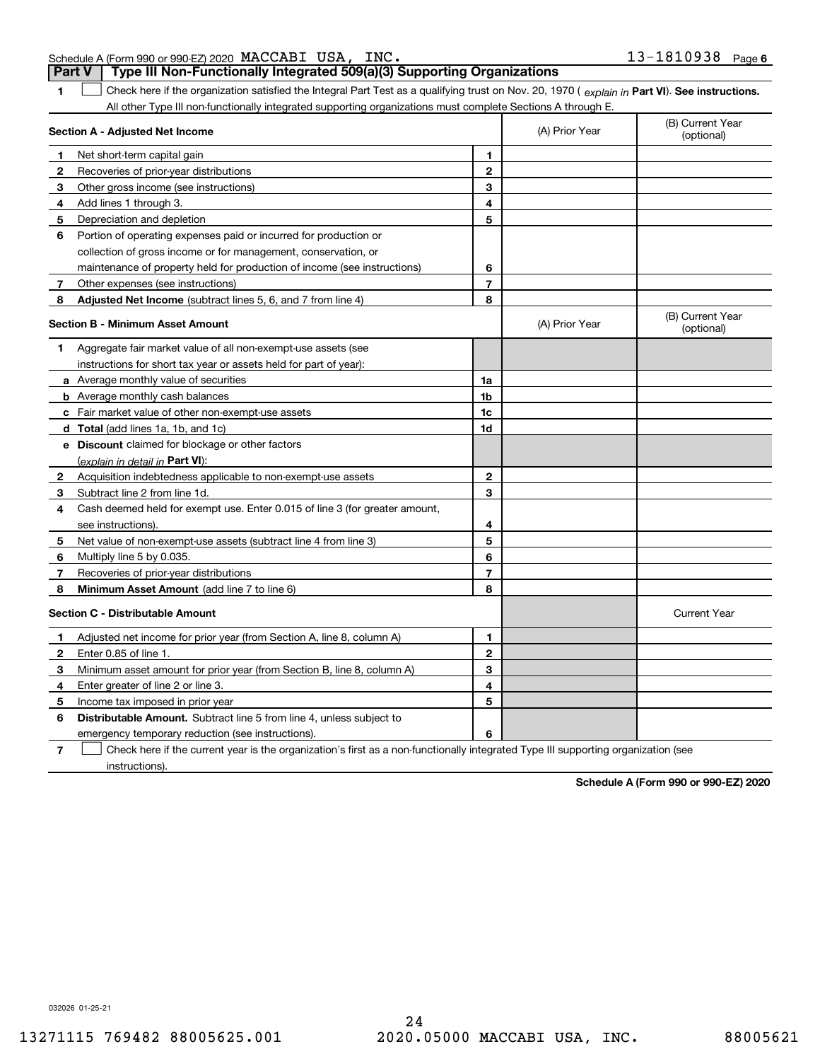| Schedule A (Form 990 or 990-EZ) 2020 $\,$ $\rm MACCABI$ $\,$ $\rm USA$ , $\,$ $\,$ $\rm INC$ . |  | $13 - 1810938$ Page 6                                                            |  |
|------------------------------------------------------------------------------------------------|--|----------------------------------------------------------------------------------|--|
|                                                                                                |  | Part V   Type III Non-Functionally Integrated 509(a)(3) Supporting Organizations |  |

**1Part VI** Check here if the organization satisfied the Integral Part Test as a qualifying trust on Nov. 20, 1970 ( explain in Part **VI**). See instructions. All other Type III non-functionally integrated supporting organizations must complete Sections A through E.  $\mathcal{L}^{\text{max}}$ 

| Section A - Adjusted Net Income |                                                                             |                | (A) Prior Year | (B) Current Year<br>(optional) |
|---------------------------------|-----------------------------------------------------------------------------|----------------|----------------|--------------------------------|
| п.                              | Net short-term capital gain                                                 | $\blacksquare$ |                |                                |
| 2                               | Recoveries of prior-year distributions                                      | $\mathbf 2$    |                |                                |
| З                               | Other gross income (see instructions)                                       | 3              |                |                                |
| 4                               | Add lines 1 through 3.                                                      | 4              |                |                                |
| 5                               | Depreciation and depletion                                                  | 5              |                |                                |
| 6                               | Portion of operating expenses paid or incurred for production or            |                |                |                                |
|                                 | collection of gross income or for management, conservation, or              |                |                |                                |
|                                 | maintenance of property held for production of income (see instructions)    | 6              |                |                                |
| 7                               | Other expenses (see instructions)                                           | $\overline{7}$ |                |                                |
| 8                               | Adjusted Net Income (subtract lines 5, 6, and 7 from line 4)                | 8              |                |                                |
|                                 | <b>Section B - Minimum Asset Amount</b>                                     |                | (A) Prior Year | (B) Current Year<br>(optional) |
| 1                               | Aggregate fair market value of all non-exempt-use assets (see               |                |                |                                |
|                                 | instructions for short tax year or assets held for part of year):           |                |                |                                |
|                                 | a Average monthly value of securities                                       | 1a             |                |                                |
|                                 | <b>b</b> Average monthly cash balances                                      | 1b             |                |                                |
|                                 | c Fair market value of other non-exempt-use assets                          | 1c             |                |                                |
|                                 | d Total (add lines 1a, 1b, and 1c)                                          | 1d             |                |                                |
|                                 | e Discount claimed for blockage or other factors                            |                |                |                                |
|                                 | (explain in detail in Part VI):                                             |                |                |                                |
| 2                               | Acquisition indebtedness applicable to non-exempt-use assets                | $\overline{2}$ |                |                                |
| З                               | Subtract line 2 from line 1d.                                               | 3              |                |                                |
| 4                               | Cash deemed held for exempt use. Enter 0.015 of line 3 (for greater amount, |                |                |                                |
|                                 | see instructions).                                                          | 4              |                |                                |
| 5                               | Net value of non-exempt-use assets (subtract line 4 from line 3)            | 5              |                |                                |
| 6                               | Multiply line 5 by 0.035.                                                   | 6              |                |                                |
| 7                               | Recoveries of prior-year distributions                                      | $\overline{7}$ |                |                                |
| 8                               | Minimum Asset Amount (add line 7 to line 6)                                 | 8              |                |                                |
|                                 | <b>Section C - Distributable Amount</b>                                     |                |                | <b>Current Year</b>            |
| 1                               | Adjusted net income for prior year (from Section A, line 8, column A)       | 1              |                |                                |
| $\mathbf{2}$                    | Enter 0.85 of line 1.                                                       | $\mathbf{2}$   |                |                                |
| 3                               | Minimum asset amount for prior year (from Section B, line 8, column A)      | 3              |                |                                |
| 4                               | Enter greater of line 2 or line 3.                                          | 4              |                |                                |
| 5                               | Income tax imposed in prior year                                            | 5              |                |                                |
| 6                               | <b>Distributable Amount.</b> Subtract line 5 from line 4, unless subject to |                |                |                                |
|                                 | emergency temporary reduction (see instructions).                           | 6              |                |                                |
|                                 | $\sim$ $\sim$ $\sim$ $\sim$                                                 |                |                |                                |

**7**Check here if the current year is the organization's first as a non-functionally integrated Type III supporting organization (see instructions).

**Schedule A (Form 990 or 990-EZ) 2020**

032026 01-25-21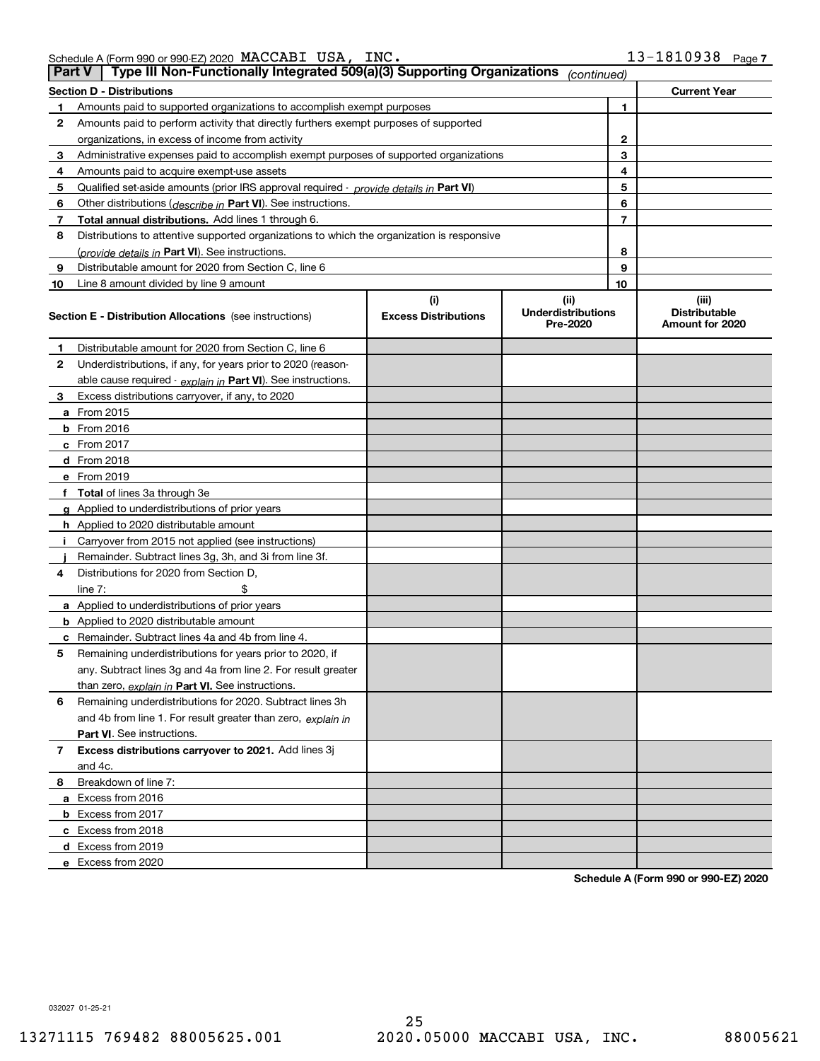| Schedule A (Form 990 or 990-EZ) 2020 $\texttt{MACCABI}$ | USA, | INC. | 1810938 | Page, |
|---------------------------------------------------------|------|------|---------|-------|
|                                                         |      |      |         |       |

|    | Type III Non-Functionally Integrated 509(a)(3) Supporting Organizations<br>∣ Part V ∣<br>(continued) |                             |                                       |    |                                         |  |  |  |  |
|----|------------------------------------------------------------------------------------------------------|-----------------------------|---------------------------------------|----|-----------------------------------------|--|--|--|--|
|    | Section D - Distributions<br><b>Current Year</b>                                                     |                             |                                       |    |                                         |  |  |  |  |
| 1  | Amounts paid to supported organizations to accomplish exempt purposes                                |                             | 1                                     |    |                                         |  |  |  |  |
| 2  | Amounts paid to perform activity that directly furthers exempt purposes of supported                 |                             |                                       |    |                                         |  |  |  |  |
|    | organizations, in excess of income from activity                                                     |                             | 2                                     |    |                                         |  |  |  |  |
| 3  | Administrative expenses paid to accomplish exempt purposes of supported organizations                |                             |                                       | 3  |                                         |  |  |  |  |
| 4  | Amounts paid to acquire exempt-use assets                                                            |                             |                                       | 4  |                                         |  |  |  |  |
| 5  | Qualified set-aside amounts (prior IRS approval required - provide details in Part VI)               |                             |                                       | 5  |                                         |  |  |  |  |
| 6  | Other distributions (describe in Part VI). See instructions.                                         |                             |                                       | 6  |                                         |  |  |  |  |
| 7  | Total annual distributions. Add lines 1 through 6.                                                   |                             |                                       | 7  |                                         |  |  |  |  |
| 8  | Distributions to attentive supported organizations to which the organization is responsive           |                             |                                       |    |                                         |  |  |  |  |
|    | (provide details in Part VI). See instructions.                                                      |                             |                                       | 8  |                                         |  |  |  |  |
| 9  | Distributable amount for 2020 from Section C, line 6                                                 |                             |                                       | 9  |                                         |  |  |  |  |
| 10 | Line 8 amount divided by line 9 amount                                                               |                             |                                       | 10 |                                         |  |  |  |  |
|    |                                                                                                      | (i)                         | (ii)                                  |    | (iii)                                   |  |  |  |  |
|    | <b>Section E - Distribution Allocations</b> (see instructions)                                       | <b>Excess Distributions</b> | <b>Underdistributions</b><br>Pre-2020 |    | <b>Distributable</b><br>Amount for 2020 |  |  |  |  |
| 1  | Distributable amount for 2020 from Section C, line 6                                                 |                             |                                       |    |                                         |  |  |  |  |
| 2  | Underdistributions, if any, for years prior to 2020 (reason-                                         |                             |                                       |    |                                         |  |  |  |  |
|    | able cause required - explain in Part VI). See instructions.                                         |                             |                                       |    |                                         |  |  |  |  |
| 3  | Excess distributions carryover, if any, to 2020                                                      |                             |                                       |    |                                         |  |  |  |  |
|    | a From 2015                                                                                          |                             |                                       |    |                                         |  |  |  |  |
|    | <b>b</b> From 2016                                                                                   |                             |                                       |    |                                         |  |  |  |  |
|    | c From 2017                                                                                          |                             |                                       |    |                                         |  |  |  |  |
|    | d From 2018                                                                                          |                             |                                       |    |                                         |  |  |  |  |
|    | e From 2019                                                                                          |                             |                                       |    |                                         |  |  |  |  |
|    | f Total of lines 3a through 3e                                                                       |                             |                                       |    |                                         |  |  |  |  |
|    | g Applied to underdistributions of prior years                                                       |                             |                                       |    |                                         |  |  |  |  |
|    | <b>h</b> Applied to 2020 distributable amount                                                        |                             |                                       |    |                                         |  |  |  |  |
|    | Carryover from 2015 not applied (see instructions)                                                   |                             |                                       |    |                                         |  |  |  |  |
|    | Remainder. Subtract lines 3g, 3h, and 3i from line 3f.                                               |                             |                                       |    |                                         |  |  |  |  |
| 4  | Distributions for 2020 from Section D,                                                               |                             |                                       |    |                                         |  |  |  |  |
|    | line $7:$                                                                                            |                             |                                       |    |                                         |  |  |  |  |
|    | a Applied to underdistributions of prior years                                                       |                             |                                       |    |                                         |  |  |  |  |
|    | <b>b</b> Applied to 2020 distributable amount                                                        |                             |                                       |    |                                         |  |  |  |  |
|    | c Remainder. Subtract lines 4a and 4b from line 4.                                                   |                             |                                       |    |                                         |  |  |  |  |
| 5. | Remaining underdistributions for years prior to 2020, if                                             |                             |                                       |    |                                         |  |  |  |  |
|    | any. Subtract lines 3g and 4a from line 2. For result greater                                        |                             |                                       |    |                                         |  |  |  |  |
|    | than zero, explain in Part VI. See instructions.                                                     |                             |                                       |    |                                         |  |  |  |  |
| 6  | Remaining underdistributions for 2020. Subtract lines 3h                                             |                             |                                       |    |                                         |  |  |  |  |
|    | and 4b from line 1. For result greater than zero, explain in                                         |                             |                                       |    |                                         |  |  |  |  |
|    | Part VI. See instructions.                                                                           |                             |                                       |    |                                         |  |  |  |  |
| 7  | Excess distributions carryover to 2021. Add lines 3j                                                 |                             |                                       |    |                                         |  |  |  |  |
|    | and 4c.                                                                                              |                             |                                       |    |                                         |  |  |  |  |
| 8  | Breakdown of line 7:                                                                                 |                             |                                       |    |                                         |  |  |  |  |
|    | a Excess from 2016                                                                                   |                             |                                       |    |                                         |  |  |  |  |
|    | <b>b</b> Excess from 2017                                                                            |                             |                                       |    |                                         |  |  |  |  |
|    | c Excess from 2018                                                                                   |                             |                                       |    |                                         |  |  |  |  |
|    | d Excess from 2019                                                                                   |                             |                                       |    |                                         |  |  |  |  |
|    | e Excess from 2020                                                                                   |                             |                                       |    |                                         |  |  |  |  |

**Schedule A (Form 990 or 990-EZ) 2020**

032027 01-25-21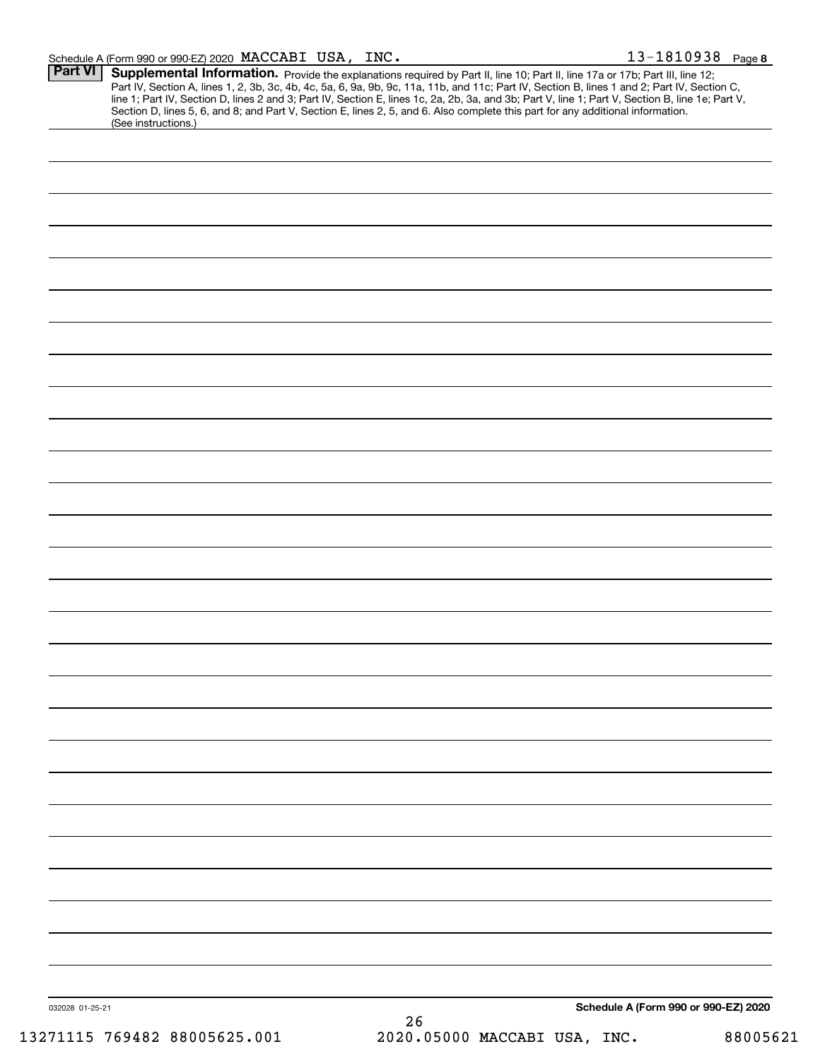| Schedule A (Form 990 or 990-EZ) 2020 MACCABI            | USA, | INC. |  | -09.<br>. O. I.<br>J J J O | Page 8 |
|---------------------------------------------------------|------|------|--|----------------------------|--------|
| D <sub>2</sub> rt VI<br>$\Box$ Cunnlamental Information |      |      |  |                            |        |

| (See instructions.) |  | line 1; Part IV, Section D, lines 2 and 3; Part IV, Section E, lines 1c, 2a, 2b, 3a, and 3b; Part V, line 1; Part V, Section B, line 1e; Part V,<br>Section D, lines 5, 6, and 8; and Part V, Section E, lines 2, 5, and 6. Also complete this part for any additional information. |  |
|---------------------|--|-------------------------------------------------------------------------------------------------------------------------------------------------------------------------------------------------------------------------------------------------------------------------------------|--|
|                     |  |                                                                                                                                                                                                                                                                                     |  |
|                     |  |                                                                                                                                                                                                                                                                                     |  |
|                     |  |                                                                                                                                                                                                                                                                                     |  |
|                     |  |                                                                                                                                                                                                                                                                                     |  |
|                     |  |                                                                                                                                                                                                                                                                                     |  |
|                     |  |                                                                                                                                                                                                                                                                                     |  |
|                     |  |                                                                                                                                                                                                                                                                                     |  |
|                     |  |                                                                                                                                                                                                                                                                                     |  |
|                     |  |                                                                                                                                                                                                                                                                                     |  |
|                     |  |                                                                                                                                                                                                                                                                                     |  |
|                     |  |                                                                                                                                                                                                                                                                                     |  |
|                     |  |                                                                                                                                                                                                                                                                                     |  |
|                     |  |                                                                                                                                                                                                                                                                                     |  |
|                     |  |                                                                                                                                                                                                                                                                                     |  |
|                     |  |                                                                                                                                                                                                                                                                                     |  |
|                     |  |                                                                                                                                                                                                                                                                                     |  |
|                     |  |                                                                                                                                                                                                                                                                                     |  |
|                     |  |                                                                                                                                                                                                                                                                                     |  |
|                     |  |                                                                                                                                                                                                                                                                                     |  |
|                     |  |                                                                                                                                                                                                                                                                                     |  |
|                     |  |                                                                                                                                                                                                                                                                                     |  |
|                     |  |                                                                                                                                                                                                                                                                                     |  |
|                     |  |                                                                                                                                                                                                                                                                                     |  |
|                     |  |                                                                                                                                                                                                                                                                                     |  |
|                     |  |                                                                                                                                                                                                                                                                                     |  |
|                     |  |                                                                                                                                                                                                                                                                                     |  |
|                     |  |                                                                                                                                                                                                                                                                                     |  |
|                     |  |                                                                                                                                                                                                                                                                                     |  |
|                     |  |                                                                                                                                                                                                                                                                                     |  |
|                     |  |                                                                                                                                                                                                                                                                                     |  |
|                     |  |                                                                                                                                                                                                                                                                                     |  |
|                     |  |                                                                                                                                                                                                                                                                                     |  |
|                     |  |                                                                                                                                                                                                                                                                                     |  |
|                     |  |                                                                                                                                                                                                                                                                                     |  |
|                     |  | Schedule A (Form 990 or 990-EZ) 2020                                                                                                                                                                                                                                                |  |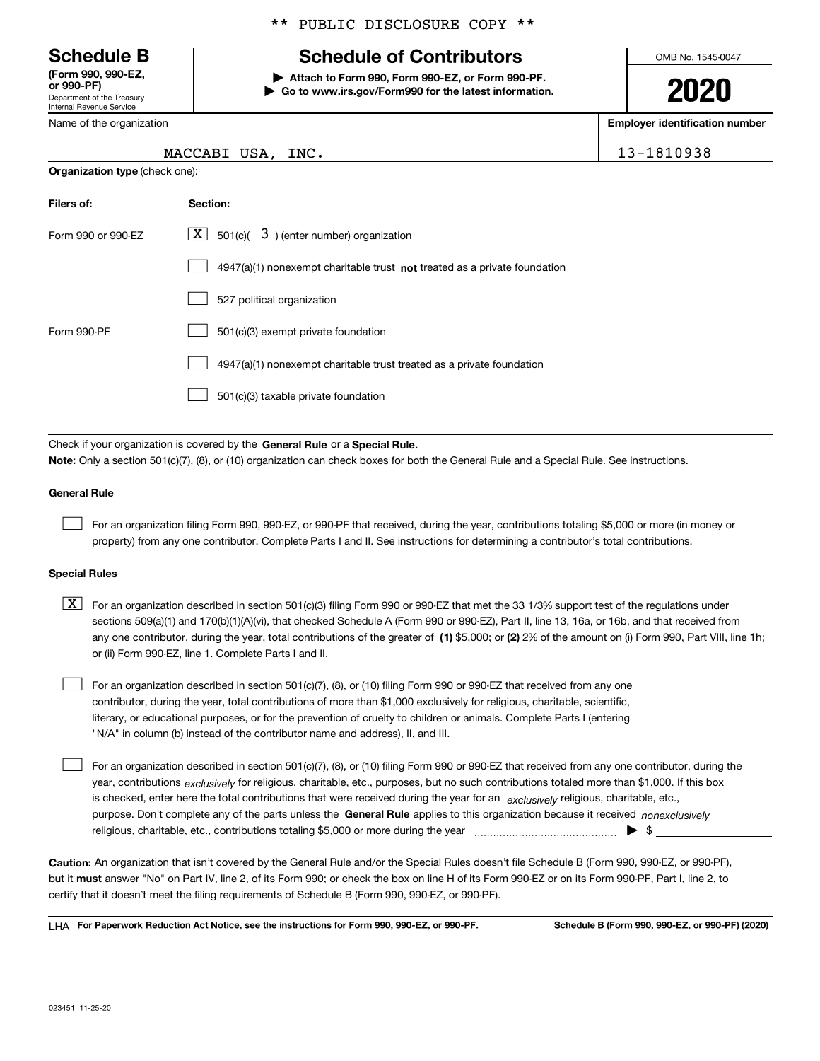Department of the Treasury Internal Revenue Service **(Form 990, 990-EZ, or 990-PF)**

Name of the organization

**Organization type** (check one):

## \*\* PUBLIC DISCLOSURE COPY \*\*

# **Schedule B Schedule of Contributors**

**| Attach to Form 990, Form 990-EZ, or Form 990-PF. | Go to www.irs.gov/Form990 for the latest information.** OMB No. 1545-0047

**2020**

**Employer identification number**

13-1810938

| Filers of:         | <b>Section:</b>                                                             |
|--------------------|-----------------------------------------------------------------------------|
| Form 990 or 990-EZ | $ \mathbf{X} $ 501(c)( 3) (enter number) organization                       |
|                    | $4947(a)(1)$ nonexempt charitable trust not treated as a private foundation |
|                    | 527 political organization                                                  |
| Form 990-PF        | 501(c)(3) exempt private foundation                                         |
|                    | 4947(a)(1) nonexempt charitable trust treated as a private foundation       |
|                    | 501(c)(3) taxable private foundation                                        |

Check if your organization is covered by the **General Rule** or a **Special Rule. Note:**  Only a section 501(c)(7), (8), or (10) organization can check boxes for both the General Rule and a Special Rule. See instructions.

## **General Rule**

 $\mathcal{L}^{\text{max}}$ 

For an organization filing Form 990, 990-EZ, or 990-PF that received, during the year, contributions totaling \$5,000 or more (in money or property) from any one contributor. Complete Parts I and II. See instructions for determining a contributor's total contributions.

#### **Special Rules**

any one contributor, during the year, total contributions of the greater of  $\,$  (1) \$5,000; or **(2)** 2% of the amount on (i) Form 990, Part VIII, line 1h;  $\boxed{\textbf{X}}$  For an organization described in section 501(c)(3) filing Form 990 or 990-EZ that met the 33 1/3% support test of the regulations under sections 509(a)(1) and 170(b)(1)(A)(vi), that checked Schedule A (Form 990 or 990-EZ), Part II, line 13, 16a, or 16b, and that received from or (ii) Form 990-EZ, line 1. Complete Parts I and II.

For an organization described in section 501(c)(7), (8), or (10) filing Form 990 or 990-EZ that received from any one contributor, during the year, total contributions of more than \$1,000 exclusively for religious, charitable, scientific, literary, or educational purposes, or for the prevention of cruelty to children or animals. Complete Parts I (entering "N/A" in column (b) instead of the contributor name and address), II, and III.  $\mathcal{L}^{\text{max}}$ 

purpose. Don't complete any of the parts unless the **General Rule** applies to this organization because it received *nonexclusively* year, contributions <sub>exclusively</sub> for religious, charitable, etc., purposes, but no such contributions totaled more than \$1,000. If this box is checked, enter here the total contributions that were received during the year for an  $\;$ exclusively religious, charitable, etc., For an organization described in section 501(c)(7), (8), or (10) filing Form 990 or 990-EZ that received from any one contributor, during the religious, charitable, etc., contributions totaling \$5,000 or more during the year  $\Box$ — $\Box$   $\Box$  $\mathcal{L}^{\text{max}}$ 

**Caution:**  An organization that isn't covered by the General Rule and/or the Special Rules doesn't file Schedule B (Form 990, 990-EZ, or 990-PF),  **must** but it answer "No" on Part IV, line 2, of its Form 990; or check the box on line H of its Form 990-EZ or on its Form 990-PF, Part I, line 2, to certify that it doesn't meet the filing requirements of Schedule B (Form 990, 990-EZ, or 990-PF).

**For Paperwork Reduction Act Notice, see the instructions for Form 990, 990-EZ, or 990-PF. Schedule B (Form 990, 990-EZ, or 990-PF) (2020)** LHA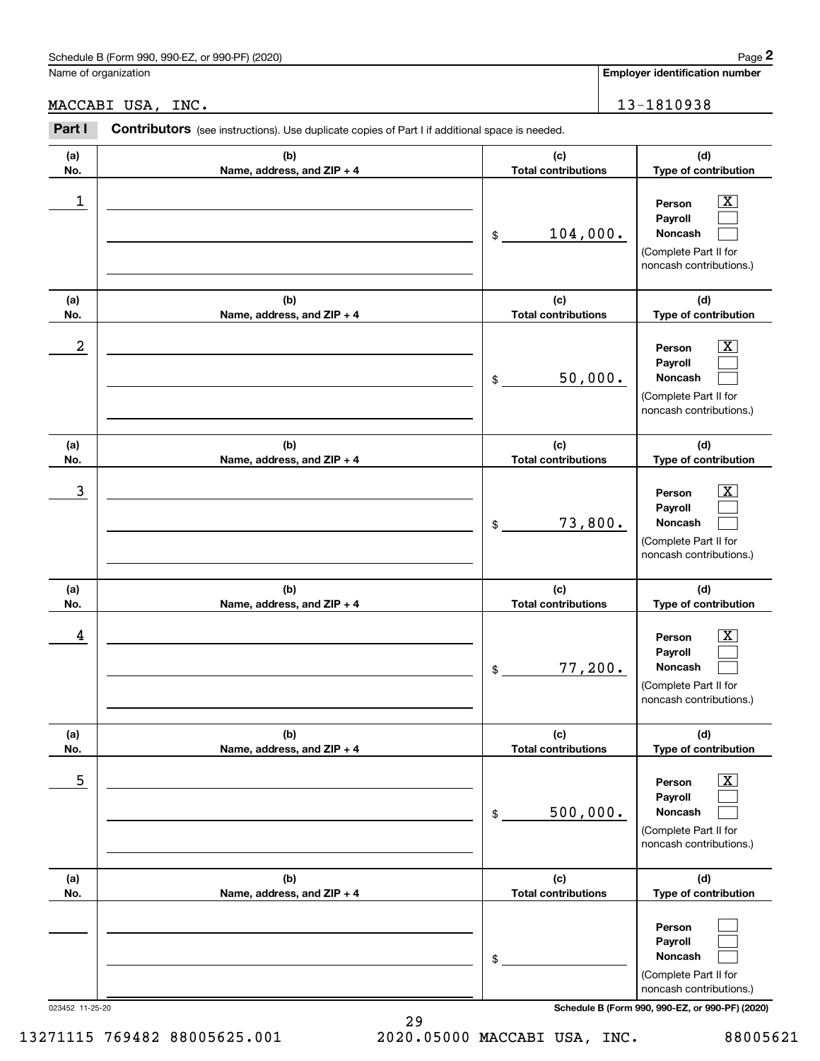# Schedule B (Form 990, 990-EZ, or 990-PF) (2020) Page 2

## MACCABI USA, INC. 13-1810938

|                      | Schedule B (Form 990, 990-EZ, or 990-PF) (2020)                                                |                                   | Page 2                                                                                                                              |
|----------------------|------------------------------------------------------------------------------------------------|-----------------------------------|-------------------------------------------------------------------------------------------------------------------------------------|
| Name of organization |                                                                                                |                                   | <b>Employer identification number</b>                                                                                               |
|                      | MACCABI USA, INC.                                                                              |                                   | 13-1810938                                                                                                                          |
| Part I               | Contributors (see instructions). Use duplicate copies of Part I if additional space is needed. |                                   |                                                                                                                                     |
| (a)<br>No.           | (b)<br>Name, address, and ZIP + 4                                                              | (c)<br><b>Total contributions</b> | (d)<br>Type of contribution                                                                                                         |
| 1                    |                                                                                                | 104,000.<br>\$                    | $\overline{\mathbf{X}}$<br>Person<br>Payroll<br>Noncash<br>(Complete Part II for<br>noncash contributions.)                         |
| (a)<br>No.           | (b)<br>Name, address, and ZIP + 4                                                              | (c)<br><b>Total contributions</b> | (d)<br>Type of contribution                                                                                                         |
| 2                    |                                                                                                | 50,000.<br>\$                     | X<br>Person<br>Payroll<br>Noncash<br>(Complete Part II for<br>noncash contributions.)                                               |
| (a)<br>No.           | (b)<br>Name, address, and ZIP + 4                                                              | (c)<br><b>Total contributions</b> | (d)<br>Type of contribution                                                                                                         |
| 3                    |                                                                                                | 73,800.<br>\$                     | X<br>Person<br>Payroll<br>Noncash<br>(Complete Part II for<br>noncash contributions.)                                               |
| (a)<br>No.           | (b)<br>Name, address, and ZIP + 4                                                              | (c)<br><b>Total contributions</b> | (d)<br>Type of contribution                                                                                                         |
| 4                    |                                                                                                | 77,200.<br>\$                     | $\mathbf{X}$<br>Person<br>Payroll<br>Noncash<br>(Complete Part II for<br>noncash contributions.)                                    |
| (a)<br>No.           | (b)<br>Name, address, and ZIP + 4                                                              | (c)<br><b>Total contributions</b> | (d)<br>Type of contribution                                                                                                         |
| 5                    |                                                                                                | 500,000.<br>\$                    | $\overline{\mathbf{X}}$<br>Person<br>Payroll<br>Noncash<br>(Complete Part II for<br>noncash contributions.)                         |
| (a)<br>No.           | (b)<br>Name, address, and ZIP + 4                                                              | (c)<br><b>Total contributions</b> | (d)<br>Type of contribution                                                                                                         |
| 023452 11-25-20      |                                                                                                | \$                                | Person<br>Payroll<br>Noncash<br>(Complete Part II for<br>noncash contributions.)<br>Schedule B (Form 990, 990-EZ, or 990-PF) (2020) |

29 13271115 769482 88005625.001 2020.05000 MACCABI USA, INC. 88005621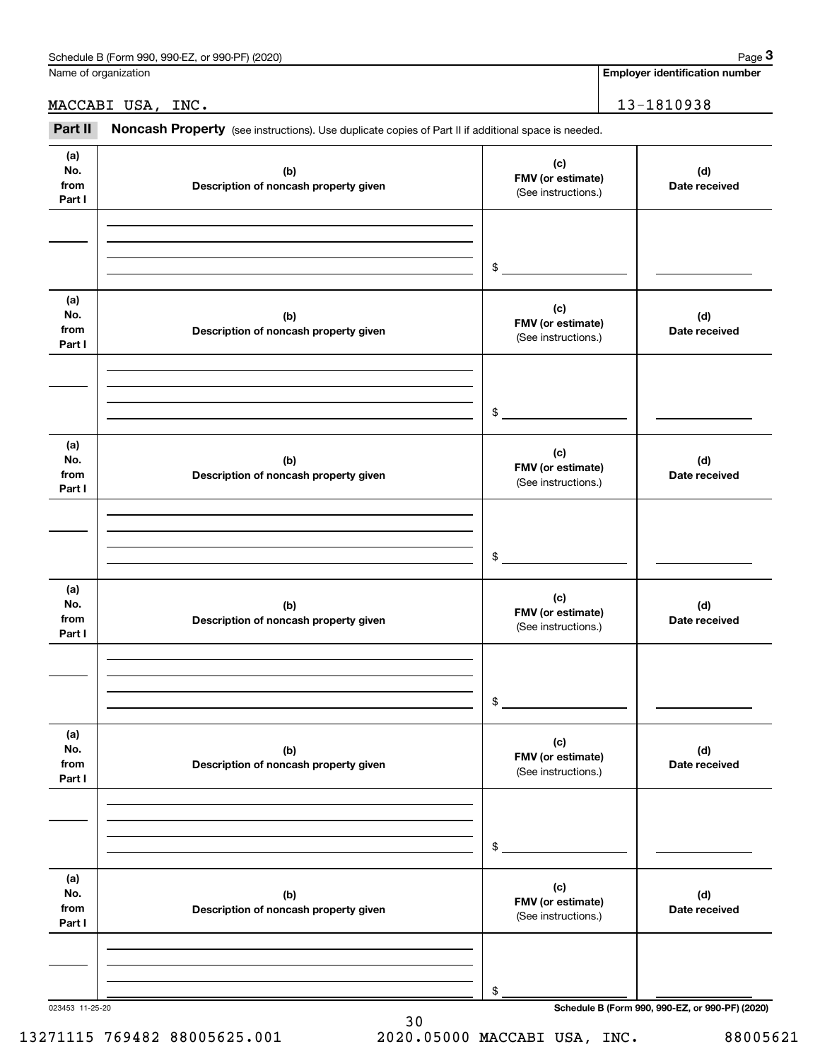| Schedule<br>or 990-PF<br>(2020)<br>990-EZ<br>: B (Form<br>990. | Page |
|----------------------------------------------------------------|------|
|                                                                |      |

Name of organization

**Employer identification number**

MACCABI USA, INC. 13-1810938

Employer identification Page 3<br>
Iame of organization<br> **13-1810938**<br> **28 Part II Noncash Property** (see instructions). Use duplicate copies of Part II if additional space is needed.

| (a)<br>No.<br>from<br>Part I | (b)<br>Description of noncash property given | (c)<br>FMV (or estimate)<br>(See instructions.) | (d)<br>Date received                            |
|------------------------------|----------------------------------------------|-------------------------------------------------|-------------------------------------------------|
|                              |                                              | $\frac{1}{2}$                                   |                                                 |
| (a)<br>No.<br>from<br>Part I | (b)<br>Description of noncash property given | (c)<br>FMV (or estimate)<br>(See instructions.) | (d)<br>Date received                            |
|                              |                                              | $\mathfrak s$                                   |                                                 |
| (a)<br>No.<br>from<br>Part I | (b)<br>Description of noncash property given | (c)<br>FMV (or estimate)<br>(See instructions.) | (d)<br>Date received                            |
|                              |                                              | $\mathfrak s$                                   |                                                 |
| (a)<br>No.<br>from<br>Part I | (b)<br>Description of noncash property given | (c)<br>FMV (or estimate)<br>(See instructions.) | (d)<br>Date received                            |
|                              |                                              | $\frac{1}{2}$                                   |                                                 |
| (a)<br>No.<br>from<br>Part I | (b)<br>Description of noncash property given | (c)<br>FMV (or estimate)<br>(See instructions.) | (d)<br>Date received                            |
|                              |                                              | \$                                              |                                                 |
| (a)<br>No.<br>from<br>Part I | (b)<br>Description of noncash property given | (c)<br>FMV (or estimate)<br>(See instructions.) | (d)<br>Date received                            |
|                              |                                              | \$                                              |                                                 |
| 023453 11-25-20              |                                              |                                                 | Schedule B (Form 990, 990-EZ, or 990-PF) (2020) |

## 13271115 769482 88005625.001 2020.05000 MACCABI USA, INC. 88005621

30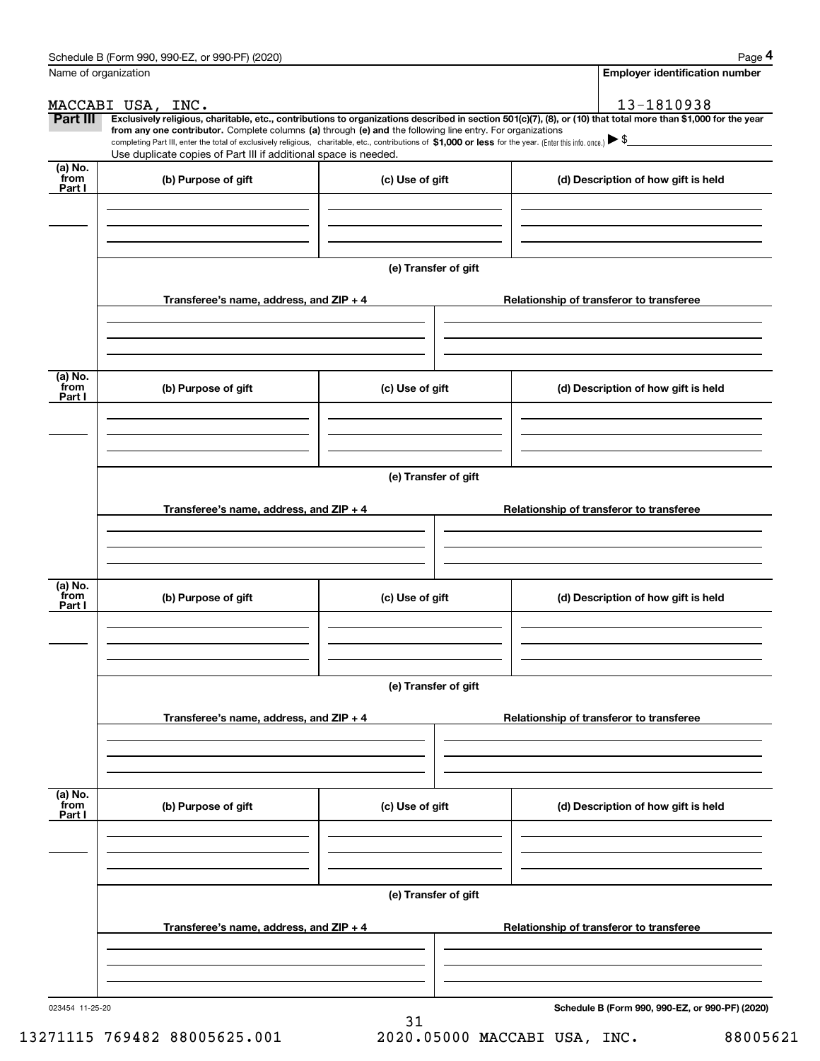|                      | Schedule B (Form 990, 990-EZ, or 990-PF) (2020)                                                                                                                                   |                      | Page 4                                                                                                                                                         |  |  |  |  |  |
|----------------------|-----------------------------------------------------------------------------------------------------------------------------------------------------------------------------------|----------------------|----------------------------------------------------------------------------------------------------------------------------------------------------------------|--|--|--|--|--|
| Name of organization |                                                                                                                                                                                   |                      | <b>Employer identification number</b>                                                                                                                          |  |  |  |  |  |
|                      | MACCABI USA, INC.                                                                                                                                                                 |                      | 13-1810938                                                                                                                                                     |  |  |  |  |  |
| Part III             | from any one contributor. Complete columns (a) through (e) and the following line entry. For organizations                                                                        |                      | Exclusively religious, charitable, etc., contributions to organizations described in section 501(c)(7), (8), or (10) that total more than \$1,000 for the year |  |  |  |  |  |
|                      | completing Part III, enter the total of exclusively religious, charitable, etc., contributions of \$1,000 or less for the year. (Enter this info. once.) $\blacktriangleright$ \$ |                      |                                                                                                                                                                |  |  |  |  |  |
| (a) No.              | Use duplicate copies of Part III if additional space is needed.                                                                                                                   |                      |                                                                                                                                                                |  |  |  |  |  |
| from<br>Part I       | (b) Purpose of gift                                                                                                                                                               | (c) Use of gift      | (d) Description of how gift is held                                                                                                                            |  |  |  |  |  |
|                      |                                                                                                                                                                                   |                      |                                                                                                                                                                |  |  |  |  |  |
|                      |                                                                                                                                                                                   |                      |                                                                                                                                                                |  |  |  |  |  |
|                      |                                                                                                                                                                                   |                      |                                                                                                                                                                |  |  |  |  |  |
|                      |                                                                                                                                                                                   | (e) Transfer of gift |                                                                                                                                                                |  |  |  |  |  |
|                      |                                                                                                                                                                                   |                      |                                                                                                                                                                |  |  |  |  |  |
|                      | Transferee's name, address, and ZIP + 4                                                                                                                                           |                      | Relationship of transferor to transferee                                                                                                                       |  |  |  |  |  |
|                      |                                                                                                                                                                                   |                      |                                                                                                                                                                |  |  |  |  |  |
|                      |                                                                                                                                                                                   |                      |                                                                                                                                                                |  |  |  |  |  |
|                      |                                                                                                                                                                                   |                      |                                                                                                                                                                |  |  |  |  |  |
| (a) No.<br>from      | (b) Purpose of gift                                                                                                                                                               | (c) Use of gift      | (d) Description of how gift is held                                                                                                                            |  |  |  |  |  |
| Part I               |                                                                                                                                                                                   |                      |                                                                                                                                                                |  |  |  |  |  |
|                      |                                                                                                                                                                                   |                      |                                                                                                                                                                |  |  |  |  |  |
|                      |                                                                                                                                                                                   |                      |                                                                                                                                                                |  |  |  |  |  |
|                      |                                                                                                                                                                                   |                      |                                                                                                                                                                |  |  |  |  |  |
|                      | (e) Transfer of gift                                                                                                                                                              |                      |                                                                                                                                                                |  |  |  |  |  |
|                      | Transferee's name, address, and ZIP + 4                                                                                                                                           |                      | Relationship of transferor to transferee                                                                                                                       |  |  |  |  |  |
|                      |                                                                                                                                                                                   |                      |                                                                                                                                                                |  |  |  |  |  |
|                      |                                                                                                                                                                                   |                      |                                                                                                                                                                |  |  |  |  |  |
|                      |                                                                                                                                                                                   |                      |                                                                                                                                                                |  |  |  |  |  |
| (a) No.<br>from      | (b) Purpose of gift                                                                                                                                                               | (c) Use of gift      | (d) Description of how gift is held                                                                                                                            |  |  |  |  |  |
| Part I               |                                                                                                                                                                                   |                      |                                                                                                                                                                |  |  |  |  |  |
|                      |                                                                                                                                                                                   |                      |                                                                                                                                                                |  |  |  |  |  |
|                      |                                                                                                                                                                                   |                      |                                                                                                                                                                |  |  |  |  |  |
|                      |                                                                                                                                                                                   | (e) Transfer of gift |                                                                                                                                                                |  |  |  |  |  |
|                      |                                                                                                                                                                                   |                      |                                                                                                                                                                |  |  |  |  |  |
|                      | Transferee's name, address, and $ZIP + 4$                                                                                                                                         |                      | Relationship of transferor to transferee                                                                                                                       |  |  |  |  |  |
|                      |                                                                                                                                                                                   |                      |                                                                                                                                                                |  |  |  |  |  |
|                      |                                                                                                                                                                                   |                      |                                                                                                                                                                |  |  |  |  |  |
|                      |                                                                                                                                                                                   |                      |                                                                                                                                                                |  |  |  |  |  |
| (a) No.<br>from      | (b) Purpose of gift                                                                                                                                                               | (c) Use of gift      | (d) Description of how gift is held                                                                                                                            |  |  |  |  |  |
| Part I               |                                                                                                                                                                                   |                      |                                                                                                                                                                |  |  |  |  |  |
|                      |                                                                                                                                                                                   |                      |                                                                                                                                                                |  |  |  |  |  |
|                      |                                                                                                                                                                                   |                      |                                                                                                                                                                |  |  |  |  |  |
|                      | (e) Transfer of gift                                                                                                                                                              |                      |                                                                                                                                                                |  |  |  |  |  |
|                      |                                                                                                                                                                                   |                      |                                                                                                                                                                |  |  |  |  |  |
|                      | Transferee's name, address, and $ZIP + 4$                                                                                                                                         |                      | Relationship of transferor to transferee                                                                                                                       |  |  |  |  |  |
|                      |                                                                                                                                                                                   |                      |                                                                                                                                                                |  |  |  |  |  |
|                      |                                                                                                                                                                                   |                      |                                                                                                                                                                |  |  |  |  |  |
|                      |                                                                                                                                                                                   |                      |                                                                                                                                                                |  |  |  |  |  |
| 023454 11-25-20      |                                                                                                                                                                                   |                      | Schedule B (Form 990, 990-EZ, or 990-PF) (2020)                                                                                                                |  |  |  |  |  |

31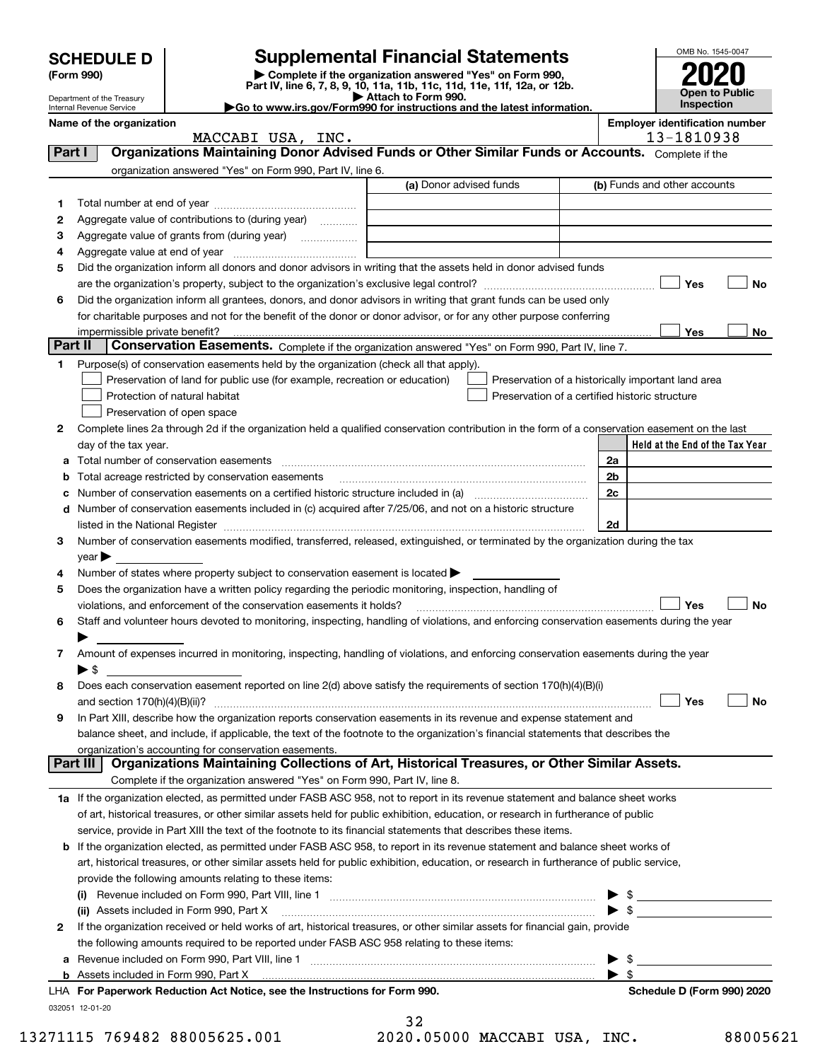| <b>Supplemental Financial Statements</b><br><b>SCHEDULE D</b> |                                |                                                                                                                                                                                                                                                                                                                                                                   |                         | OMB No. 1545-0047                                  |                          |                                                     |
|---------------------------------------------------------------|--------------------------------|-------------------------------------------------------------------------------------------------------------------------------------------------------------------------------------------------------------------------------------------------------------------------------------------------------------------------------------------------------------------|-------------------------|----------------------------------------------------|--------------------------|-----------------------------------------------------|
|                                                               | (Form 990)                     | Complete if the organization answered "Yes" on Form 990,                                                                                                                                                                                                                                                                                                          |                         |                                                    |                          |                                                     |
|                                                               | Department of the Treasury     | Part IV, line 6, 7, 8, 9, 10, 11a, 11b, 11c, 11d, 11e, 11f, 12a, or 12b.                                                                                                                                                                                                                                                                                          | Attach to Form 990.     |                                                    |                          | <b>Open to Public</b>                               |
|                                                               | Internal Revenue Service       | Go to www.irs.gov/Form990 for instructions and the latest information.                                                                                                                                                                                                                                                                                            |                         |                                                    |                          | Inspection                                          |
|                                                               | Name of the organization       | MACCABI USA, INC.                                                                                                                                                                                                                                                                                                                                                 |                         |                                                    |                          | <b>Employer identification number</b><br>13-1810938 |
| Part I                                                        |                                | Organizations Maintaining Donor Advised Funds or Other Similar Funds or Accounts. Complete if the                                                                                                                                                                                                                                                                 |                         |                                                    |                          |                                                     |
|                                                               |                                | organization answered "Yes" on Form 990, Part IV, line 6.                                                                                                                                                                                                                                                                                                         |                         |                                                    |                          |                                                     |
|                                                               |                                |                                                                                                                                                                                                                                                                                                                                                                   | (a) Donor advised funds |                                                    |                          | (b) Funds and other accounts                        |
| 1                                                             |                                |                                                                                                                                                                                                                                                                                                                                                                   |                         |                                                    |                          |                                                     |
| 2                                                             |                                | Aggregate value of contributions to (during year)                                                                                                                                                                                                                                                                                                                 |                         |                                                    |                          |                                                     |
| З                                                             |                                | Aggregate value of grants from (during year)                                                                                                                                                                                                                                                                                                                      |                         |                                                    |                          |                                                     |
| 4                                                             |                                |                                                                                                                                                                                                                                                                                                                                                                   |                         |                                                    |                          |                                                     |
| 5                                                             |                                | Did the organization inform all donors and donor advisors in writing that the assets held in donor advised funds                                                                                                                                                                                                                                                  |                         |                                                    |                          |                                                     |
|                                                               |                                |                                                                                                                                                                                                                                                                                                                                                                   |                         |                                                    |                          | Yes<br>No                                           |
| 6                                                             |                                | Did the organization inform all grantees, donors, and donor advisors in writing that grant funds can be used only                                                                                                                                                                                                                                                 |                         |                                                    |                          |                                                     |
|                                                               |                                | for charitable purposes and not for the benefit of the donor or donor advisor, or for any other purpose conferring                                                                                                                                                                                                                                                |                         |                                                    |                          |                                                     |
|                                                               | impermissible private benefit? |                                                                                                                                                                                                                                                                                                                                                                   |                         |                                                    |                          | Yes<br>No                                           |
| Part II                                                       |                                | Conservation Easements. Complete if the organization answered "Yes" on Form 990, Part IV, line 7.                                                                                                                                                                                                                                                                 |                         |                                                    |                          |                                                     |
| 1                                                             |                                | Purpose(s) of conservation easements held by the organization (check all that apply).                                                                                                                                                                                                                                                                             |                         |                                                    |                          |                                                     |
|                                                               |                                | Preservation of land for public use (for example, recreation or education)                                                                                                                                                                                                                                                                                        |                         | Preservation of a historically important land area |                          |                                                     |
|                                                               |                                | Protection of natural habitat                                                                                                                                                                                                                                                                                                                                     |                         | Preservation of a certified historic structure     |                          |                                                     |
|                                                               |                                | Preservation of open space                                                                                                                                                                                                                                                                                                                                        |                         |                                                    |                          |                                                     |
| 2                                                             |                                | Complete lines 2a through 2d if the organization held a qualified conservation contribution in the form of a conservation easement on the last                                                                                                                                                                                                                    |                         |                                                    |                          |                                                     |
|                                                               | day of the tax year.           |                                                                                                                                                                                                                                                                                                                                                                   |                         |                                                    |                          | Held at the End of the Tax Year                     |
| а                                                             |                                |                                                                                                                                                                                                                                                                                                                                                                   |                         |                                                    | 2a                       |                                                     |
| b                                                             |                                | Total acreage restricted by conservation easements                                                                                                                                                                                                                                                                                                                |                         |                                                    | 2b                       |                                                     |
| с                                                             |                                | Number of conservation easements on a certified historic structure included in (a) manufacture included in (a)<br>Number of conservation easements included in (c) acquired after 7/25/06, and not on a historic structure                                                                                                                                        |                         |                                                    | 2c                       |                                                     |
| d                                                             |                                |                                                                                                                                                                                                                                                                                                                                                                   |                         |                                                    | 2d                       |                                                     |
| З                                                             |                                | listed in the National Register [111] Marshall Register [11] Marshall Register [11] Marshall Register [11] Marshall Register [11] Marshall Register [11] Marshall Register [11] Marshall Register [11] Marshall Register [11]<br>Number of conservation easements modified, transferred, released, extinguished, or terminated by the organization during the tax |                         |                                                    |                          |                                                     |
|                                                               | $year \triangleright$          |                                                                                                                                                                                                                                                                                                                                                                   |                         |                                                    |                          |                                                     |
| 4                                                             |                                | Number of states where property subject to conservation easement is located                                                                                                                                                                                                                                                                                       |                         |                                                    |                          |                                                     |
| 5                                                             |                                | Does the organization have a written policy regarding the periodic monitoring, inspection, handling of                                                                                                                                                                                                                                                            |                         |                                                    |                          |                                                     |
|                                                               |                                | violations, and enforcement of the conservation easements it holds?                                                                                                                                                                                                                                                                                               |                         |                                                    |                          | Yes<br>No                                           |
| 6                                                             |                                | Staff and volunteer hours devoted to monitoring, inspecting, handling of violations, and enforcing conservation easements during the year                                                                                                                                                                                                                         |                         |                                                    |                          |                                                     |
|                                                               |                                |                                                                                                                                                                                                                                                                                                                                                                   |                         |                                                    |                          |                                                     |
| 7                                                             |                                | Amount of expenses incurred in monitoring, inspecting, handling of violations, and enforcing conservation easements during the year                                                                                                                                                                                                                               |                         |                                                    |                          |                                                     |
|                                                               | ▶\$                            |                                                                                                                                                                                                                                                                                                                                                                   |                         |                                                    |                          |                                                     |
| 8                                                             |                                | Does each conservation easement reported on line 2(d) above satisfy the requirements of section 170(h)(4)(B)(i)                                                                                                                                                                                                                                                   |                         |                                                    |                          |                                                     |
|                                                               |                                |                                                                                                                                                                                                                                                                                                                                                                   |                         |                                                    |                          | Yes<br>No                                           |
| 9                                                             |                                | In Part XIII, describe how the organization reports conservation easements in its revenue and expense statement and                                                                                                                                                                                                                                               |                         |                                                    |                          |                                                     |
|                                                               |                                | balance sheet, and include, if applicable, the text of the footnote to the organization's financial statements that describes the                                                                                                                                                                                                                                 |                         |                                                    |                          |                                                     |
|                                                               |                                | organization's accounting for conservation easements.                                                                                                                                                                                                                                                                                                             |                         |                                                    |                          |                                                     |
|                                                               | Part III                       | Organizations Maintaining Collections of Art, Historical Treasures, or Other Similar Assets.                                                                                                                                                                                                                                                                      |                         |                                                    |                          |                                                     |
|                                                               |                                | Complete if the organization answered "Yes" on Form 990, Part IV, line 8.                                                                                                                                                                                                                                                                                         |                         |                                                    |                          |                                                     |
|                                                               |                                | 1a If the organization elected, as permitted under FASB ASC 958, not to report in its revenue statement and balance sheet works                                                                                                                                                                                                                                   |                         |                                                    |                          |                                                     |
|                                                               |                                | of art, historical treasures, or other similar assets held for public exhibition, education, or research in furtherance of public                                                                                                                                                                                                                                 |                         |                                                    |                          |                                                     |
|                                                               |                                | service, provide in Part XIII the text of the footnote to its financial statements that describes these items.                                                                                                                                                                                                                                                    |                         |                                                    |                          |                                                     |
| b                                                             |                                | If the organization elected, as permitted under FASB ASC 958, to report in its revenue statement and balance sheet works of                                                                                                                                                                                                                                       |                         |                                                    |                          |                                                     |
|                                                               |                                | art, historical treasures, or other similar assets held for public exhibition, education, or research in furtherance of public service,                                                                                                                                                                                                                           |                         |                                                    |                          |                                                     |
|                                                               |                                | provide the following amounts relating to these items:                                                                                                                                                                                                                                                                                                            |                         |                                                    |                          |                                                     |
|                                                               |                                | (ii) Assets included in Form 990, Part X [11] [12] Assets included in Form 990, Part X                                                                                                                                                                                                                                                                            |                         |                                                    |                          | $\triangleright$ \$                                 |
| 2                                                             |                                | If the organization received or held works of art, historical treasures, or other similar assets for financial gain, provide                                                                                                                                                                                                                                      |                         |                                                    |                          |                                                     |
|                                                               |                                | the following amounts required to be reported under FASB ASC 958 relating to these items:                                                                                                                                                                                                                                                                         |                         |                                                    |                          |                                                     |
| a                                                             |                                |                                                                                                                                                                                                                                                                                                                                                                   |                         |                                                    |                          |                                                     |
|                                                               |                                |                                                                                                                                                                                                                                                                                                                                                                   |                         |                                                    | $\blacktriangleright$ \$ |                                                     |
|                                                               |                                | LHA For Paperwork Reduction Act Notice, see the Instructions for Form 990.                                                                                                                                                                                                                                                                                        |                         |                                                    |                          | Schedule D (Form 990) 2020                          |
|                                                               | 032051 12-01-20                |                                                                                                                                                                                                                                                                                                                                                                   |                         |                                                    |                          |                                                     |
|                                                               |                                |                                                                                                                                                                                                                                                                                                                                                                   | 32                      |                                                    |                          |                                                     |

|  | -- |  |  |                 |
|--|----|--|--|-----------------|
|  |    |  |  | 20.05000 MACCAB |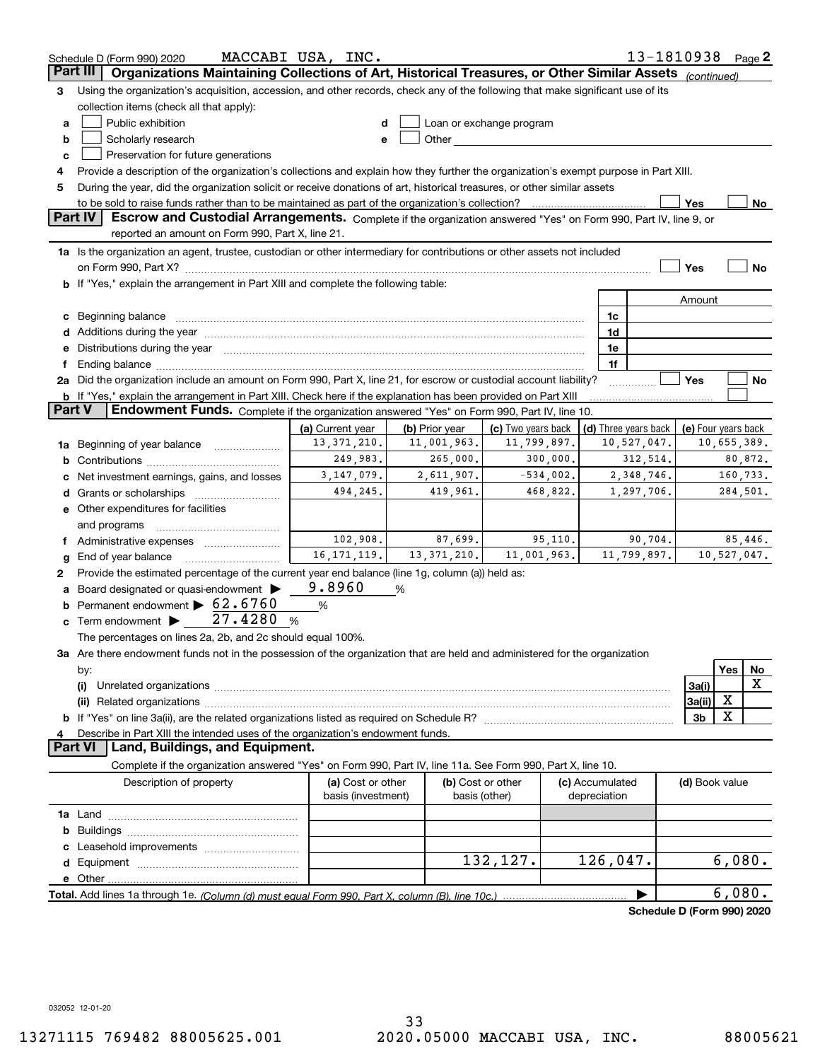|        | Schedule D (Form 990) 2020                                                                                                                                                                                                     | MACCABI USA, INC.  |                |                          |                 | 13-1810938 Page 2          |                          |             |         |
|--------|--------------------------------------------------------------------------------------------------------------------------------------------------------------------------------------------------------------------------------|--------------------|----------------|--------------------------|-----------------|----------------------------|--------------------------|-------------|---------|
|        | Organizations Maintaining Collections of Art, Historical Treasures, or Other Similar Assets (continued)<br>Part III                                                                                                            |                    |                |                          |                 |                            |                          |             |         |
| З      | Using the organization's acquisition, accession, and other records, check any of the following that make significant use of its                                                                                                |                    |                |                          |                 |                            |                          |             |         |
|        | collection items (check all that apply):                                                                                                                                                                                       |                    |                |                          |                 |                            |                          |             |         |
| a      | Public exhibition                                                                                                                                                                                                              |                    |                | Loan or exchange program |                 |                            |                          |             |         |
| b      | Scholarly research                                                                                                                                                                                                             | e                  |                |                          |                 |                            |                          |             |         |
| c      | Preservation for future generations                                                                                                                                                                                            |                    |                |                          |                 |                            |                          |             |         |
| 4      | Provide a description of the organization's collections and explain how they further the organization's exempt purpose in Part XIII.                                                                                           |                    |                |                          |                 |                            |                          |             |         |
| 5      | During the year, did the organization solicit or receive donations of art, historical treasures, or other similar assets                                                                                                       |                    |                |                          |                 |                            |                          |             |         |
|        | to be sold to raise funds rather than to be maintained as part of the organization's collection?                                                                                                                               |                    |                |                          |                 |                            | Yes                      |             | No      |
|        | <b>Part IV</b><br>Escrow and Custodial Arrangements. Complete if the organization answered "Yes" on Form 990, Part IV, line 9, or<br>reported an amount on Form 990, Part X, line 21.                                          |                    |                |                          |                 |                            |                          |             |         |
|        | 1a Is the organization an agent, trustee, custodian or other intermediary for contributions or other assets not included                                                                                                       |                    |                |                          |                 |                            |                          |             |         |
|        |                                                                                                                                                                                                                                |                    |                |                          |                 |                            | Yes                      |             | No      |
|        | b If "Yes," explain the arrangement in Part XIII and complete the following table:                                                                                                                                             |                    |                |                          |                 |                            |                          |             |         |
|        |                                                                                                                                                                                                                                |                    |                |                          |                 |                            | Amount                   |             |         |
|        | Beginning balance material continuum contracts and contact the contract of the contract of the contract of the                                                                                                                 |                    |                |                          | 1c              |                            |                          |             |         |
|        | Additions during the year manufactured and an annual contract of the year manufactured and all the year manufactured and all the year manufactured and all the year manufactured and all the year manufactured and all the yea |                    |                |                          | 1d              |                            |                          |             |         |
|        | Distributions during the year manufactured and continuum and contained and the year manufactured and contained                                                                                                                 |                    |                |                          | 1e              |                            |                          |             |         |
|        | Ending balance manufactured and contact the contract of the contract of the contract of the contract of the contract of the contract of the contract of the contract of the contract of the contract of the contract of the co |                    |                |                          | 1f              |                            |                          |             |         |
|        | 2a Did the organization include an amount on Form 990, Part X, line 21, for escrow or custodial account liability?                                                                                                             |                    |                |                          |                 |                            | Yes                      |             | No      |
|        | <b>b</b> If "Yes," explain the arrangement in Part XIII. Check here if the explanation has been provided on Part XIII                                                                                                          |                    |                |                          |                 |                            |                          |             |         |
| Part V | <b>Endowment Funds.</b> Complete if the organization answered "Yes" on Form 990, Part IV, line 10.                                                                                                                             |                    |                |                          |                 |                            |                          |             |         |
|        |                                                                                                                                                                                                                                | (a) Current year   | (b) Prior year | (c) Two years back       |                 | (d) Three years back       | (e) Four years back      |             |         |
| 1a     | Beginning of year balance                                                                                                                                                                                                      | 13, 371, 210.      | 11,001,963.    | 11,799,897.              |                 | 10,527,047.                |                          | 10,655,389. |         |
| b      |                                                                                                                                                                                                                                | 249,983.           | 265,000.       | 300,000.                 |                 | 312,514.                   |                          |             | 80,872. |
|        | Net investment earnings, gains, and losses                                                                                                                                                                                     | 3, 147, 079.       | 2,611,907.     | $-534,002.$              |                 | 2,348,746.                 |                          | 160,733.    |         |
|        | Grants or scholarships                                                                                                                                                                                                         | 494,245.           | 419,961.       | 468,822.                 |                 | 1,297,706.                 |                          | 284,501.    |         |
|        | e Other expenditures for facilities                                                                                                                                                                                            |                    |                |                          |                 |                            |                          |             |         |
|        | and programs                                                                                                                                                                                                                   |                    |                |                          |                 |                            |                          |             |         |
|        | Administrative expenses                                                                                                                                                                                                        | 102,908.           | 87,699.        | 95,110.                  |                 | 90,704.                    |                          |             | 85,446. |
| g      | End of year balance                                                                                                                                                                                                            | 16, 171, 119.      | 13, 371, 210.  | 11,001,963.              |                 | 11,799,897.                |                          | 10,527,047. |         |
| 2      | Provide the estimated percentage of the current year end balance (line 1g, column (a)) held as:                                                                                                                                |                    |                |                          |                 |                            |                          |             |         |
|        | Board designated or quasi-endowment >                                                                                                                                                                                          | 9.8960             | %              |                          |                 |                            |                          |             |         |
| b      | Permanent endowment > 62.6760                                                                                                                                                                                                  | %                  |                |                          |                 |                            |                          |             |         |
| c      | Term endowment $\blacktriangleright$ 27.4280<br>%                                                                                                                                                                              |                    |                |                          |                 |                            |                          |             |         |
|        | The percentages on lines 2a, 2b, and 2c should equal 100%.                                                                                                                                                                     |                    |                |                          |                 |                            |                          |             |         |
|        | 3a Are there endowment funds not in the possession of the organization that are held and administered for the organization                                                                                                     |                    |                |                          |                 |                            |                          |             |         |
|        | by:                                                                                                                                                                                                                            |                    |                |                          |                 |                            |                          | Yes         | No<br>X |
|        | (i)                                                                                                                                                                                                                            |                    |                |                          |                 |                            | 3a(i)                    | х           |         |
|        |                                                                                                                                                                                                                                |                    |                |                          |                 |                            | 3a(ii)<br>3 <sub>b</sub> | X           |         |
|        | Describe in Part XIII the intended uses of the organization's endowment funds.                                                                                                                                                 |                    |                |                          |                 |                            |                          |             |         |
|        | Land, Buildings, and Equipment.<br>Part VI                                                                                                                                                                                     |                    |                |                          |                 |                            |                          |             |         |
|        | Complete if the organization answered "Yes" on Form 990, Part IV, line 11a. See Form 990, Part X, line 10.                                                                                                                     |                    |                |                          |                 |                            |                          |             |         |
|        | Description of property                                                                                                                                                                                                        | (a) Cost or other  |                | (b) Cost or other        | (c) Accumulated |                            | (d) Book value           |             |         |
|        |                                                                                                                                                                                                                                | basis (investment) |                | basis (other)            | depreciation    |                            |                          |             |         |
|        |                                                                                                                                                                                                                                |                    |                |                          |                 |                            |                          |             |         |
| b      |                                                                                                                                                                                                                                |                    |                |                          |                 |                            |                          |             |         |
|        |                                                                                                                                                                                                                                |                    |                |                          |                 |                            |                          |             |         |
| d      |                                                                                                                                                                                                                                |                    |                | 132,127.                 | 126,047.        |                            |                          | 6,080.      |         |
|        |                                                                                                                                                                                                                                |                    |                |                          |                 |                            |                          |             |         |
|        |                                                                                                                                                                                                                                |                    |                |                          |                 |                            |                          | 6,080.      |         |
|        |                                                                                                                                                                                                                                |                    |                |                          |                 | Schedule D (Form 990) 2020 |                          |             |         |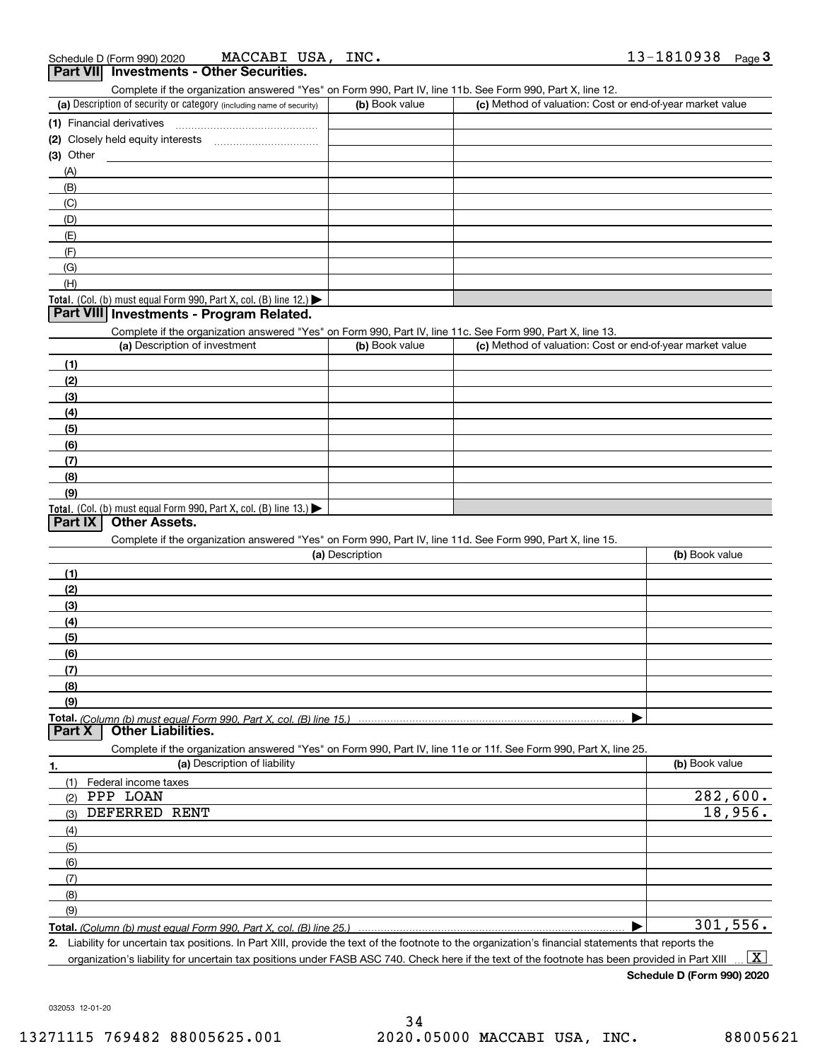| Schedule D (Form 990) 2020 | MACCABI USA,<br>INC.                            | 13-1810938<br>Page |
|----------------------------|-------------------------------------------------|--------------------|
|                            | <b>Part VII</b> Investments - Other Securities. |                    |

| (a) Description of security or category (including name of security)                                              | (b) Book value  |                                                           | (c) Method of valuation: Cost or end-of-year market value |  |  |
|-------------------------------------------------------------------------------------------------------------------|-----------------|-----------------------------------------------------------|-----------------------------------------------------------|--|--|
| (1) Financial derivatives                                                                                         |                 |                                                           |                                                           |  |  |
|                                                                                                                   |                 |                                                           |                                                           |  |  |
| $(3)$ Other                                                                                                       |                 |                                                           |                                                           |  |  |
| (A)                                                                                                               |                 |                                                           |                                                           |  |  |
| (B)                                                                                                               |                 |                                                           |                                                           |  |  |
| (C)                                                                                                               |                 |                                                           |                                                           |  |  |
| (D)                                                                                                               |                 |                                                           |                                                           |  |  |
| (E)                                                                                                               |                 |                                                           |                                                           |  |  |
| (F)                                                                                                               |                 |                                                           |                                                           |  |  |
| (G)                                                                                                               |                 |                                                           |                                                           |  |  |
| (H)                                                                                                               |                 |                                                           |                                                           |  |  |
| Total. (Col. (b) must equal Form 990, Part X, col. (B) line 12.)                                                  |                 |                                                           |                                                           |  |  |
| Part VIII Investments - Program Related.                                                                          |                 |                                                           |                                                           |  |  |
| Complete if the organization answered "Yes" on Form 990, Part IV, line 11c. See Form 990, Part X, line 13.        |                 |                                                           |                                                           |  |  |
| (a) Description of investment                                                                                     | (b) Book value  | (c) Method of valuation: Cost or end-of-year market value |                                                           |  |  |
|                                                                                                                   |                 |                                                           |                                                           |  |  |
| (1)                                                                                                               |                 |                                                           |                                                           |  |  |
| (2)                                                                                                               |                 |                                                           |                                                           |  |  |
| (3)                                                                                                               |                 |                                                           |                                                           |  |  |
| (4)                                                                                                               |                 |                                                           |                                                           |  |  |
| (5)                                                                                                               |                 |                                                           |                                                           |  |  |
| (6)                                                                                                               |                 |                                                           |                                                           |  |  |
| (7)                                                                                                               |                 |                                                           |                                                           |  |  |
| (8)                                                                                                               |                 |                                                           |                                                           |  |  |
| (9)                                                                                                               |                 |                                                           |                                                           |  |  |
| Total. (Col. (b) must equal Form 990, Part X, col. (B) line 13.)                                                  |                 |                                                           |                                                           |  |  |
| <b>Other Assets.</b><br><b>Part IX</b>                                                                            |                 |                                                           |                                                           |  |  |
| Complete if the organization answered "Yes" on Form 990, Part IV, line 11d. See Form 990, Part X, line 15.        |                 |                                                           |                                                           |  |  |
|                                                                                                                   | (a) Description |                                                           | (b) Book value                                            |  |  |
| (1)                                                                                                               |                 |                                                           |                                                           |  |  |
| (2)                                                                                                               |                 |                                                           |                                                           |  |  |
| (3)                                                                                                               |                 |                                                           |                                                           |  |  |
| (4)                                                                                                               |                 |                                                           |                                                           |  |  |
| (5)                                                                                                               |                 |                                                           |                                                           |  |  |
| (6)                                                                                                               |                 |                                                           |                                                           |  |  |
| (7)                                                                                                               |                 |                                                           |                                                           |  |  |
| (8)                                                                                                               |                 |                                                           |                                                           |  |  |
| (9)                                                                                                               |                 |                                                           |                                                           |  |  |
| Part X<br><b>Other Liabilities.</b>                                                                               |                 |                                                           |                                                           |  |  |
| Complete if the organization answered "Yes" on Form 990, Part IV, line 11e or 11f. See Form 990, Part X, line 25. |                 |                                                           |                                                           |  |  |
| (a) Description of liability<br>1.                                                                                |                 |                                                           | (b) Book value                                            |  |  |
| (1) Federal income taxes                                                                                          |                 |                                                           |                                                           |  |  |
| PPP LOAN<br>(2)                                                                                                   |                 |                                                           | 282,600.                                                  |  |  |
| DEFERRED RENT<br>(3)                                                                                              |                 |                                                           | 18,956.                                                   |  |  |
| (4)                                                                                                               |                 |                                                           |                                                           |  |  |
| (5)                                                                                                               |                 |                                                           |                                                           |  |  |
| (6)                                                                                                               |                 |                                                           |                                                           |  |  |
| (7)                                                                                                               |                 |                                                           |                                                           |  |  |
| (8)                                                                                                               |                 |                                                           |                                                           |  |  |
| (9)                                                                                                               |                 |                                                           |                                                           |  |  |
|                                                                                                                   |                 |                                                           | 301, 556.                                                 |  |  |

Complete if the organization answered "Yes" on Form 990, Part IV, line 11b. See Form 990, Part X, line 12.

**Total.**  *(Column (b) must equal Form 990, Part X, col. (B) line 25.)*  $\blacktriangleright$   $\vdash$ 

**2.** Liability for uncertain tax positions. In Part XIII, provide the text of the footnote to the organization's financial statements that reports the organization's liability for uncertain tax positions under FASB ASC 740. Check here if the text of the footnote has been provided in Part XIII  $\boxed{\text{X}}$ 

**Schedule D (Form 990) 2020**

032053 12-01-20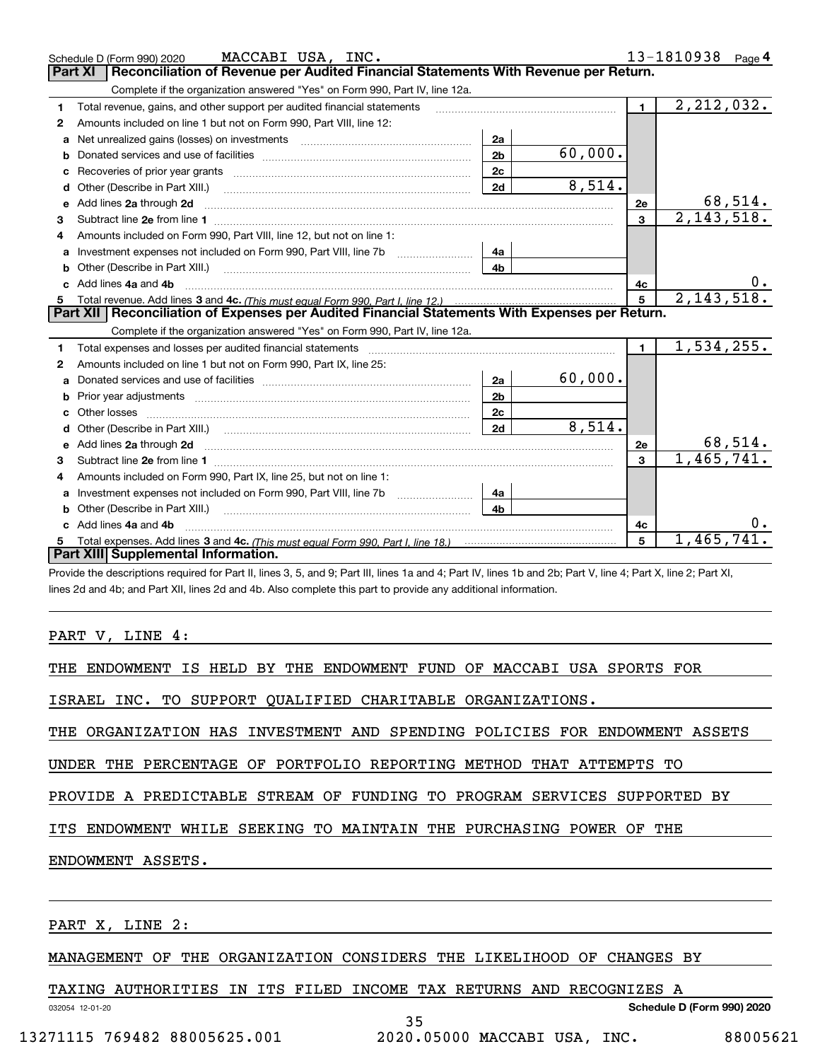|   | MACCABI USA, INC.<br>Schedule D (Form 990) 2020                                                                                                                                                                                     |                |         |                | 13-1810938 Page 4 |
|---|-------------------------------------------------------------------------------------------------------------------------------------------------------------------------------------------------------------------------------------|----------------|---------|----------------|-------------------|
|   | Reconciliation of Revenue per Audited Financial Statements With Revenue per Return.<br><b>Part XI</b>                                                                                                                               |                |         |                |                   |
|   | Complete if the organization answered "Yes" on Form 990, Part IV, line 12a.                                                                                                                                                         |                |         |                |                   |
| 1 | Total revenue, gains, and other support per audited financial statements                                                                                                                                                            |                |         | $\blacksquare$ | 2, 212, 032.      |
| 2 | Amounts included on line 1 but not on Form 990, Part VIII, line 12:                                                                                                                                                                 |                |         |                |                   |
| a |                                                                                                                                                                                                                                     | 2a             |         |                |                   |
| b |                                                                                                                                                                                                                                     | 2 <sub>b</sub> | 60,000. |                |                   |
| c |                                                                                                                                                                                                                                     | 2 <sub>c</sub> |         |                |                   |
| d | Other (Describe in Part XIII.)                                                                                                                                                                                                      | 2d             | 8,514.  |                |                   |
| е | Add lines 2a through 2d                                                                                                                                                                                                             |                |         | <b>2e</b>      | 68,514.           |
| 3 |                                                                                                                                                                                                                                     |                |         | $\mathbf{3}$   | 2,143,518.        |
|   | Amounts included on Form 990, Part VIII, line 12, but not on line 1:                                                                                                                                                                |                |         |                |                   |
| a |                                                                                                                                                                                                                                     | 4a             |         |                |                   |
| b |                                                                                                                                                                                                                                     | 4b             |         |                |                   |
|   | Add lines 4a and 4b                                                                                                                                                                                                                 |                |         | 4c             | 0.                |
| 5 |                                                                                                                                                                                                                                     |                |         | 5              | 2,143,518.        |
|   | Part XII   Reconciliation of Expenses per Audited Financial Statements With Expenses per Return.                                                                                                                                    |                |         |                |                   |
|   |                                                                                                                                                                                                                                     |                |         |                |                   |
|   | Complete if the organization answered "Yes" on Form 990, Part IV, line 12a.                                                                                                                                                         |                |         |                |                   |
| 1 | Total expenses and losses per audited financial statements [11] [12] manuscription control expenses and losses per audited financial statements [11] [12] manuscription of the statements [12] manuscription of the statements      |                |         | $\mathbf{1}$   | 1,534,255.        |
| 2 | Amounts included on line 1 but not on Form 990, Part IX, line 25:                                                                                                                                                                   |                |         |                |                   |
| a |                                                                                                                                                                                                                                     | 2a             | 60,000. |                |                   |
| b |                                                                                                                                                                                                                                     | 2 <sub>b</sub> |         |                |                   |
| c |                                                                                                                                                                                                                                     | 2c             |         |                |                   |
|   |                                                                                                                                                                                                                                     | 2d             | 8,514.  |                |                   |
|   | e Add lines 2a through 2d <b>contract and a contract and a contract a</b> contract a contract and a contract a contract a contract a contract a contract a contract a contract a contract a contract a contract a contract a contra |                |         | 2e             | 68,514.           |
| 3 |                                                                                                                                                                                                                                     |                |         | $\mathbf{3}$   | 1,465,741.        |
| 4 | Amounts included on Form 990, Part IX, line 25, but not on line 1:                                                                                                                                                                  |                |         |                |                   |
| a |                                                                                                                                                                                                                                     | 4a             |         |                |                   |
| b |                                                                                                                                                                                                                                     | 4b             |         |                |                   |
|   | Add lines 4a and 4b                                                                                                                                                                                                                 |                |         | 4c             |                   |
|   | Part XIII Supplemental Information.                                                                                                                                                                                                 |                |         | 5              | 1,465,741         |

Provide the descriptions required for Part II, lines 3, 5, and 9; Part III, lines 1a and 4; Part IV, lines 1b and 2b; Part V, line 4; Part X, line 2; Part XI, lines 2d and 4b; and Part XII, lines 2d and 4b. Also complete this part to provide any additional information.

PART V, LINE 4:

THE ENDOWMENT IS HELD BY THE ENDOWMENT FUND OF MACCABI USA SPORTS FOR

ISRAEL INC. TO SUPPORT QUALIFIED CHARITABLE ORGANIZATIONS.

THE ORGANIZATION HAS INVESTMENT AND SPENDING POLICIES FOR ENDOWMENT ASSETS

UNDER THE PERCENTAGE OF PORTFOLIO REPORTING METHOD THAT ATTEMPTS TO

PROVIDE A PREDICTABLE STREAM OF FUNDING TO PROGRAM SERVICES SUPPORTED BY

ITS ENDOWMENT WHILE SEEKING TO MAINTAIN THE PURCHASING POWER OF THE

ENDOWMENT ASSETS.

PART X, LINE 2:

032054 12-01-20

MANAGEMENT OF THE ORGANIZATION CONSIDERS THE LIKELIHOOD OF CHANGES BY

35

TAXING AUTHORITIES IN ITS FILED INCOME TAX RETURNS AND RECOGNIZES A

**Schedule D (Form 990) 2020**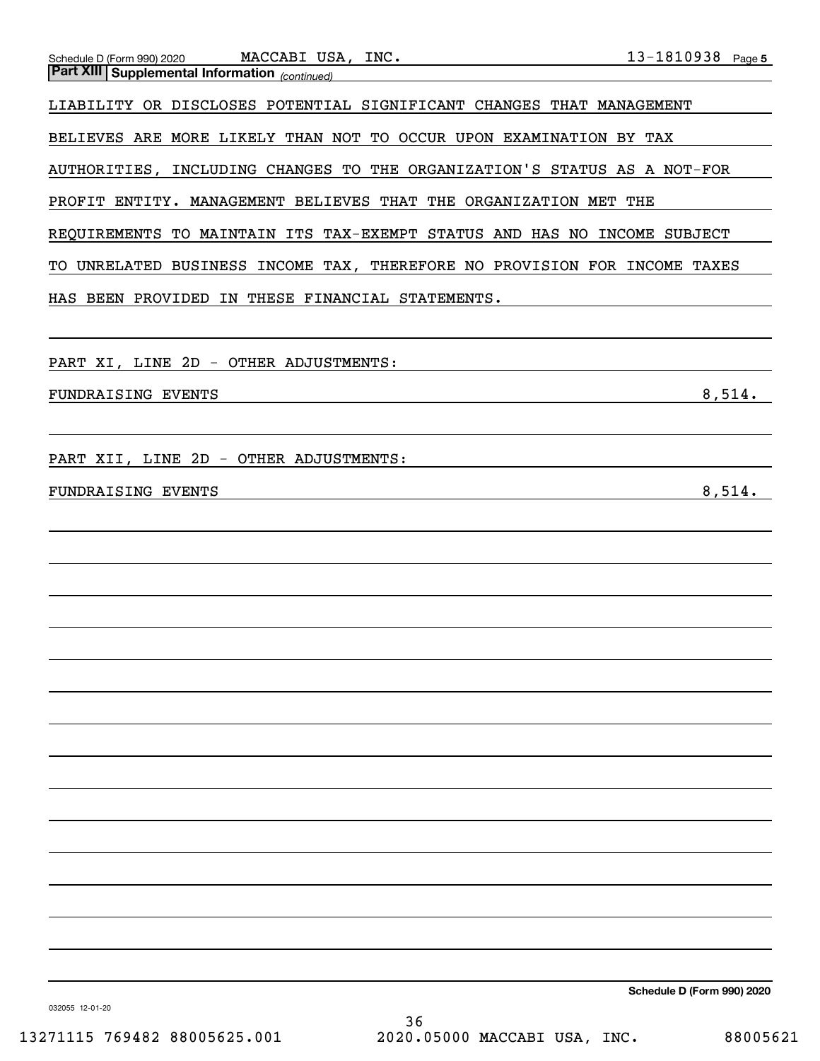| Schedule D (Form 990) 2020 MACCABI USA, INC.<br>Part XIII Supplemental Information (continued)<br>Notice that Supplemental Information (continued) |                                               |
|----------------------------------------------------------------------------------------------------------------------------------------------------|-----------------------------------------------|
|                                                                                                                                                    |                                               |
| LIABILITY OR DISCLOSES POTENTIAL SIGNIFICANT CHANGES THAT MANAGEMENT                                                                               |                                               |
| BELIEVES ARE MORE LIKELY THAN NOT TO OCCUR UPON EXAMINATION BY TAX                                                                                 |                                               |
| AUTHORITIES, INCLUDING CHANGES TO THE ORGANIZATION'S STATUS AS A NOT-FOR                                                                           |                                               |
| PROFIT ENTITY. MANAGEMENT BELIEVES THAT THE ORGANIZATION MET THE                                                                                   |                                               |
| REQUIREMENTS TO MAINTAIN ITS TAX-EXEMPT STATUS AND HAS NO INCOME SUBJECT                                                                           |                                               |
| TO UNRELATED BUSINESS INCOME TAX, THEREFORE NO PROVISION FOR INCOME TAXES                                                                          |                                               |
| HAS BEEN PROVIDED IN THESE FINANCIAL STATEMENTS.                                                                                                   | <u> 1980 - Andrea Andrew Maria (h. 1980).</u> |
|                                                                                                                                                    |                                               |
| PART XI, LINE 2D - OTHER ADJUSTMENTS: Network and the set of the set of the set of the set of the set of the s                                     |                                               |
| FUNDRAISING EVENTS                                                                                                                                 | 8,514.                                        |
|                                                                                                                                                    |                                               |
| PART XII, LINE 2D - OTHER ADJUSTMENTS: Network and the set of the set of the set of the set of the set of the                                      |                                               |
| FUNDRAISING EVENTS                                                                                                                                 | 8,514.                                        |
|                                                                                                                                                    |                                               |
|                                                                                                                                                    | the control of the control of the control of  |
|                                                                                                                                                    |                                               |
|                                                                                                                                                    |                                               |
|                                                                                                                                                    |                                               |
|                                                                                                                                                    |                                               |
|                                                                                                                                                    |                                               |
|                                                                                                                                                    |                                               |
|                                                                                                                                                    |                                               |
|                                                                                                                                                    |                                               |
|                                                                                                                                                    |                                               |
|                                                                                                                                                    |                                               |
|                                                                                                                                                    |                                               |
|                                                                                                                                                    |                                               |
|                                                                                                                                                    |                                               |
|                                                                                                                                                    |                                               |

**Schedule D (Form 990) 2020**

032055 12-01-20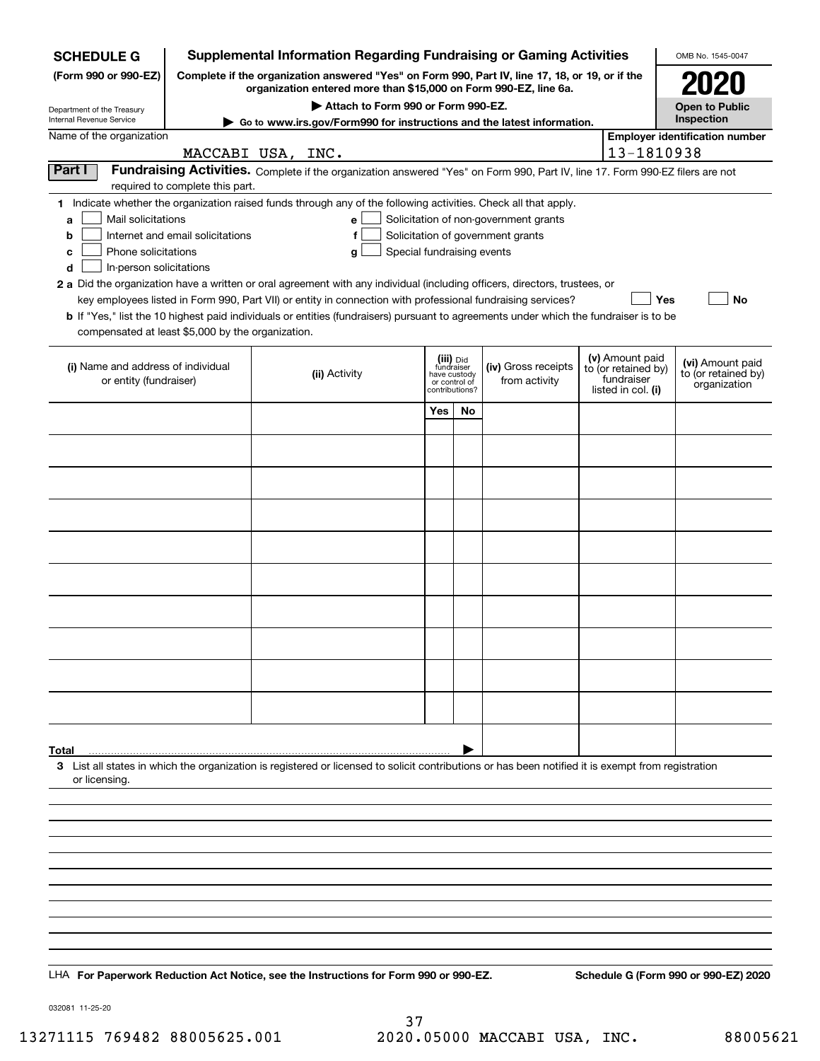| <b>SCHEDULE G</b>                                                                                                                                                                           |                                  |  | <b>Supplemental Information Regarding Fundraising or Gaming Activities</b>                                                                                                                                                                           |                               |    |                                       |  |                                   | OMB No. 1545-0047                     |  |
|---------------------------------------------------------------------------------------------------------------------------------------------------------------------------------------------|----------------------------------|--|------------------------------------------------------------------------------------------------------------------------------------------------------------------------------------------------------------------------------------------------------|-------------------------------|----|---------------------------------------|--|-----------------------------------|---------------------------------------|--|
| Complete if the organization answered "Yes" on Form 990, Part IV, line 17, 18, or 19, or if the<br>(Form 990 or 990-EZ)<br>organization entered more than \$15,000 on Form 990-EZ, line 6a. |                                  |  |                                                                                                                                                                                                                                                      |                               |    |                                       |  |                                   |                                       |  |
| Attach to Form 990 or Form 990-EZ.<br>Department of the Treasury                                                                                                                            |                                  |  |                                                                                                                                                                                                                                                      |                               |    |                                       |  |                                   | <b>Open to Public</b>                 |  |
| Internal Revenue Service                                                                                                                                                                    |                                  |  | ► Go to www.irs.gov/Form990 for instructions and the latest information.                                                                                                                                                                             |                               |    |                                       |  |                                   | Inspection                            |  |
| Name of the organization                                                                                                                                                                    | MACCABI USA, INC.                |  |                                                                                                                                                                                                                                                      |                               |    |                                       |  | 13-1810938                        | <b>Employer identification number</b> |  |
| Part I                                                                                                                                                                                      |                                  |  | Fundraising Activities. Complete if the organization answered "Yes" on Form 990, Part IV, line 17. Form 990-EZ filers are not                                                                                                                        |                               |    |                                       |  |                                   |                                       |  |
|                                                                                                                                                                                             | required to complete this part.  |  | 1 Indicate whether the organization raised funds through any of the following activities. Check all that apply.                                                                                                                                      |                               |    |                                       |  |                                   |                                       |  |
| Mail solicitations<br>a                                                                                                                                                                     |                                  |  | е                                                                                                                                                                                                                                                    |                               |    | Solicitation of non-government grants |  |                                   |                                       |  |
| b<br>Phone solicitations<br>с                                                                                                                                                               | Internet and email solicitations |  | f<br>Special fundraising events<br>g                                                                                                                                                                                                                 |                               |    | Solicitation of government grants     |  |                                   |                                       |  |
| In-person solicitations<br>d                                                                                                                                                                |                                  |  |                                                                                                                                                                                                                                                      |                               |    |                                       |  |                                   |                                       |  |
|                                                                                                                                                                                             |                                  |  | 2 a Did the organization have a written or oral agreement with any individual (including officers, directors, trustees, or                                                                                                                           |                               |    |                                       |  |                                   |                                       |  |
|                                                                                                                                                                                             |                                  |  | key employees listed in Form 990, Part VII) or entity in connection with professional fundraising services?<br>b If "Yes," list the 10 highest paid individuals or entities (fundraisers) pursuant to agreements under which the fundraiser is to be |                               |    |                                       |  | Yes                               | No                                    |  |
| compensated at least \$5,000 by the organization.                                                                                                                                           |                                  |  |                                                                                                                                                                                                                                                      |                               |    |                                       |  |                                   |                                       |  |
|                                                                                                                                                                                             |                                  |  |                                                                                                                                                                                                                                                      | (iii) Did<br>fundraiser       |    |                                       |  | (v) Amount paid                   | (vi) Amount paid                      |  |
| (i) Name and address of individual<br>or entity (fundraiser)                                                                                                                                |                                  |  | (ii) Activity                                                                                                                                                                                                                                        | have custody<br>or control of |    | (iv) Gross receipts<br>from activity  |  | to (or retained by)<br>fundraiser | to (or retained by)<br>organization   |  |
|                                                                                                                                                                                             |                                  |  |                                                                                                                                                                                                                                                      | contributions?                |    |                                       |  | listed in col. (i)                |                                       |  |
|                                                                                                                                                                                             |                                  |  |                                                                                                                                                                                                                                                      | Yes                           | No |                                       |  |                                   |                                       |  |
|                                                                                                                                                                                             |                                  |  |                                                                                                                                                                                                                                                      |                               |    |                                       |  |                                   |                                       |  |
|                                                                                                                                                                                             |                                  |  |                                                                                                                                                                                                                                                      |                               |    |                                       |  |                                   |                                       |  |
|                                                                                                                                                                                             |                                  |  |                                                                                                                                                                                                                                                      |                               |    |                                       |  |                                   |                                       |  |
|                                                                                                                                                                                             |                                  |  |                                                                                                                                                                                                                                                      |                               |    |                                       |  |                                   |                                       |  |
|                                                                                                                                                                                             |                                  |  |                                                                                                                                                                                                                                                      |                               |    |                                       |  |                                   |                                       |  |
|                                                                                                                                                                                             |                                  |  |                                                                                                                                                                                                                                                      |                               |    |                                       |  |                                   |                                       |  |
|                                                                                                                                                                                             |                                  |  |                                                                                                                                                                                                                                                      |                               |    |                                       |  |                                   |                                       |  |
|                                                                                                                                                                                             |                                  |  |                                                                                                                                                                                                                                                      |                               |    |                                       |  |                                   |                                       |  |
|                                                                                                                                                                                             |                                  |  |                                                                                                                                                                                                                                                      |                               |    |                                       |  |                                   |                                       |  |
|                                                                                                                                                                                             |                                  |  |                                                                                                                                                                                                                                                      |                               |    |                                       |  |                                   |                                       |  |
|                                                                                                                                                                                             |                                  |  |                                                                                                                                                                                                                                                      |                               |    |                                       |  |                                   |                                       |  |
|                                                                                                                                                                                             |                                  |  |                                                                                                                                                                                                                                                      |                               |    |                                       |  |                                   |                                       |  |
| Total                                                                                                                                                                                       |                                  |  |                                                                                                                                                                                                                                                      |                               |    |                                       |  |                                   |                                       |  |
| or licensing.                                                                                                                                                                               |                                  |  | 3 List all states in which the organization is registered or licensed to solicit contributions or has been notified it is exempt from registration                                                                                                   |                               |    |                                       |  |                                   |                                       |  |
|                                                                                                                                                                                             |                                  |  |                                                                                                                                                                                                                                                      |                               |    |                                       |  |                                   |                                       |  |
|                                                                                                                                                                                             |                                  |  |                                                                                                                                                                                                                                                      |                               |    |                                       |  |                                   |                                       |  |
|                                                                                                                                                                                             |                                  |  |                                                                                                                                                                                                                                                      |                               |    |                                       |  |                                   |                                       |  |
|                                                                                                                                                                                             |                                  |  |                                                                                                                                                                                                                                                      |                               |    |                                       |  |                                   |                                       |  |
|                                                                                                                                                                                             |                                  |  |                                                                                                                                                                                                                                                      |                               |    |                                       |  |                                   |                                       |  |
|                                                                                                                                                                                             |                                  |  |                                                                                                                                                                                                                                                      |                               |    |                                       |  |                                   |                                       |  |
|                                                                                                                                                                                             |                                  |  |                                                                                                                                                                                                                                                      |                               |    |                                       |  |                                   |                                       |  |
|                                                                                                                                                                                             |                                  |  |                                                                                                                                                                                                                                                      |                               |    |                                       |  |                                   |                                       |  |
|                                                                                                                                                                                             |                                  |  | LHA For Paperwork Reduction Act Notice, see the Instructions for Form 990 or 990-EZ.                                                                                                                                                                 |                               |    |                                       |  |                                   | Schedule G (Form 990 or 990-EZ) 2020  |  |
|                                                                                                                                                                                             |                                  |  |                                                                                                                                                                                                                                                      |                               |    |                                       |  |                                   |                                       |  |

032081 11-25-20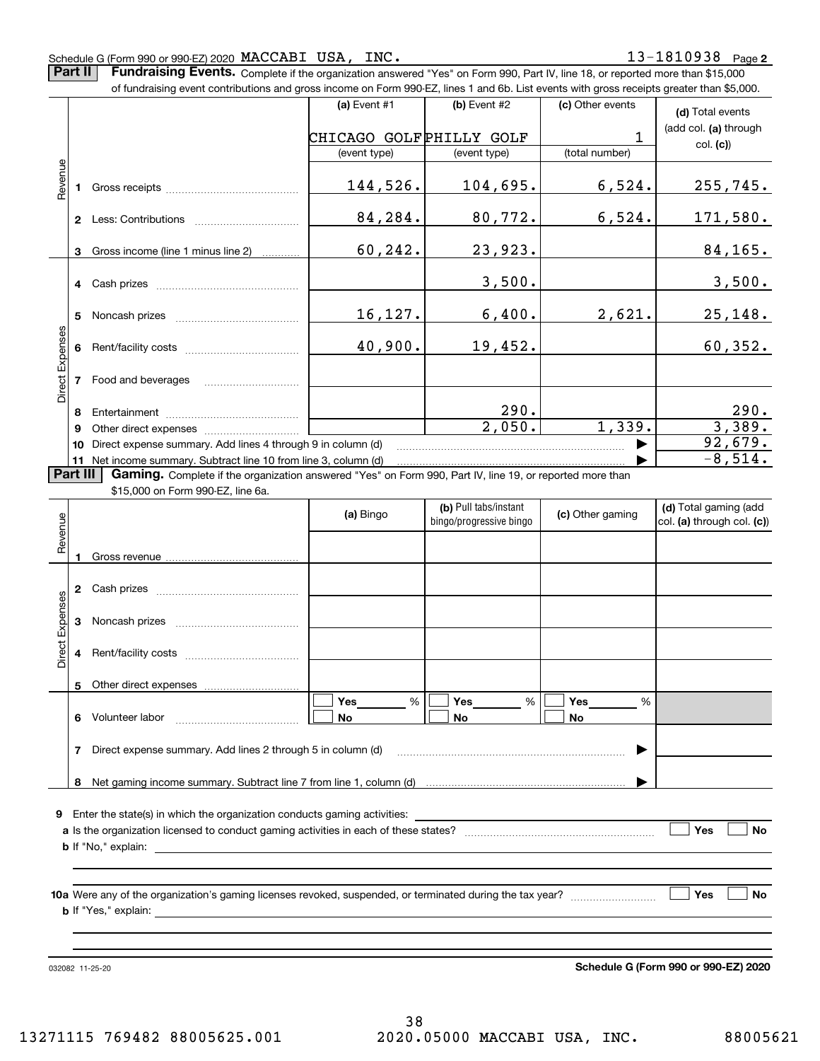#### Schedule G (Form 990 or 990-EZ) 2020 Page MACCABI USA, INC. 13-1810938

**Part II** | Fundraising Events. Complete if the organization answered "Yes" on Form 990, Part IV, line 18, or reported more than \$15,000 of fundraising event contributions and gross income on Form 990-EZ, lines 1 and 6b. List events with gross receipts greater than \$5,000.

|                                    |    |                                                                                                                                                                                                                                | (a) Event $#1$          | $(b)$ Event #2                                   | (c) Other events | (d) Total events                                        |
|------------------------------------|----|--------------------------------------------------------------------------------------------------------------------------------------------------------------------------------------------------------------------------------|-------------------------|--------------------------------------------------|------------------|---------------------------------------------------------|
|                                    |    |                                                                                                                                                                                                                                | CHICAGO GOLFPHILLY GOLF |                                                  | 1                | (add col. (a) through                                   |
|                                    |    |                                                                                                                                                                                                                                | (event type)            | (event type)                                     | (total number)   | col. (c)                                                |
|                                    |    |                                                                                                                                                                                                                                |                         |                                                  |                  |                                                         |
| Revenue                            | 1. |                                                                                                                                                                                                                                | 144,526.                | 104,695.                                         | 6,524.           | 255, 745.                                               |
|                                    |    |                                                                                                                                                                                                                                | 84,284.                 | 80,772.                                          | 6,524.           | 171,580.                                                |
|                                    | 3  | Gross income (line 1 minus line 2)                                                                                                                                                                                             | 60,242.                 | 23,923.                                          |                  | 84,165.                                                 |
|                                    |    |                                                                                                                                                                                                                                |                         | 3,500.                                           |                  | 3,500.                                                  |
|                                    |    | Noncash prizes                                                                                                                                                                                                                 | 16,127.                 | 6,400.                                           | 2,621.           | <u>25,148.</u>                                          |
|                                    | 6  |                                                                                                                                                                                                                                | 40,900.                 | 19,452.                                          |                  | 60, 352.                                                |
| Direct Expenses<br><b>Part III</b> | 7  | Food and beverages                                                                                                                                                                                                             |                         |                                                  |                  |                                                         |
|                                    | 8  |                                                                                                                                                                                                                                |                         | 290.                                             |                  |                                                         |
|                                    | 9  | Other direct expenses of the state of the state of the state of the state of the state of the state of the state of the state of the state of the state of the state of the state of the state of the state of the state of th |                         | $\overline{2,050}$ .                             | 1,339.           | $\frac{290}{3,389}$ .                                   |
|                                    | 10 | Direct expense summary. Add lines 4 through 9 in column (d)                                                                                                                                                                    |                         |                                                  |                  | $\frac{92,679.}{-8,514.}$                               |
|                                    |    | 11 Net income summary. Subtract line 10 from line 3, column (d)                                                                                                                                                                |                         |                                                  |                  |                                                         |
|                                    |    | Gaming. Complete if the organization answered "Yes" on Form 990, Part IV, line 19, or reported more than                                                                                                                       |                         |                                                  |                  |                                                         |
|                                    |    | \$15,000 on Form 990-EZ, line 6a.                                                                                                                                                                                              |                         |                                                  |                  |                                                         |
| Revenue                            |    |                                                                                                                                                                                                                                | (a) Bingo               | (b) Pull tabs/instant<br>bingo/progressive bingo | (c) Other gaming | (d) Total gaming (add<br>$ col. (a)$ through col. $(c)$ |
|                                    |    |                                                                                                                                                                                                                                |                         |                                                  |                  |                                                         |
|                                    |    |                                                                                                                                                                                                                                |                         |                                                  |                  |                                                         |
|                                    |    |                                                                                                                                                                                                                                |                         |                                                  |                  |                                                         |

| Direct Expenses | 2                                                                                                                                                                                                                  |                 |                       |                |                |  |  |  |  |  |
|-----------------|--------------------------------------------------------------------------------------------------------------------------------------------------------------------------------------------------------------------|-----------------|-----------------------|----------------|----------------|--|--|--|--|--|
|                 | 3                                                                                                                                                                                                                  |                 |                       |                |                |  |  |  |  |  |
|                 | 4                                                                                                                                                                                                                  |                 |                       |                |                |  |  |  |  |  |
|                 | 5                                                                                                                                                                                                                  |                 |                       |                |                |  |  |  |  |  |
|                 | 6                                                                                                                                                                                                                  | Volunteer labor | Yes<br>%<br><b>No</b> | Yes<br>%<br>No | Yes<br>%<br>No |  |  |  |  |  |
|                 | Direct expense summary. Add lines 2 through 5 in column (d)<br>7                                                                                                                                                   |                 |                       |                |                |  |  |  |  |  |
|                 | 8                                                                                                                                                                                                                  |                 |                       |                |                |  |  |  |  |  |
| 9               | Enter the state(s) in which the organization conducts gaming activities:<br><b>a</b> Is the organization licensed to conduct gaming activities in each of these states?<br>Yes<br>Nο<br><b>b</b> If "No," explain: |                 |                       |                |                |  |  |  |  |  |
|                 | 10a Were any of the organization's gaming licenses revoked, suspended, or terminated during the tax year?<br>Yes<br>No                                                                                             |                 |                       |                |                |  |  |  |  |  |

**b** If "Yes," explain:

032082 11-25-20

**Schedule G (Form 990 or 990-EZ) 2020**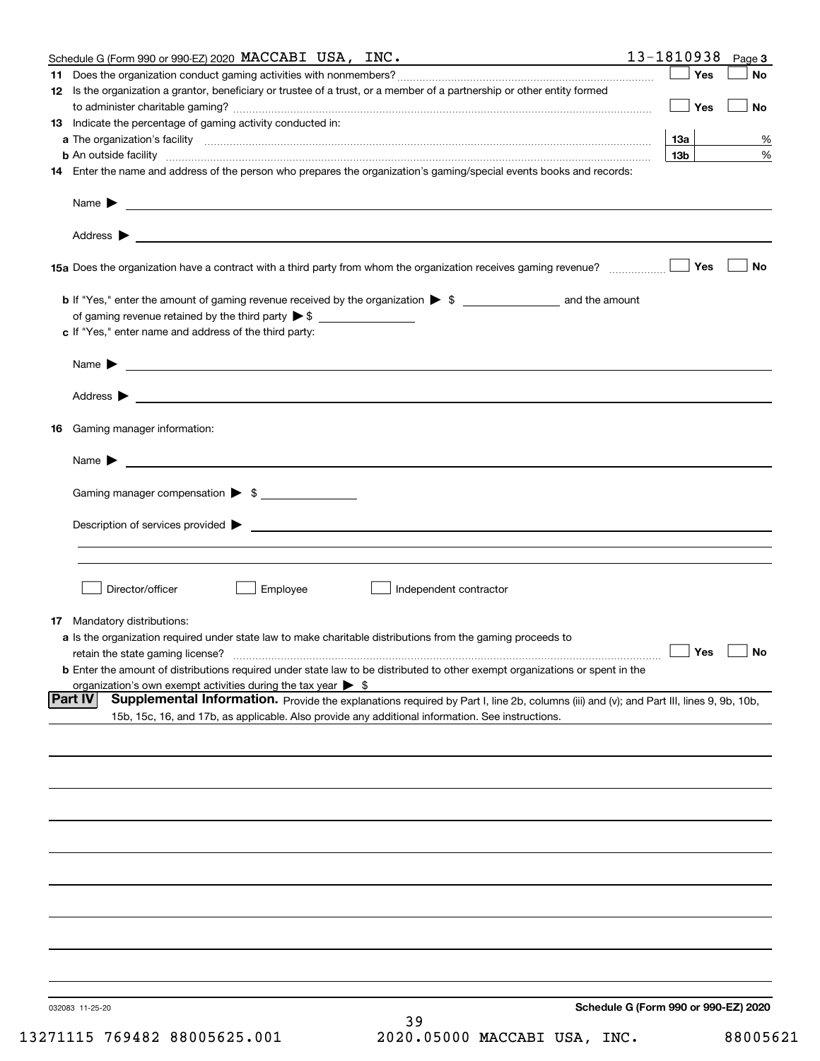| Schedule G (Form 990 or 990-EZ) 2020 MACCABI USA, INC.                                                                                                                                                                                                       | 13-1810938<br>Page 3                 |
|--------------------------------------------------------------------------------------------------------------------------------------------------------------------------------------------------------------------------------------------------------------|--------------------------------------|
|                                                                                                                                                                                                                                                              | Yes<br>No                            |
| 12 Is the organization a grantor, beneficiary or trustee of a trust, or a member of a partnership or other entity formed                                                                                                                                     | Yes<br><b>No</b>                     |
| 13 Indicate the percentage of gaming activity conducted in:                                                                                                                                                                                                  |                                      |
|                                                                                                                                                                                                                                                              | <u>13a</u><br>%                      |
| <b>b</b> An outside facility <i>www.communicality www.communicality.communicality www.communicality www.communicality.communicality www.communicality.com</i>                                                                                                | 13 <sub>b</sub><br>%                 |
| 14 Enter the name and address of the person who prepares the organization's gaming/special events books and records:                                                                                                                                         |                                      |
|                                                                                                                                                                                                                                                              |                                      |
|                                                                                                                                                                                                                                                              |                                      |
| 15a Does the organization have a contract with a third party from whom the organization receives gaming revenue?                                                                                                                                             | No<br>Yes                            |
| <b>b</b> If "Yes," enter the amount of gaming revenue received by the organization $\triangleright$ \$ ____________________ and the amount                                                                                                                   |                                      |
|                                                                                                                                                                                                                                                              |                                      |
| c If "Yes," enter name and address of the third party:                                                                                                                                                                                                       |                                      |
| Name $\blacktriangleright$ $\_\_$                                                                                                                                                                                                                            |                                      |
|                                                                                                                                                                                                                                                              |                                      |
| 16 Gaming manager information:                                                                                                                                                                                                                               |                                      |
| Name $\blacktriangleright$ $\frac{1}{\sqrt{1-\frac{1}{2}}\left(1-\frac{1}{2}\right)}$                                                                                                                                                                        |                                      |
| Gaming manager compensation > \$                                                                                                                                                                                                                             |                                      |
|                                                                                                                                                                                                                                                              |                                      |
|                                                                                                                                                                                                                                                              |                                      |
|                                                                                                                                                                                                                                                              |                                      |
| Director/officer<br>Employee<br>Independent contractor                                                                                                                                                                                                       |                                      |
| 17 Mandatory distributions:                                                                                                                                                                                                                                  |                                      |
| a Is the organization required under state law to make charitable distributions from the gaming proceeds to                                                                                                                                                  |                                      |
| $\Box$ Yes $\Box$ No<br>retain the state gaming license?                                                                                                                                                                                                     |                                      |
| <b>b</b> Enter the amount of distributions required under state law to be distributed to other exempt organizations or spent in the                                                                                                                          |                                      |
| organization's own exempt activities during the tax year $\triangleright$ \$                                                                                                                                                                                 |                                      |
| <b>Part IV</b><br>Supplemental Information. Provide the explanations required by Part I, line 2b, columns (iii) and (v); and Part III, lines 9, 9b, 10b,<br>15b, 15c, 16, and 17b, as applicable. Also provide any additional information. See instructions. |                                      |
|                                                                                                                                                                                                                                                              |                                      |
|                                                                                                                                                                                                                                                              |                                      |
|                                                                                                                                                                                                                                                              |                                      |
|                                                                                                                                                                                                                                                              |                                      |
|                                                                                                                                                                                                                                                              |                                      |
|                                                                                                                                                                                                                                                              |                                      |
|                                                                                                                                                                                                                                                              |                                      |
|                                                                                                                                                                                                                                                              |                                      |
|                                                                                                                                                                                                                                                              |                                      |
| 032083 11-25-20                                                                                                                                                                                                                                              | Schedule G (Form 990 or 990-EZ) 2020 |
| 39                                                                                                                                                                                                                                                           |                                      |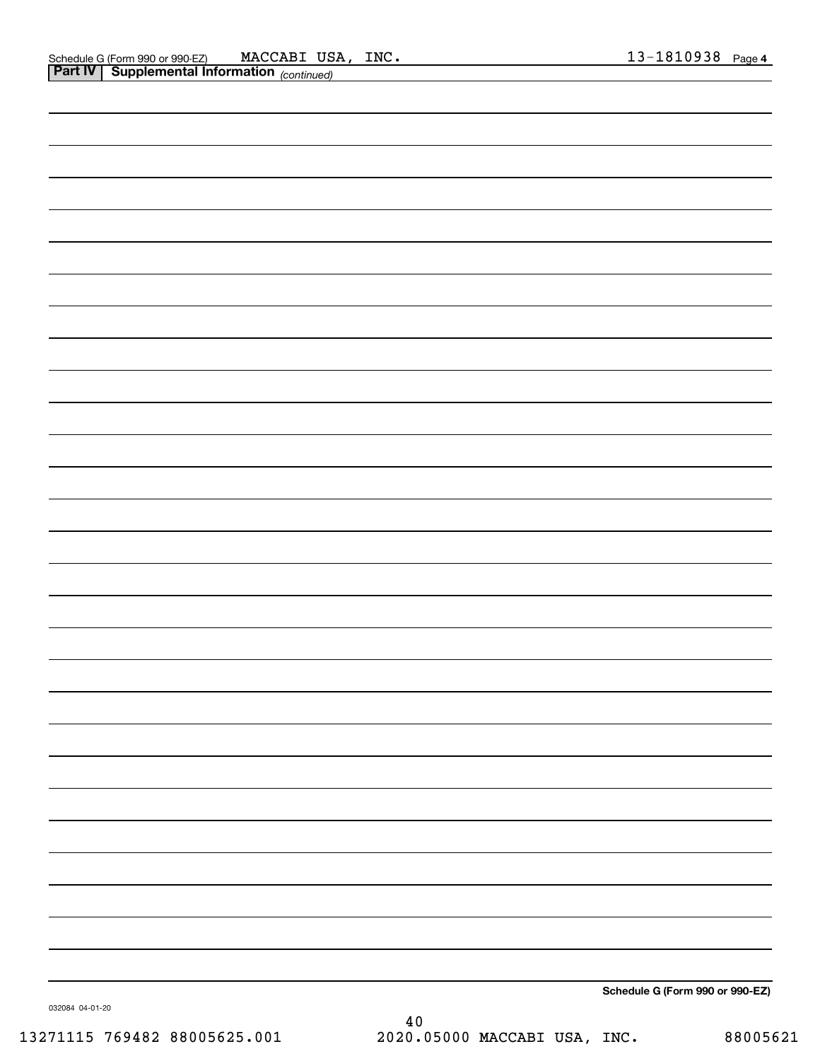|                 | Schedule G (Form 990 or 990-EZ) |
|-----------------|---------------------------------|
| 032084 04-01-20 |                                 |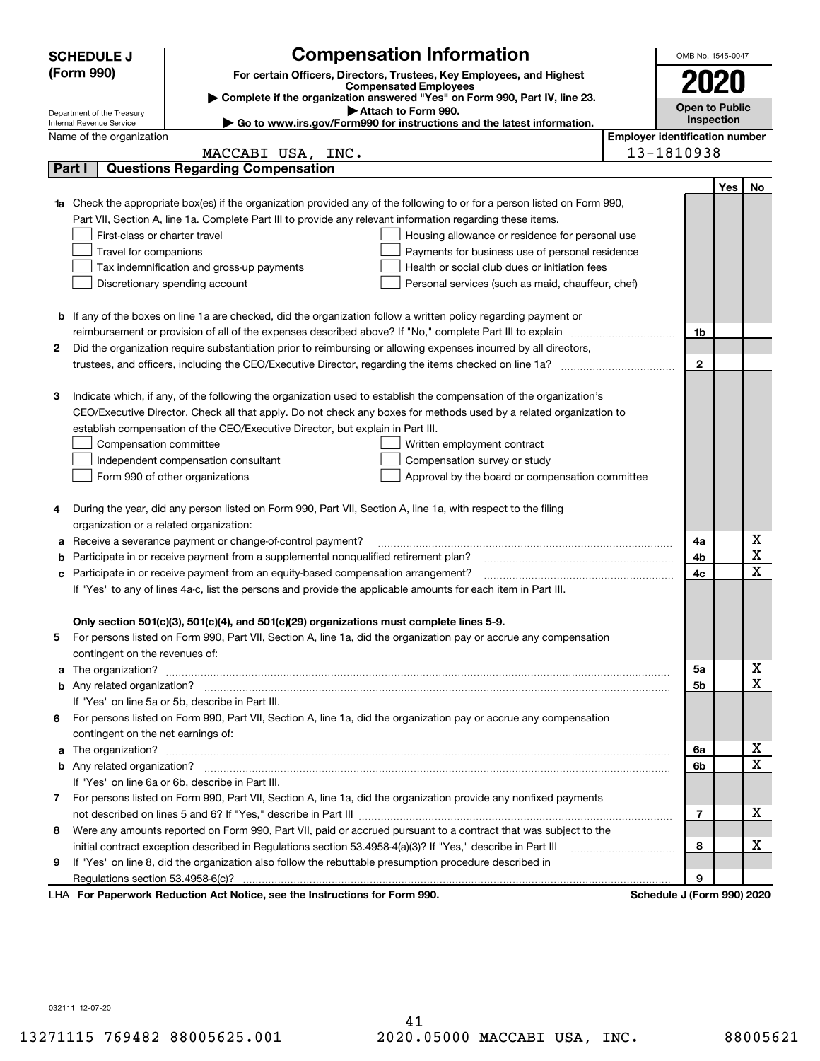|   | <b>SCHEDULE J</b>                                      |                                                                                                                                                                                                                                      | <b>Compensation Information</b>                                                                   |                                       | OMB No. 1545-0047          |     |             |  |
|---|--------------------------------------------------------|--------------------------------------------------------------------------------------------------------------------------------------------------------------------------------------------------------------------------------------|---------------------------------------------------------------------------------------------------|---------------------------------------|----------------------------|-----|-------------|--|
|   | (Form 990)                                             |                                                                                                                                                                                                                                      | For certain Officers, Directors, Trustees, Key Employees, and Highest                             |                                       |                            |     |             |  |
|   |                                                        |                                                                                                                                                                                                                                      | <b>Compensated Employees</b>                                                                      |                                       | 2020                       |     |             |  |
|   |                                                        |                                                                                                                                                                                                                                      | Complete if the organization answered "Yes" on Form 990, Part IV, line 23.<br>Attach to Form 990. |                                       | <b>Open to Public</b>      |     |             |  |
|   | Department of the Treasury<br>Internal Revenue Service |                                                                                                                                                                                                                                      | ► Go to www.irs.gov/Form990 for instructions and the latest information.                          |                                       | Inspection                 |     |             |  |
|   | Name of the organization                               |                                                                                                                                                                                                                                      |                                                                                                   | <b>Employer identification number</b> |                            |     |             |  |
|   |                                                        | MACCABI USA, INC.                                                                                                                                                                                                                    |                                                                                                   |                                       | 13-1810938                 |     |             |  |
|   | Part I                                                 | <b>Questions Regarding Compensation</b>                                                                                                                                                                                              |                                                                                                   |                                       |                            |     |             |  |
|   |                                                        |                                                                                                                                                                                                                                      |                                                                                                   |                                       |                            | Yes | No          |  |
|   |                                                        | Check the appropriate box(es) if the organization provided any of the following to or for a person listed on Form 990,                                                                                                               |                                                                                                   |                                       |                            |     |             |  |
|   |                                                        | Part VII, Section A, line 1a. Complete Part III to provide any relevant information regarding these items.                                                                                                                           |                                                                                                   |                                       |                            |     |             |  |
|   | First-class or charter travel                          |                                                                                                                                                                                                                                      | Housing allowance or residence for personal use                                                   |                                       |                            |     |             |  |
|   | Travel for companions                                  |                                                                                                                                                                                                                                      | Payments for business use of personal residence                                                   |                                       |                            |     |             |  |
|   |                                                        | Tax indemnification and gross-up payments                                                                                                                                                                                            | Health or social club dues or initiation fees                                                     |                                       |                            |     |             |  |
|   |                                                        | Discretionary spending account                                                                                                                                                                                                       | Personal services (such as maid, chauffeur, chef)                                                 |                                       |                            |     |             |  |
|   |                                                        |                                                                                                                                                                                                                                      |                                                                                                   |                                       |                            |     |             |  |
|   |                                                        | <b>b</b> If any of the boxes on line 1a are checked, did the organization follow a written policy regarding payment or                                                                                                               |                                                                                                   |                                       |                            |     |             |  |
|   |                                                        |                                                                                                                                                                                                                                      |                                                                                                   |                                       | 1b                         |     |             |  |
| 2 |                                                        | Did the organization require substantiation prior to reimbursing or allowing expenses incurred by all directors,                                                                                                                     |                                                                                                   |                                       |                            |     |             |  |
|   |                                                        |                                                                                                                                                                                                                                      |                                                                                                   |                                       | $\mathbf{2}$               |     |             |  |
|   |                                                        |                                                                                                                                                                                                                                      |                                                                                                   |                                       |                            |     |             |  |
| З |                                                        | Indicate which, if any, of the following the organization used to establish the compensation of the organization's                                                                                                                   |                                                                                                   |                                       |                            |     |             |  |
|   |                                                        | CEO/Executive Director. Check all that apply. Do not check any boxes for methods used by a related organization to                                                                                                                   |                                                                                                   |                                       |                            |     |             |  |
|   |                                                        | establish compensation of the CEO/Executive Director, but explain in Part III.                                                                                                                                                       |                                                                                                   |                                       |                            |     |             |  |
|   | Compensation committee                                 |                                                                                                                                                                                                                                      | Written employment contract                                                                       |                                       |                            |     |             |  |
|   |                                                        | Independent compensation consultant                                                                                                                                                                                                  | Compensation survey or study                                                                      |                                       |                            |     |             |  |
|   |                                                        | Form 990 of other organizations                                                                                                                                                                                                      | Approval by the board or compensation committee                                                   |                                       |                            |     |             |  |
| 4 |                                                        | During the year, did any person listed on Form 990, Part VII, Section A, line 1a, with respect to the filing                                                                                                                         |                                                                                                   |                                       |                            |     |             |  |
|   | organization or a related organization:                |                                                                                                                                                                                                                                      |                                                                                                   |                                       |                            |     |             |  |
| а |                                                        | Receive a severance payment or change-of-control payment?                                                                                                                                                                            |                                                                                                   |                                       | 4a                         |     | х           |  |
|   |                                                        | Participate in or receive payment from a supplemental nonqualified retirement plan?                                                                                                                                                  |                                                                                                   |                                       | 4b                         |     | X           |  |
|   |                                                        | Participate in or receive payment from an equity-based compensation arrangement?                                                                                                                                                     |                                                                                                   |                                       | 4c                         |     | $\mathbf X$ |  |
|   |                                                        | If "Yes" to any of lines 4a-c, list the persons and provide the applicable amounts for each item in Part III.                                                                                                                        |                                                                                                   |                                       |                            |     |             |  |
|   |                                                        |                                                                                                                                                                                                                                      |                                                                                                   |                                       |                            |     |             |  |
|   |                                                        | Only section 501(c)(3), 501(c)(4), and 501(c)(29) organizations must complete lines 5-9.                                                                                                                                             |                                                                                                   |                                       |                            |     |             |  |
|   |                                                        | For persons listed on Form 990, Part VII, Section A, line 1a, did the organization pay or accrue any compensation                                                                                                                    |                                                                                                   |                                       |                            |     |             |  |
|   | contingent on the revenues of:                         |                                                                                                                                                                                                                                      |                                                                                                   |                                       |                            |     |             |  |
| a |                                                        | The organization? <b>With the organization</b> ? <b>With the organization with the organization? With the organization?</b>                                                                                                          |                                                                                                   |                                       | 5a                         |     | x           |  |
|   |                                                        |                                                                                                                                                                                                                                      |                                                                                                   |                                       | 5b                         |     | $\mathbf X$ |  |
|   |                                                        | If "Yes" on line 5a or 5b, describe in Part III.                                                                                                                                                                                     |                                                                                                   |                                       |                            |     |             |  |
|   |                                                        | 6 For persons listed on Form 990, Part VII, Section A, line 1a, did the organization pay or accrue any compensation                                                                                                                  |                                                                                                   |                                       |                            |     |             |  |
|   | contingent on the net earnings of:                     |                                                                                                                                                                                                                                      |                                                                                                   |                                       |                            |     |             |  |
| a |                                                        | The organization? <b>With the contract of the contract of the contract of the contract of the contract of the contract of the contract of the contract of the contract of the contract of the contract of the contract of the co</b> |                                                                                                   |                                       | 6a                         |     | х           |  |
|   |                                                        |                                                                                                                                                                                                                                      |                                                                                                   |                                       | 6b                         |     | $\mathbf X$ |  |
|   |                                                        | If "Yes" on line 6a or 6b, describe in Part III.                                                                                                                                                                                     |                                                                                                   |                                       |                            |     |             |  |
|   |                                                        | 7 For persons listed on Form 990, Part VII, Section A, line 1a, did the organization provide any nonfixed payments                                                                                                                   |                                                                                                   |                                       |                            |     |             |  |
|   |                                                        |                                                                                                                                                                                                                                      |                                                                                                   |                                       | 7                          |     | х           |  |
| 8 |                                                        | Were any amounts reported on Form 990, Part VII, paid or accrued pursuant to a contract that was subject to the                                                                                                                      |                                                                                                   |                                       |                            |     |             |  |
|   |                                                        | initial contract exception described in Regulations section 53.4958-4(a)(3)? If "Yes," describe in Part III                                                                                                                          |                                                                                                   |                                       | 8                          |     | х           |  |
| 9 |                                                        | If "Yes" on line 8, did the organization also follow the rebuttable presumption procedure described in                                                                                                                               |                                                                                                   |                                       |                            |     |             |  |
|   |                                                        |                                                                                                                                                                                                                                      |                                                                                                   |                                       | 9                          |     |             |  |
|   |                                                        | LHA For Paperwork Reduction Act Notice, see the Instructions for Form 990.                                                                                                                                                           |                                                                                                   |                                       | Schedule J (Form 990) 2020 |     |             |  |

032111 12-07-20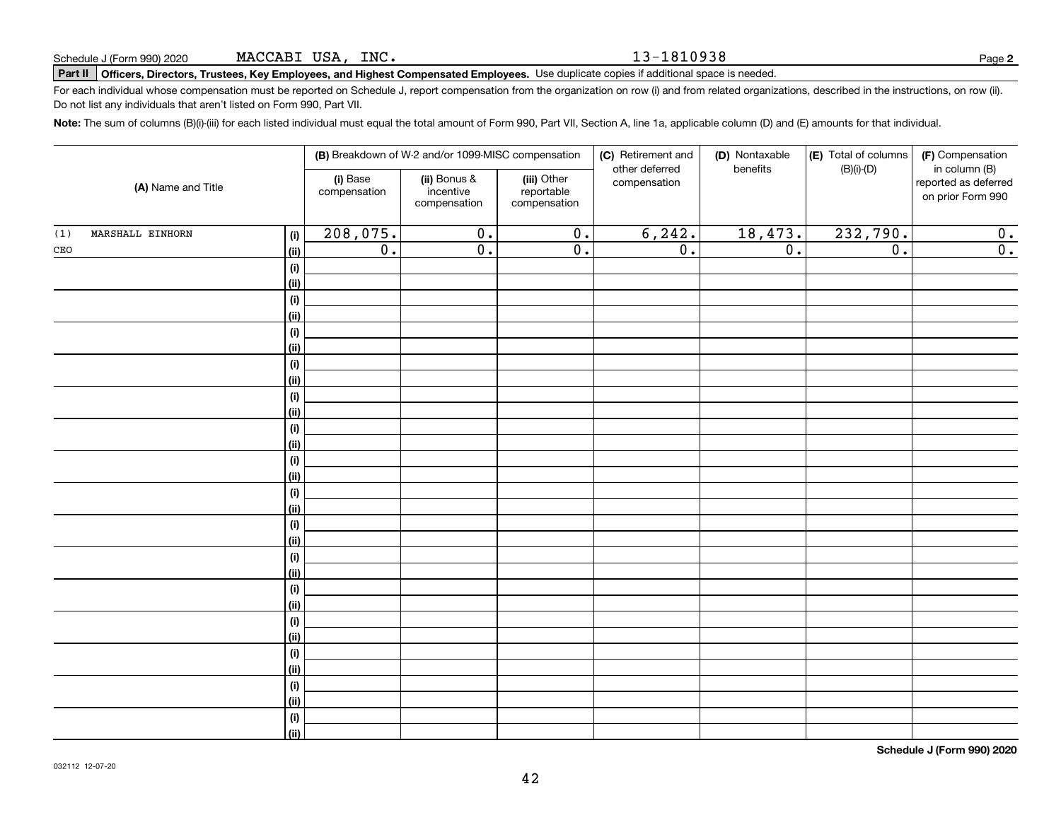#### 13-1810938

**2**

# **Part II Officers, Directors, Trustees, Key Employees, and Highest Compensated Employees.**  Schedule J (Form 990) 2020 Page Use duplicate copies if additional space is needed.

For each individual whose compensation must be reported on Schedule J, report compensation from the organization on row (i) and from related organizations, described in the instructions, on row (ii). Do not list any individuals that aren't listed on Form 990, Part VII.

**Note:**  The sum of columns (B)(i)-(iii) for each listed individual must equal the total amount of Form 990, Part VII, Section A, line 1a, applicable column (D) and (E) amounts for that individual.

|                         |                                 | (B) Breakdown of W-2 and/or 1099-MISC compensation |                                           | (C) Retirement and<br>other deferred | (D) Nontaxable<br>benefits | (E) Total of columns<br>$(B)(i)-(D)$ | (F) Compensation<br>in column (B)         |
|-------------------------|---------------------------------|----------------------------------------------------|-------------------------------------------|--------------------------------------|----------------------------|--------------------------------------|-------------------------------------------|
| (A) Name and Title      | (i) Base<br>compensation        | (ii) Bonus &<br>incentive<br>compensation          | (iii) Other<br>reportable<br>compensation | compensation                         |                            |                                      | reported as deferred<br>on prior Form 990 |
| MARSHALL EINHORN<br>(1) | 208,075.<br>(i)                 | $\overline{0}$ .                                   | $\overline{0}$ .                          | 6, 242.                              | 18,473.                    | 232,790.                             | 0.                                        |
| $\mathtt{CEO}$          | $\overline{0}$ .<br><u>(ii)</u> | $\overline{0}$ .                                   | $\overline{0}$ .                          | $\overline{0}$ .                     | $\overline{0}$ .           | $\overline{0}$ .                     | $\overline{0}$ .                          |
|                         | (i)                             |                                                    |                                           |                                      |                            |                                      |                                           |
|                         | <u>(ii)</u>                     |                                                    |                                           |                                      |                            |                                      |                                           |
|                         | (i)                             |                                                    |                                           |                                      |                            |                                      |                                           |
|                         | <u>(ii)</u>                     |                                                    |                                           |                                      |                            |                                      |                                           |
|                         | (i)                             |                                                    |                                           |                                      |                            |                                      |                                           |
|                         | <u>(ii)</u>                     |                                                    |                                           |                                      |                            |                                      |                                           |
|                         | (i)                             |                                                    |                                           |                                      |                            |                                      |                                           |
|                         | <u>(ii)</u>                     |                                                    |                                           |                                      |                            |                                      |                                           |
|                         | (i)                             |                                                    |                                           |                                      |                            |                                      |                                           |
|                         | <u>(ii)</u>                     |                                                    |                                           |                                      |                            |                                      |                                           |
|                         | (i)                             |                                                    |                                           |                                      |                            |                                      |                                           |
|                         | (ii)                            |                                                    |                                           |                                      |                            |                                      |                                           |
|                         | (i)<br>(ii)                     |                                                    |                                           |                                      |                            |                                      |                                           |
|                         | (i)                             |                                                    |                                           |                                      |                            |                                      |                                           |
|                         | (ii)                            |                                                    |                                           |                                      |                            |                                      |                                           |
|                         | (i)                             |                                                    |                                           |                                      |                            |                                      |                                           |
|                         | (ii)                            |                                                    |                                           |                                      |                            |                                      |                                           |
|                         | (i)                             |                                                    |                                           |                                      |                            |                                      |                                           |
|                         | <u>(ii)</u>                     |                                                    |                                           |                                      |                            |                                      |                                           |
|                         | (i)                             |                                                    |                                           |                                      |                            |                                      |                                           |
|                         | <u>(ii)</u>                     |                                                    |                                           |                                      |                            |                                      |                                           |
|                         | (i)                             |                                                    |                                           |                                      |                            |                                      |                                           |
|                         | <u>(ii)</u>                     |                                                    |                                           |                                      |                            |                                      |                                           |
|                         | (i)                             |                                                    |                                           |                                      |                            |                                      |                                           |
|                         | <u>(ii)</u>                     |                                                    |                                           |                                      |                            |                                      |                                           |
|                         | (i)                             |                                                    |                                           |                                      |                            |                                      |                                           |
|                         | <u>(ii)</u>                     |                                                    |                                           |                                      |                            |                                      |                                           |
|                         | (i)                             |                                                    |                                           |                                      |                            |                                      |                                           |
|                         | $\overline{}}$                  |                                                    |                                           |                                      |                            |                                      |                                           |

**Schedule J (Form 990) 2020**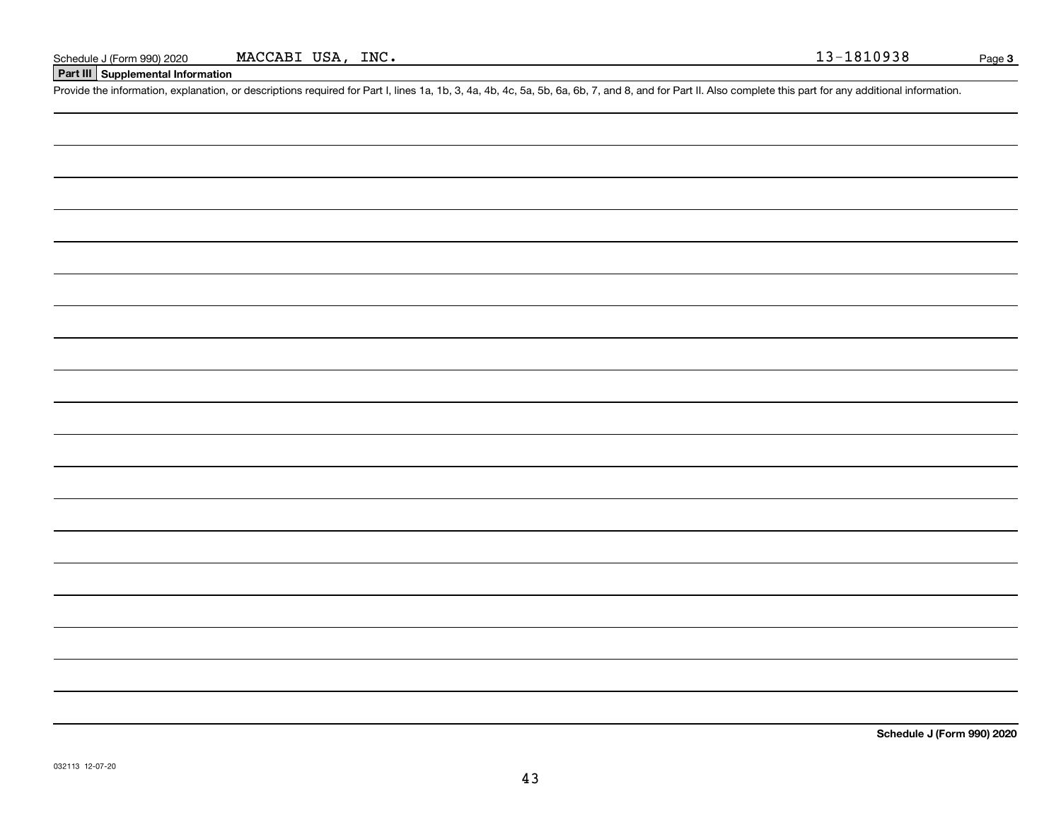## **Part III Supplemental Information**

Schedule J (Form 990) 2020 MACCABI USA, INC.<br>Part III Supplemental Information<br>Provide the information, explanation, or descriptions required for Part I, lines 1a, 1b, 3, 4a, 4b, 4c, 5a, 5b, 6a, 6b, 7, and 8, and for Part

**Schedule J (Form 990) 2020**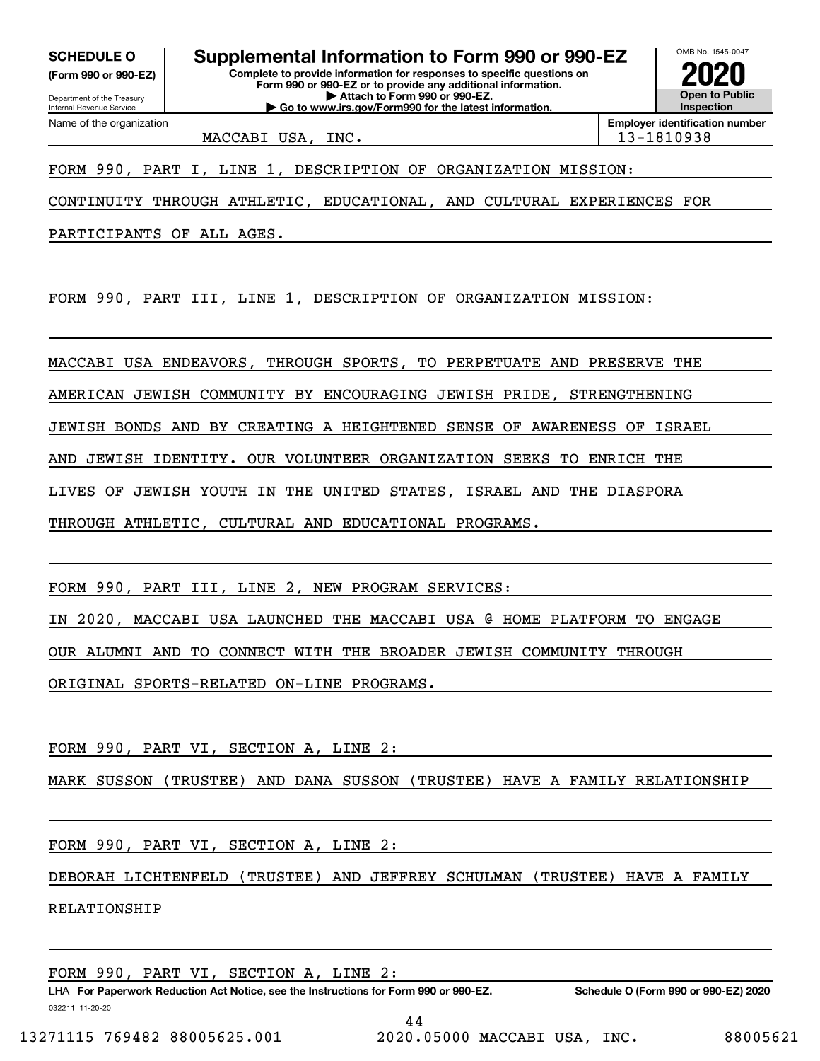**(Form 990 or 990-EZ)**

Department of the Treasury Internal Revenue Service Name of the organization

**Complete to provide information for responses to specific questions on Form 990 or 990-EZ or to provide any additional information. SCHEDULE O Supplemental Information to Form 990 or 990-EZ**

**| Attach to Form 990 or 990-EZ. | Go to www.irs.gov/Form990 for the latest information.**

MACCABI USA, INC. 13-1810938

**InspectionEmployer identification number**

OMB No. 1545-0047

**2020**

**Open to Public**

FORM 990, PART I, LINE 1, DESCRIPTION OF ORGANIZATION MISSION:

CONTINUITY THROUGH ATHLETIC, EDUCATIONAL, AND CULTURAL EXPERIENCES FOR

PARTICIPANTS OF ALL AGES.

FORM 990, PART III, LINE 1, DESCRIPTION OF ORGANIZATION MISSION:

MACCABI USA ENDEAVORS, THROUGH SPORTS, TO PERPETUATE AND PRESERVE THE

AMERICAN JEWISH COMMUNITY BY ENCOURAGING JEWISH PRIDE, STRENGTHENING

JEWISH BONDS AND BY CREATING A HEIGHTENED SENSE OF AWARENESS OF ISRAEL

AND JEWISH IDENTITY. OUR VOLUNTEER ORGANIZATION SEEKS TO ENRICH THE

LIVES OF JEWISH YOUTH IN THE UNITED STATES, ISRAEL AND THE DIASPORA

THROUGH ATHLETIC, CULTURAL AND EDUCATIONAL PROGRAMS.

FORM 990, PART III, LINE 2, NEW PROGRAM SERVICES:

IN 2020, MACCABI USA LAUNCHED THE MACCABI USA @ HOME PLATFORM TO ENGAGE

OUR ALUMNI AND TO CONNECT WITH THE BROADER JEWISH COMMUNITY THROUGH

ORIGINAL SPORTS-RELATED ON-LINE PROGRAMS.

FORM 990, PART VI, SECTION A, LINE 2:

MARK SUSSON (TRUSTEE) AND DANA SUSSON (TRUSTEE) HAVE A FAMILY RELATIONSHIP

FORM 990, PART VI, SECTION A, LINE 2:

DEBORAH LICHTENFELD (TRUSTEE) AND JEFFREY SCHULMAN (TRUSTEE) HAVE A FAMILY

RELATIONSHIP

FORM 990, PART VI, SECTION A, LINE 2: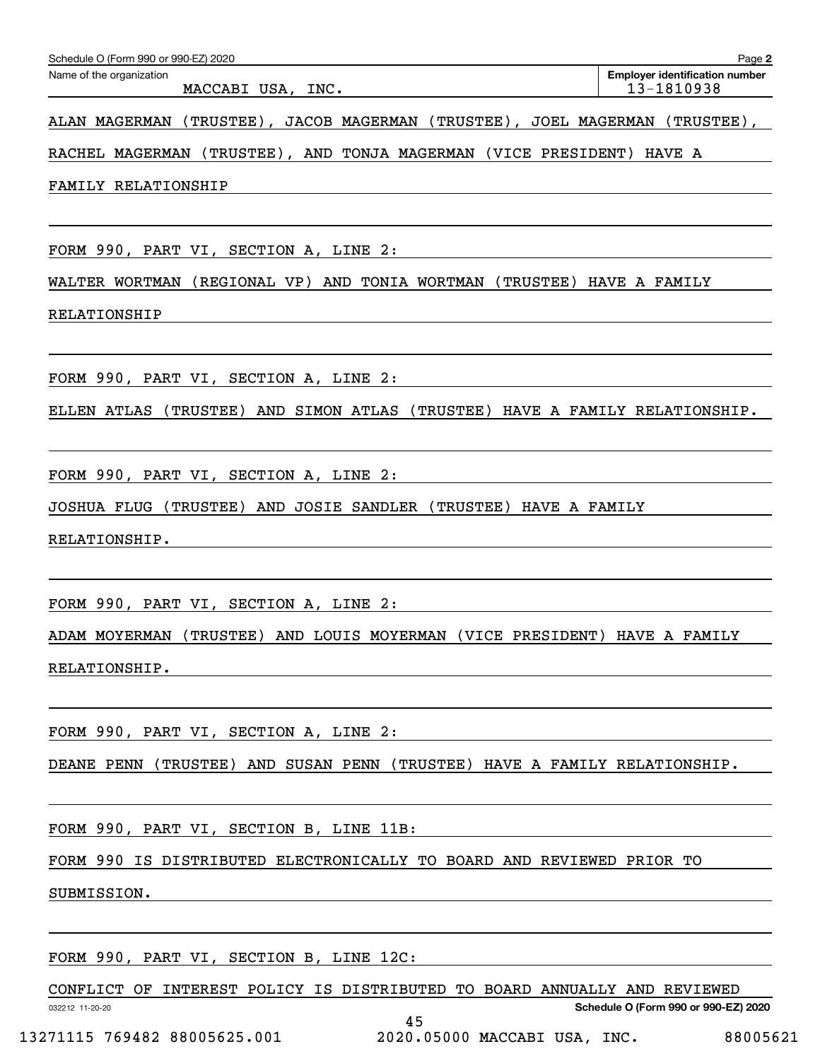| Schedule O (Form 990 or 990-EZ) 2020                 | Page 2                                              |
|------------------------------------------------------|-----------------------------------------------------|
| Name of the organization<br>MACCABI USA,<br>INC.     | <b>Employer identification number</b><br>13-1810938 |
| _______<br>--- ---------<br>_ _ _ _<br>--- --------- | ________<br>--- ---------                           |

ALAN MAGERMAN (TRUSTEE), JACOB MAGERMAN (TRUSTEE), JOEL MAGERMAN (TRUSTEE),

RACHEL MAGERMAN (TRUSTEE), AND TONJA MAGERMAN (VICE PRESIDENT) HAVE A

FAMILY RELATIONSHIP

FORM 990, PART VI, SECTION A, LINE 2:

WALTER WORTMAN (REGIONAL VP) AND TONIA WORTMAN (TRUSTEE) HAVE A FAMILY

RELATIONSHIP

FORM 990, PART VI, SECTION A, LINE 2:

ELLEN ATLAS (TRUSTEE) AND SIMON ATLAS (TRUSTEE) HAVE A FAMILY RELATIONSHIP.

FORM 990, PART VI, SECTION A, LINE 2:

JOSHUA FLUG (TRUSTEE) AND JOSIE SANDLER (TRUSTEE) HAVE A FAMILY

RELATIONSHIP.

FORM 990, PART VI, SECTION A, LINE 2:

ADAM MOYERMAN (TRUSTEE) AND LOUIS MOYERMAN (VICE PRESIDENT) HAVE A FAMILY

RELATIONSHIP.

FORM 990, PART VI, SECTION A, LINE 2:

DEANE PENN (TRUSTEE) AND SUSAN PENN (TRUSTEE) HAVE A FAMILY RELATIONSHIP.

FORM 990, PART VI, SECTION B, LINE 11B:

FORM 990 IS DISTRIBUTED ELECTRONICALLY TO BOARD AND REVIEWED PRIOR TO

SUBMISSION.

032212 11-20-20

FORM 990, PART VI, SECTION B, LINE 12C:

CONFLICT OF INTEREST POLICY IS DISTRIBUTED TO BOARD ANNUALLY AND REVIEWED

45

**Schedule O (Form 990 or 990-EZ) 2020**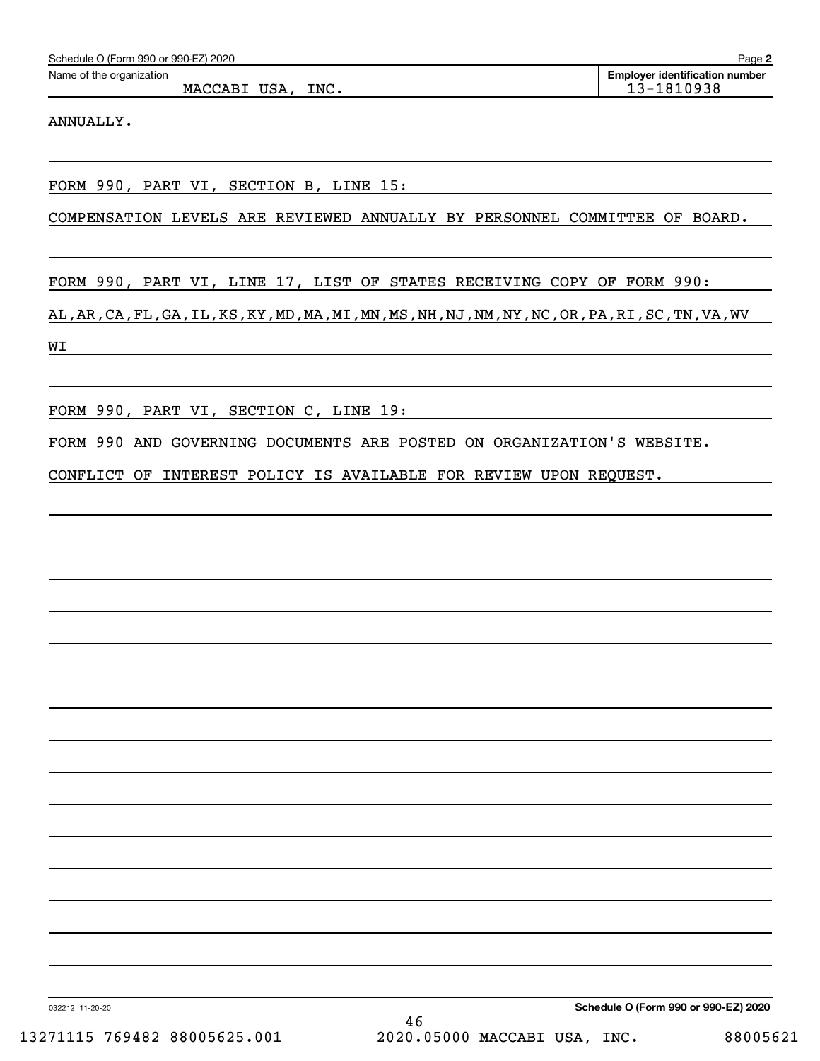| Schedule O (Form 990 or 990-EZ) 2020 | Page                                  |
|--------------------------------------|---------------------------------------|
| Name of the organization             | <b>Emplover identification number</b> |

## ANNUALLY.

FORM 990, PART VI, SECTION B, LINE 15:

COMPENSATION LEVELS ARE REVIEWED ANNUALLY BY PERSONNEL COMMITTEE OF BOARD.

FORM 990, PART VI, LINE 17, LIST OF STATES RECEIVING COPY OF FORM 990:

AL,AR,CA,FL,GA,IL,KS,KY,MD,MA,MI,MN,MS,NH,NJ,NM,NY,NC,OR,PA,RI,SC,TN,VA,WV WI

FORM 990, PART VI, SECTION C, LINE 19:

FORM 990 AND GOVERNING DOCUMENTS ARE POSTED ON ORGANIZATION'S WEBSITE.

CONFLICT OF INTEREST POLICY IS AVAILABLE FOR REVIEW UPON REQUEST.

032212 11-20-20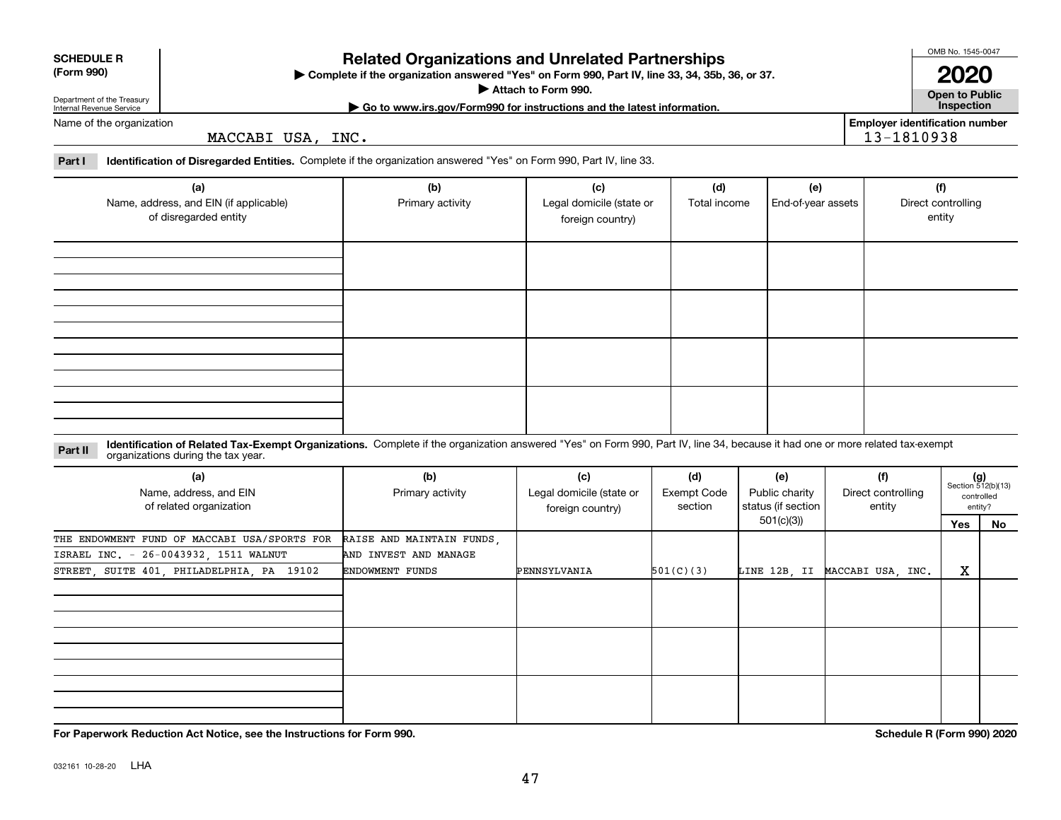|  | ٠ |
|--|---|

032161 10-28-20 LHA

## **Related Organizations and Unrelated Partnerships**

**Complete if the organization answered "Yes" on Form 990, Part IV, line 33, 34, 35b, 36, or 37.** |

**Attach to Form 990.**  |

Department of the Treasury Internal Revenue Service

Name of the organization

| to www.irs.gov/Form990 for instructions and the latest information.<br>uо | <b>Inspection</b>                                 |  |
|---------------------------------------------------------------------------|---------------------------------------------------|--|
| T T T T T<br>INC.<br>MACO<br>15A<br>'AB 1                                 | <b>Emplover identification number</b><br>u<br>. – |  |
|                                                                           |                                                   |  |

#### **Part I Identification of Disregarded Entities.**  Complete if the organization answered "Yes" on Form 990, Part IV, line 33.

| (a)<br>Name, address, and EIN (if applicable)<br>of disregarded entity | (b)<br>Primary activity | (c)<br>Legal domicile (state or<br>foreign country) | (d)<br>Total income | (e)<br>End-of-year assets | (f)<br>Direct controlling<br>entity |
|------------------------------------------------------------------------|-------------------------|-----------------------------------------------------|---------------------|---------------------------|-------------------------------------|
|                                                                        |                         |                                                     |                     |                           |                                     |
|                                                                        |                         |                                                     |                     |                           |                                     |
|                                                                        |                         |                                                     |                     |                           |                                     |
|                                                                        |                         |                                                     |                     |                           |                                     |

#### **Identification of Related Tax-Exempt Organizations.** Complete if the organization answered "Yes" on Form 990, Part IV, line 34, because it had one or more related tax-exempt **Part II** organizations during the tax year.

| organizations during the tax year.                       |                           |                                                     |                                      |                                             |                                     |     |                                                    |
|----------------------------------------------------------|---------------------------|-----------------------------------------------------|--------------------------------------|---------------------------------------------|-------------------------------------|-----|----------------------------------------------------|
| (a)<br>Name, address, and EIN<br>of related organization | (b)<br>Primary activity   | (c)<br>Legal domicile (state or<br>foreign country) | (d)<br><b>Exempt Code</b><br>section | (e)<br>Public charity<br>status (if section | (f)<br>Direct controlling<br>entity |     | (g)<br>Section 512(b)(13)<br>controlled<br>entity? |
|                                                          |                           |                                                     |                                      | 501(c)(3))                                  |                                     | Yes | No                                                 |
| THE ENDOWMENT FUND OF MACCABI USA/SPORTS FOR             | RAISE AND MAINTAIN FUNDS, |                                                     |                                      |                                             |                                     |     |                                                    |
| ISRAEL INC. - 26-0043932, 1511 WALNUT                    | AND INVEST AND MANAGE     |                                                     |                                      |                                             |                                     |     |                                                    |
| STREET, SUITE 401, PHILADELPHIA, PA 19102                | <b>ENDOWMENT FUNDS</b>    | PENNSYLVANIA                                        | 501(C)(3)                            | LINE 12B, II                                | MACCABI USA, INC.                   | X   |                                                    |
|                                                          |                           |                                                     |                                      |                                             |                                     |     |                                                    |
|                                                          |                           |                                                     |                                      |                                             |                                     |     |                                                    |
|                                                          |                           |                                                     |                                      |                                             |                                     |     |                                                    |
|                                                          |                           |                                                     |                                      |                                             |                                     |     |                                                    |
|                                                          |                           |                                                     |                                      |                                             |                                     |     |                                                    |
|                                                          |                           |                                                     |                                      |                                             |                                     |     |                                                    |
|                                                          |                           |                                                     |                                      |                                             |                                     |     |                                                    |
|                                                          |                           |                                                     |                                      |                                             |                                     |     |                                                    |
|                                                          |                           |                                                     |                                      |                                             |                                     |     |                                                    |

**For Paperwork Reduction Act Notice, see the Instructions for Form 990. Schedule R (Form 990) 2020**

**2020**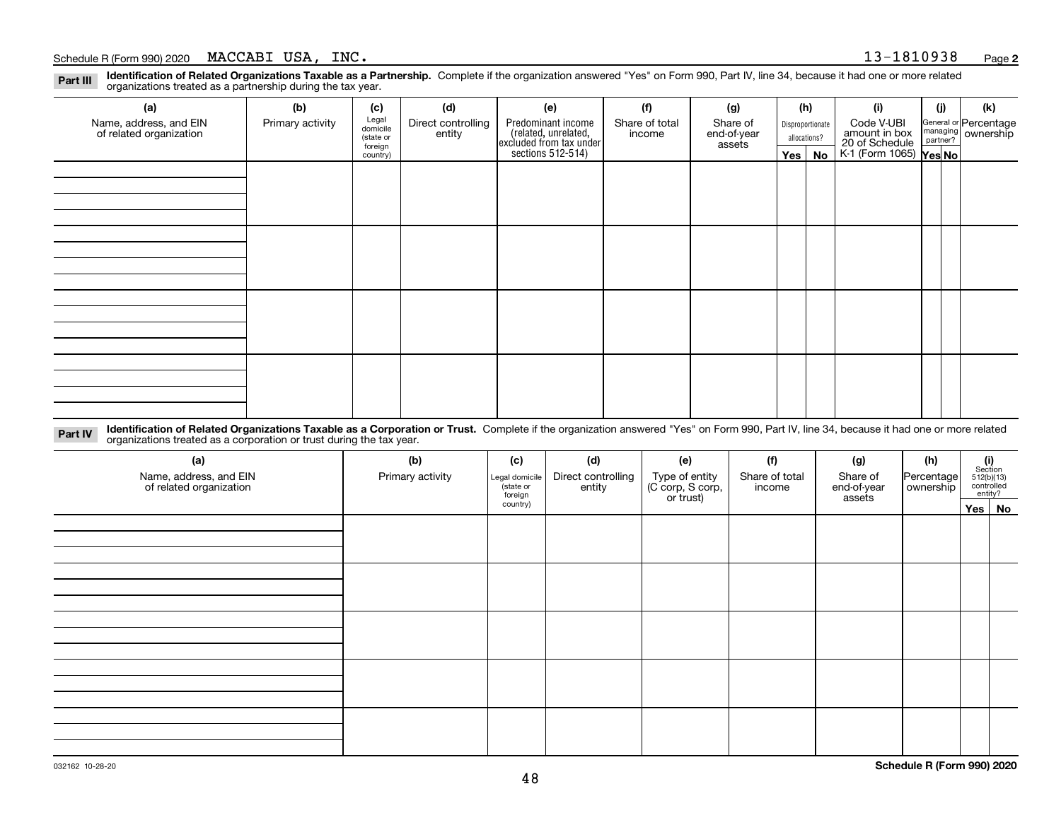**Identification of Related Organizations Taxable as a Partnership.** Complete if the organization answered "Yes" on Form 990, Part IV, line 34, because it had one or more related **Part III** organizations treated as a partnership during the tax year.

| (a)                                               | (b)              | (c)                  | (d)                          | (e)                                                                                        | (f)                      | (g)                     | (h) |                  | (i)                                                       | (j) | (k)                                                     |
|---------------------------------------------------|------------------|----------------------|------------------------------|--------------------------------------------------------------------------------------------|--------------------------|-------------------------|-----|------------------|-----------------------------------------------------------|-----|---------------------------------------------------------|
| Name, address, and EIN<br>of related organization | Primary activity | Legal<br>domicile    | Direct controlling<br>entity | Predominant income<br>(related, unrelated,<br>excluded from tax under<br>sections 512-514) | Share of total<br>income | Share of<br>end-of-year |     | Disproportionate | Code V-UBI                                                |     | General or Percentage<br>managing ownership<br>partner? |
|                                                   |                  | (state or<br>foreign |                              |                                                                                            |                          | assets                  |     | allocations?     |                                                           |     |                                                         |
|                                                   |                  | country)             |                              |                                                                                            |                          |                         |     | Yes   No         | amount in box<br>20 of Schedule<br>K-1 (Form 1065) Yes No |     |                                                         |
|                                                   |                  |                      |                              |                                                                                            |                          |                         |     |                  |                                                           |     |                                                         |
|                                                   |                  |                      |                              |                                                                                            |                          |                         |     |                  |                                                           |     |                                                         |
|                                                   |                  |                      |                              |                                                                                            |                          |                         |     |                  |                                                           |     |                                                         |
|                                                   |                  |                      |                              |                                                                                            |                          |                         |     |                  |                                                           |     |                                                         |
|                                                   |                  |                      |                              |                                                                                            |                          |                         |     |                  |                                                           |     |                                                         |
|                                                   |                  |                      |                              |                                                                                            |                          |                         |     |                  |                                                           |     |                                                         |
|                                                   |                  |                      |                              |                                                                                            |                          |                         |     |                  |                                                           |     |                                                         |
|                                                   |                  |                      |                              |                                                                                            |                          |                         |     |                  |                                                           |     |                                                         |
|                                                   |                  |                      |                              |                                                                                            |                          |                         |     |                  |                                                           |     |                                                         |
|                                                   |                  |                      |                              |                                                                                            |                          |                         |     |                  |                                                           |     |                                                         |
|                                                   |                  |                      |                              |                                                                                            |                          |                         |     |                  |                                                           |     |                                                         |
|                                                   |                  |                      |                              |                                                                                            |                          |                         |     |                  |                                                           |     |                                                         |
|                                                   |                  |                      |                              |                                                                                            |                          |                         |     |                  |                                                           |     |                                                         |
|                                                   |                  |                      |                              |                                                                                            |                          |                         |     |                  |                                                           |     |                                                         |
|                                                   |                  |                      |                              |                                                                                            |                          |                         |     |                  |                                                           |     |                                                         |
|                                                   |                  |                      |                              |                                                                                            |                          |                         |     |                  |                                                           |     |                                                         |
|                                                   |                  |                      |                              |                                                                                            |                          |                         |     |                  |                                                           |     |                                                         |

**Identification of Related Organizations Taxable as a Corporation or Trust.** Complete if the organization answered "Yes" on Form 990, Part IV, line 34, because it had one or more related **Part IV** organizations treated as a corporation or trust during the tax year.

| (a)<br>Name, address, and EIN<br>of related organization | (b)<br>Primary activity | (c)<br>Legal domicile<br>(state or<br>foreign | (d)<br>Direct controlling<br>entity | (e)<br>Type of entity<br>(C corp, S corp,<br>or trust) | (f)<br>Share of total<br>income | (g)<br>Share of<br>end-of-year<br>assets | (h)<br>Percentage<br>ownership | (i)<br>Section<br>512(b)(13)<br>controlled | entity? |
|----------------------------------------------------------|-------------------------|-----------------------------------------------|-------------------------------------|--------------------------------------------------------|---------------------------------|------------------------------------------|--------------------------------|--------------------------------------------|---------|
|                                                          |                         | country)                                      |                                     |                                                        |                                 |                                          |                                | Yes No                                     |         |
|                                                          |                         |                                               |                                     |                                                        |                                 |                                          |                                |                                            |         |
|                                                          |                         |                                               |                                     |                                                        |                                 |                                          |                                |                                            |         |
|                                                          |                         |                                               |                                     |                                                        |                                 |                                          |                                |                                            |         |
|                                                          |                         |                                               |                                     |                                                        |                                 |                                          |                                |                                            |         |
|                                                          |                         |                                               |                                     |                                                        |                                 |                                          |                                |                                            |         |
|                                                          |                         |                                               |                                     |                                                        |                                 |                                          |                                |                                            |         |
|                                                          |                         |                                               |                                     |                                                        |                                 |                                          |                                |                                            |         |
|                                                          |                         |                                               |                                     |                                                        |                                 |                                          |                                |                                            |         |
|                                                          |                         |                                               |                                     |                                                        |                                 |                                          |                                |                                            |         |
|                                                          |                         |                                               |                                     |                                                        |                                 |                                          |                                |                                            |         |
|                                                          |                         |                                               |                                     |                                                        |                                 |                                          |                                |                                            |         |
|                                                          |                         |                                               |                                     |                                                        |                                 |                                          |                                |                                            |         |
|                                                          |                         |                                               |                                     |                                                        |                                 |                                          |                                |                                            |         |
|                                                          |                         |                                               |                                     |                                                        |                                 |                                          |                                |                                            |         |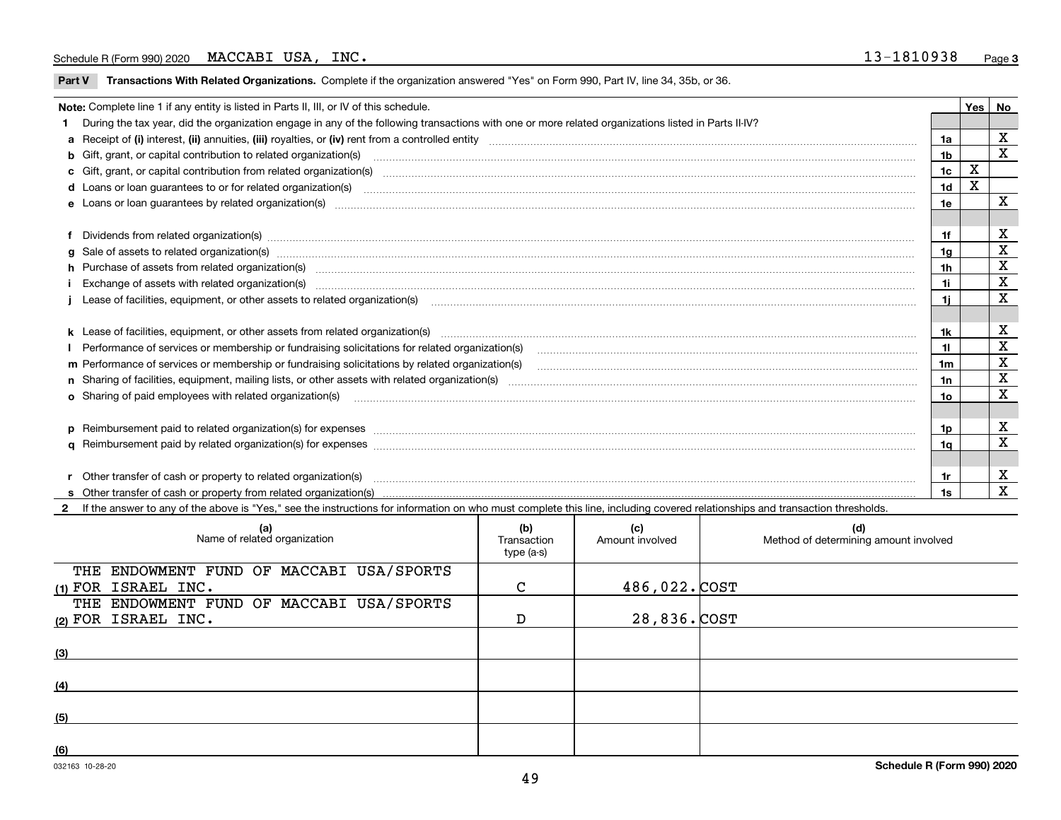$\overline{\phantom{a}}$ 

**Part V** T**ransactions With Related Organizations.** Complete if the organization answered "Yes" on Form 990, Part IV, line 34, 35b, or 36.

| Note: Complete line 1 if any entity is listed in Parts II, III, or IV of this schedule.                                                                                                                                        |                |     |             |  |  |
|--------------------------------------------------------------------------------------------------------------------------------------------------------------------------------------------------------------------------------|----------------|-----|-------------|--|--|
| 1 During the tax year, did the organization engage in any of the following transactions with one or more related organizations listed in Parts II-IV?                                                                          |                | Yes | No          |  |  |
| a Receipt of (i) interest, (ii) annuities, (iii) royalties, or (iv) rent from a controlled entity [1] mindicand the manutation manutation controlled entity [1] mindical controlled entity [1] annual manuta controlled entity | 1a             |     | X           |  |  |
| b Gift, grant, or capital contribution to related organization(s) manufactured manufactured manufactured manufactured manufactured manufactured manufactured manufactured manufactured manufactured manufactured manufactured  | 1 <sub>b</sub> |     | X           |  |  |
|                                                                                                                                                                                                                                | 1c             | x   |             |  |  |
|                                                                                                                                                                                                                                | 1d             | х   |             |  |  |
|                                                                                                                                                                                                                                | 1e             |     | X           |  |  |
|                                                                                                                                                                                                                                |                |     |             |  |  |
| f Dividends from related organization(s) manufactured and contract the contract of the contract of the contract of the contract of the contract of the contract of the contract of the contract of the contract of the contrac | 1f             |     | X           |  |  |
| g Sale of assets to related organization(s) www.assettion.com/www.assettion.com/www.assettion.com/www.assettion.com/www.assettion.com/www.assettion.com/www.assettion.com/www.assettion.com/www.assettion.com/www.assettion.co | 1g             |     | X           |  |  |
| h Purchase of assets from related organization(s) manufactured and content to the content of the content of the content of the content of the content of the content of the content of the content of the content of the conte | 1h             |     | X           |  |  |
| Exchange of assets with related organization(s) www.communically.communically contract and a state of assets with related organization(s) www.communically.communically contract and a state of a state or contract and a stat | 1i             |     | $\mathbf x$ |  |  |
|                                                                                                                                                                                                                                | 1i.            |     | X           |  |  |
|                                                                                                                                                                                                                                |                |     |             |  |  |
|                                                                                                                                                                                                                                | 1k             |     | х           |  |  |
| Performance of services or membership or fundraising solicitations for related organization(s)                                                                                                                                 | 11             |     | $\mathbf x$ |  |  |
| m Performance of services or membership or fundraising solicitations by related organization(s)                                                                                                                                | 1m             |     | X           |  |  |
|                                                                                                                                                                                                                                | 1n             |     | $\mathbf x$ |  |  |
| <b>o</b> Sharing of paid employees with related organization(s)                                                                                                                                                                | 10             |     | X           |  |  |
|                                                                                                                                                                                                                                |                |     |             |  |  |
|                                                                                                                                                                                                                                | 1p.            |     | х           |  |  |
|                                                                                                                                                                                                                                | 1a             |     | X           |  |  |
|                                                                                                                                                                                                                                |                |     |             |  |  |
| r Other transfer of cash or property to related organization(s)                                                                                                                                                                | 1r             |     | х           |  |  |
|                                                                                                                                                                                                                                | 1s             |     | X           |  |  |

**2**If the answer to any of the above is "Yes," see the instructions for information on who must complete this line, including covered relationships and transaction thresholds.

| (a)<br>Name of related organization      | (b)<br>Transaction<br>type (a-s) | (c)<br>Amount involved | (d)<br>Method of determining amount involved |
|------------------------------------------|----------------------------------|------------------------|----------------------------------------------|
| THE ENDOWMENT FUND OF MACCABI USA/SPORTS |                                  |                        |                                              |
| $(1)$ FOR ISRAEL INC.                    | $\mathsf{C}$                     | 486,022.COST           |                                              |
| THE ENDOWMENT FUND OF MACCABI USA/SPORTS |                                  |                        |                                              |
| (2) FOR ISRAEL INC.                      | D                                | 28,836.COST            |                                              |
|                                          |                                  |                        |                                              |
| (3)                                      |                                  |                        |                                              |
|                                          |                                  |                        |                                              |
| (4)                                      |                                  |                        |                                              |
| (5)                                      |                                  |                        |                                              |
|                                          |                                  |                        |                                              |
| (6)                                      |                                  |                        |                                              |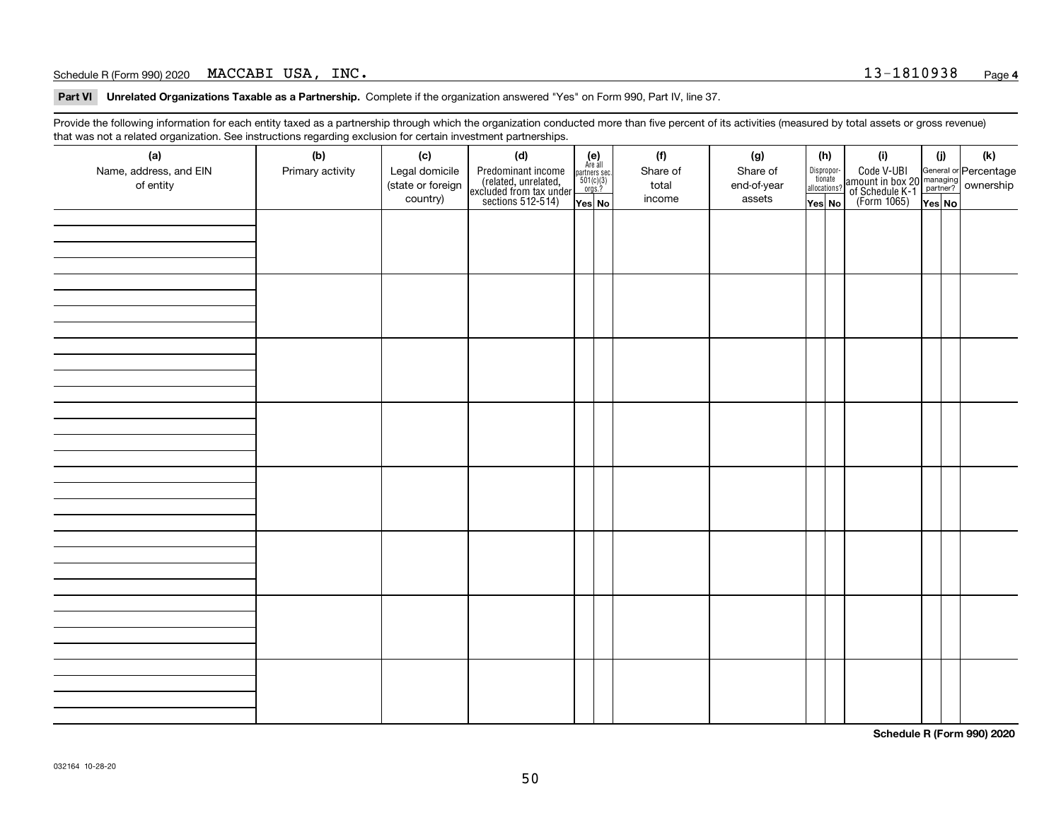**Part VI Unrelated Organizations Taxable as a Partnership. Complete if the organization answered "Yes" on Form 990, Part IV, line 37.** 

Provide the following information for each entity taxed as a partnership through which the organization conducted more than five percent of its activities (measured by total assets or gross revenue) that was not a related organization. See instructions regarding exclusion for certain investment partnerships.

| ັ                      | ັ<br>ັ           |                   | . .                                                                                        |                                                                                                                 |  |          |             |                                  |                                                                                                  |        |     |
|------------------------|------------------|-------------------|--------------------------------------------------------------------------------------------|-----------------------------------------------------------------------------------------------------------------|--|----------|-------------|----------------------------------|--------------------------------------------------------------------------------------------------|--------|-----|
| (a)                    | (b)              | (c)               | (d)                                                                                        | $\begin{array}{c} \textbf{(e)}\\ \text{Are all} \\ \text{partners sec}\\ 501(c)(3)\\ \text{orgs.?} \end{array}$ |  | (f)      | (g)         | (h)                              | (i)                                                                                              | (i)    | (k) |
| Name, address, and EIN | Primary activity | Legal domicile    |                                                                                            |                                                                                                                 |  | Share of | Share of    |                                  |                                                                                                  |        |     |
| of entity              |                  | (state or foreign |                                                                                            |                                                                                                                 |  | total    | end-of-year | Disproportionate<br>allocations? |                                                                                                  |        |     |
|                        |                  | country)          | Predominant income<br>(related, unrelated,<br>excluded from tax under<br>sections 512-514) |                                                                                                                 |  | income   | assets      |                                  | Code V-UBI<br>amount in box 20 managing<br>of Schedule K-1<br>(Form 1065)<br>$\overline{Yes}$ No |        |     |
|                        |                  |                   |                                                                                            | Yes No                                                                                                          |  |          |             | Yes No                           |                                                                                                  | Yes No |     |
|                        |                  |                   |                                                                                            |                                                                                                                 |  |          |             |                                  |                                                                                                  |        |     |
|                        |                  |                   |                                                                                            |                                                                                                                 |  |          |             |                                  |                                                                                                  |        |     |
|                        |                  |                   |                                                                                            |                                                                                                                 |  |          |             |                                  |                                                                                                  |        |     |
|                        |                  |                   |                                                                                            |                                                                                                                 |  |          |             |                                  |                                                                                                  |        |     |
|                        |                  |                   |                                                                                            |                                                                                                                 |  |          |             |                                  |                                                                                                  |        |     |
|                        |                  |                   |                                                                                            |                                                                                                                 |  |          |             |                                  |                                                                                                  |        |     |
|                        |                  |                   |                                                                                            |                                                                                                                 |  |          |             |                                  |                                                                                                  |        |     |
|                        |                  |                   |                                                                                            |                                                                                                                 |  |          |             |                                  |                                                                                                  |        |     |
|                        |                  |                   |                                                                                            |                                                                                                                 |  |          |             |                                  |                                                                                                  |        |     |
|                        |                  |                   |                                                                                            |                                                                                                                 |  |          |             |                                  |                                                                                                  |        |     |
|                        |                  |                   |                                                                                            |                                                                                                                 |  |          |             |                                  |                                                                                                  |        |     |
|                        |                  |                   |                                                                                            |                                                                                                                 |  |          |             |                                  |                                                                                                  |        |     |
|                        |                  |                   |                                                                                            |                                                                                                                 |  |          |             |                                  |                                                                                                  |        |     |
|                        |                  |                   |                                                                                            |                                                                                                                 |  |          |             |                                  |                                                                                                  |        |     |
|                        |                  |                   |                                                                                            |                                                                                                                 |  |          |             |                                  |                                                                                                  |        |     |
|                        |                  |                   |                                                                                            |                                                                                                                 |  |          |             |                                  |                                                                                                  |        |     |
|                        |                  |                   |                                                                                            |                                                                                                                 |  |          |             |                                  |                                                                                                  |        |     |
|                        |                  |                   |                                                                                            |                                                                                                                 |  |          |             |                                  |                                                                                                  |        |     |
|                        |                  |                   |                                                                                            |                                                                                                                 |  |          |             |                                  |                                                                                                  |        |     |
|                        |                  |                   |                                                                                            |                                                                                                                 |  |          |             |                                  |                                                                                                  |        |     |
|                        |                  |                   |                                                                                            |                                                                                                                 |  |          |             |                                  |                                                                                                  |        |     |
|                        |                  |                   |                                                                                            |                                                                                                                 |  |          |             |                                  |                                                                                                  |        |     |
|                        |                  |                   |                                                                                            |                                                                                                                 |  |          |             |                                  |                                                                                                  |        |     |
|                        |                  |                   |                                                                                            |                                                                                                                 |  |          |             |                                  |                                                                                                  |        |     |
|                        |                  |                   |                                                                                            |                                                                                                                 |  |          |             |                                  |                                                                                                  |        |     |
|                        |                  |                   |                                                                                            |                                                                                                                 |  |          |             |                                  |                                                                                                  |        |     |
|                        |                  |                   |                                                                                            |                                                                                                                 |  |          |             |                                  |                                                                                                  |        |     |
|                        |                  |                   |                                                                                            |                                                                                                                 |  |          |             |                                  |                                                                                                  |        |     |
|                        |                  |                   |                                                                                            |                                                                                                                 |  |          |             |                                  |                                                                                                  |        |     |
|                        |                  |                   |                                                                                            |                                                                                                                 |  |          |             |                                  |                                                                                                  |        |     |
|                        |                  |                   |                                                                                            |                                                                                                                 |  |          |             |                                  |                                                                                                  |        |     |
|                        |                  |                   |                                                                                            |                                                                                                                 |  |          |             |                                  |                                                                                                  |        |     |
|                        |                  |                   |                                                                                            |                                                                                                                 |  |          |             |                                  |                                                                                                  |        |     |
|                        |                  |                   |                                                                                            |                                                                                                                 |  |          |             |                                  |                                                                                                  |        |     |
|                        |                  |                   |                                                                                            |                                                                                                                 |  |          |             |                                  |                                                                                                  |        |     |
|                        |                  |                   |                                                                                            |                                                                                                                 |  |          |             |                                  |                                                                                                  |        |     |
|                        |                  |                   |                                                                                            |                                                                                                                 |  |          |             |                                  |                                                                                                  |        |     |
|                        |                  |                   |                                                                                            |                                                                                                                 |  |          |             |                                  |                                                                                                  |        |     |
|                        |                  |                   |                                                                                            |                                                                                                                 |  |          |             |                                  |                                                                                                  |        |     |
|                        |                  |                   |                                                                                            |                                                                                                                 |  |          |             |                                  |                                                                                                  |        |     |
|                        |                  |                   |                                                                                            |                                                                                                                 |  |          |             |                                  |                                                                                                  |        |     |
|                        |                  |                   |                                                                                            |                                                                                                                 |  |          |             |                                  |                                                                                                  |        |     |
|                        |                  |                   |                                                                                            |                                                                                                                 |  |          |             |                                  |                                                                                                  |        |     |

**Schedule R (Form 990) 2020**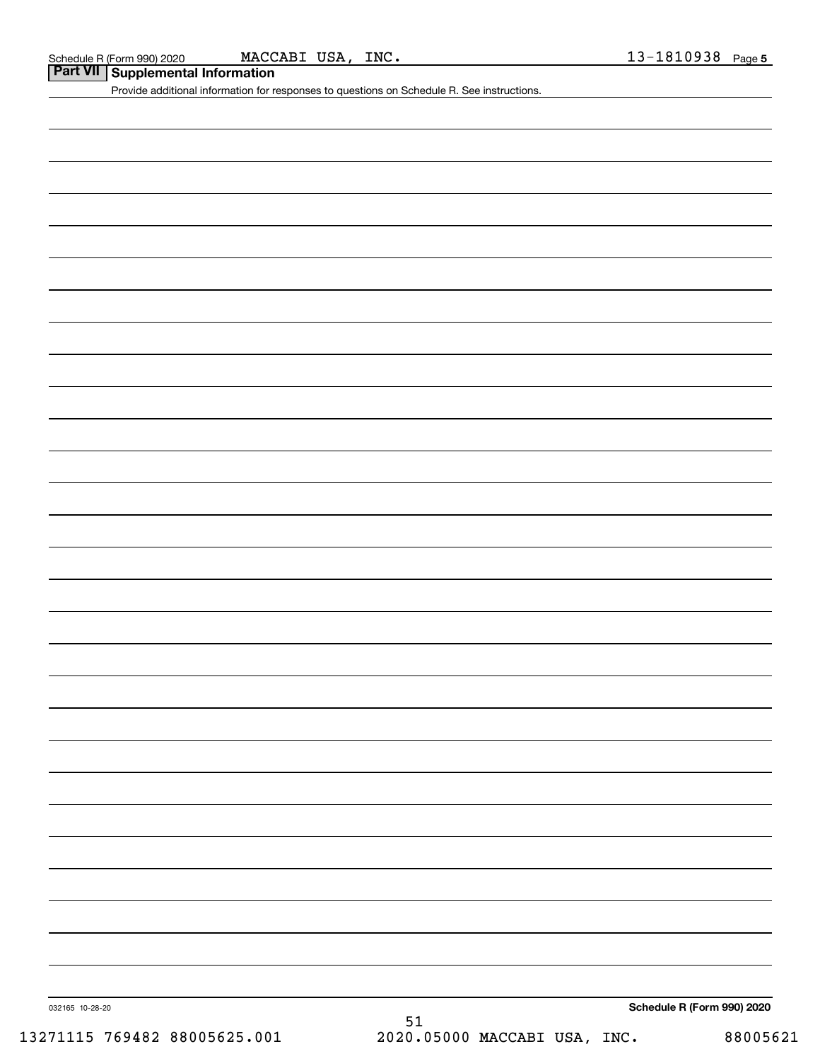**Part VII Supplemental Information**

Provide additional information for responses to questions on Schedule R. See instructions.

032165 10-28-20